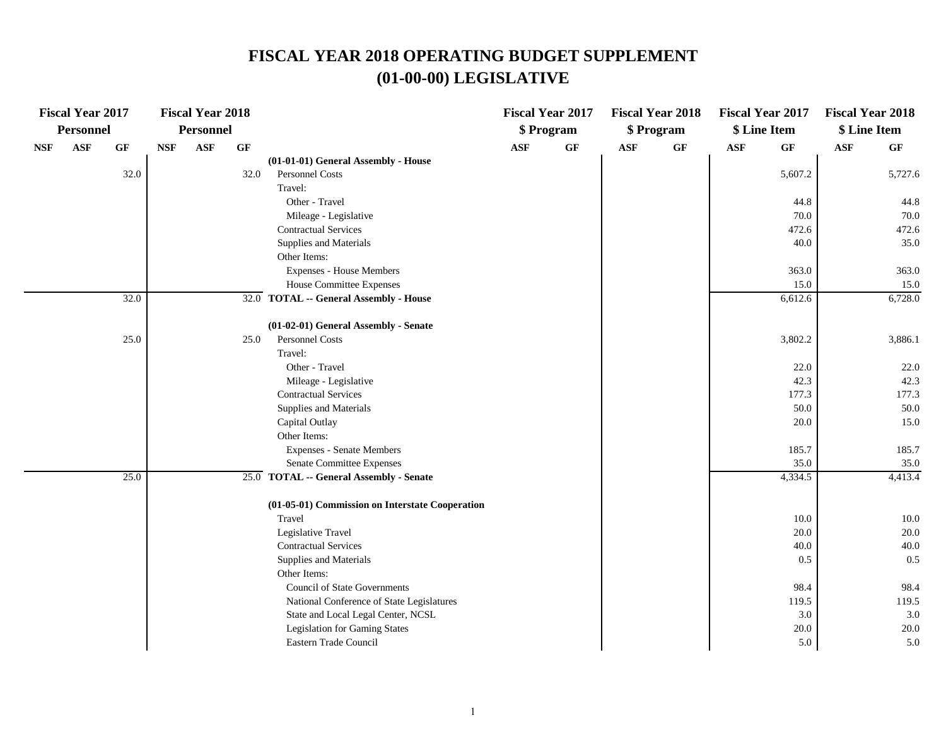|            | <b>Fiscal Year 2017</b> |                 |            | <b>Fiscal Year 2018</b> |      |                                                 |                | <b>Fiscal Year 2017</b> |            | <b>Fiscal Year 2018</b> | <b>Fiscal Year 2017</b> |                 | <b>Fiscal Year 2018</b> |         |
|------------|-------------------------|-----------------|------------|-------------------------|------|-------------------------------------------------|----------------|-------------------------|------------|-------------------------|-------------------------|-----------------|-------------------------|---------|
|            | <b>Personnel</b>        |                 |            | <b>Personnel</b>        |      |                                                 |                | \$ Program              |            | \$ Program              |                         | \$ Line Item    | \$ Line Item            |         |
| <b>NSF</b> | $\mathbf{ASF}$          | $\bf{G} \bf{F}$ | <b>NSF</b> | <b>ASF</b>              | GF   |                                                 | $\mathbf{ASF}$ | GF                      | <b>ASF</b> | GF                      | <b>ASF</b>              | $\bf{G} \bf{F}$ | $\mathbf{ASF}$          | GF      |
|            |                         |                 |            |                         |      | (01-01-01) General Assembly - House             |                |                         |            |                         |                         |                 |                         |         |
|            |                         | 32.0            |            |                         | 32.0 | <b>Personnel Costs</b>                          |                |                         |            |                         |                         | 5,607.2         |                         | 5,727.6 |
|            |                         |                 |            |                         |      | Travel:                                         |                |                         |            |                         |                         |                 |                         |         |
|            |                         |                 |            |                         |      | Other - Travel                                  |                |                         |            |                         |                         | 44.8            |                         | 44.8    |
|            |                         |                 |            |                         |      | Mileage - Legislative                           |                |                         |            |                         |                         | 70.0            |                         | 70.0    |
|            |                         |                 |            |                         |      | <b>Contractual Services</b>                     |                |                         |            |                         |                         | 472.6           |                         | 472.6   |
|            |                         |                 |            |                         |      | Supplies and Materials                          |                |                         |            |                         |                         | 40.0            |                         | 35.0    |
|            |                         |                 |            |                         |      | Other Items:                                    |                |                         |            |                         |                         |                 |                         |         |
|            |                         |                 |            |                         |      | <b>Expenses - House Members</b>                 |                |                         |            |                         |                         | 363.0           |                         | 363.0   |
|            |                         |                 |            |                         |      | House Committee Expenses                        |                |                         |            |                         |                         | 15.0            |                         | 15.0    |
|            |                         | 32.0            |            |                         |      | 32.0 TOTAL -- General Assembly - House          |                |                         |            |                         |                         | 6,612.6         |                         | 6,728.0 |
|            |                         |                 |            |                         |      | (01-02-01) General Assembly - Senate            |                |                         |            |                         |                         |                 |                         |         |
|            |                         | 25.0            |            |                         | 25.0 | Personnel Costs                                 |                |                         |            |                         |                         | 3,802.2         |                         | 3,886.1 |
|            |                         |                 |            |                         |      | Travel:                                         |                |                         |            |                         |                         |                 |                         |         |
|            |                         |                 |            |                         |      | Other - Travel                                  |                |                         |            |                         |                         | 22.0            |                         | 22.0    |
|            |                         |                 |            |                         |      | Mileage - Legislative                           |                |                         |            |                         |                         | 42.3            |                         | 42.3    |
|            |                         |                 |            |                         |      | <b>Contractual Services</b>                     |                |                         |            |                         |                         | 177.3           |                         | 177.3   |
|            |                         |                 |            |                         |      | Supplies and Materials                          |                |                         |            |                         |                         | 50.0            |                         | 50.0    |
|            |                         |                 |            |                         |      | Capital Outlay                                  |                |                         |            |                         |                         | 20.0            |                         | 15.0    |
|            |                         |                 |            |                         |      | Other Items:                                    |                |                         |            |                         |                         |                 |                         |         |
|            |                         |                 |            |                         |      | <b>Expenses - Senate Members</b>                |                |                         |            |                         |                         | 185.7           |                         | 185.7   |
|            |                         |                 |            |                         |      | Senate Committee Expenses                       |                |                         |            |                         |                         | 35.0            |                         | 35.0    |
|            |                         | 25.0            |            |                         |      | 25.0 TOTAL -- General Assembly - Senate         |                |                         |            |                         |                         | 4,334.5         |                         | 4,413.4 |
|            |                         |                 |            |                         |      | (01-05-01) Commission on Interstate Cooperation |                |                         |            |                         |                         |                 |                         |         |
|            |                         |                 |            |                         |      | Travel                                          |                |                         |            |                         |                         | 10.0            |                         | 10.0    |
|            |                         |                 |            |                         |      | Legislative Travel                              |                |                         |            |                         |                         | 20.0            |                         | 20.0    |
|            |                         |                 |            |                         |      | <b>Contractual Services</b>                     |                |                         |            |                         |                         | 40.0            |                         | 40.0    |
|            |                         |                 |            |                         |      | Supplies and Materials                          |                |                         |            |                         |                         | 0.5             |                         | 0.5     |
|            |                         |                 |            |                         |      | Other Items:                                    |                |                         |            |                         |                         |                 |                         |         |
|            |                         |                 |            |                         |      | <b>Council of State Governments</b>             |                |                         |            |                         |                         | 98.4            |                         | 98.4    |
|            |                         |                 |            |                         |      | National Conference of State Legislatures       |                |                         |            |                         |                         | 119.5           |                         | 119.5   |
|            |                         |                 |            |                         |      | State and Local Legal Center, NCSL              |                |                         |            |                         |                         | 3.0             |                         | 3.0     |
|            |                         |                 |            |                         |      | <b>Legislation for Gaming States</b>            |                |                         |            |                         |                         | 20.0            |                         | 20.0    |
|            |                         |                 |            |                         |      | Eastern Trade Council                           |                |                         |            |                         |                         | 5.0             |                         | 5.0     |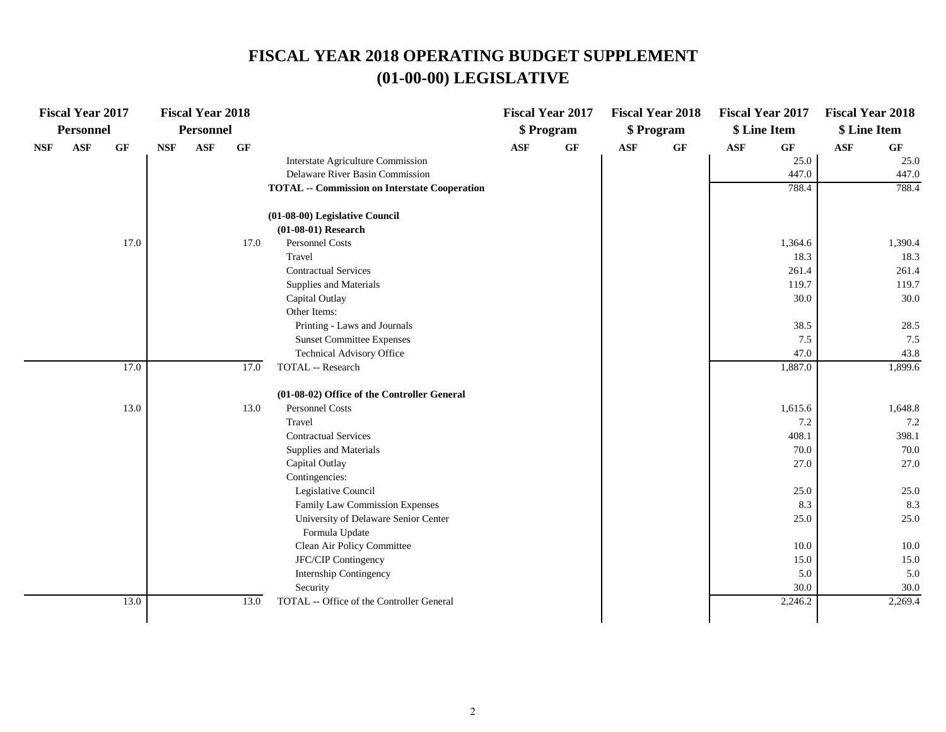|            | <b>Fiscal Year 2017</b> |      |            | <b>Fiscal Year 2018</b> |      |                                                      |            | <b>Fiscal Year 2017</b> |            | <b>Fiscal Year 2018</b> |            | <b>Fiscal Year 2017</b> | <b>Fiscal Year 2018</b> |                 |
|------------|-------------------------|------|------------|-------------------------|------|------------------------------------------------------|------------|-------------------------|------------|-------------------------|------------|-------------------------|-------------------------|-----------------|
|            | Personnel               |      |            | <b>Personnel</b>        |      |                                                      |            | \$ Program              |            | \$ Program              |            | \$ Line Item            | \$ Line Item            |                 |
| <b>NSF</b> | <b>ASF</b>              | GF   | <b>NSF</b> | <b>ASF</b>              | GF   |                                                      | <b>ASF</b> | GF                      | <b>ASF</b> | GF                      | <b>ASF</b> | <b>GF</b>               | <b>ASF</b>              | $\bf{G} \bf{F}$ |
|            |                         |      |            |                         |      | Interstate Agriculture Commission                    |            |                         |            |                         |            | 25.0                    |                         | 25.0            |
|            |                         |      |            |                         |      | Delaware River Basin Commission                      |            |                         |            |                         |            | 447.0                   |                         | 447.0           |
|            |                         |      |            |                         |      | <b>TOTAL -- Commission on Interstate Cooperation</b> |            |                         |            |                         |            | 788.4                   |                         | 788.4           |
|            |                         |      |            |                         |      | (01-08-00) Legislative Council                       |            |                         |            |                         |            |                         |                         |                 |
|            |                         |      |            |                         |      | $(01-08-01)$ Research                                |            |                         |            |                         |            |                         |                         |                 |
|            |                         | 17.0 |            |                         | 17.0 | Personnel Costs                                      |            |                         |            |                         |            | 1,364.6                 |                         | 1,390.4         |
|            |                         |      |            |                         |      | Travel                                               |            |                         |            |                         |            | 18.3                    |                         | 18.3            |
|            |                         |      |            |                         |      | <b>Contractual Services</b>                          |            |                         |            |                         |            | 261.4                   |                         | 261.4           |
|            |                         |      |            |                         |      | Supplies and Materials                               |            |                         |            |                         |            | 119.7                   |                         | 119.7           |
|            |                         |      |            |                         |      | Capital Outlay                                       |            |                         |            |                         |            | 30.0                    |                         | 30.0            |
|            |                         |      |            |                         |      | Other Items:                                         |            |                         |            |                         |            |                         |                         |                 |
|            |                         |      |            |                         |      | Printing - Laws and Journals                         |            |                         |            |                         |            | 38.5                    |                         | 28.5            |
|            |                         |      |            |                         |      | <b>Sunset Committee Expenses</b>                     |            |                         |            |                         |            | 7.5                     |                         | 7.5             |
|            |                         |      |            |                         |      | Technical Advisory Office                            |            |                         |            |                         |            | 47.0                    |                         | 43.8            |
|            |                         | 17.0 |            |                         | 17.0 | TOTAL -- Research                                    |            |                         |            |                         |            | 1,887.0                 |                         | 1,899.6         |
|            |                         |      |            |                         |      | (01-08-02) Office of the Controller General          |            |                         |            |                         |            |                         |                         |                 |
|            |                         | 13.0 |            |                         | 13.0 | Personnel Costs                                      |            |                         |            |                         |            | 1,615.6                 |                         | 1,648.8         |
|            |                         |      |            |                         |      | Travel                                               |            |                         |            |                         |            | 7.2                     |                         | 7.2             |
|            |                         |      |            |                         |      | <b>Contractual Services</b>                          |            |                         |            |                         |            | 408.1                   |                         | 398.1           |
|            |                         |      |            |                         |      | Supplies and Materials                               |            |                         |            |                         |            | 70.0                    |                         | 70.0            |
|            |                         |      |            |                         |      | Capital Outlay                                       |            |                         |            |                         |            | 27.0                    |                         | 27.0            |
|            |                         |      |            |                         |      | Contingencies:                                       |            |                         |            |                         |            |                         |                         |                 |
|            |                         |      |            |                         |      | Legislative Council                                  |            |                         |            |                         |            | 25.0                    |                         | 25.0            |
|            |                         |      |            |                         |      | Family Law Commission Expenses                       |            |                         |            |                         |            | 8.3                     |                         | 8.3             |
|            |                         |      |            |                         |      | University of Delaware Senior Center                 |            |                         |            |                         |            | 25.0                    |                         | 25.0            |
|            |                         |      |            |                         |      | Formula Update                                       |            |                         |            |                         |            |                         |                         |                 |
|            |                         |      |            |                         |      | Clean Air Policy Committee                           |            |                         |            |                         |            | 10.0                    |                         | 10.0            |
|            |                         |      |            |                         |      | JFC/CIP Contingency                                  |            |                         |            |                         |            | 15.0                    |                         | 15.0            |
|            |                         |      |            |                         |      | Internship Contingency                               |            |                         |            |                         |            | 5.0                     |                         | 5.0             |
|            |                         |      |            |                         |      | Security                                             |            |                         |            |                         |            | 30.0                    |                         | 30.0            |
|            |                         | 13.0 |            |                         | 13.0 | TOTAL -- Office of the Controller General            |            |                         |            |                         |            | 2,246.2                 |                         | 2,269.4         |
|            |                         |      |            |                         |      |                                                      |            |                         |            |                         |            |                         |                         |                 |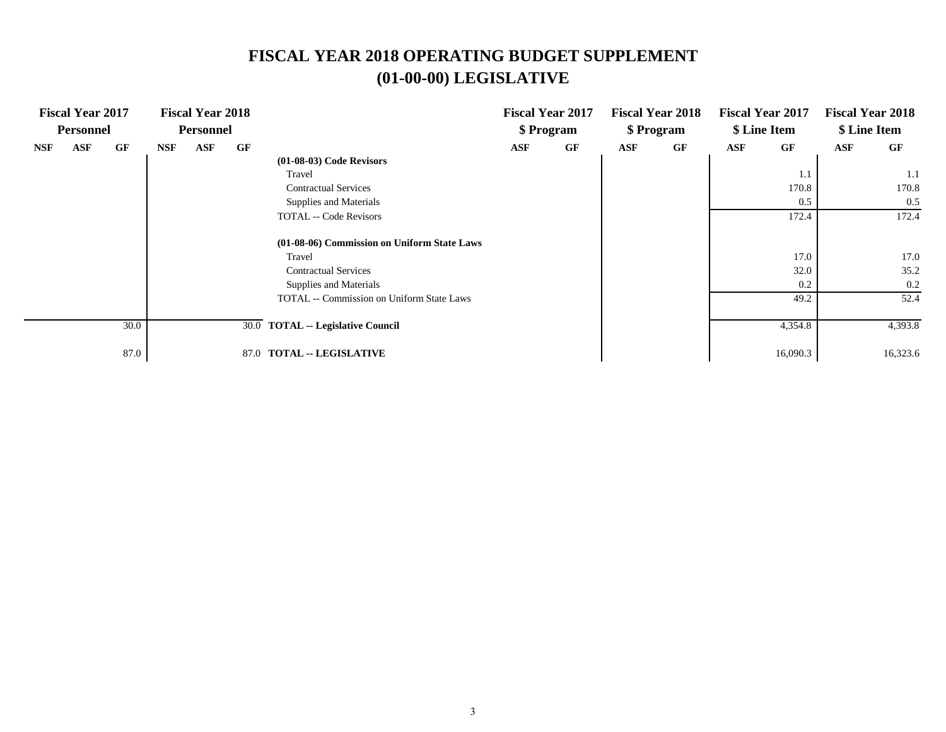|            | <b>Fiscal Year 2017</b><br><b>Personnel</b> |      |            | <b>Fiscal Year 2018</b><br><b>Personnel</b> |      |                                                  |            | <b>Fiscal Year 2017</b><br>\$ Program |     | <b>Fiscal Year 2018</b><br>\$ Program |     | <b>Fiscal Year 2017</b><br>\$ Line Item |            | <b>Fiscal Year 2018</b><br>\$ Line Item |
|------------|---------------------------------------------|------|------------|---------------------------------------------|------|--------------------------------------------------|------------|---------------------------------------|-----|---------------------------------------|-----|-----------------------------------------|------------|-----------------------------------------|
| <b>NSF</b> | <b>ASF</b>                                  | GF   | <b>NSF</b> | <b>ASF</b>                                  | GF   |                                                  | <b>ASF</b> | <b>GF</b>                             | ASF | GF                                    | ASF | GF                                      | <b>ASF</b> | GF                                      |
|            |                                             |      |            |                                             |      | $(01-08-03)$ Code Revisors                       |            |                                       |     |                                       |     |                                         |            |                                         |
|            |                                             |      |            |                                             |      | Travel                                           |            |                                       |     |                                       |     | 1.1                                     |            | 1.1                                     |
|            |                                             |      |            |                                             |      | <b>Contractual Services</b>                      |            |                                       |     |                                       |     | 170.8                                   |            | 170.8                                   |
|            |                                             |      |            |                                             |      | Supplies and Materials                           |            |                                       |     |                                       |     | 0.5                                     |            | 0.5                                     |
|            |                                             |      |            |                                             |      | <b>TOTAL</b> -- Code Revisors                    |            |                                       |     |                                       |     | 172.4                                   |            | 172.4                                   |
|            |                                             |      |            |                                             |      | (01-08-06) Commission on Uniform State Laws      |            |                                       |     |                                       |     |                                         |            |                                         |
|            |                                             |      |            |                                             |      | Travel                                           |            |                                       |     |                                       |     | 17.0                                    |            | 17.0                                    |
|            |                                             |      |            |                                             |      | <b>Contractual Services</b>                      |            |                                       |     |                                       |     | 32.0                                    |            | 35.2                                    |
|            |                                             |      |            |                                             |      | Supplies and Materials                           |            |                                       |     |                                       |     | 0.2                                     |            | 0.2                                     |
|            |                                             |      |            |                                             |      | <b>TOTAL</b> -- Commission on Uniform State Laws |            |                                       |     |                                       |     | 49.2                                    |            | 52.4                                    |
|            |                                             | 30.0 |            |                                             |      | 30.0 TOTAL -- Legislative Council                |            |                                       |     |                                       |     | 4,354.8                                 |            | 4,393.8                                 |
|            |                                             |      |            |                                             |      |                                                  |            |                                       |     |                                       |     |                                         |            |                                         |
|            |                                             | 87.0 |            |                                             | 87.0 | <b>TOTAL -- LEGISLATIVE</b>                      |            |                                       |     |                                       |     | 16,090.3                                |            | 16,323.6                                |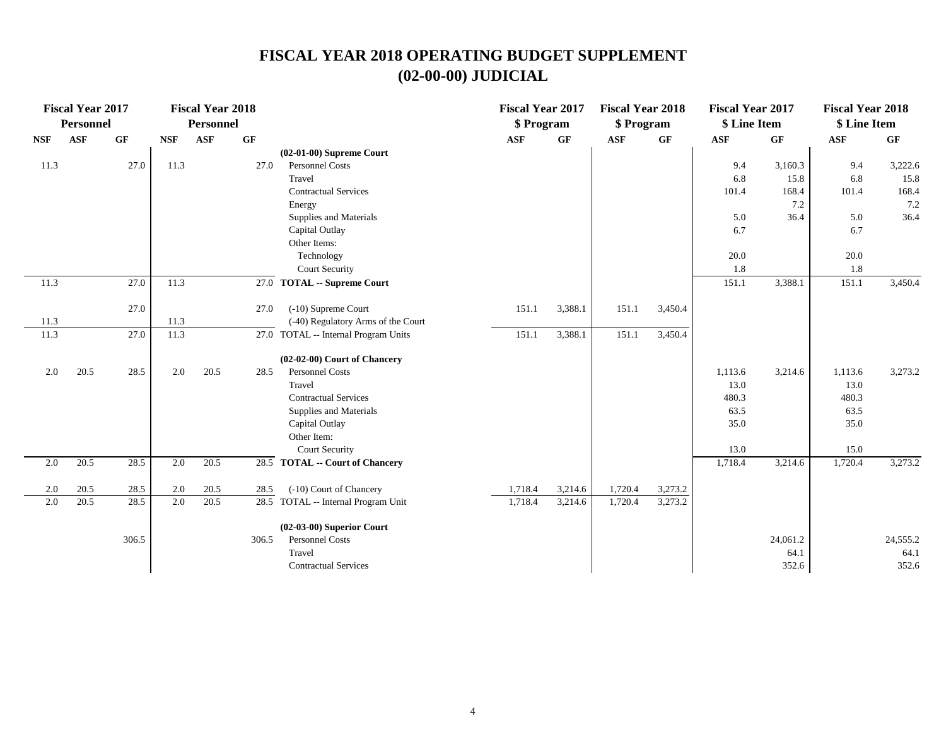|            | <b>Fiscal Year 2017</b> |       |            | <b>Fiscal Year 2018</b> |       |                                      | <b>Fiscal Year 2017</b> |         | <b>Fiscal Year 2018</b> |           | <b>Fiscal Year 2017</b> |          | <b>Fiscal Year 2018</b> |          |
|------------|-------------------------|-------|------------|-------------------------|-------|--------------------------------------|-------------------------|---------|-------------------------|-----------|-------------------------|----------|-------------------------|----------|
|            | <b>Personnel</b>        |       |            | Personnel               |       |                                      | \$ Program              |         | \$ Program              |           | \$ Line Item            |          | \$ Line Item            |          |
| <b>NSF</b> | <b>ASF</b>              | GF    | <b>NSF</b> | <b>ASF</b>              | GF    |                                      | <b>ASF</b>              | GF      | <b>ASF</b>              | <b>GF</b> | <b>ASF</b>              | GF       | <b>ASF</b>              | GF       |
|            |                         |       |            |                         |       | $(02-01-00)$ Supreme Court           |                         |         |                         |           |                         |          |                         |          |
| 11.3       |                         | 27.0  | 11.3       |                         | 27.0  | Personnel Costs                      |                         |         |                         |           | 9.4                     | 3,160.3  | 9.4                     | 3,222.6  |
|            |                         |       |            |                         |       | Travel                               |                         |         |                         |           | 6.8                     | 15.8     | 6.8                     | 15.8     |
|            |                         |       |            |                         |       | <b>Contractual Services</b>          |                         |         |                         |           | 101.4                   | 168.4    | 101.4                   | 168.4    |
|            |                         |       |            |                         |       | Energy                               |                         |         |                         |           |                         | 7.2      |                         | 7.2      |
|            |                         |       |            |                         |       | Supplies and Materials               |                         |         |                         |           | 5.0                     | 36.4     | 5.0                     | 36.4     |
|            |                         |       |            |                         |       | Capital Outlay                       |                         |         |                         |           | 6.7                     |          | 6.7                     |          |
|            |                         |       |            |                         |       | Other Items:                         |                         |         |                         |           |                         |          |                         |          |
|            |                         |       |            |                         |       | Technology                           |                         |         |                         |           | 20.0                    |          | 20.0                    |          |
|            |                         |       |            |                         |       | Court Security                       |                         |         |                         |           | 1.8                     |          | 1.8                     |          |
| 11.3       |                         | 27.0  | 11.3       |                         |       | 27.0 TOTAL -- Supreme Court          |                         |         |                         |           | 151.1                   | 3,388.1  | 151.1                   | 3,450.4  |
|            |                         | 27.0  |            |                         | 27.0  | (-10) Supreme Court                  | 151.1                   | 3,388.1 | 151.1                   | 3,450.4   |                         |          |                         |          |
| 11.3       |                         |       | 11.3       |                         |       | (-40) Regulatory Arms of the Court   |                         |         |                         |           |                         |          |                         |          |
| 11.3       |                         | 27.0  | 11.3       |                         |       | 27.0 TOTAL -- Internal Program Units | 151.1                   | 3,388.1 | 151.1                   | 3,450.4   |                         |          |                         |          |
|            |                         |       |            |                         |       | $(02-02-00)$ Court of Chancery       |                         |         |                         |           |                         |          |                         |          |
| 2.0        | 20.5                    | 28.5  | 2.0        | 20.5                    | 28.5  | <b>Personnel Costs</b>               |                         |         |                         |           | 1,113.6                 | 3,214.6  | 1,113.6                 | 3,273.2  |
|            |                         |       |            |                         |       | Travel                               |                         |         |                         |           | 13.0                    |          | 13.0                    |          |
|            |                         |       |            |                         |       | <b>Contractual Services</b>          |                         |         |                         |           | 480.3                   |          | 480.3                   |          |
|            |                         |       |            |                         |       | Supplies and Materials               |                         |         |                         |           | 63.5                    |          | 63.5                    |          |
|            |                         |       |            |                         |       | Capital Outlay                       |                         |         |                         |           | 35.0                    |          | 35.0                    |          |
|            |                         |       |            |                         |       | Other Item:                          |                         |         |                         |           |                         |          |                         |          |
|            |                         |       |            |                         |       | <b>Court Security</b>                |                         |         |                         |           | 13.0                    |          | 15.0                    |          |
| 2.0        | 20.5                    | 28.5  | 2.0        | 20.5                    |       | 28.5 TOTAL -- Court of Chancery      |                         |         |                         |           | 1,718.4                 | 3,214.6  | 1,720.4                 | 3,273.2  |
| 2.0        | 20.5                    | 28.5  | 2.0        | 20.5                    | 28.5  | (-10) Court of Chancery              | 1,718.4                 | 3,214.6 | 1,720.4                 | 3,273.2   |                         |          |                         |          |
| $2.0\,$    | 20.5                    | 28.5  | 2.0        | 20.5                    |       | 28.5 TOTAL -- Internal Program Unit  | 1,718.4                 | 3,214.6 | 1,720.4                 | 3,273.2   |                         |          |                         |          |
|            |                         |       |            |                         |       | $(02-03-00)$ Superior Court          |                         |         |                         |           |                         |          |                         |          |
|            |                         | 306.5 |            |                         | 306.5 | <b>Personnel Costs</b>               |                         |         |                         |           |                         | 24,061.2 |                         | 24,555.2 |
|            |                         |       |            |                         |       | Travel                               |                         |         |                         |           |                         | 64.1     |                         | 64.1     |
|            |                         |       |            |                         |       | <b>Contractual Services</b>          |                         |         |                         |           |                         | 352.6    |                         | 352.6    |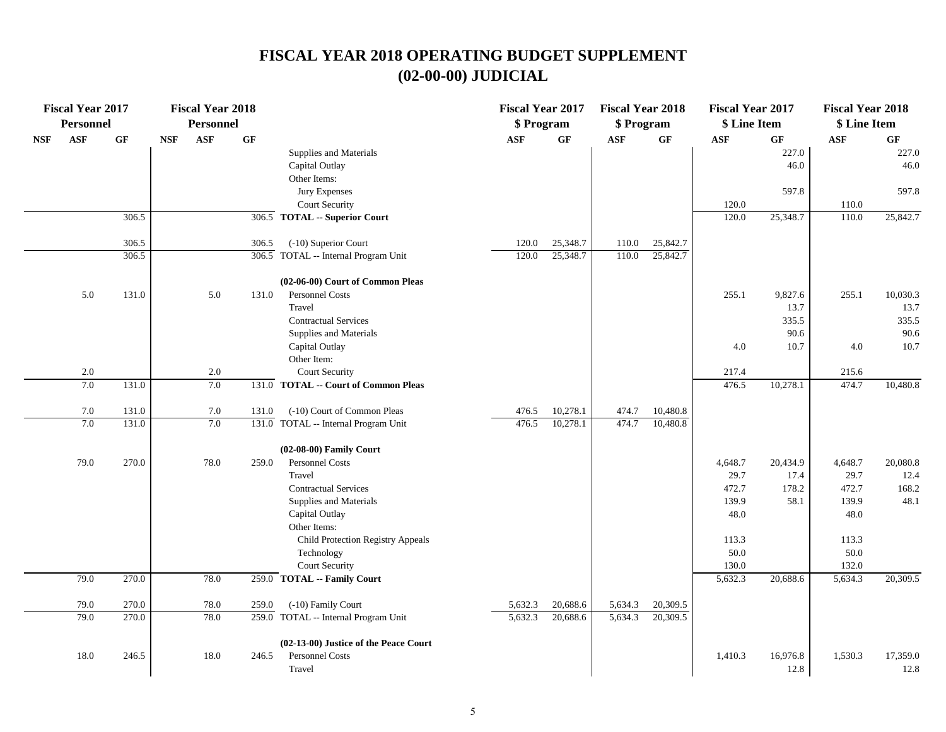|            | <b>Fiscal Year 2017</b><br><b>Personnel</b> |           |            | <b>Fiscal Year 2018</b><br><b>Personnel</b> |       |                                       | <b>Fiscal Year 2017</b><br>\$ Program |          | <b>Fiscal Year 2018</b><br>\$ Program |                 | <b>Fiscal Year 2017</b><br>\$ Line Item |          | <b>Fiscal Year 2018</b><br>\$ Line Item |                 |
|------------|---------------------------------------------|-----------|------------|---------------------------------------------|-------|---------------------------------------|---------------------------------------|----------|---------------------------------------|-----------------|-----------------------------------------|----------|-----------------------------------------|-----------------|
| <b>NSF</b> | <b>ASF</b>                                  | <b>GF</b> | <b>NSF</b> | <b>ASF</b>                                  | GF    |                                       | <b>ASF</b>                            | GF       | ASF                                   | $\bf{G} \bf{F}$ | <b>ASF</b>                              | GF       | <b>ASF</b>                              | $\bf{G} \bf{F}$ |
|            |                                             |           |            |                                             |       | Supplies and Materials                |                                       |          |                                       |                 |                                         | 227.0    |                                         | 227.0           |
|            |                                             |           |            |                                             |       | Capital Outlay                        |                                       |          |                                       |                 |                                         | 46.0     |                                         | 46.0            |
|            |                                             |           |            |                                             |       | Other Items:                          |                                       |          |                                       |                 |                                         |          |                                         |                 |
|            |                                             |           |            |                                             |       | Jury Expenses                         |                                       |          |                                       |                 |                                         | 597.8    |                                         | 597.8           |
|            |                                             |           |            |                                             |       | Court Security                        |                                       |          |                                       |                 | 120.0                                   |          | 110.0                                   |                 |
|            |                                             | 306.5     |            |                                             |       | 306.5 TOTAL -- Superior Court         |                                       |          |                                       |                 | 120.0                                   | 25,348.7 | 110.0                                   | 25,842.7        |
|            |                                             | 306.5     |            |                                             | 306.5 | (-10) Superior Court                  | 120.0                                 | 25,348.7 | 110.0                                 | 25,842.7        |                                         |          |                                         |                 |
|            |                                             | 306.5     |            |                                             |       | 306.5 TOTAL -- Internal Program Unit  | 120.0                                 | 25,348.7 | 110.0                                 | 25,842.7        |                                         |          |                                         |                 |
|            |                                             |           |            |                                             |       | (02-06-00) Court of Common Pleas      |                                       |          |                                       |                 |                                         |          |                                         |                 |
|            | 5.0                                         | 131.0     |            | 5.0                                         | 131.0 | Personnel Costs                       |                                       |          |                                       |                 | 255.1                                   | 9,827.6  | 255.1                                   | 10,030.3        |
|            |                                             |           |            |                                             |       | Travel                                |                                       |          |                                       |                 |                                         | 13.7     |                                         | 13.7            |
|            |                                             |           |            |                                             |       | <b>Contractual Services</b>           |                                       |          |                                       |                 |                                         | 335.5    |                                         | 335.5           |
|            |                                             |           |            |                                             |       | Supplies and Materials                |                                       |          |                                       |                 |                                         | 90.6     |                                         | 90.6            |
|            |                                             |           |            |                                             |       | Capital Outlay                        |                                       |          |                                       |                 | 4.0                                     | 10.7     | 4.0                                     | 10.7            |
|            |                                             |           |            |                                             |       | Other Item:                           |                                       |          |                                       |                 |                                         |          |                                         |                 |
|            | 2.0                                         |           |            | 2.0                                         |       | <b>Court Security</b>                 |                                       |          |                                       |                 | 217.4                                   |          | 215.6                                   |                 |
|            | 7.0                                         | 131.0     |            | 7.0                                         |       | 131.0 TOTAL -- Court of Common Pleas  |                                       |          |                                       |                 | 476.5                                   | 10,278.1 | 474.7                                   | 10,480.8        |
|            | 7.0                                         | 131.0     |            | 7.0                                         | 131.0 | (-10) Court of Common Pleas           | 476.5                                 | 10,278.1 | 474.7                                 | 10,480.8        |                                         |          |                                         |                 |
|            | 7.0                                         | 131.0     |            | 7.0                                         |       | 131.0 TOTAL -- Internal Program Unit  | 476.5                                 | 10,278.1 | 474.7                                 | 10,480.8        |                                         |          |                                         |                 |
|            |                                             |           |            |                                             |       | (02-08-00) Family Court               |                                       |          |                                       |                 |                                         |          |                                         |                 |
|            | 79.0                                        | 270.0     |            | 78.0                                        | 259.0 | Personnel Costs                       |                                       |          |                                       |                 | 4,648.7                                 | 20,434.9 | 4,648.7                                 | 20,080.8        |
|            |                                             |           |            |                                             |       | Travel                                |                                       |          |                                       |                 | 29.7                                    | 17.4     | 29.7                                    | 12.4            |
|            |                                             |           |            |                                             |       | <b>Contractual Services</b>           |                                       |          |                                       |                 | 472.7                                   | 178.2    | 472.7                                   | 168.2           |
|            |                                             |           |            |                                             |       | Supplies and Materials                |                                       |          |                                       |                 | 139.9                                   | 58.1     | 139.9                                   | 48.1            |
|            |                                             |           |            |                                             |       | Capital Outlay                        |                                       |          |                                       |                 | 48.0                                    |          | 48.0                                    |                 |
|            |                                             |           |            |                                             |       | Other Items:                          |                                       |          |                                       |                 |                                         |          |                                         |                 |
|            |                                             |           |            |                                             |       | Child Protection Registry Appeals     |                                       |          |                                       |                 | 113.3                                   |          | 113.3                                   |                 |
|            |                                             |           |            |                                             |       | Technology                            |                                       |          |                                       |                 | 50.0                                    |          | 50.0                                    |                 |
|            |                                             |           |            |                                             |       | Court Security                        |                                       |          |                                       |                 | 130.0                                   |          | 132.0                                   |                 |
|            | 79.0                                        | 270.0     |            | 78.0                                        |       | 259.0 TOTAL -- Family Court           |                                       |          |                                       |                 | 5,632.3                                 | 20,688.6 | 5,634.3                                 | 20,309.5        |
|            | 79.0                                        | 270.0     |            | 78.0                                        | 259.0 | (-10) Family Court                    | 5,632.3                               | 20,688.6 | 5,634.3                               | 20,309.5        |                                         |          |                                         |                 |
|            | 79.0                                        | 270.0     |            | 78.0                                        |       | 259.0 TOTAL -- Internal Program Unit  | 5,632.3                               | 20,688.6 | 5,634.3                               | 20,309.5        |                                         |          |                                         |                 |
|            |                                             |           |            |                                             |       | (02-13-00) Justice of the Peace Court |                                       |          |                                       |                 |                                         |          |                                         |                 |
|            | 18.0                                        | 246.5     |            | 18.0                                        | 246.5 | Personnel Costs                       |                                       |          |                                       |                 | 1,410.3                                 | 16,976.8 | 1,530.3                                 | 17,359.0        |
|            |                                             |           |            |                                             |       | Travel                                |                                       |          |                                       |                 |                                         | 12.8     |                                         | 12.8            |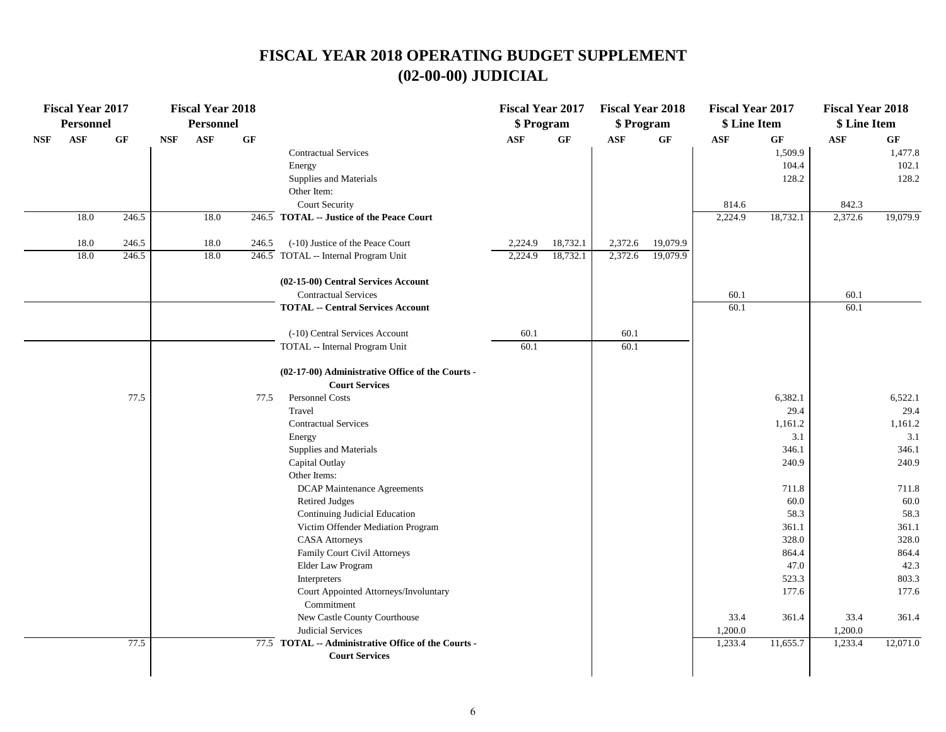|            | <b>Fiscal Year 2017</b><br><b>Personnel</b> |       |            | <b>Fiscal Year 2018</b><br><b>Personnel</b> |       |                                                        | <b>Fiscal Year 2017</b><br>\$ Program |                 | <b>Fiscal Year 2018</b><br>\$ Program |          | <b>Fiscal Year 2017</b><br>\$ Line Item |          | <b>Fiscal Year 2018</b><br>\$ Line Item |          |
|------------|---------------------------------------------|-------|------------|---------------------------------------------|-------|--------------------------------------------------------|---------------------------------------|-----------------|---------------------------------------|----------|-----------------------------------------|----------|-----------------------------------------|----------|
| <b>NSF</b> | <b>ASF</b>                                  | GF    | <b>NSF</b> | ASF                                         | GF    |                                                        | <b>ASF</b>                            | $\bf{G} \bf{F}$ | <b>ASF</b>                            | GF       | ASF                                     | GF       | <b>ASF</b>                              | GF       |
|            |                                             |       |            |                                             |       | <b>Contractual Services</b>                            |                                       |                 |                                       |          |                                         | 1,509.9  |                                         | 1,477.8  |
|            |                                             |       |            |                                             |       | Energy                                                 |                                       |                 |                                       |          |                                         | 104.4    |                                         | 102.1    |
|            |                                             |       |            |                                             |       | Supplies and Materials                                 |                                       |                 |                                       |          |                                         | 128.2    |                                         | 128.2    |
|            |                                             |       |            |                                             |       | Other Item:                                            |                                       |                 |                                       |          |                                         |          |                                         |          |
|            |                                             |       |            |                                             |       | <b>Court Security</b>                                  |                                       |                 |                                       |          | 814.6                                   |          | 842.3                                   |          |
|            | 18.0                                        | 246.5 |            | 18.0                                        |       | $\overline{246.5}$ TOTAL -- Justice of the Peace Court |                                       |                 |                                       |          | 2,224.9                                 | 18,732.1 | 2,372.6                                 | 19,079.9 |
|            | 18.0                                        | 246.5 |            | 18.0                                        | 246.5 | (-10) Justice of the Peace Court                       | 2,224.9                               | 18,732.1        | 2,372.6                               | 19,079.9 |                                         |          |                                         |          |
|            | 18.0                                        | 246.5 |            | 18.0                                        |       | 246.5 TOTAL -- Internal Program Unit                   | 2,224.9                               | 18,732.1        | 2,372.6                               | 19,079.9 |                                         |          |                                         |          |
|            |                                             |       |            |                                             |       | (02-15-00) Central Services Account                    |                                       |                 |                                       |          |                                         |          |                                         |          |
|            |                                             |       |            |                                             |       | <b>Contractual Services</b>                            |                                       |                 |                                       |          | 60.1                                    |          | 60.1                                    |          |
|            |                                             |       |            |                                             |       | <b>TOTAL -- Central Services Account</b>               |                                       |                 |                                       |          | 60.1                                    |          | 60.1                                    |          |
|            |                                             |       |            |                                             |       | (-10) Central Services Account                         | 60.1                                  |                 | 60.1                                  |          |                                         |          |                                         |          |
|            |                                             |       |            |                                             |       | TOTAL -- Internal Program Unit                         | 60.1                                  |                 | 60.1                                  |          |                                         |          |                                         |          |
|            |                                             |       |            |                                             |       | (02-17-00) Administrative Office of the Courts -       |                                       |                 |                                       |          |                                         |          |                                         |          |
|            |                                             |       |            |                                             |       | <b>Court Services</b>                                  |                                       |                 |                                       |          |                                         |          |                                         |          |
|            |                                             | 77.5  |            |                                             | 77.5  | Personnel Costs                                        |                                       |                 |                                       |          |                                         | 6,382.1  |                                         | 6,522.1  |
|            |                                             |       |            |                                             |       | Travel                                                 |                                       |                 |                                       |          |                                         | 29.4     |                                         | 29.4     |
|            |                                             |       |            |                                             |       | <b>Contractual Services</b>                            |                                       |                 |                                       |          |                                         | 1,161.2  |                                         | 1,161.2  |
|            |                                             |       |            |                                             |       | Energy                                                 |                                       |                 |                                       |          |                                         | 3.1      |                                         | 3.1      |
|            |                                             |       |            |                                             |       | Supplies and Materials                                 |                                       |                 |                                       |          |                                         | 346.1    |                                         | 346.1    |
|            |                                             |       |            |                                             |       | Capital Outlay                                         |                                       |                 |                                       |          |                                         | 240.9    |                                         | 240.9    |
|            |                                             |       |            |                                             |       | Other Items:                                           |                                       |                 |                                       |          |                                         |          |                                         |          |
|            |                                             |       |            |                                             |       | <b>DCAP Maintenance Agreements</b>                     |                                       |                 |                                       |          |                                         | 711.8    |                                         | 711.8    |
|            |                                             |       |            |                                             |       | <b>Retired Judges</b>                                  |                                       |                 |                                       |          |                                         | 60.0     |                                         | 60.0     |
|            |                                             |       |            |                                             |       | Continuing Judicial Education                          |                                       |                 |                                       |          |                                         | 58.3     |                                         | 58.3     |
|            |                                             |       |            |                                             |       | Victim Offender Mediation Program                      |                                       |                 |                                       |          |                                         | 361.1    |                                         | 361.1    |
|            |                                             |       |            |                                             |       | <b>CASA Attorneys</b>                                  |                                       |                 |                                       |          |                                         | 328.0    |                                         | 328.0    |
|            |                                             |       |            |                                             |       | Family Court Civil Attorneys                           |                                       |                 |                                       |          |                                         | 864.4    |                                         | 864.4    |
|            |                                             |       |            |                                             |       | Elder Law Program                                      |                                       |                 |                                       |          |                                         | 47.0     |                                         | 42.3     |
|            |                                             |       |            |                                             |       | Interpreters                                           |                                       |                 |                                       |          |                                         | 523.3    |                                         | 803.3    |
|            |                                             |       |            |                                             |       | Court Appointed Attorneys/Involuntary<br>Commitment    |                                       |                 |                                       |          |                                         | 177.6    |                                         | 177.6    |
|            |                                             |       |            |                                             |       | New Castle County Courthouse                           |                                       |                 |                                       |          | 33.4                                    | 361.4    | 33.4                                    | 361.4    |
|            |                                             |       |            |                                             |       | Judicial Services                                      |                                       |                 |                                       |          | 1,200.0                                 |          | 1,200.0                                 |          |
|            |                                             | 77.5  |            |                                             |       | 77.5 TOTAL -- Administrative Office of the Courts -    |                                       |                 |                                       |          | 1,233.4                                 | 11,655.7 | 1,233.4                                 | 12,071.0 |
|            |                                             |       |            |                                             |       | <b>Court Services</b>                                  |                                       |                 |                                       |          |                                         |          |                                         |          |
|            |                                             |       |            |                                             |       |                                                        |                                       |                 |                                       |          |                                         |          |                                         |          |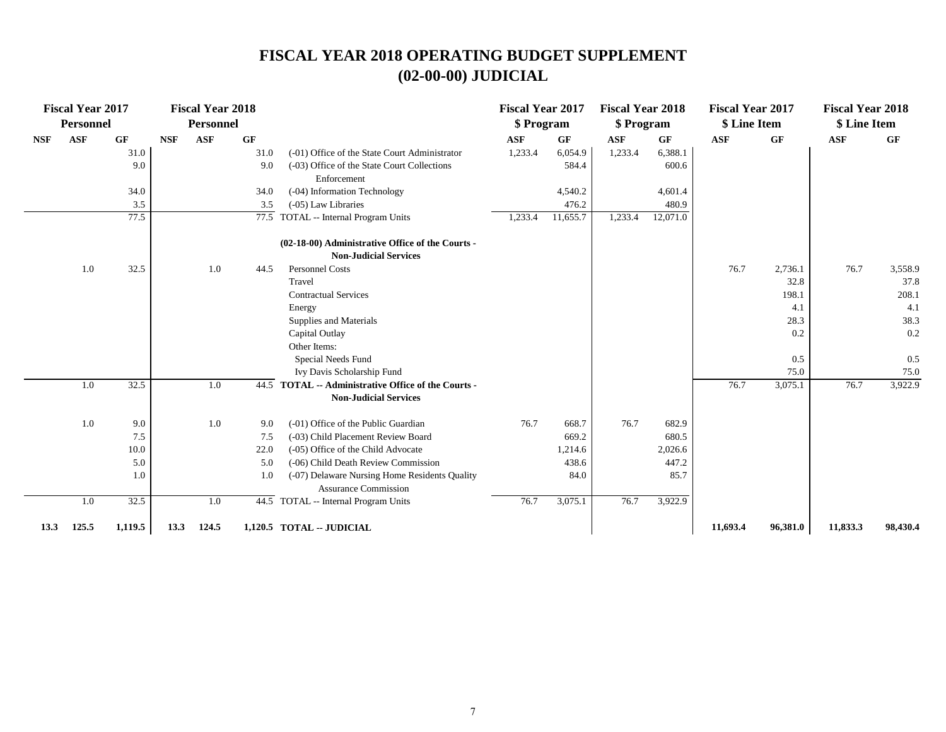|            | <b>Fiscal Year 2017</b><br><b>Personnel</b> |         |            | <b>Fiscal Year 2018</b><br><b>Personnel</b> |                 |                                                                                     | <b>Fiscal Year 2017</b><br>\$ Program |          | <b>Fiscal Year 2018</b><br>\$ Program |          | <b>Fiscal Year 2017</b><br>\$ Line Item |           | <b>Fiscal Year 2018</b><br>\$ Line Item |           |
|------------|---------------------------------------------|---------|------------|---------------------------------------------|-----------------|-------------------------------------------------------------------------------------|---------------------------------------|----------|---------------------------------------|----------|-----------------------------------------|-----------|-----------------------------------------|-----------|
| <b>NSF</b> | <b>ASF</b>                                  | GF      | <b>NSF</b> | <b>ASF</b>                                  | $\bf{G} \bf{F}$ |                                                                                     | <b>ASF</b>                            | GF       | <b>ASF</b>                            | GF       | <b>ASF</b>                              | <b>GF</b> | <b>ASF</b>                              | <b>GF</b> |
|            |                                             | 31.0    |            |                                             | 31.0            | (-01) Office of the State Court Administrator                                       | 1,233.4                               | 6,054.9  | 1,233.4                               | 6,388.1  |                                         |           |                                         |           |
|            |                                             | 9.0     |            |                                             | 9.0             | (-03) Office of the State Court Collections<br>Enforcement                          |                                       | 584.4    |                                       | 600.6    |                                         |           |                                         |           |
|            |                                             | 34.0    |            |                                             | 34.0            | (-04) Information Technology                                                        |                                       | 4,540.2  |                                       | 4,601.4  |                                         |           |                                         |           |
|            |                                             | 3.5     |            |                                             | 3.5             | (-05) Law Libraries                                                                 |                                       | 476.2    |                                       | 480.9    |                                         |           |                                         |           |
|            |                                             | 77.5    |            |                                             | 77.5            | TOTAL -- Internal Program Units                                                     | 1,233.4                               | 11,655.7 | 1,233.4                               | 12,071.0 |                                         |           |                                         |           |
|            |                                             |         |            |                                             |                 | (02-18-00) Administrative Office of the Courts -<br><b>Non-Judicial Services</b>    |                                       |          |                                       |          |                                         |           |                                         |           |
|            | 1.0                                         | 32.5    |            | 1.0                                         | 44.5            | <b>Personnel Costs</b>                                                              |                                       |          |                                       |          | 76.7                                    | 2,736.1   | 76.7                                    | 3,558.9   |
|            |                                             |         |            |                                             |                 | Travel                                                                              |                                       |          |                                       |          |                                         | 32.8      |                                         | 37.8      |
|            |                                             |         |            |                                             |                 | <b>Contractual Services</b>                                                         |                                       |          |                                       |          |                                         | 198.1     |                                         | 208.1     |
|            |                                             |         |            |                                             |                 | Energy                                                                              |                                       |          |                                       |          |                                         | 4.1       |                                         | 4.1       |
|            |                                             |         |            |                                             |                 | Supplies and Materials                                                              |                                       |          |                                       |          |                                         | 28.3      |                                         | 38.3      |
|            |                                             |         |            |                                             |                 | Capital Outlay                                                                      |                                       |          |                                       |          |                                         | 0.2       |                                         | 0.2       |
|            |                                             |         |            |                                             |                 | Other Items:                                                                        |                                       |          |                                       |          |                                         |           |                                         |           |
|            |                                             |         |            |                                             |                 | Special Needs Fund                                                                  |                                       |          |                                       |          |                                         | 0.5       |                                         | 0.5       |
|            |                                             |         |            |                                             |                 | Ivy Davis Scholarship Fund                                                          |                                       |          |                                       |          |                                         | 75.0      |                                         | 75.0      |
|            | 1.0                                         | 32.5    |            | 1.0                                         |                 | 44.5 TOTAL -- Administrative Office of the Courts -<br><b>Non-Judicial Services</b> |                                       |          |                                       |          | 76.7                                    | 3,075.1   | 76.7                                    | 3,922.9   |
|            | 1.0                                         | 9.0     |            | 1.0                                         | 9.0             | (-01) Office of the Public Guardian                                                 | 76.7                                  | 668.7    | 76.7                                  | 682.9    |                                         |           |                                         |           |
|            |                                             | 7.5     |            |                                             | 7.5             | (-03) Child Placement Review Board                                                  |                                       | 669.2    |                                       | 680.5    |                                         |           |                                         |           |
|            |                                             | 10.0    |            |                                             | 22.0            | (-05) Office of the Child Advocate                                                  |                                       | 1,214.6  |                                       | 2,026.6  |                                         |           |                                         |           |
|            |                                             | 5.0     |            |                                             | 5.0             | (-06) Child Death Review Commission                                                 |                                       | 438.6    |                                       | 447.2    |                                         |           |                                         |           |
|            |                                             | 1.0     |            |                                             | 1.0             | (-07) Delaware Nursing Home Residents Quality<br><b>Assurance Commission</b>        |                                       | 84.0     |                                       | 85.7     |                                         |           |                                         |           |
|            | 1.0                                         | 32.5    |            | 1.0                                         |                 | 44.5 TOTAL -- Internal Program Units                                                | 76.7                                  | 3,075.1  | 76.7                                  | 3,922.9  |                                         |           |                                         |           |
| 13.3       | 125.5                                       | 1,119.5 | 13.3       | 124.5                                       |                 | 1,120.5 TOTAL -- JUDICIAL                                                           |                                       |          |                                       |          | 11,693.4                                | 96,381.0  | 11,833.3                                | 98,430.4  |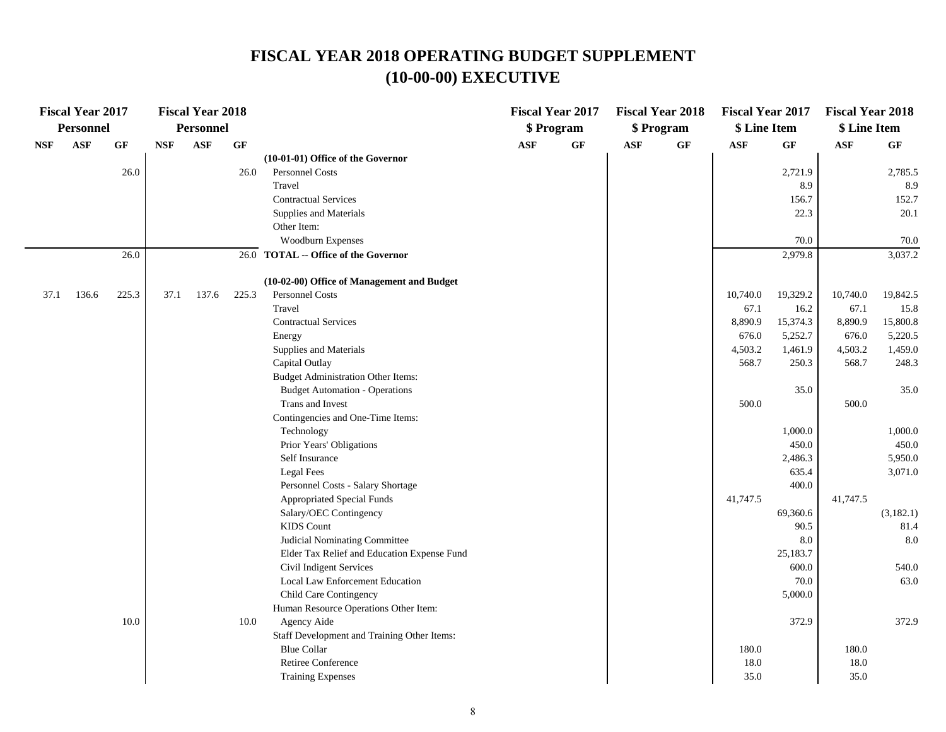|            | <b>Fiscal Year 2017</b> |       |            | <b>Fiscal Year 2018</b> |          |                                                            |     | <b>Fiscal Year 2017</b> |            | <b>Fiscal Year 2018</b> | <b>Fiscal Year 2017</b> |                   | <b>Fiscal Year 2018</b> |               |
|------------|-------------------------|-------|------------|-------------------------|----------|------------------------------------------------------------|-----|-------------------------|------------|-------------------------|-------------------------|-------------------|-------------------------|---------------|
|            | Personnel               |       |            | Personnel               |          |                                                            |     | \$ Program              |            | \$ Program              | \$ Line Item            |                   | \$ Line Item            |               |
| <b>NSF</b> | <b>ASF</b>              | GF    | <b>NSF</b> | <b>ASF</b>              | GF       | (10-01-01) Office of the Governor                          | ASF | GF                      | <b>ASF</b> | GF                      | <b>ASF</b>              | GF                | <b>ASF</b>              | GF            |
|            |                         | 26.0  |            |                         | 26.0     | Personnel Costs                                            |     |                         |            |                         |                         | 2,721.9           |                         | 2,785.5       |
|            |                         |       |            |                         |          | Travel                                                     |     |                         |            |                         |                         | 8.9               |                         | 8.9           |
|            |                         |       |            |                         |          | <b>Contractual Services</b>                                |     |                         |            |                         |                         | 156.7             |                         | 152.7         |
|            |                         |       |            |                         |          | Supplies and Materials                                     |     |                         |            |                         |                         | 22.3              |                         | 20.1          |
|            |                         |       |            |                         |          | Other Item:                                                |     |                         |            |                         |                         |                   |                         |               |
|            |                         |       |            |                         |          | Woodburn Expenses                                          |     |                         |            |                         |                         | 70.0              |                         | 70.0          |
|            |                         | 26.0  |            |                         |          | 26.0 TOTAL -- Office of the Governor                       |     |                         |            |                         |                         | 2,979.8           |                         | 3,037.2       |
|            |                         |       |            |                         |          | (10-02-00) Office of Management and Budget                 |     |                         |            |                         |                         |                   |                         |               |
| 37.1       | 136.6                   | 225.3 | 37.1       | 137.6                   | 225.3    | Personnel Costs                                            |     |                         |            |                         | 10,740.0                | 19,329.2          | 10,740.0                | 19,842.5      |
|            |                         |       |            |                         |          | Travel                                                     |     |                         |            |                         | 67.1                    | 16.2              | 67.1                    | 15.8          |
|            |                         |       |            |                         |          | <b>Contractual Services</b>                                |     |                         |            |                         | 8,890.9                 | 15,374.3          | 8,890.9                 | 15,800.8      |
|            |                         |       |            |                         |          | Energy                                                     |     |                         |            |                         | 676.0                   | 5,252.7           | 676.0                   | 5,220.5       |
|            |                         |       |            |                         |          | Supplies and Materials                                     |     |                         |            |                         | 4,503.2                 | 1,461.9           | 4,503.2                 | 1,459.0       |
|            |                         |       |            |                         |          | Capital Outlay                                             |     |                         |            |                         | 568.7                   | 250.3             | 568.7                   | 248.3         |
|            |                         |       |            |                         |          | <b>Budget Administration Other Items:</b>                  |     |                         |            |                         |                         |                   |                         |               |
|            |                         |       |            |                         |          | <b>Budget Automation - Operations</b>                      |     |                         |            |                         |                         | 35.0              |                         | 35.0          |
|            |                         |       |            |                         |          | Trans and Invest                                           |     |                         |            |                         | 500.0                   |                   | 500.0                   |               |
|            |                         |       |            |                         |          | Contingencies and One-Time Items:                          |     |                         |            |                         |                         |                   |                         |               |
|            |                         |       |            |                         |          | Technology                                                 |     |                         |            |                         |                         | 1,000.0           |                         | 1,000.0       |
|            |                         |       |            |                         |          | Prior Years' Obligations                                   |     |                         |            |                         |                         | 450.0             |                         | 450.0         |
|            |                         |       |            |                         |          | Self Insurance                                             |     |                         |            |                         |                         | 2,486.3           |                         | 5,950.0       |
|            |                         |       |            |                         |          | Legal Fees                                                 |     |                         |            |                         |                         | 635.4             |                         | 3,071.0       |
|            |                         |       |            |                         |          | Personnel Costs - Salary Shortage                          |     |                         |            |                         |                         | 400.0             |                         |               |
|            |                         |       |            |                         |          | <b>Appropriated Special Funds</b>                          |     |                         |            |                         | 41,747.5                |                   | 41,747.5                |               |
|            |                         |       |            |                         |          | Salary/OEC Contingency                                     |     |                         |            |                         |                         | 69,360.6          |                         | (3,182.1)     |
|            |                         |       |            |                         |          | <b>KIDS</b> Count                                          |     |                         |            |                         |                         | 90.5              |                         | 81.4          |
|            |                         |       |            |                         |          | Judicial Nominating Committee                              |     |                         |            |                         |                         | 8.0               |                         | 8.0           |
|            |                         |       |            |                         |          | Elder Tax Relief and Education Expense Fund                |     |                         |            |                         |                         | 25,183.7<br>600.0 |                         |               |
|            |                         |       |            |                         |          | Civil Indigent Services<br>Local Law Enforcement Education |     |                         |            |                         |                         | 70.0              |                         | 540.0<br>63.0 |
|            |                         |       |            |                         |          | Child Care Contingency                                     |     |                         |            |                         |                         | 5,000.0           |                         |               |
|            |                         |       |            |                         |          | Human Resource Operations Other Item:                      |     |                         |            |                         |                         |                   |                         |               |
|            |                         | 10.0  |            |                         | $10.0\,$ | Agency Aide                                                |     |                         |            |                         |                         | 372.9             |                         | 372.9         |
|            |                         |       |            |                         |          | Staff Development and Training Other Items:                |     |                         |            |                         |                         |                   |                         |               |
|            |                         |       |            |                         |          | <b>Blue Collar</b>                                         |     |                         |            |                         | 180.0                   |                   | 180.0                   |               |
|            |                         |       |            |                         |          | Retiree Conference                                         |     |                         |            |                         | 18.0                    |                   | 18.0                    |               |
|            |                         |       |            |                         |          | <b>Training Expenses</b>                                   |     |                         |            |                         | 35.0                    |                   | 35.0                    |               |
|            |                         |       |            |                         |          |                                                            |     |                         |            |                         |                         |                   |                         |               |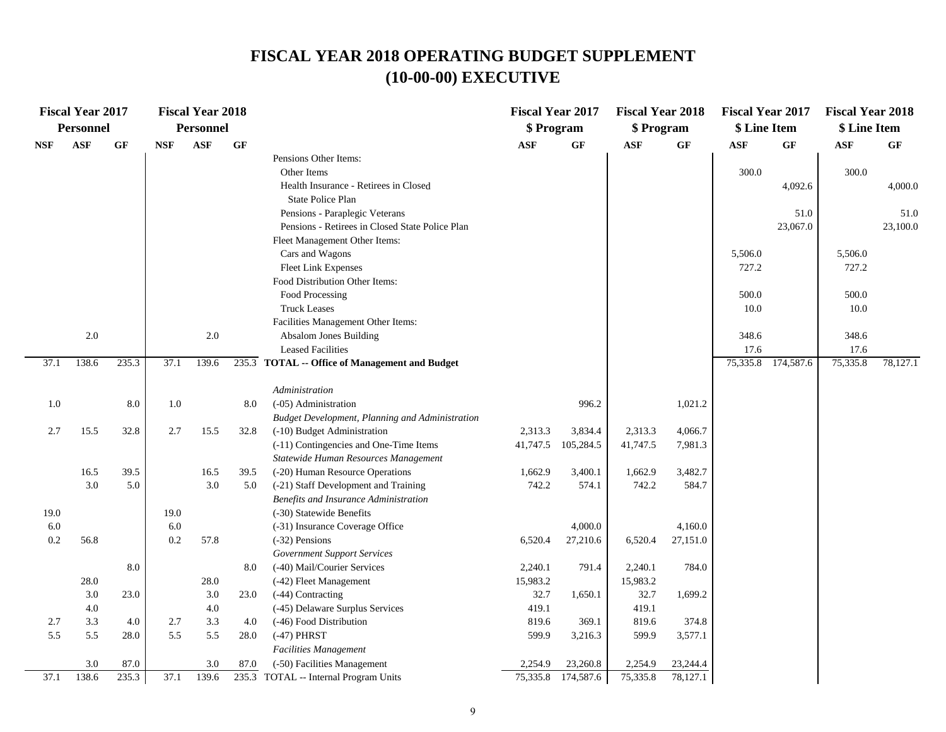|            | <b>Fiscal Year 2017</b><br><b>Personnel</b> |       |            | <b>Fiscal Year 2018</b><br><b>Personnel</b> |      |                                                                                                                                                | <b>Fiscal Year 2017</b><br>\$ Program |           | <b>Fiscal Year 2018</b><br>\$ Program |          | <b>Fiscal Year 2017</b><br>\$ Line Item |                    | <b>Fiscal Year 2018</b><br>\$ Line Item |                  |
|------------|---------------------------------------------|-------|------------|---------------------------------------------|------|------------------------------------------------------------------------------------------------------------------------------------------------|---------------------------------------|-----------|---------------------------------------|----------|-----------------------------------------|--------------------|-----------------------------------------|------------------|
| <b>NSF</b> | ASF                                         | GF    | <b>NSF</b> | ASF                                         | GF   |                                                                                                                                                | <b>ASF</b>                            | GF        | <b>ASF</b>                            | GF       | <b>ASF</b>                              | GF                 | $\mathbf{ASF}$                          | <b>GF</b>        |
|            |                                             |       |            |                                             |      | Pensions Other Items:<br>Other Items<br>Health Insurance - Retirees in Closed                                                                  |                                       |           |                                       |          | 300.0                                   | 4,092.6            | 300.0                                   | 4,000.0          |
|            |                                             |       |            |                                             |      | <b>State Police Plan</b><br>Pensions - Paraplegic Veterans<br>Pensions - Retirees in Closed State Police Plan<br>Fleet Management Other Items: |                                       |           |                                       |          |                                         | 51.0<br>23,067.0   |                                         | 51.0<br>23,100.0 |
|            |                                             |       |            |                                             |      | Cars and Wagons<br>Fleet Link Expenses<br>Food Distribution Other Items:                                                                       |                                       |           |                                       |          | 5,506.0<br>727.2                        |                    | 5,506.0<br>727.2                        |                  |
|            |                                             |       |            |                                             |      | Food Processing<br><b>Truck Leases</b><br>Facilities Management Other Items:                                                                   |                                       |           |                                       |          | 500.0<br>10.0                           |                    | 500.0<br>10.0                           |                  |
|            | 2.0                                         |       |            | $2.0\,$                                     |      | Absalom Jones Building<br><b>Leased Facilities</b>                                                                                             |                                       |           |                                       |          | 348.6<br>17.6                           |                    | 348.6<br>17.6                           |                  |
| 37.1       | 138.6                                       | 235.3 | 37.1       | 139.6                                       |      | 235.3 TOTAL -- Office of Management and Budget                                                                                                 |                                       |           |                                       |          |                                         | 75,335.8 174,587.6 | 75,335.8                                | 78,127.1         |
|            |                                             |       |            |                                             |      | Administration                                                                                                                                 |                                       |           |                                       |          |                                         |                    |                                         |                  |
| 1.0        |                                             | 8.0   | 1.0        |                                             | 8.0  | (-05) Administration                                                                                                                           |                                       | 996.2     |                                       | 1,021.2  |                                         |                    |                                         |                  |
|            |                                             |       |            |                                             |      | <b>Budget Development, Planning and Administration</b>                                                                                         |                                       |           |                                       |          |                                         |                    |                                         |                  |
| 2.7        | 15.5                                        | 32.8  | 2.7        | 15.5                                        | 32.8 | (-10) Budget Administration                                                                                                                    | 2,313.3                               | 3,834.4   | 2,313.3                               | 4,066.7  |                                         |                    |                                         |                  |
|            |                                             |       |            |                                             |      | (-11) Contingencies and One-Time Items<br>Statewide Human Resources Management                                                                 | 41,747.5                              | 105,284.5 | 41,747.5                              | 7,981.3  |                                         |                    |                                         |                  |
|            | 16.5                                        | 39.5  |            | 16.5                                        | 39.5 | (-20) Human Resource Operations                                                                                                                | 1,662.9                               | 3,400.1   | 1,662.9                               | 3,482.7  |                                         |                    |                                         |                  |
|            | 3.0                                         | 5.0   |            | 3.0                                         | 5.0  | (-21) Staff Development and Training<br>Benefits and Insurance Administration                                                                  | 742.2                                 | 574.1     | 742.2                                 | 584.7    |                                         |                    |                                         |                  |
| 19.0       |                                             |       | 19.0       |                                             |      | (-30) Statewide Benefits                                                                                                                       |                                       |           |                                       |          |                                         |                    |                                         |                  |
| 6.0        |                                             |       | 6.0        |                                             |      | (-31) Insurance Coverage Office                                                                                                                |                                       | 4,000.0   |                                       | 4,160.0  |                                         |                    |                                         |                  |
| 0.2        | 56.8                                        |       | 0.2        | 57.8                                        |      | (-32) Pensions<br><b>Government Support Services</b>                                                                                           | 6,520.4                               | 27,210.6  | 6,520.4                               | 27,151.0 |                                         |                    |                                         |                  |
|            |                                             | 8.0   |            |                                             | 8.0  | (-40) Mail/Courier Services                                                                                                                    | 2,240.1                               | 791.4     | 2,240.1                               | 784.0    |                                         |                    |                                         |                  |
|            | 28.0                                        |       |            | 28.0                                        |      | (-42) Fleet Management                                                                                                                         | 15,983.2                              |           | 15,983.2                              |          |                                         |                    |                                         |                  |
|            | 3.0                                         | 23.0  |            | 3.0                                         | 23.0 | (-44) Contracting                                                                                                                              | 32.7                                  | 1,650.1   | 32.7                                  | 1,699.2  |                                         |                    |                                         |                  |
|            | 4.0                                         |       |            | 4.0                                         |      | (-45) Delaware Surplus Services                                                                                                                | 419.1                                 |           | 419.1                                 |          |                                         |                    |                                         |                  |
| 2.7        | 3.3                                         | 4.0   | 2.7        | 3.3                                         | 4.0  | (-46) Food Distribution                                                                                                                        | 819.6                                 | 369.1     | 819.6                                 | 374.8    |                                         |                    |                                         |                  |
| 5.5        | 5.5                                         | 28.0  | 5.5        | 5.5                                         | 28.0 | $(-47)$ PHRST                                                                                                                                  | 599.9                                 | 3,216.3   | 599.9                                 | 3,577.1  |                                         |                    |                                         |                  |
|            |                                             |       |            |                                             |      | Facilities Management                                                                                                                          |                                       |           |                                       |          |                                         |                    |                                         |                  |
|            | 3.0                                         | 87.0  |            | 3.0                                         | 87.0 | (-50) Facilities Management                                                                                                                    | 2,254.9                               | 23,260.8  | 2,254.9                               | 23,244.4 |                                         |                    |                                         |                  |
| 37.1       | 138.6                                       | 235.3 | 37.1       | 139.6                                       |      | 235.3 TOTAL -- Internal Program Units                                                                                                          | 75,335.8                              | 174,587.6 | 75,335.8                              | 78,127.1 |                                         |                    |                                         |                  |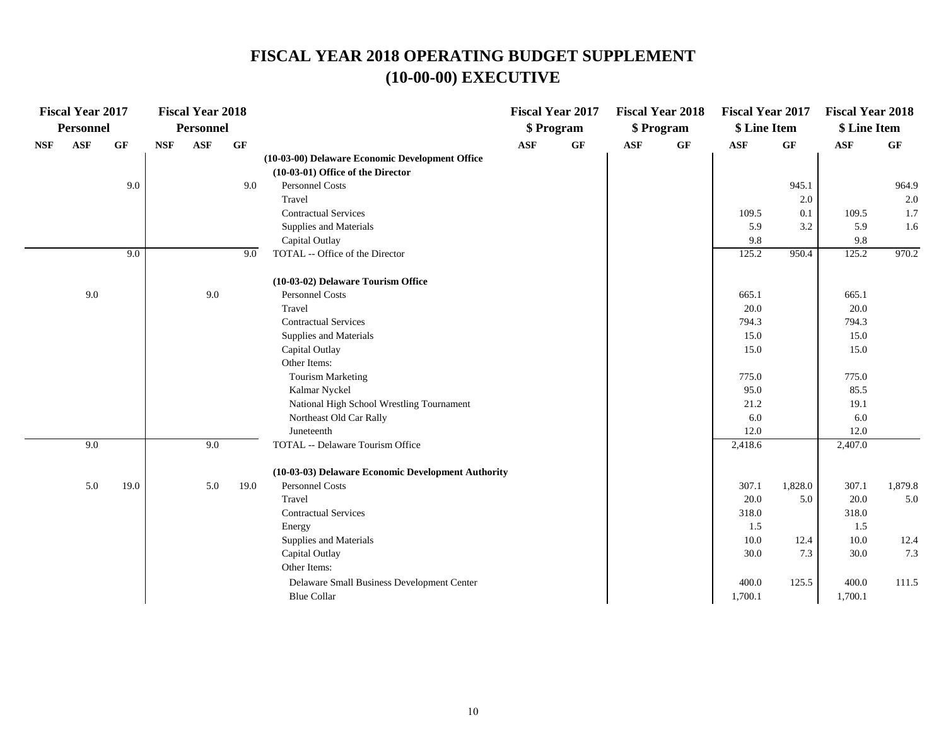|            | <b>Fiscal Year 2017</b> |      |            | <b>Fiscal Year 2018</b> |      |                                                    |            | <b>Fiscal Year 2017</b> |            | <b>Fiscal Year 2018</b> | <b>Fiscal Year 2017</b> |         | <b>Fiscal Year 2018</b> |         |
|------------|-------------------------|------|------------|-------------------------|------|----------------------------------------------------|------------|-------------------------|------------|-------------------------|-------------------------|---------|-------------------------|---------|
|            | <b>Personnel</b>        |      |            | Personnel               |      |                                                    |            | \$Program               |            | \$ Program              | \$ Line Item            |         | \$ Line Item            |         |
| <b>NSF</b> | <b>ASF</b>              | GF   | <b>NSF</b> | <b>ASF</b>              | GF   |                                                    | <b>ASF</b> | GF                      | <b>ASF</b> | GF                      | <b>ASF</b>              | GF      | <b>ASF</b>              | GF      |
|            |                         |      |            |                         |      | (10-03-00) Delaware Economic Development Office    |            |                         |            |                         |                         |         |                         |         |
|            |                         |      |            |                         |      | (10-03-01) Office of the Director                  |            |                         |            |                         |                         |         |                         |         |
|            |                         | 9.0  |            |                         | 9.0  | Personnel Costs                                    |            |                         |            |                         |                         | 945.1   |                         | 964.9   |
|            |                         |      |            |                         |      | Travel                                             |            |                         |            |                         |                         | 2.0     |                         | 2.0     |
|            |                         |      |            |                         |      | <b>Contractual Services</b>                        |            |                         |            |                         | 109.5                   | 0.1     | 109.5                   | 1.7     |
|            |                         |      |            |                         |      | Supplies and Materials                             |            |                         |            |                         | 5.9                     | 3.2     | 5.9                     | 1.6     |
|            |                         |      |            |                         |      | Capital Outlay                                     |            |                         |            |                         | 9.8                     |         | 9.8                     |         |
|            |                         | 9.0  |            |                         | 9.0  | TOTAL -- Office of the Director                    |            |                         |            |                         | 125.2                   | 950.4   | 125.2                   | 970.2   |
|            |                         |      |            |                         |      | (10-03-02) Delaware Tourism Office                 |            |                         |            |                         |                         |         |                         |         |
|            | 9.0                     |      |            | 9.0                     |      | Personnel Costs                                    |            |                         |            |                         | 665.1                   |         | 665.1                   |         |
|            |                         |      |            |                         |      | Travel                                             |            |                         |            |                         | 20.0                    |         | 20.0                    |         |
|            |                         |      |            |                         |      | <b>Contractual Services</b>                        |            |                         |            |                         | 794.3                   |         | 794.3                   |         |
|            |                         |      |            |                         |      | Supplies and Materials                             |            |                         |            |                         | 15.0                    |         | 15.0                    |         |
|            |                         |      |            |                         |      | Capital Outlay                                     |            |                         |            |                         | 15.0                    |         | 15.0                    |         |
|            |                         |      |            |                         |      | Other Items:                                       |            |                         |            |                         |                         |         |                         |         |
|            |                         |      |            |                         |      | <b>Tourism Marketing</b>                           |            |                         |            |                         | 775.0                   |         | 775.0                   |         |
|            |                         |      |            |                         |      | Kalmar Nyckel                                      |            |                         |            |                         | 95.0                    |         | 85.5                    |         |
|            |                         |      |            |                         |      | National High School Wrestling Tournament          |            |                         |            |                         | 21.2                    |         | 19.1                    |         |
|            |                         |      |            |                         |      | Northeast Old Car Rally                            |            |                         |            |                         | 6.0                     |         | 6.0                     |         |
|            |                         |      |            |                         |      | Juneteenth                                         |            |                         |            |                         | 12.0                    |         | 12.0                    |         |
|            | 9.0                     |      |            | 9.0                     |      | TOTAL -- Delaware Tourism Office                   |            |                         |            |                         | 2,418.6                 |         | 2,407.0                 |         |
|            |                         |      |            |                         |      | (10-03-03) Delaware Economic Development Authority |            |                         |            |                         |                         |         |                         |         |
|            | 5.0                     | 19.0 |            | 5.0                     | 19.0 | Personnel Costs                                    |            |                         |            |                         | 307.1                   | 1,828.0 | 307.1                   | 1,879.8 |
|            |                         |      |            |                         |      | Travel                                             |            |                         |            |                         | 20.0                    | 5.0     | 20.0                    | 5.0     |
|            |                         |      |            |                         |      | <b>Contractual Services</b>                        |            |                         |            |                         | 318.0                   |         | 318.0                   |         |
|            |                         |      |            |                         |      | Energy                                             |            |                         |            |                         | 1.5                     |         | 1.5                     |         |
|            |                         |      |            |                         |      | Supplies and Materials                             |            |                         |            |                         | 10.0                    | 12.4    | 10.0                    | 12.4    |
|            |                         |      |            |                         |      | Capital Outlay                                     |            |                         |            |                         | 30.0                    | 7.3     | 30.0                    | 7.3     |
|            |                         |      |            |                         |      | Other Items:                                       |            |                         |            |                         |                         |         |                         |         |
|            |                         |      |            |                         |      | Delaware Small Business Development Center         |            |                         |            |                         | 400.0                   | 125.5   | 400.0                   | 111.5   |
|            |                         |      |            |                         |      | <b>Blue Collar</b>                                 |            |                         |            |                         | 1,700.1                 |         | 1,700.1                 |         |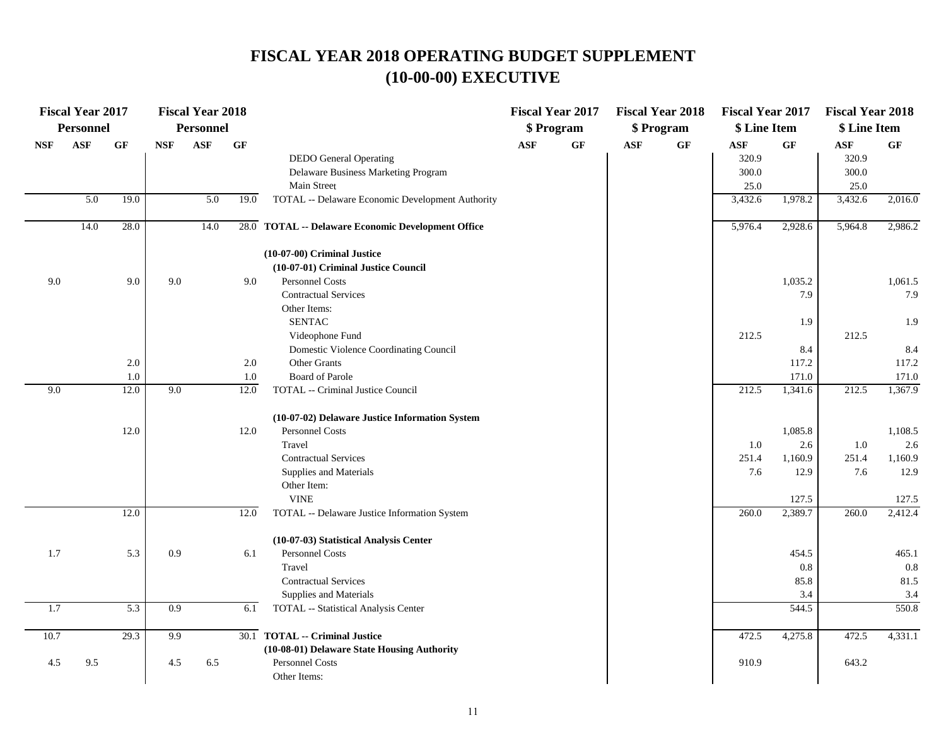|            | <b>Fiscal Year 2017</b> |                |                             | <b>Fiscal Year 2018</b> |                 |                                                    |            | <b>Fiscal Year 2017</b> |     | <b>Fiscal Year 2018</b> | <b>Fiscal Year 2017</b> |                | <b>Fiscal Year 2018</b> |                  |
|------------|-------------------------|----------------|-----------------------------|-------------------------|-----------------|----------------------------------------------------|------------|-------------------------|-----|-------------------------|-------------------------|----------------|-------------------------|------------------|
|            | <b>Personnel</b>        |                |                             | Personnel               |                 |                                                    |            | \$Program               |     | \$Program               | \$ Line Item            |                | \$ Line Item            |                  |
| <b>NSF</b> | ASF                     | GF             | $\ensuremath{\mathbf{NSF}}$ | ASF                     | $\bf{G} \bf{F}$ |                                                    | <b>ASF</b> | $\bf GF$                | ASF | $\bf{G} \bf{F}$         | ASF                     | GF             | $\mathbf{ASF}$          | GF               |
|            |                         |                |                             |                         |                 | <b>DEDO</b> General Operating                      |            |                         |     |                         | 320.9                   |                | 320.9                   |                  |
|            |                         |                |                             |                         |                 | Delaware Business Marketing Program                |            |                         |     |                         | 300.0                   |                | 300.0                   |                  |
|            |                         |                |                             |                         |                 | Main Street                                        |            |                         |     |                         | 25.0                    |                | 25.0                    |                  |
|            | 5.0                     | 19.0           |                             | 5.0                     | 19.0            | TOTAL -- Delaware Economic Development Authority   |            |                         |     |                         | 3,432.6                 | 1,978.2        | 3,432.6                 | 2,016.0          |
|            | 14.0                    | 28.0           |                             | 14.0                    |                 | 28.0 TOTAL -- Delaware Economic Development Office |            |                         |     |                         | 5,976.4                 | 2,928.6        | 5,964.8                 | 2,986.2          |
|            |                         |                |                             |                         |                 | (10-07-00) Criminal Justice                        |            |                         |     |                         |                         |                |                         |                  |
|            |                         |                |                             |                         |                 | (10-07-01) Criminal Justice Council                |            |                         |     |                         |                         |                |                         |                  |
| 9.0        |                         | 9.0            | 9.0                         |                         | 9.0             | Personnel Costs                                    |            |                         |     |                         |                         | 1,035.2        |                         | 1,061.5          |
|            |                         |                |                             |                         |                 | <b>Contractual Services</b>                        |            |                         |     |                         |                         | 7.9            |                         | 7.9              |
|            |                         |                |                             |                         |                 | Other Items:                                       |            |                         |     |                         |                         |                |                         |                  |
|            |                         |                |                             |                         |                 | <b>SENTAC</b>                                      |            |                         |     |                         |                         | 1.9            |                         | 1.9              |
|            |                         |                |                             |                         |                 | Videophone Fund                                    |            |                         |     |                         | 212.5                   |                | 212.5                   |                  |
|            |                         |                |                             |                         |                 | Domestic Violence Coordinating Council             |            |                         |     |                         |                         | 8.4            |                         | 8.4              |
|            |                         | $2.0\,$<br>1.0 |                             |                         | 2.0<br>1.0      | Other Grants<br><b>Board of Parole</b>             |            |                         |     |                         |                         | 117.2<br>171.0 |                         | 117.2            |
| 9.0        |                         | 12.0           | 9.0                         |                         | 12.0            | TOTAL -- Criminal Justice Council                  |            |                         |     |                         | 212.5                   | 1,341.6        | 212.5                   | 171.0<br>1,367.9 |
|            |                         |                |                             |                         |                 |                                                    |            |                         |     |                         |                         |                |                         |                  |
|            |                         |                |                             |                         |                 | (10-07-02) Delaware Justice Information System     |            |                         |     |                         |                         |                |                         |                  |
|            |                         | 12.0           |                             |                         | 12.0            | Personnel Costs                                    |            |                         |     |                         |                         | 1,085.8        |                         | 1,108.5          |
|            |                         |                |                             |                         |                 | Travel                                             |            |                         |     |                         | 1.0                     | 2.6            | 1.0                     | 2.6              |
|            |                         |                |                             |                         |                 | <b>Contractual Services</b>                        |            |                         |     |                         | 251.4                   | 1,160.9        | 251.4                   | 1,160.9          |
|            |                         |                |                             |                         |                 | Supplies and Materials                             |            |                         |     |                         | 7.6                     | 12.9           | 7.6                     | 12.9             |
|            |                         |                |                             |                         |                 | Other Item:                                        |            |                         |     |                         |                         |                |                         |                  |
|            |                         |                |                             |                         |                 | <b>VINE</b>                                        |            |                         |     |                         |                         | 127.5          |                         | 127.5            |
|            |                         | 12.0           |                             |                         | 12.0            | TOTAL -- Delaware Justice Information System       |            |                         |     |                         | 260.0                   | 2,389.7        | 260.0                   | 2,412.4          |
|            |                         |                |                             |                         |                 | (10-07-03) Statistical Analysis Center             |            |                         |     |                         |                         |                |                         |                  |
| 1.7        |                         | 5.3            | 0.9                         |                         | 6.1             | Personnel Costs                                    |            |                         |     |                         |                         | 454.5          |                         | 465.1            |
|            |                         |                |                             |                         |                 | Travel                                             |            |                         |     |                         |                         | 0.8            |                         | 0.8              |
|            |                         |                |                             |                         |                 | <b>Contractual Services</b>                        |            |                         |     |                         |                         | 85.8           |                         | 81.5             |
|            |                         |                |                             |                         |                 | Supplies and Materials                             |            |                         |     |                         |                         | 3.4            |                         | 3.4              |
| 1.7        |                         | 5.3            | 0.9                         |                         | 6.1             | TOTAL -- Statistical Analysis Center               |            |                         |     |                         |                         | 544.5          |                         | 550.8            |
| 10.7       |                         | 29.3           | 9.9                         |                         |                 | 30.1 TOTAL -- Criminal Justice                     |            |                         |     |                         | 472.5                   | 4,275.8        | 472.5                   | 4,331.1          |
|            |                         |                |                             |                         |                 | (10-08-01) Delaware State Housing Authority        |            |                         |     |                         |                         |                |                         |                  |
| 4.5        | 9.5                     |                | 4.5                         | 6.5                     |                 | Personnel Costs                                    |            |                         |     |                         | 910.9                   |                | 643.2                   |                  |
|            |                         |                |                             |                         |                 | Other Items:                                       |            |                         |     |                         |                         |                |                         |                  |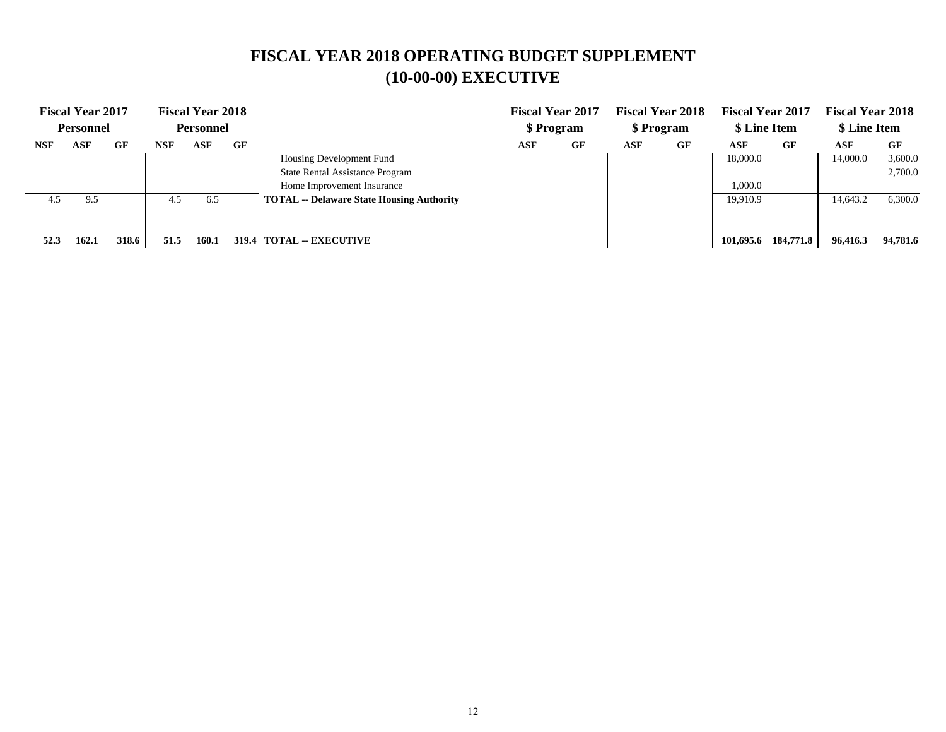|            | <b>Fiscal Year 2017</b> |       |      | <b>Fiscal Year 2018</b> |                                                  |     | <b>Fiscal Year 2017</b> |     | <b>Fiscal Year 2018</b> | <b>Fiscal Year 2017</b> |           | <b>Fiscal Year 2018</b> |          |
|------------|-------------------------|-------|------|-------------------------|--------------------------------------------------|-----|-------------------------|-----|-------------------------|-------------------------|-----------|-------------------------|----------|
|            | <b>Personnel</b>        |       |      | Personnel               |                                                  |     | \$ Program              |     | \$ Program              | \$ Line Item            |           | \$ Line Item            |          |
| <b>NSF</b> | ASF                     | GF    | NSF  | ASF                     | GF                                               | ASF | GF                      | ASF | GF                      | ASF                     | GF        | ASF                     | GF       |
|            |                         |       |      |                         | Housing Development Fund                         |     |                         |     |                         | 18,000.0                |           | 14,000.0                | 3,600.0  |
|            |                         |       |      |                         | <b>State Rental Assistance Program</b>           |     |                         |     |                         |                         |           |                         | 2,700.0  |
|            |                         |       |      |                         | Home Improvement Insurance                       |     |                         |     |                         | 1.000.0                 |           |                         |          |
| 4.5        | 9.5                     |       | 4.5  | 6.5                     | <b>TOTAL</b> -- Delaware State Housing Authority |     |                         |     |                         | 19.910.9                |           | 14.643.2                | 6.300.0  |
|            |                         |       |      |                         |                                                  |     |                         |     |                         |                         |           |                         |          |
|            |                         |       |      |                         |                                                  |     |                         |     |                         |                         |           |                         |          |
| 52.3       | 162.1                   | 318.6 | 51.5 | 160.1                   | <b>TOTAL -- EXECUTIVE</b><br>319.4               |     |                         |     |                         | 101.695.6               | 184,771.8 | 96,416.3                | 94.781.6 |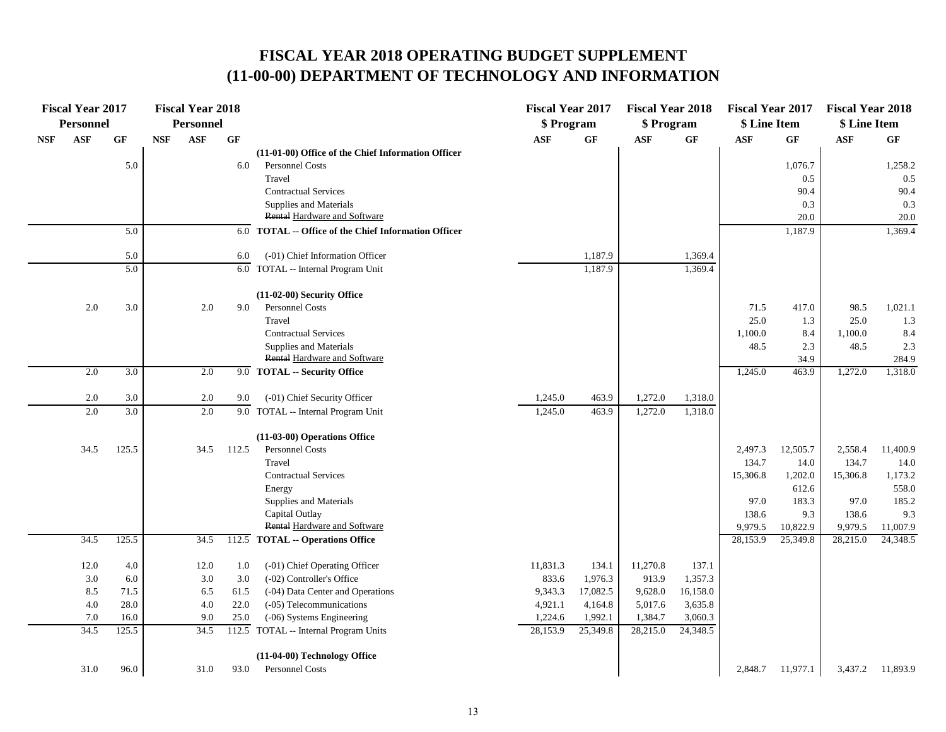#### **(11-00-00) DEPARTMENT OF TECHNOLOGY AND INFORMATION FISCAL YEAR 2018 OPERATING BUDGET SUPPLEMENT**

|            | <b>Fiscal Year 2017</b><br>Personnel |       |            | <b>Fiscal Year 2018</b><br>Personnel |       |                                                         | <b>Fiscal Year 2017</b><br>\$ Program |           | <b>Fiscal Year 2018</b><br>\$ Program |                 | <b>Fiscal Year 2017</b><br>\$ Line Item |          | <b>Fiscal Year 2018</b><br>\$ Line Item |          |
|------------|--------------------------------------|-------|------------|--------------------------------------|-------|---------------------------------------------------------|---------------------------------------|-----------|---------------------------------------|-----------------|-----------------------------------------|----------|-----------------------------------------|----------|
| <b>NSF</b> | <b>ASF</b>                           | GF    | <b>NSF</b> | $\mathbf{ASF}$                       | GF    |                                                         | <b>ASF</b>                            | <b>GF</b> | <b>ASF</b>                            | $\bf{G} \bf{F}$ | <b>ASF</b>                              | GF       | <b>ASF</b>                              | GF       |
|            |                                      |       |            |                                      |       | (11-01-00) Office of the Chief Information Officer      |                                       |           |                                       |                 |                                         |          |                                         |          |
|            |                                      | 5.0   |            |                                      | 6.0   | Personnel Costs                                         |                                       |           |                                       |                 |                                         | 1,076.7  |                                         | 1,258.2  |
|            |                                      |       |            |                                      |       | Travel                                                  |                                       |           |                                       |                 |                                         | 0.5      |                                         | 0.5      |
|            |                                      |       |            |                                      |       | <b>Contractual Services</b>                             |                                       |           |                                       |                 |                                         | 90.4     |                                         | 90.4     |
|            |                                      |       |            |                                      |       | Supplies and Materials                                  |                                       |           |                                       |                 |                                         | 0.3      |                                         | 0.3      |
|            |                                      |       |            |                                      |       | Rental Hardware and Software                            |                                       |           |                                       |                 |                                         | 20.0     |                                         | 20.0     |
|            |                                      | 5.0   |            |                                      | 6.0   | <b>TOTAL</b> -- Office of the Chief Information Officer |                                       |           |                                       |                 |                                         | 1,187.9  |                                         | 1,369.4  |
|            |                                      | 5.0   |            |                                      | 6.0   | (-01) Chief Information Officer                         |                                       | 1,187.9   |                                       | 1,369.4         |                                         |          |                                         |          |
|            |                                      | 5.0   |            |                                      |       | $6.0$ TOTAL -- Internal Program Unit                    |                                       | 1,187.9   |                                       | 1,369.4         |                                         |          |                                         |          |
|            |                                      |       |            |                                      |       |                                                         |                                       |           |                                       |                 |                                         |          |                                         |          |
|            |                                      |       |            |                                      |       | (11-02-00) Security Office                              |                                       |           |                                       |                 |                                         |          |                                         |          |
|            | 2.0                                  | 3.0   |            | 2.0                                  | 9.0   | Personnel Costs                                         |                                       |           |                                       |                 | 71.5                                    | 417.0    | 98.5                                    | 1,021.1  |
|            |                                      |       |            |                                      |       | Travel                                                  |                                       |           |                                       |                 | 25.0                                    | 1.3      | 25.0                                    | 1.3      |
|            |                                      |       |            |                                      |       | <b>Contractual Services</b>                             |                                       |           |                                       |                 | 1,100.0                                 | 8.4      | 1,100.0                                 | 8.4      |
|            |                                      |       |            |                                      |       | Supplies and Materials                                  |                                       |           |                                       |                 | 48.5                                    | 2.3      | 48.5                                    | 2.3      |
|            |                                      |       |            |                                      |       | Rental Hardware and Software                            |                                       |           |                                       |                 |                                         | 34.9     |                                         | 284.9    |
|            | 2.0                                  | 3.0   |            | 2.0                                  |       | 9.0 TOTAL -- Security Office                            |                                       |           |                                       |                 | 1,245.0                                 | 463.9    | 1,272.0                                 | 1,318.0  |
|            | 2.0                                  | 3.0   |            | 2.0                                  | 9.0   | (-01) Chief Security Officer                            | 1,245.0                               | 463.9     | 1,272.0                               | 1,318.0         |                                         |          |                                         |          |
|            | 2.0                                  | 3.0   |            | 2.0                                  |       | 9.0 TOTAL -- Internal Program Unit                      | 1,245.0                               | 463.9     | 1,272.0                               | 1,318.0         |                                         |          |                                         |          |
|            |                                      |       |            |                                      |       |                                                         |                                       |           |                                       |                 |                                         |          |                                         |          |
|            |                                      |       |            |                                      |       | (11-03-00) Operations Office                            |                                       |           |                                       |                 |                                         |          |                                         |          |
|            | 34.5                                 | 125.5 |            | 34.5                                 | 112.5 | <b>Personnel Costs</b>                                  |                                       |           |                                       |                 | 2,497.3                                 | 12,505.7 | 2,558.4                                 | 11,400.9 |
|            |                                      |       |            |                                      |       | Travel                                                  |                                       |           |                                       |                 | 134.7                                   | 14.0     | 134.7                                   | 14.0     |
|            |                                      |       |            |                                      |       | <b>Contractual Services</b>                             |                                       |           |                                       |                 | 15,306.8                                | 1,202.0  | 15,306.8                                | 1,173.2  |
|            |                                      |       |            |                                      |       | Energy                                                  |                                       |           |                                       |                 |                                         | 612.6    |                                         | 558.0    |
|            |                                      |       |            |                                      |       | Supplies and Materials                                  |                                       |           |                                       |                 | 97.0                                    | 183.3    | 97.0                                    | 185.2    |
|            |                                      |       |            |                                      |       | Capital Outlay                                          |                                       |           |                                       |                 | 138.6                                   | 9.3      | 138.6                                   | 9.3      |
|            |                                      |       |            |                                      |       | <b>Rental Hardware and Software</b>                     |                                       |           |                                       |                 | 9,979.5                                 | 10,822.9 | 9,979.5                                 | 11,007.9 |
|            | 34.5                                 | 125.5 |            | 34.5                                 |       | 112.5 TOTAL -- Operations Office                        |                                       |           |                                       |                 | 28,153.9                                | 25,349.8 | 28,215.0                                | 24,348.5 |
|            | 12.0                                 | 4.0   |            | $12.0\,$                             | 1.0   | (-01) Chief Operating Officer                           | 11,831.3                              | 134.1     | 11,270.8                              | 137.1           |                                         |          |                                         |          |
|            | 3.0                                  | 6.0   |            | 3.0                                  | 3.0   | (-02) Controller's Office                               | 833.6                                 | 1,976.3   | 913.9                                 | 1,357.3         |                                         |          |                                         |          |
|            | 8.5                                  | 71.5  |            | 6.5                                  | 61.5  | (-04) Data Center and Operations                        | 9,343.3                               | 17,082.5  | 9,628.0                               | 16,158.0        |                                         |          |                                         |          |
|            | $4.0\,$                              | 28.0  |            | 4.0                                  | 22.0  | (-05) Telecommunications                                | 4,921.1                               | 4,164.8   | 5,017.6                               | 3,635.8         |                                         |          |                                         |          |
|            | 7.0                                  | 16.0  |            | 9.0                                  | 25.0  | (-06) Systems Engineering                               | 1,224.6                               | 1,992.1   | 1,384.7                               | 3,060.3         |                                         |          |                                         |          |
|            | 34.5                                 | 125.5 |            | 34.5                                 |       | 112.5 TOTAL -- Internal Program Units                   | 28,153.9                              | 25,349.8  | 28,215.0                              | 24,348.5        |                                         |          |                                         |          |
|            |                                      |       |            |                                      |       | (11-04-00) Technology Office                            |                                       |           |                                       |                 |                                         |          |                                         |          |
|            | 31.0                                 | 96.0  |            | 31.0                                 | 93.0  | <b>Personnel Costs</b>                                  |                                       |           |                                       |                 | 2,848.7                                 | 11,977.1 | 3,437.2                                 | 11,893.9 |
|            |                                      |       |            |                                      |       |                                                         |                                       |           |                                       |                 |                                         |          |                                         |          |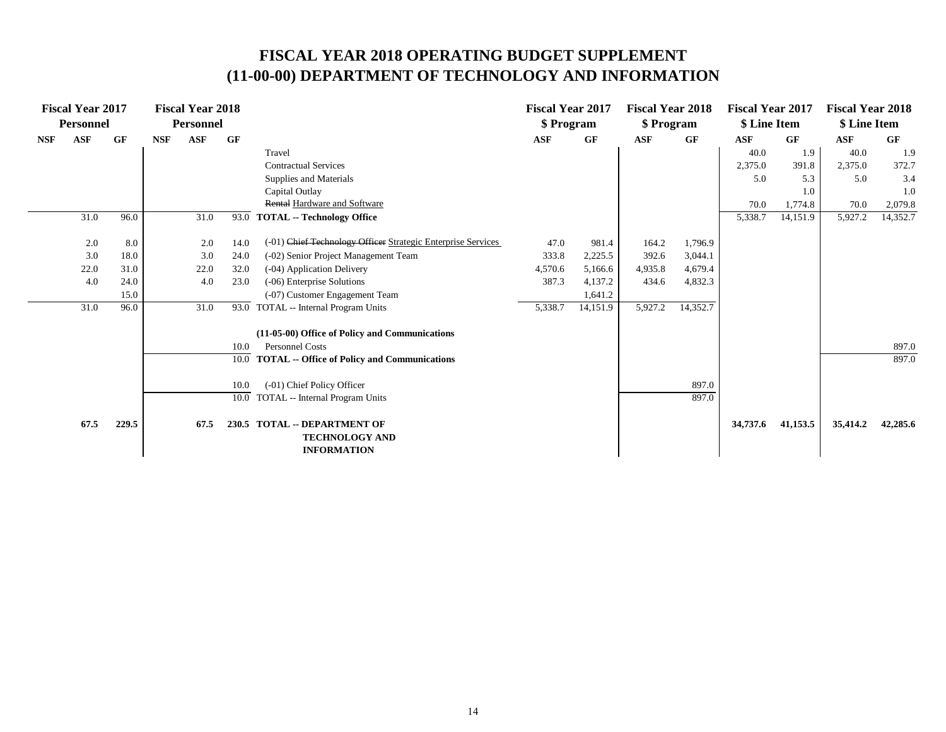#### **(11-00-00) DEPARTMENT OF TECHNOLOGY AND INFORMATION FISCAL YEAR 2018 OPERATING BUDGET SUPPLEMENT**

|            | <b>Fiscal Year 2017</b> |       |            | <b>Fiscal Year 2018</b> |      |                                                                             | <b>Fiscal Year 2017</b> |          | <b>Fiscal Year 2018</b> |          | <b>Fiscal Year 2017</b> |          | <b>Fiscal Year 2018</b> |          |
|------------|-------------------------|-------|------------|-------------------------|------|-----------------------------------------------------------------------------|-------------------------|----------|-------------------------|----------|-------------------------|----------|-------------------------|----------|
|            | <b>Personnel</b>        |       |            | <b>Personnel</b>        |      |                                                                             | \$ Program              |          | \$ Program              |          | \$ Line Item            |          | \$ Line Item            |          |
| <b>NSF</b> | <b>ASF</b>              | GF    | <b>NSF</b> | <b>ASF</b>              | GF   |                                                                             | <b>ASF</b>              | GF       | <b>ASF</b>              | GF       | <b>ASF</b>              | GF       | <b>ASF</b>              | GF       |
|            |                         |       |            |                         |      | Travel                                                                      |                         |          |                         |          | 40.0                    | 1.9      | 40.0                    | 1.9      |
|            |                         |       |            |                         |      | <b>Contractual Services</b>                                                 |                         |          |                         |          | 2,375.0                 | 391.8    | 2,375.0                 | 372.7    |
|            |                         |       |            |                         |      | Supplies and Materials                                                      |                         |          |                         |          | 5.0                     | 5.3      | 5.0                     | 3.4      |
|            |                         |       |            |                         |      | Capital Outlay                                                              |                         |          |                         |          |                         | 1.0      |                         | 1.0      |
|            |                         |       |            |                         |      | Rental Hardware and Software                                                |                         |          |                         |          | 70.0                    | 1,774.8  | 70.0                    | 2,079.8  |
|            | 31.0                    | 96.0  |            | 31.0                    | 93.0 | <b>TOTAL -- Technology Office</b>                                           |                         |          |                         |          | 5,338.7                 | 14,151.9 | 5,927.2                 | 14,352.7 |
|            | 2.0                     | 8.0   |            | 2.0                     | 14.0 | (-01) Chief Technology Officer Strategic Enterprise Services                | 47.0                    | 981.4    | 164.2                   | 1,796.9  |                         |          |                         |          |
|            | 3.0                     | 18.0  |            | 3.0                     | 24.0 | (-02) Senior Project Management Team                                        | 333.8                   | 2,225.5  | 392.6                   | 3,044.1  |                         |          |                         |          |
|            | 22.0                    | 31.0  |            | 22.0                    | 32.0 | (-04) Application Delivery                                                  | 4,570.6                 | 5,166.6  | 4,935.8                 | 4,679.4  |                         |          |                         |          |
|            | 4.0                     | 24.0  |            | 4.0                     | 23.0 | (-06) Enterprise Solutions                                                  | 387.3                   | 4,137.2  | 434.6                   | 4,832.3  |                         |          |                         |          |
|            |                         | 15.0  |            |                         |      | (-07) Customer Engagement Team                                              |                         | 1,641.2  |                         |          |                         |          |                         |          |
|            | 31.0                    | 96.0  |            | 31.0                    | 93.0 | TOTAL -- Internal Program Units                                             | 5,338.7                 | 14,151.9 | 5,927.2                 | 14,352.7 |                         |          |                         |          |
|            |                         |       |            |                         |      | (11-05-00) Office of Policy and Communications                              |                         |          |                         |          |                         |          |                         |          |
|            |                         |       |            |                         | 10.0 | <b>Personnel Costs</b>                                                      |                         |          |                         |          |                         |          |                         | 897.0    |
|            |                         |       |            |                         | 10.0 | <b>TOTAL -- Office of Policy and Communications</b>                         |                         |          |                         |          |                         |          |                         | 897.0    |
|            |                         |       |            |                         | 10.0 | (-01) Chief Policy Officer                                                  |                         |          |                         | 897.0    |                         |          |                         |          |
|            |                         |       |            |                         | 10.0 | TOTAL -- Internal Program Units                                             |                         |          |                         | 897.0    |                         |          |                         |          |
|            | 67.5                    | 229.5 |            | 67.5                    |      | 230.5 TOTAL -- DEPARTMENT OF<br><b>TECHNOLOGY AND</b><br><b>INFORMATION</b> |                         |          |                         |          | 34,737.6                | 41,153.5 | 35,414.2                | 42,285.6 |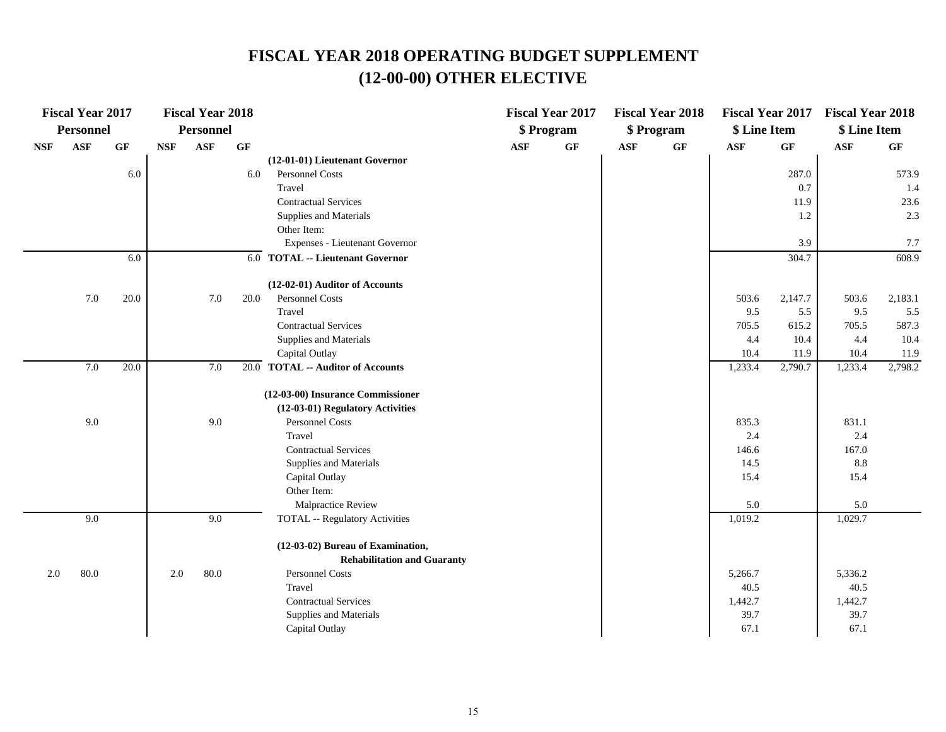# **FISCAL YEAR 2018 OPERATING BUDGET SUPPLEMENT (12-00-00) OTHER ELECTIVE**

|            | <b>Fiscal Year 2017</b> |      |            | <b>Fiscal Year 2018</b> |      |                                       |            | <b>Fiscal Year 2017</b> |            | <b>Fiscal Year 2018</b> | <b>Fiscal Year 2017</b> |         | <b>Fiscal Year 2018</b> |         |
|------------|-------------------------|------|------------|-------------------------|------|---------------------------------------|------------|-------------------------|------------|-------------------------|-------------------------|---------|-------------------------|---------|
|            | <b>Personnel</b>        |      |            | <b>Personnel</b>        |      |                                       |            | \$ Program              |            | \$ Program              | \$ Line Item            |         | \$ Line Item            |         |
| <b>NSF</b> | <b>ASF</b>              | GF   | <b>NSF</b> | <b>ASF</b>              | GF   |                                       | <b>ASF</b> | GF                      | <b>ASF</b> | GF                      | <b>ASF</b>              | GF      | <b>ASF</b>              | GF      |
|            |                         |      |            |                         |      | (12-01-01) Lieutenant Governor        |            |                         |            |                         |                         |         |                         |         |
|            |                         | 6.0  |            |                         | 6.0  | Personnel Costs                       |            |                         |            |                         |                         | 287.0   |                         | 573.9   |
|            |                         |      |            |                         |      | Travel                                |            |                         |            |                         |                         | 0.7     |                         | 1.4     |
|            |                         |      |            |                         |      | <b>Contractual Services</b>           |            |                         |            |                         |                         | 11.9    |                         | 23.6    |
|            |                         |      |            |                         |      | Supplies and Materials                |            |                         |            |                         |                         | 1.2     |                         | 2.3     |
|            |                         |      |            |                         |      | Other Item:                           |            |                         |            |                         |                         |         |                         |         |
|            |                         |      |            |                         |      | Expenses - Lieutenant Governor        |            |                         |            |                         |                         | 3.9     |                         | 7.7     |
|            |                         | 6.0  |            |                         |      | 6.0 TOTAL -- Lieutenant Governor      |            |                         |            |                         |                         | 304.7   |                         | 608.9   |
|            |                         |      |            |                         |      | (12-02-01) Auditor of Accounts        |            |                         |            |                         |                         |         |                         |         |
|            | 7.0                     | 20.0 |            | 7.0                     | 20.0 | <b>Personnel Costs</b>                |            |                         |            |                         | 503.6                   | 2,147.7 | 503.6                   | 2,183.1 |
|            |                         |      |            |                         |      | Travel                                |            |                         |            |                         | 9.5                     | 5.5     | 9.5                     | 5.5     |
|            |                         |      |            |                         |      | <b>Contractual Services</b>           |            |                         |            |                         | 705.5                   | 615.2   | 705.5                   | 587.3   |
|            |                         |      |            |                         |      | Supplies and Materials                |            |                         |            |                         | 4.4                     | 10.4    | 4.4                     | 10.4    |
|            |                         |      |            |                         |      | Capital Outlay                        |            |                         |            |                         | 10.4                    | 11.9    | 10.4                    | 11.9    |
|            | 7.0                     | 20.0 |            | 7.0                     |      | 20.0 TOTAL -- Auditor of Accounts     |            |                         |            |                         | 1,233.4                 | 2,790.7 | 1,233.4                 | 2,798.2 |
|            |                         |      |            |                         |      | (12-03-00) Insurance Commissioner     |            |                         |            |                         |                         |         |                         |         |
|            |                         |      |            |                         |      | (12-03-01) Regulatory Activities      |            |                         |            |                         |                         |         |                         |         |
|            | 9.0                     |      |            | 9.0                     |      | Personnel Costs                       |            |                         |            |                         | 835.3                   |         | 831.1                   |         |
|            |                         |      |            |                         |      | Travel                                |            |                         |            |                         | 2.4                     |         | 2.4                     |         |
|            |                         |      |            |                         |      | <b>Contractual Services</b>           |            |                         |            |                         | 146.6                   |         | 167.0                   |         |
|            |                         |      |            |                         |      | Supplies and Materials                |            |                         |            |                         | 14.5                    |         | 8.8                     |         |
|            |                         |      |            |                         |      | Capital Outlay                        |            |                         |            |                         | 15.4                    |         | 15.4                    |         |
|            |                         |      |            |                         |      | Other Item:                           |            |                         |            |                         |                         |         |                         |         |
|            |                         |      |            |                         |      | Malpractice Review                    |            |                         |            |                         | 5.0                     |         | 5.0                     |         |
|            | 9.0                     |      |            | 9.0                     |      | <b>TOTAL -- Regulatory Activities</b> |            |                         |            |                         | 1,019.2                 |         | 1,029.7                 |         |
|            |                         |      |            |                         |      | (12-03-02) Bureau of Examination,     |            |                         |            |                         |                         |         |                         |         |
|            |                         |      |            |                         |      | <b>Rehabilitation and Guaranty</b>    |            |                         |            |                         |                         |         |                         |         |
| 2.0        | 80.0                    |      | 2.0        | 80.0                    |      | Personnel Costs                       |            |                         |            |                         | 5,266.7                 |         | 5,336.2                 |         |
|            |                         |      |            |                         |      | Travel                                |            |                         |            |                         | 40.5                    |         | 40.5                    |         |
|            |                         |      |            |                         |      | <b>Contractual Services</b>           |            |                         |            |                         | 1,442.7                 |         | 1,442.7                 |         |
|            |                         |      |            |                         |      | Supplies and Materials                |            |                         |            |                         | 39.7                    |         | 39.7                    |         |
|            |                         |      |            |                         |      | Capital Outlay                        |            |                         |            |                         | 67.1                    |         | 67.1                    |         |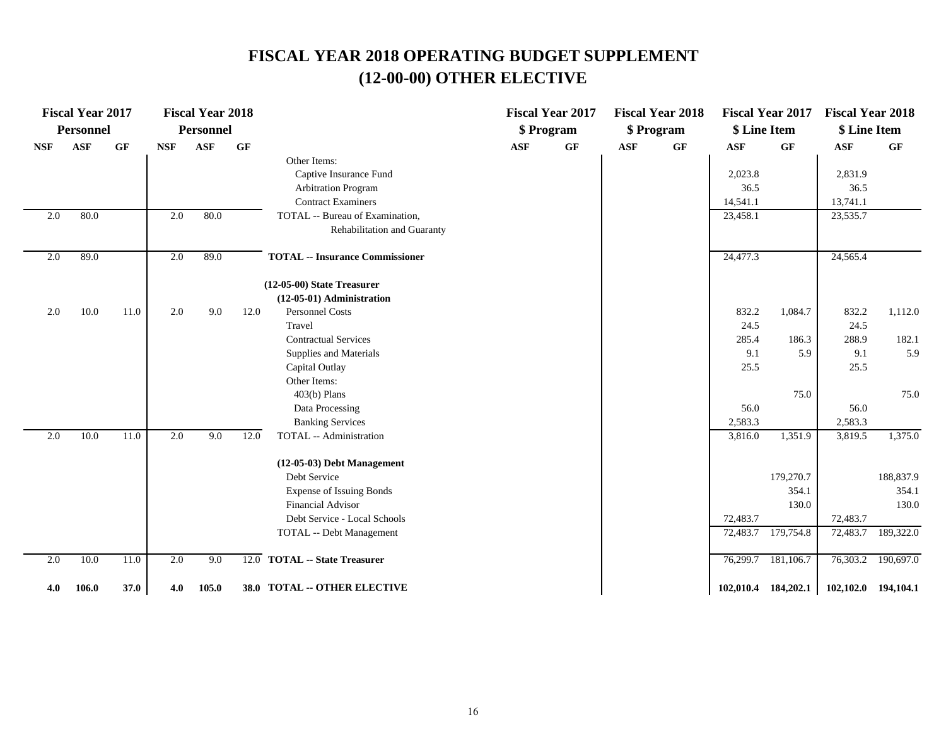# **FISCAL YEAR 2018 OPERATING BUDGET SUPPLEMENT (12-00-00) OTHER ELECTIVE**

|            | <b>Fiscal Year 2017</b> |                 |            | <b>Fiscal Year 2018</b> |                 |                                        |                | <b>Fiscal Year 2017</b> |                | <b>Fiscal Year 2018</b> |              | <b>Fiscal Year 2017</b> | <b>Fiscal Year 2018</b> |           |
|------------|-------------------------|-----------------|------------|-------------------------|-----------------|----------------------------------------|----------------|-------------------------|----------------|-------------------------|--------------|-------------------------|-------------------------|-----------|
|            | <b>Personnel</b>        |                 |            | <b>Personnel</b>        |                 |                                        |                | \$ Program              |                | \$ Program              | \$ Line Item |                         | \$ Line Item            |           |
| <b>NSF</b> | <b>ASF</b>              | $\bf{G} \bf{F}$ | <b>NSF</b> | <b>ASF</b>              | $\bf{G} \bf{F}$ |                                        | $\mathbf{ASF}$ | $\bf{G} \bf{F}$         | $\mathbf{ASF}$ | $\bf{G} \bf{F}$         | <b>ASF</b>   | GF                      | $\mathbf{ASF}$          | GF        |
|            |                         |                 |            |                         |                 | Other Items:                           |                |                         |                |                         |              |                         |                         |           |
|            |                         |                 |            |                         |                 | Captive Insurance Fund                 |                |                         |                |                         | 2,023.8      |                         | 2,831.9                 |           |
|            |                         |                 |            |                         |                 | <b>Arbitration Program</b>             |                |                         |                |                         | 36.5         |                         | 36.5                    |           |
|            |                         |                 |            |                         |                 | <b>Contract Examiners</b>              |                |                         |                |                         | 14,541.1     |                         | 13,741.1                |           |
| 2.0        | 80.0                    |                 | 2.0        | 80.0                    |                 | TOTAL -- Bureau of Examination,        |                |                         |                |                         | 23,458.1     |                         | 23,535.7                |           |
|            |                         |                 |            |                         |                 | Rehabilitation and Guaranty            |                |                         |                |                         |              |                         |                         |           |
| 2.0        | 89.0                    |                 | 2.0        | 89.0                    |                 | <b>TOTAL -- Insurance Commissioner</b> |                |                         |                |                         | 24,477.3     |                         | 24,565.4                |           |
|            |                         |                 |            |                         |                 | (12-05-00) State Treasurer             |                |                         |                |                         |              |                         |                         |           |
|            |                         |                 |            |                         |                 | (12-05-01) Administration              |                |                         |                |                         |              |                         |                         |           |
| 2.0        | 10.0                    | 11.0            | 2.0        | 9.0                     | 12.0            | <b>Personnel Costs</b>                 |                |                         |                |                         | 832.2        | 1,084.7                 | 832.2                   | 1,112.0   |
|            |                         |                 |            |                         |                 | Travel                                 |                |                         |                |                         | 24.5         |                         | 24.5                    |           |
|            |                         |                 |            |                         |                 | <b>Contractual Services</b>            |                |                         |                |                         | 285.4        | 186.3                   | 288.9                   | 182.1     |
|            |                         |                 |            |                         |                 | Supplies and Materials                 |                |                         |                |                         | 9.1          | 5.9                     | 9.1                     | 5.9       |
|            |                         |                 |            |                         |                 | Capital Outlay                         |                |                         |                |                         | 25.5         |                         | 25.5                    |           |
|            |                         |                 |            |                         |                 | Other Items:                           |                |                         |                |                         |              |                         |                         |           |
|            |                         |                 |            |                         |                 | $403(b)$ Plans                         |                |                         |                |                         |              | 75.0                    |                         | 75.0      |
|            |                         |                 |            |                         |                 | Data Processing                        |                |                         |                |                         | 56.0         |                         | 56.0                    |           |
|            |                         |                 |            |                         |                 | <b>Banking Services</b>                |                |                         |                |                         | 2,583.3      |                         | 2,583.3                 |           |
| 2.0        | 10.0                    | 11.0            | 2.0        | 9.0                     | 12.0            | TOTAL -- Administration                |                |                         |                |                         | 3,816.0      | 1,351.9                 | 3,819.5                 | 1,375.0   |
|            |                         |                 |            |                         |                 | $(12-05-03)$ Debt Management           |                |                         |                |                         |              |                         |                         |           |
|            |                         |                 |            |                         |                 | Debt Service                           |                |                         |                |                         |              | 179,270.7               |                         | 188,837.9 |
|            |                         |                 |            |                         |                 | <b>Expense of Issuing Bonds</b>        |                |                         |                |                         |              | 354.1                   |                         | 354.1     |
|            |                         |                 |            |                         |                 | <b>Financial Advisor</b>               |                |                         |                |                         |              | 130.0                   |                         | 130.0     |
|            |                         |                 |            |                         |                 | Debt Service - Local Schools           |                |                         |                |                         | 72,483.7     |                         | 72,483.7                |           |
|            |                         |                 |            |                         |                 | TOTAL -- Debt Management               |                |                         |                |                         | 72,483.7     | 179,754.8               | 72,483.7                | 189,322.0 |
| 2.0        | 10.0                    | 11.0            | 2.0        | 9.0                     |                 | 12.0 TOTAL -- State Treasurer          |                |                         |                |                         | 76,299.7     | 181,106.7               | 76,303.2                | 190,697.0 |
| 4.0        | 106.0                   | 37.0            | 4.0        | 105.0                   |                 | 38.0 TOTAL -- OTHER ELECTIVE           |                |                         |                |                         |              | 102,010.4 184,202.1     | 102,102.0 194,104.1     |           |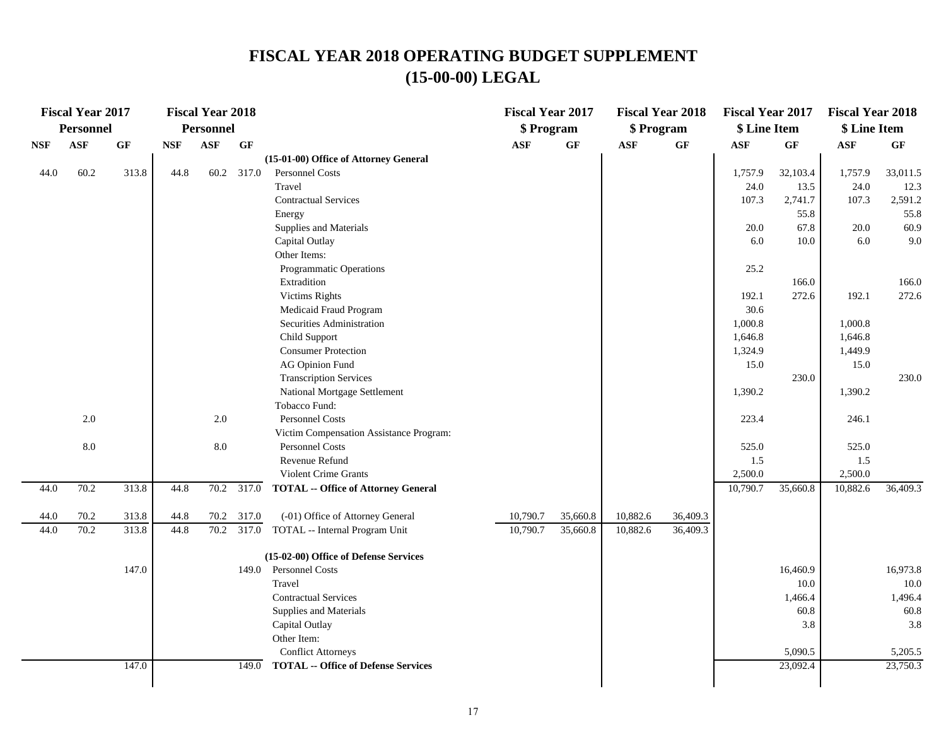### **FISCAL YEAR 2018 OPERATING BUDGET SUPPLEMENT (15-00-00) LEGAL**

|            | <b>Fiscal Year 2017</b> |                 |            | <b>Fiscal Year 2018</b> |            |                                            | <b>Fiscal Year 2017</b> |          | <b>Fiscal Year 2018</b> |                 | <b>Fiscal Year 2017</b> |                 | <b>Fiscal Year 2018</b> |           |
|------------|-------------------------|-----------------|------------|-------------------------|------------|--------------------------------------------|-------------------------|----------|-------------------------|-----------------|-------------------------|-----------------|-------------------------|-----------|
|            | <b>Personnel</b>        |                 |            | <b>Personnel</b>        |            |                                            | \$ Program              |          | \$ Program              |                 | \$ Line Item            |                 | \$ Line Item            |           |
| <b>NSF</b> | <b>ASF</b>              | $\bf{G} \bf{F}$ | <b>NSF</b> | $\mathbf{ASF}$          | GF         |                                            | <b>ASF</b>              | GF       | $\mathbf{ASF}$          | $\bf{G} \bf{F}$ | $\mathbf{ASF}$          | $\bf{G} \bf{F}$ | $\mathbf{ASF}$          | <b>GF</b> |
|            |                         |                 |            |                         |            | (15-01-00) Office of Attorney General      |                         |          |                         |                 |                         |                 |                         |           |
| 44.0       | 60.2                    | 313.8           | 44.8       | 60.2                    | 317.0      | Personnel Costs                            |                         |          |                         |                 | 1,757.9                 | 32,103.4        | 1,757.9                 | 33,011.5  |
|            |                         |                 |            |                         |            | Travel                                     |                         |          |                         |                 | 24.0                    | 13.5            | 24.0                    | 12.3      |
|            |                         |                 |            |                         |            | <b>Contractual Services</b>                |                         |          |                         |                 | 107.3                   | 2,741.7         | 107.3                   | 2,591.2   |
|            |                         |                 |            |                         |            | Energy                                     |                         |          |                         |                 |                         | 55.8            |                         | 55.8      |
|            |                         |                 |            |                         |            | Supplies and Materials                     |                         |          |                         |                 | 20.0                    | 67.8            | 20.0                    | 60.9      |
|            |                         |                 |            |                         |            | Capital Outlay                             |                         |          |                         |                 | 6.0                     | 10.0            | 6.0                     | 9.0       |
|            |                         |                 |            |                         |            | Other Items:                               |                         |          |                         |                 |                         |                 |                         |           |
|            |                         |                 |            |                         |            | Programmatic Operations                    |                         |          |                         |                 | 25.2                    |                 |                         |           |
|            |                         |                 |            |                         |            | Extradition                                |                         |          |                         |                 |                         | 166.0           |                         | 166.0     |
|            |                         |                 |            |                         |            | <b>Victims Rights</b>                      |                         |          |                         |                 | 192.1                   | 272.6           | 192.1                   | 272.6     |
|            |                         |                 |            |                         |            | Medicaid Fraud Program                     |                         |          |                         |                 | 30.6                    |                 |                         |           |
|            |                         |                 |            |                         |            | Securities Administration                  |                         |          |                         |                 | 1,000.8                 |                 | 1,000.8                 |           |
|            |                         |                 |            |                         |            | Child Support                              |                         |          |                         |                 | 1,646.8                 |                 | 1,646.8                 |           |
|            |                         |                 |            |                         |            | <b>Consumer Protection</b>                 |                         |          |                         |                 | 1,324.9                 |                 | 1,449.9                 |           |
|            |                         |                 |            |                         |            | <b>AG Opinion Fund</b>                     |                         |          |                         |                 | 15.0                    |                 | 15.0                    |           |
|            |                         |                 |            |                         |            | <b>Transcription Services</b>              |                         |          |                         |                 |                         | 230.0           |                         | 230.0     |
|            |                         |                 |            |                         |            | National Mortgage Settlement               |                         |          |                         |                 | 1,390.2                 |                 | 1,390.2                 |           |
|            |                         |                 |            |                         |            | Tobacco Fund:                              |                         |          |                         |                 |                         |                 |                         |           |
|            | $2.0\,$                 |                 |            | $2.0\,$                 |            | Personnel Costs                            |                         |          |                         |                 | 223.4                   |                 | 246.1                   |           |
|            |                         |                 |            |                         |            | Victim Compensation Assistance Program:    |                         |          |                         |                 |                         |                 |                         |           |
|            | $8.0\,$                 |                 |            | $8.0\,$                 |            | Personnel Costs                            |                         |          |                         |                 | 525.0                   |                 | 525.0                   |           |
|            |                         |                 |            |                         |            | Revenue Refund                             |                         |          |                         |                 | 1.5                     |                 | 1.5                     |           |
|            |                         |                 |            |                         |            | <b>Violent Crime Grants</b>                |                         |          |                         |                 | 2,500.0                 |                 | 2,500.0                 |           |
| 44.0       | 70.2                    | 313.8           | 44.8       |                         | 70.2 317.0 | <b>TOTAL -- Office of Attorney General</b> |                         |          |                         |                 | 10,790.7                | 35,660.8        | 10,882.6                | 36,409.3  |
| 44.0       | 70.2                    | 313.8           | 44.8       | 70.2                    | 317.0      | (-01) Office of Attorney General           | 10,790.7                | 35,660.8 | 10,882.6                | 36,409.3        |                         |                 |                         |           |
| 44.0       | 70.2                    | 313.8           | 44.8       | 70.2                    | 317.0      | TOTAL -- Internal Program Unit             | 10,790.7                | 35,660.8 | 10,882.6                | 36,409.3        |                         |                 |                         |           |
|            |                         |                 |            |                         |            | (15-02-00) Office of Defense Services      |                         |          |                         |                 |                         |                 |                         |           |
|            |                         | 147.0           |            |                         |            | 149.0 Personnel Costs                      |                         |          |                         |                 |                         | 16,460.9        |                         | 16,973.8  |
|            |                         |                 |            |                         |            | Travel                                     |                         |          |                         |                 |                         | 10.0            |                         | $10.0\,$  |
|            |                         |                 |            |                         |            | <b>Contractual Services</b>                |                         |          |                         |                 |                         | 1,466.4         |                         | 1,496.4   |
|            |                         |                 |            |                         |            | Supplies and Materials                     |                         |          |                         |                 |                         | 60.8            |                         | 60.8      |
|            |                         |                 |            |                         |            | Capital Outlay                             |                         |          |                         |                 |                         | 3.8             |                         | 3.8       |
|            |                         |                 |            |                         |            | Other Item:                                |                         |          |                         |                 |                         |                 |                         |           |
|            |                         |                 |            |                         |            | <b>Conflict Attorneys</b>                  |                         |          |                         |                 |                         | 5,090.5         |                         | 5,205.5   |
|            |                         | 147.0           |            |                         | 149.0      | <b>TOTAL -- Office of Defense Services</b> |                         |          |                         |                 |                         | 23,092.4        |                         | 23,750.3  |
|            |                         |                 |            |                         |            |                                            |                         |          |                         |                 |                         |                 |                         |           |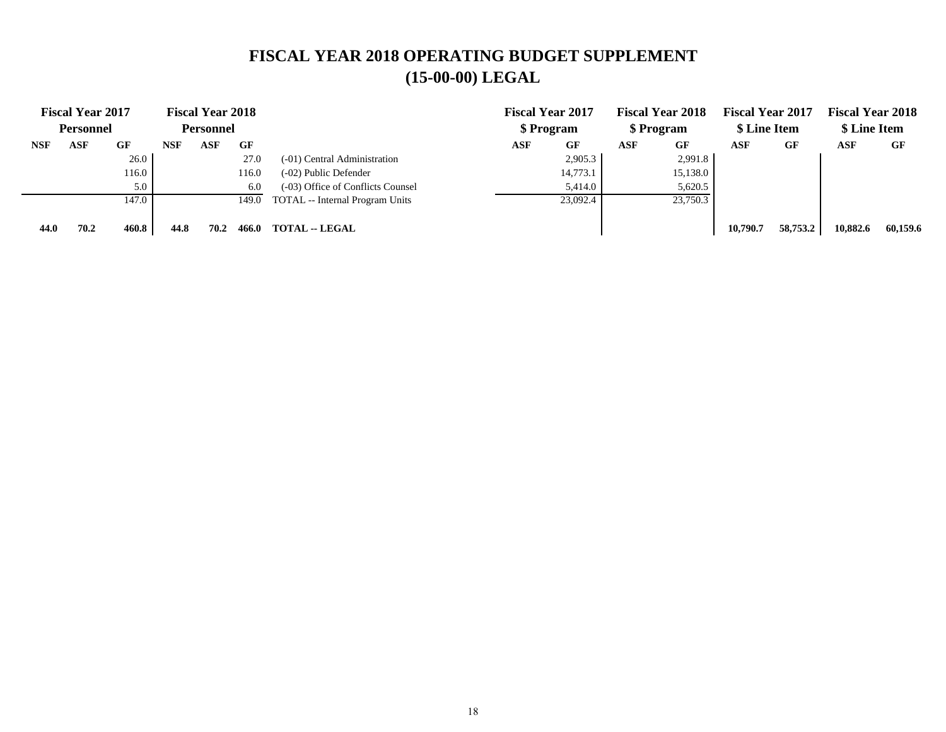## **FISCAL YEAR 2018 OPERATING BUDGET SUPPLEMENT (15-00-00) LEGAL**

|            | <b>Fiscal Year 2017</b><br><b>Personnel</b> |       |            | <b>Fiscal Year 2018</b><br><b>Personnel</b> |       |                                   | <b>Fiscal Year 2017</b><br>\$ Program |          | <b>Fiscal Year 2018</b><br>\$ Program |          | <b>Fiscal Year 2017</b><br>\$ Line Item |          | <b>Fiscal Year 2018</b><br>\$ Line Item |          |
|------------|---------------------------------------------|-------|------------|---------------------------------------------|-------|-----------------------------------|---------------------------------------|----------|---------------------------------------|----------|-----------------------------------------|----------|-----------------------------------------|----------|
| <b>NSF</b> | ASF                                         | GF    | <b>NSF</b> | ASF                                         | GF    |                                   | ASF                                   | GF       | ASF                                   | GF       | <b>ASF</b>                              | GF       | ASF                                     | GF       |
|            |                                             | 26.0  |            |                                             | 27.0  | (-01) Central Administration      |                                       | 2,905.3  |                                       | 2,991.8  |                                         |          |                                         |          |
|            |                                             | 116.0 |            |                                             | 116.0 | (-02) Public Defender             |                                       | 14,773.1 |                                       | 15,138.0 |                                         |          |                                         |          |
|            |                                             | 5.0   |            |                                             | 6.0   | (-03) Office of Conflicts Counsel |                                       | 5,414.0  |                                       | 5,620.5  |                                         |          |                                         |          |
|            |                                             | 147.0 |            |                                             | 149.0 | TOTAL -- Internal Program Units   |                                       | 23,092.4 |                                       | 23,750.3 |                                         |          |                                         |          |
|            |                                             |       |            |                                             |       |                                   |                                       |          |                                       |          |                                         |          |                                         |          |
| 44.0       | 70.2                                        | 460.8 | 44.8       | 70.2                                        | 466.0 | <b>TOTAL -- LEGAL</b>             |                                       |          |                                       |          | 10,790.7                                | 58,753.2 | 10.882.6                                | 60.159.6 |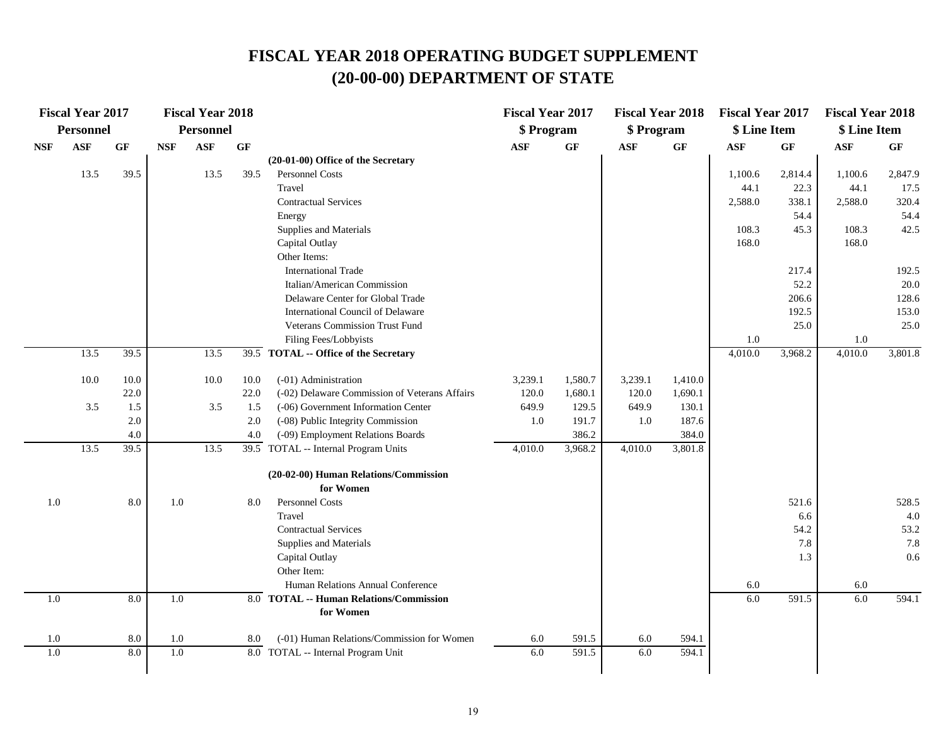|                  | <b>Fiscal Year 2017</b> |         |            | <b>Fiscal Year 2018</b> |      |                                               | <b>Fiscal Year 2017</b> |           | <b>Fiscal Year 2018</b> |         | <b>Fiscal Year 2017</b> |         | <b>Fiscal Year 2018</b> |         |
|------------------|-------------------------|---------|------------|-------------------------|------|-----------------------------------------------|-------------------------|-----------|-------------------------|---------|-------------------------|---------|-------------------------|---------|
|                  | Personnel               |         |            | <b>Personnel</b>        |      |                                               | \$ Program              |           | \$ Program              |         | \$ Line Item            |         | \$ Line Item            |         |
| <b>NSF</b>       | <b>ASF</b>              | GF      | <b>NSF</b> | ASF                     | GF   |                                               | <b>ASF</b>              | <b>GF</b> | <b>ASF</b>              | GF      | <b>ASF</b>              | GF      | <b>ASF</b>              | GF      |
|                  |                         |         |            |                         |      | (20-01-00) Office of the Secretary            |                         |           |                         |         |                         |         |                         |         |
|                  | 13.5                    | 39.5    |            | 13.5                    | 39.5 | Personnel Costs                               |                         |           |                         |         | 1,100.6                 | 2,814.4 | 1,100.6                 | 2,847.9 |
|                  |                         |         |            |                         |      | Travel                                        |                         |           |                         |         | 44.1                    | 22.3    | 44.1                    | 17.5    |
|                  |                         |         |            |                         |      | <b>Contractual Services</b>                   |                         |           |                         |         | 2,588.0                 | 338.1   | 2,588.0                 | 320.4   |
|                  |                         |         |            |                         |      | Energy                                        |                         |           |                         |         |                         | 54.4    |                         | 54.4    |
|                  |                         |         |            |                         |      | Supplies and Materials                        |                         |           |                         |         | 108.3                   | 45.3    | 108.3                   | 42.5    |
|                  |                         |         |            |                         |      | Capital Outlay                                |                         |           |                         |         | 168.0                   |         | 168.0                   |         |
|                  |                         |         |            |                         |      | Other Items:                                  |                         |           |                         |         |                         |         |                         |         |
|                  |                         |         |            |                         |      | <b>International Trade</b>                    |                         |           |                         |         |                         | 217.4   |                         | 192.5   |
|                  |                         |         |            |                         |      | Italian/American Commission                   |                         |           |                         |         |                         | 52.2    |                         | 20.0    |
|                  |                         |         |            |                         |      | Delaware Center for Global Trade              |                         |           |                         |         |                         | 206.6   |                         | 128.6   |
|                  |                         |         |            |                         |      | International Council of Delaware             |                         |           |                         |         |                         | 192.5   |                         | 153.0   |
|                  |                         |         |            |                         |      | Veterans Commission Trust Fund                |                         |           |                         |         |                         | 25.0    |                         | 25.0    |
|                  |                         |         |            |                         |      | Filing Fees/Lobbyists                         |                         |           |                         |         | 1.0                     |         | 1.0                     |         |
|                  | 13.5                    | 39.5    |            | 13.5                    |      | 39.5 TOTAL -- Office of the Secretary         |                         |           |                         |         | 4,010.0                 | 3,968.2 | 4,010.0                 | 3,801.8 |
|                  | 10.0                    | 10.0    |            | 10.0                    | 10.0 | (-01) Administration                          | 3,239.1                 | 1,580.7   | 3,239.1                 | 1,410.0 |                         |         |                         |         |
|                  |                         | 22.0    |            |                         | 22.0 | (-02) Delaware Commission of Veterans Affairs | 120.0                   | 1,680.1   | 120.0                   | 1,690.1 |                         |         |                         |         |
|                  | 3.5                     | 1.5     |            | 3.5                     | 1.5  | (-06) Government Information Center           | 649.9                   | 129.5     | 649.9                   | 130.1   |                         |         |                         |         |
|                  |                         | 2.0     |            |                         | 2.0  | (-08) Public Integrity Commission             | 1.0                     | 191.7     | 1.0                     | 187.6   |                         |         |                         |         |
|                  |                         | $4.0\,$ |            |                         | 4.0  | (-09) Employment Relations Boards             |                         | 386.2     |                         | 384.0   |                         |         |                         |         |
|                  | 13.5                    | 39.5    |            | 13.5                    |      | 39.5 TOTAL -- Internal Program Units          | 4,010.0                 | 3,968.2   | 4,010.0                 | 3,801.8 |                         |         |                         |         |
|                  |                         |         |            |                         |      | (20-02-00) Human Relations/Commission         |                         |           |                         |         |                         |         |                         |         |
|                  |                         |         |            |                         |      | for Women                                     |                         |           |                         |         |                         |         |                         |         |
| 1.0              |                         | 8.0     | 1.0        |                         | 8.0  | Personnel Costs                               |                         |           |                         |         |                         | 521.6   |                         | 528.5   |
|                  |                         |         |            |                         |      | Travel                                        |                         |           |                         |         |                         | 6.6     |                         | 4.0     |
|                  |                         |         |            |                         |      | <b>Contractual Services</b>                   |                         |           |                         |         |                         | 54.2    |                         | 53.2    |
|                  |                         |         |            |                         |      | Supplies and Materials                        |                         |           |                         |         |                         | 7.8     |                         | 7.8     |
|                  |                         |         |            |                         |      | Capital Outlay                                |                         |           |                         |         |                         | 1.3     |                         | 0.6     |
|                  |                         |         |            |                         |      | Other Item:                                   |                         |           |                         |         |                         |         |                         |         |
|                  |                         |         |            |                         |      | Human Relations Annual Conference             |                         |           |                         |         | 6.0                     |         | 6.0                     |         |
| 1.0              |                         | 8.0     | 1.0        |                         |      | 8.0 TOTAL -- Human Relations/Commission       |                         |           |                         |         | 6.0                     | 591.5   | 6.0                     | 594.1   |
|                  |                         |         |            |                         |      | for Women                                     |                         |           |                         |         |                         |         |                         |         |
| 1.0              |                         | 8.0     | 1.0        |                         | 8.0  | (-01) Human Relations/Commission for Women    | 6.0                     | 591.5     | 6.0                     | 594.1   |                         |         |                         |         |
| $\overline{1.0}$ |                         | 8.0     | 1.0        |                         |      | 8.0 TOTAL -- Internal Program Unit            | 6.0                     | 591.5     | 6.0                     | 594.1   |                         |         |                         |         |
|                  |                         |         |            |                         |      |                                               |                         |           |                         |         |                         |         |                         |         |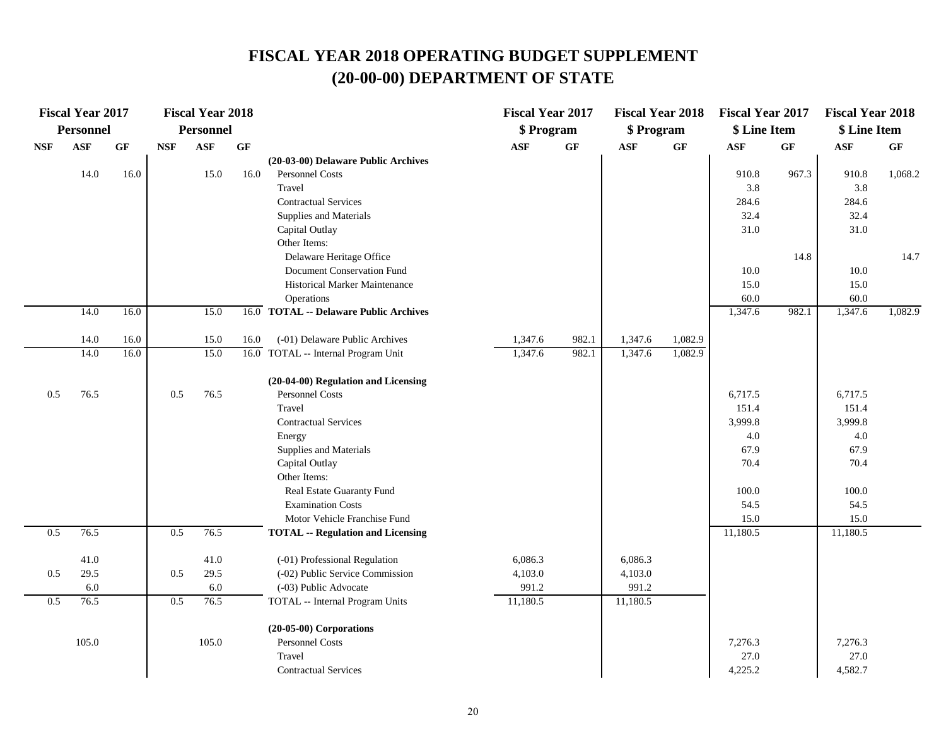|            | <b>Fiscal Year 2017</b> |      |            | <b>Fiscal Year 2018</b> |                 |                                                       | <b>Fiscal Year 2017</b> |       | <b>Fiscal Year 2018</b> |         | <b>Fiscal Year 2017</b> |                 | <b>Fiscal Year 2018</b> |                 |
|------------|-------------------------|------|------------|-------------------------|-----------------|-------------------------------------------------------|-------------------------|-------|-------------------------|---------|-------------------------|-----------------|-------------------------|-----------------|
|            | <b>Personnel</b>        |      |            | <b>Personnel</b>        |                 |                                                       | \$ Program              |       | \$ Program              |         | \$ Line Item            |                 | \$ Line Item            |                 |
| <b>NSF</b> | $\mathbf{ASF}$          | GF   | <b>NSF</b> | <b>ASF</b>              | $\bf{G} \bf{F}$ |                                                       | ASF                     | GF    | $\mathbf{ASF}$          | GF      | <b>ASF</b>              | $\bf{G} \bf{F}$ | <b>ASF</b>              | $\bf{G} \bf{F}$ |
|            |                         |      |            |                         |                 | (20-03-00) Delaware Public Archives                   |                         |       |                         |         |                         |                 |                         |                 |
|            | 14.0                    | 16.0 |            | 15.0                    | 16.0            | Personnel Costs                                       |                         |       |                         |         | 910.8                   | 967.3           | 910.8                   | 1,068.2         |
|            |                         |      |            |                         |                 | Travel                                                |                         |       |                         |         | 3.8                     |                 | 3.8                     |                 |
|            |                         |      |            |                         |                 | <b>Contractual Services</b>                           |                         |       |                         |         | 284.6                   |                 | 284.6                   |                 |
|            |                         |      |            |                         |                 | Supplies and Materials                                |                         |       |                         |         | 32.4                    |                 | 32.4                    |                 |
|            |                         |      |            |                         |                 | Capital Outlay                                        |                         |       |                         |         | 31.0                    |                 | 31.0                    |                 |
|            |                         |      |            |                         |                 | Other Items:                                          |                         |       |                         |         |                         |                 |                         |                 |
|            |                         |      |            |                         |                 | Delaware Heritage Office                              |                         |       |                         |         |                         | 14.8            |                         | 14.7            |
|            |                         |      |            |                         |                 | Document Conservation Fund                            |                         |       |                         |         | 10.0                    |                 | $10.0\,$                |                 |
|            |                         |      |            |                         |                 | Historical Marker Maintenance                         |                         |       |                         |         | 15.0                    |                 | 15.0                    |                 |
|            | 14.0                    | 16.0 |            | 15.0                    |                 | Operations<br>16.0 TOTAL -- Delaware Public Archives  |                         |       |                         |         | 60.0<br>1,347.6         | 982.1           | 60.0<br>1,347.6         | 1,082.9         |
|            |                         |      |            |                         |                 |                                                       |                         |       |                         |         |                         |                 |                         |                 |
|            | 14.0                    | 16.0 |            | 15.0                    | 16.0            | (-01) Delaware Public Archives                        | 1,347.6                 | 982.1 | 1,347.6                 | 1,082.9 |                         |                 |                         |                 |
|            | 14.0                    | 16.0 |            | 15.0                    |                 | 16.0 TOTAL -- Internal Program Unit                   | 1,347.6                 | 982.1 | 1,347.6                 | 1,082.9 |                         |                 |                         |                 |
|            |                         |      |            |                         |                 |                                                       |                         |       |                         |         |                         |                 |                         |                 |
|            |                         |      |            |                         |                 | (20-04-00) Regulation and Licensing                   |                         |       |                         |         |                         |                 |                         |                 |
| 0.5        | 76.5                    |      | 0.5        | 76.5                    |                 | <b>Personnel Costs</b>                                |                         |       |                         |         | 6,717.5                 |                 | 6,717.5                 |                 |
|            |                         |      |            |                         |                 | Travel                                                |                         |       |                         |         | 151.4                   |                 | 151.4                   |                 |
|            |                         |      |            |                         |                 | <b>Contractual Services</b>                           |                         |       |                         |         | 3,999.8                 |                 | 3,999.8                 |                 |
|            |                         |      |            |                         |                 | Energy                                                |                         |       |                         |         | 4.0                     |                 | 4.0                     |                 |
|            |                         |      |            |                         |                 | Supplies and Materials                                |                         |       |                         |         | 67.9                    |                 | 67.9                    |                 |
|            |                         |      |            |                         |                 | Capital Outlay                                        |                         |       |                         |         | 70.4                    |                 | 70.4                    |                 |
|            |                         |      |            |                         |                 | Other Items:                                          |                         |       |                         |         | 100.0                   |                 | 100.0                   |                 |
|            |                         |      |            |                         |                 | Real Estate Guaranty Fund<br><b>Examination Costs</b> |                         |       |                         |         | 54.5                    |                 | 54.5                    |                 |
|            |                         |      |            |                         |                 | Motor Vehicle Franchise Fund                          |                         |       |                         |         | 15.0                    |                 | 15.0                    |                 |
| 0.5        | 76.5                    |      | 0.5        | 76.5                    |                 | <b>TOTAL -- Regulation and Licensing</b>              |                         |       |                         |         | 11,180.5                |                 | 11,180.5                |                 |
|            |                         |      |            |                         |                 |                                                       |                         |       |                         |         |                         |                 |                         |                 |
|            | 41.0                    |      |            | 41.0                    |                 | (-01) Professional Regulation                         | 6,086.3                 |       | 6,086.3                 |         |                         |                 |                         |                 |
| 0.5        | 29.5                    |      | 0.5        | 29.5                    |                 | (-02) Public Service Commission                       | 4,103.0                 |       | 4,103.0                 |         |                         |                 |                         |                 |
|            | 6.0                     |      |            | 6.0                     |                 | (-03) Public Advocate                                 | 991.2                   |       | 991.2                   |         |                         |                 |                         |                 |
| 0.5        | 76.5                    |      | 0.5        | 76.5                    |                 | TOTAL -- Internal Program Units                       | 11,180.5                |       | 11,180.5                |         |                         |                 |                         |                 |
|            |                         |      |            |                         |                 | $(20-05-00)$ Corporations                             |                         |       |                         |         |                         |                 |                         |                 |
|            | 105.0                   |      |            | 105.0                   |                 | Personnel Costs                                       |                         |       |                         |         | 7,276.3                 |                 | 7,276.3                 |                 |
|            |                         |      |            |                         |                 | Travel                                                |                         |       |                         |         | 27.0                    |                 | 27.0                    |                 |
|            |                         |      |            |                         |                 | <b>Contractual Services</b>                           |                         |       |                         |         | 4,225.2                 |                 | 4,582.7                 |                 |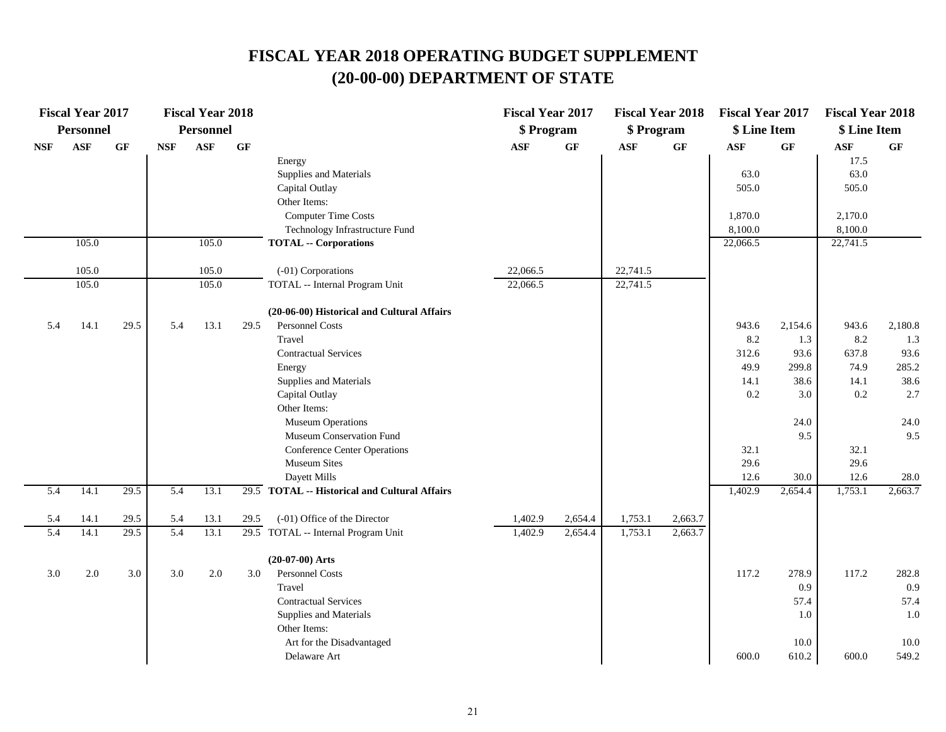|            | <b>Fiscal Year 2017</b> |      |            | <b>Fiscal Year 2018</b> |      |                                               | <b>Fiscal Year 2017</b> |                 | <b>Fiscal Year 2018</b> |                 | <b>Fiscal Year 2017</b> |                 | <b>Fiscal Year 2018</b> |           |
|------------|-------------------------|------|------------|-------------------------|------|-----------------------------------------------|-------------------------|-----------------|-------------------------|-----------------|-------------------------|-----------------|-------------------------|-----------|
|            | Personnel               |      |            | <b>Personnel</b>        |      |                                               | \$ Program              |                 | \$ Program              |                 | \$ Line Item            |                 | \$ Line Item            |           |
| <b>NSF</b> | <b>ASF</b>              | GF   | <b>NSF</b> | <b>ASF</b>              | GF   |                                               | <b>ASF</b>              | $\bf{G} \bf{F}$ | <b>ASF</b>              | $\bf{G} \bf{F}$ | <b>ASF</b>              | $\bf{G} \bf{F}$ | ASF                     | <b>GF</b> |
|            |                         |      |            |                         |      | Energy                                        |                         |                 |                         |                 |                         |                 | 17.5                    |           |
|            |                         |      |            |                         |      | Supplies and Materials                        |                         |                 |                         |                 | 63.0                    |                 | 63.0                    |           |
|            |                         |      |            |                         |      | Capital Outlay                                |                         |                 |                         |                 | 505.0                   |                 | 505.0                   |           |
|            |                         |      |            |                         |      | Other Items:                                  |                         |                 |                         |                 |                         |                 |                         |           |
|            |                         |      |            |                         |      | <b>Computer Time Costs</b>                    |                         |                 |                         |                 | 1,870.0                 |                 | 2,170.0                 |           |
|            |                         |      |            |                         |      | Technology Infrastructure Fund                |                         |                 |                         |                 | 8,100.0                 |                 | 8,100.0                 |           |
|            | 105.0                   |      |            | 105.0                   |      | <b>TOTAL -- Corporations</b>                  |                         |                 |                         |                 | 22,066.5                |                 | 22,741.5                |           |
|            | 105.0                   |      |            | 105.0                   |      | (-01) Corporations                            | 22,066.5                |                 | 22,741.5                |                 |                         |                 |                         |           |
|            | 105.0                   |      |            | 105.0                   |      | TOTAL -- Internal Program Unit                | 22,066.5                |                 | 22,741.5                |                 |                         |                 |                         |           |
|            |                         |      |            |                         |      | (20-06-00) Historical and Cultural Affairs    |                         |                 |                         |                 |                         |                 |                         |           |
| 5.4        | 14.1                    | 29.5 | 5.4        | 13.1                    | 29.5 | Personnel Costs                               |                         |                 |                         |                 | 943.6                   | 2,154.6         | 943.6                   | 2,180.8   |
|            |                         |      |            |                         |      | Travel                                        |                         |                 |                         |                 | 8.2                     | 1.3             | 8.2                     | 1.3       |
|            |                         |      |            |                         |      | <b>Contractual Services</b>                   |                         |                 |                         |                 | 312.6                   | 93.6            | 637.8                   | 93.6      |
|            |                         |      |            |                         |      | Energy                                        |                         |                 |                         |                 | 49.9                    | 299.8           | 74.9                    | 285.2     |
|            |                         |      |            |                         |      | Supplies and Materials                        |                         |                 |                         |                 | 14.1                    | 38.6            | 14.1                    | 38.6      |
|            |                         |      |            |                         |      | Capital Outlay                                |                         |                 |                         |                 | $0.2\,$                 | 3.0             | 0.2                     | 2.7       |
|            |                         |      |            |                         |      | Other Items:                                  |                         |                 |                         |                 |                         |                 |                         |           |
|            |                         |      |            |                         |      | <b>Museum Operations</b>                      |                         |                 |                         |                 |                         | 24.0            |                         | 24.0      |
|            |                         |      |            |                         |      | Museum Conservation Fund                      |                         |                 |                         |                 |                         | 9.5             |                         | 9.5       |
|            |                         |      |            |                         |      | <b>Conference Center Operations</b>           |                         |                 |                         |                 | 32.1                    |                 | 32.1                    |           |
|            |                         |      |            |                         |      | <b>Museum Sites</b>                           |                         |                 |                         |                 | 29.6                    |                 | 29.6                    |           |
|            |                         |      |            |                         |      | Dayett Mills                                  |                         |                 |                         |                 | 12.6                    | 30.0            | 12.6                    | 28.0      |
| 5.4        | 14.1                    | 29.5 | 5.4        | 13.1                    |      | 29.5 TOTAL -- Historical and Cultural Affairs |                         |                 |                         |                 | 1,402.9                 | 2,654.4         | 1,753.1                 | 2,663.7   |
| 5.4        | 14.1                    | 29.5 | 5.4        | 13.1                    | 29.5 | (-01) Office of the Director                  | 1,402.9                 | 2,654.4         | 1,753.1                 | 2,663.7         |                         |                 |                         |           |
| 5.4        | 14.1                    | 29.5 | 5.4        | 13.1                    |      | 29.5 TOTAL -- Internal Program Unit           | 1,402.9                 | 2,654.4         | 1,753.1                 | 2,663.7         |                         |                 |                         |           |
|            |                         |      |            |                         |      | $(20-07-00)$ Arts                             |                         |                 |                         |                 |                         |                 |                         |           |
| 3.0        | 2.0                     | 3.0  | 3.0        | $2.0\,$                 | 3.0  | Personnel Costs                               |                         |                 |                         |                 | 117.2                   | 278.9           | 117.2                   | 282.8     |
|            |                         |      |            |                         |      | Travel                                        |                         |                 |                         |                 |                         | 0.9             |                         | 0.9       |
|            |                         |      |            |                         |      | <b>Contractual Services</b>                   |                         |                 |                         |                 |                         | 57.4            |                         | 57.4      |
|            |                         |      |            |                         |      | Supplies and Materials                        |                         |                 |                         |                 |                         | 1.0             |                         | 1.0       |
|            |                         |      |            |                         |      | Other Items:                                  |                         |                 |                         |                 |                         |                 |                         |           |
|            |                         |      |            |                         |      | Art for the Disadvantaged                     |                         |                 |                         |                 |                         | 10.0            |                         | 10.0      |
|            |                         |      |            |                         |      | Delaware Art                                  |                         |                 |                         |                 | 600.0                   | 610.2           | 600.0                   | 549.2     |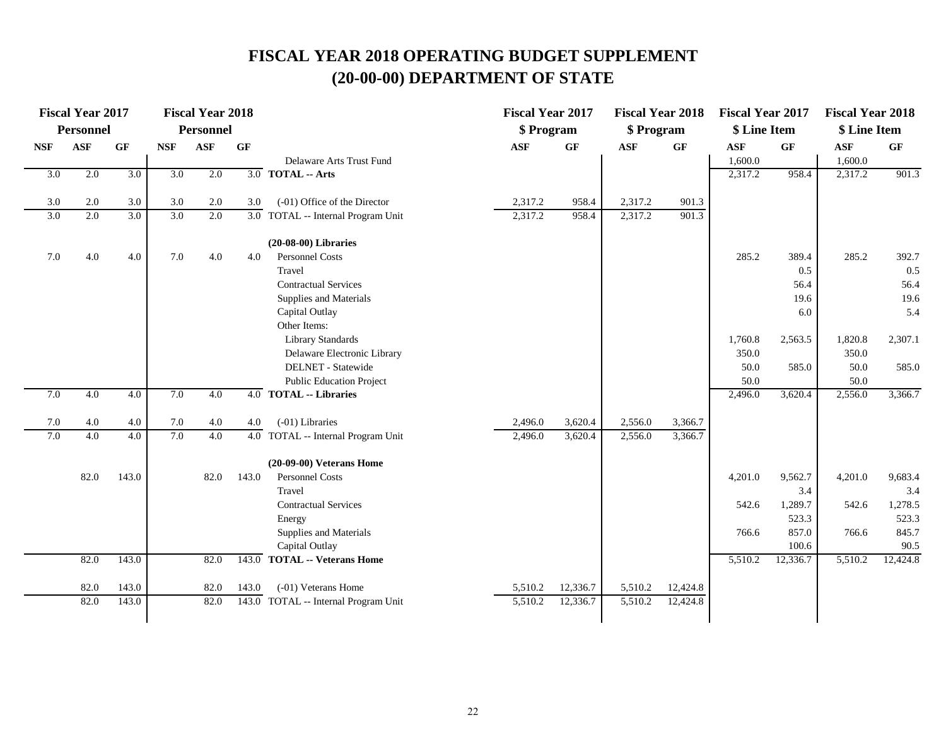|                  | <b>Fiscal Year 2017</b> |                  |            | <b>Fiscal Year 2018</b> |       |                                                 | <b>Fiscal Year 2017</b> |                 | <b>Fiscal Year 2018</b> |                 | <b>Fiscal Year 2017</b> |                 | <b>Fiscal Year 2018</b> |          |
|------------------|-------------------------|------------------|------------|-------------------------|-------|-------------------------------------------------|-------------------------|-----------------|-------------------------|-----------------|-------------------------|-----------------|-------------------------|----------|
|                  | Personnel               |                  |            | <b>Personnel</b>        |       |                                                 | \$ Program              |                 | \$ Program              |                 | \$ Line Item            |                 | \$ Line Item            |          |
| <b>NSF</b>       | <b>ASF</b>              | GF               | <b>NSF</b> | <b>ASF</b>              | GF    |                                                 | <b>ASF</b>              | $\bf{G} \bf{F}$ | <b>ASF</b>              | $\bf{G} \bf{F}$ | <b>ASF</b>              | $\bf{G} \bf{F}$ | <b>ASF</b>              | GF       |
|                  |                         |                  |            |                         |       | Delaware Arts Trust Fund                        |                         |                 |                         |                 | 1,600.0                 |                 | 1,600.0                 |          |
| $\overline{3.0}$ | 2.0                     | 3.0              | 3.0        | 2.0                     |       | $\overline{3.0}$ TOTAL -- Arts                  |                         |                 |                         |                 | 2,317.2                 | 958.4           | 2,317.2                 | 901.3    |
|                  |                         |                  |            |                         |       |                                                 |                         |                 |                         |                 |                         |                 |                         |          |
| 3.0              | 2.0                     | 3.0              | 3.0        | 2.0                     | 3.0   | (-01) Office of the Director                    | 2,317.2                 | 958.4           | 2,317.2                 | 901.3           |                         |                 |                         |          |
| $\overline{3.0}$ | 2.0                     | $\overline{3.0}$ | 3.0        | 2.0                     |       | $\overline{3.0}$ TOTAL -- Internal Program Unit | 2,317.2                 | 958.4           | 2,317.2                 | 901.3           |                         |                 |                         |          |
|                  |                         |                  |            |                         |       | $(20-08-00)$ Libraries                          |                         |                 |                         |                 |                         |                 |                         |          |
| 7.0              | 4.0                     | 4.0              | 7.0        | 4.0                     | 4.0   | Personnel Costs                                 |                         |                 |                         |                 | 285.2                   | 389.4           | 285.2                   | 392.7    |
|                  |                         |                  |            |                         |       | Travel                                          |                         |                 |                         |                 |                         | 0.5             |                         | 0.5      |
|                  |                         |                  |            |                         |       | <b>Contractual Services</b>                     |                         |                 |                         |                 |                         | 56.4            |                         | 56.4     |
|                  |                         |                  |            |                         |       | Supplies and Materials                          |                         |                 |                         |                 |                         | 19.6            |                         | 19.6     |
|                  |                         |                  |            |                         |       | Capital Outlay                                  |                         |                 |                         |                 |                         | 6.0             |                         | 5.4      |
|                  |                         |                  |            |                         |       | Other Items:                                    |                         |                 |                         |                 |                         |                 |                         |          |
|                  |                         |                  |            |                         |       | Library Standards                               |                         |                 |                         |                 | 1,760.8                 | 2,563.5         | 1,820.8                 | 2,307.1  |
|                  |                         |                  |            |                         |       | Delaware Electronic Library                     |                         |                 |                         |                 | 350.0                   |                 | 350.0                   |          |
|                  |                         |                  |            |                         |       | DELNET - Statewide                              |                         |                 |                         |                 | 50.0                    | 585.0           | 50.0                    | 585.0    |
|                  |                         |                  |            |                         |       | <b>Public Education Project</b>                 |                         |                 |                         |                 | 50.0                    |                 | 50.0                    |          |
| 7.0              | 4.0                     | $\overline{4.0}$ | 7.0        | $\overline{4.0}$        |       | $\overline{4.0}$ TOTAL -- Libraries             |                         |                 |                         |                 | 2,496.0                 | 3,620.4         | 2,556.0                 | 3,366.7  |
| 7.0              | 4.0                     | 4.0              | 7.0        | 4.0                     | 4.0   | $(-01)$ Libraries                               | 2,496.0                 | 3,620.4         | 2,556.0                 | 3,366.7         |                         |                 |                         |          |
| 7.0              | 4.0                     | $\overline{4.0}$ | 7.0        | 4.0                     | 4.0   | TOTAL -- Internal Program Unit                  | 2,496.0                 | 3,620.4         | 2,556.0                 | 3,366.7         |                         |                 |                         |          |
|                  |                         |                  |            |                         |       | $(20-09-00)$ Veterans Home                      |                         |                 |                         |                 |                         |                 |                         |          |
|                  | 82.0                    | 143.0            |            | 82.0                    | 143.0 | Personnel Costs                                 |                         |                 |                         |                 | 4,201.0                 | 9,562.7         | 4,201.0                 | 9,683.4  |
|                  |                         |                  |            |                         |       | Travel                                          |                         |                 |                         |                 |                         | 3.4             |                         | 3.4      |
|                  |                         |                  |            |                         |       | <b>Contractual Services</b>                     |                         |                 |                         |                 | 542.6                   | 1,289.7         | 542.6                   | 1,278.5  |
|                  |                         |                  |            |                         |       | Energy                                          |                         |                 |                         |                 |                         | 523.3           |                         | 523.3    |
|                  |                         |                  |            |                         |       | Supplies and Materials                          |                         |                 |                         |                 | 766.6                   | 857.0           | 766.6                   | 845.7    |
|                  |                         |                  |            |                         |       | Capital Outlay                                  |                         |                 |                         |                 |                         | 100.6           |                         | 90.5     |
|                  | 82.0                    | 143.0            |            | 82.0                    | 143.0 | <b>TOTAL -- Veterans Home</b>                   |                         |                 |                         |                 | 5,510.2                 | 12,336.7        | 5,510.2                 | 12,424.8 |
|                  | 82.0                    | 143.0            |            | 82.0                    | 143.0 | (-01) Veterans Home                             | 5,510.2                 | 12,336.7        | 5,510.2                 | 12,424.8        |                         |                 |                         |          |
|                  | 82.0                    | 143.0            |            | 82.0                    | 143.0 | TOTAL -- Internal Program Unit                  | 5,510.2                 | 12,336.7        | 5,510.2                 | 12,424.8        |                         |                 |                         |          |
|                  |                         |                  |            |                         |       |                                                 |                         |                 |                         |                 |                         |                 |                         |          |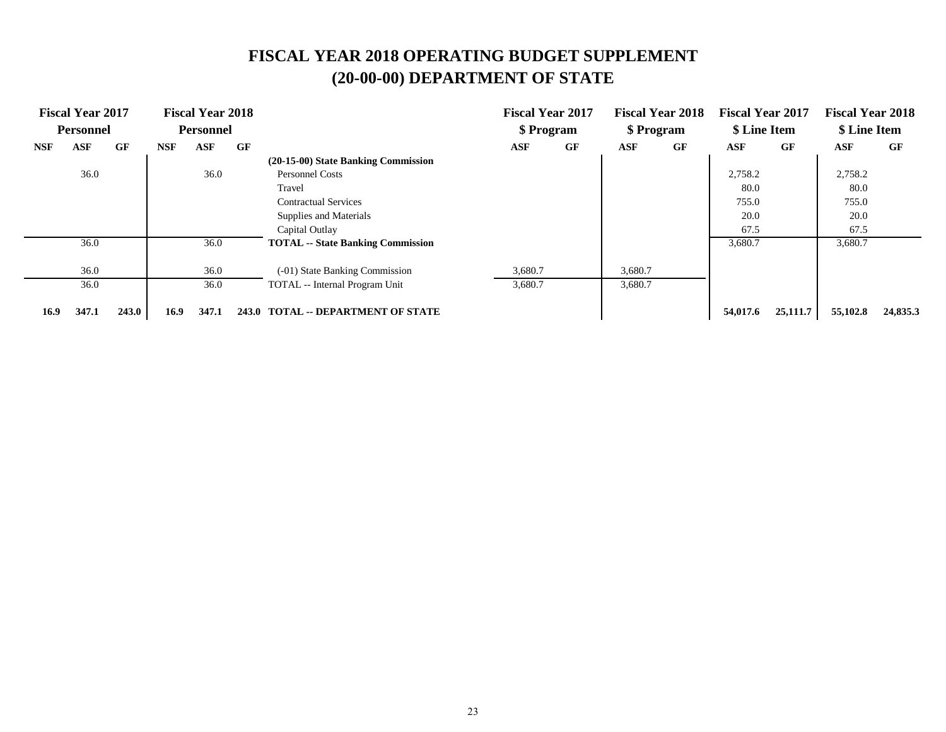|            | <b>Fiscal Year 2017</b> |       |            | <b>Fiscal Year 2018</b> |    |                                          |         | <b>Fiscal Year 2017</b> |         | <b>Fiscal Year 2018</b> | <b>Fiscal Year 2017</b> |          | <b>Fiscal Year 2018</b> |          |
|------------|-------------------------|-------|------------|-------------------------|----|------------------------------------------|---------|-------------------------|---------|-------------------------|-------------------------|----------|-------------------------|----------|
|            | <b>Personnel</b>        |       |            | <b>Personnel</b>        |    |                                          |         | \$ Program              |         | \$ Program              | \$ Line Item            |          | \$ Line Item            |          |
| <b>NSF</b> | ASF                     | GF    | <b>NSF</b> | ASF                     | GF |                                          | ASF     | GF                      | ASF     | GF                      | ASF                     | GF       | ASF                     | GF       |
|            |                         |       |            |                         |    | (20-15-00) State Banking Commission      |         |                         |         |                         |                         |          |                         |          |
|            | 36.0                    |       |            | 36.0                    |    | <b>Personnel Costs</b>                   |         |                         |         |                         | 2,758.2                 |          | 2,758.2                 |          |
|            |                         |       |            |                         |    | Travel                                   |         |                         |         |                         | 80.0                    |          | 80.0                    |          |
|            |                         |       |            |                         |    | <b>Contractual Services</b>              |         |                         |         |                         | 755.0                   |          | 755.0                   |          |
|            |                         |       |            |                         |    | Supplies and Materials                   |         |                         |         |                         | 20.0                    |          | 20.0                    |          |
|            |                         |       |            |                         |    | Capital Outlay                           |         |                         |         |                         | 67.5                    |          | 67.5                    |          |
|            | 36.0                    |       |            | 36.0                    |    | <b>TOTAL</b> -- State Banking Commission |         |                         |         |                         | 3,680.7                 |          | 3,680.7                 |          |
|            | 36.0                    |       |            | 36.0                    |    | (-01) State Banking Commission           | 3,680.7 |                         | 3,680.7 |                         |                         |          |                         |          |
|            | 36.0                    |       |            | 36.0                    |    | TOTAL -- Internal Program Unit           | 3,680.7 |                         | 3,680.7 |                         |                         |          |                         |          |
| 16.9       | 347.1                   | 243.0 | 16.9       | 347.1                   |    | 243.0 TOTAL -- DEPARTMENT OF STATE       |         |                         |         |                         | 54,017.6                | 25,111.7 | 55,102.8                | 24,835.3 |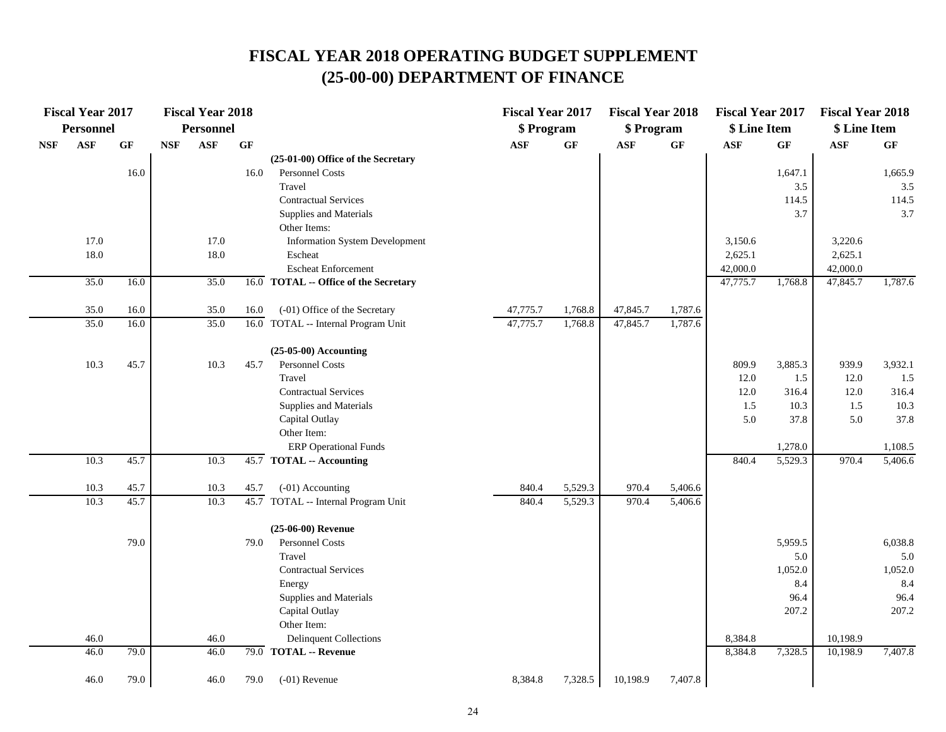|            | <b>Fiscal Year 2017</b> |      |            | <b>Fiscal Year 2018</b> |                 |                                       | <b>Fiscal Year 2017</b> |         | <b>Fiscal Year 2018</b> |                 | <b>Fiscal Year 2017</b> |         | <b>Fiscal Year 2018</b> |         |
|------------|-------------------------|------|------------|-------------------------|-----------------|---------------------------------------|-------------------------|---------|-------------------------|-----------------|-------------------------|---------|-------------------------|---------|
|            | <b>Personnel</b>        |      |            | <b>Personnel</b>        |                 |                                       | \$ Program              |         | \$ Program              |                 | \$ Line Item            |         | \$ Line Item            |         |
| <b>NSF</b> | <b>ASF</b>              | GF   | <b>NSF</b> | <b>ASF</b>              | $\bf{G} \bf{F}$ |                                       | <b>ASF</b>              | GF      | ASF                     | $\bf{G} \bf{F}$ | <b>ASF</b>              | GF      | <b>ASF</b>              | GF      |
|            |                         |      |            |                         |                 | (25-01-00) Office of the Secretary    |                         |         |                         |                 |                         |         |                         |         |
|            |                         | 16.0 |            |                         | 16.0            | Personnel Costs                       |                         |         |                         |                 |                         | 1,647.1 |                         | 1,665.9 |
|            |                         |      |            |                         |                 | Travel                                |                         |         |                         |                 |                         | 3.5     |                         | 3.5     |
|            |                         |      |            |                         |                 | <b>Contractual Services</b>           |                         |         |                         |                 |                         | 114.5   |                         | 114.5   |
|            |                         |      |            |                         |                 | Supplies and Materials                |                         |         |                         |                 |                         | 3.7     |                         | 3.7     |
|            |                         |      |            |                         |                 | Other Items:                          |                         |         |                         |                 |                         |         |                         |         |
|            | 17.0                    |      |            | 17.0                    |                 | <b>Information System Development</b> |                         |         |                         |                 | 3,150.6                 |         | 3,220.6                 |         |
|            | 18.0                    |      |            | 18.0                    |                 | Escheat                               |                         |         |                         |                 | 2,625.1                 |         | 2,625.1                 |         |
|            |                         |      |            |                         |                 | <b>Escheat Enforcement</b>            |                         |         |                         |                 | 42,000.0                |         | 42,000.0                |         |
|            | 35.0                    | 16.0 |            | 35.0                    |                 | 16.0 TOTAL -- Office of the Secretary |                         |         |                         |                 | 47,775.7                | 1,768.8 | 47,845.7                | 1,787.6 |
|            | 35.0                    | 16.0 |            | 35.0                    | 16.0            | (-01) Office of the Secretary         | 47,775.7                | 1,768.8 | 47,845.7                | 1,787.6         |                         |         |                         |         |
|            | 35.0                    | 16.0 |            | 35.0                    |                 | 16.0 TOTAL -- Internal Program Unit   | 47,775.7                | 1,768.8 | 47,845.7                | 1,787.6         |                         |         |                         |         |
|            |                         |      |            |                         |                 | $(25-05-00)$ Accounting               |                         |         |                         |                 |                         |         |                         |         |
|            | 10.3                    | 45.7 |            | 10.3                    | 45.7            | Personnel Costs                       |                         |         |                         |                 | 809.9                   | 3,885.3 | 939.9                   | 3,932.1 |
|            |                         |      |            |                         |                 | Travel                                |                         |         |                         |                 | 12.0                    | 1.5     | 12.0                    | 1.5     |
|            |                         |      |            |                         |                 | <b>Contractual Services</b>           |                         |         |                         |                 | 12.0                    | 316.4   | 12.0                    | 316.4   |
|            |                         |      |            |                         |                 | Supplies and Materials                |                         |         |                         |                 | 1.5                     | 10.3    | $1.5$                   | 10.3    |
|            |                         |      |            |                         |                 | Capital Outlay                        |                         |         |                         |                 | 5.0                     | 37.8    | 5.0                     | 37.8    |
|            |                         |      |            |                         |                 | Other Item:                           |                         |         |                         |                 |                         |         |                         |         |
|            |                         |      |            |                         |                 | <b>ERP</b> Operational Funds          |                         |         |                         |                 |                         | 1,278.0 |                         | 1,108.5 |
|            | 10.3                    | 45.7 |            | 10.3                    |                 | $\overline{45.7}$ TOTAL -- Accounting |                         |         |                         |                 | 840.4                   | 5,529.3 | 970.4                   | 5,406.6 |
|            | 10.3                    | 45.7 |            | 10.3                    | 45.7            | (-01) Accounting                      | 840.4                   | 5,529.3 | 970.4                   | 5,406.6         |                         |         |                         |         |
|            | 10.3                    | 45.7 |            | 10.3                    |                 | 45.7 TOTAL -- Internal Program Unit   | 840.4                   | 5,529.3 | 970.4                   | 5,406.6         |                         |         |                         |         |
|            |                         |      |            |                         |                 | (25-06-00) Revenue                    |                         |         |                         |                 |                         |         |                         |         |
|            |                         | 79.0 |            |                         | 79.0            | Personnel Costs                       |                         |         |                         |                 |                         | 5,959.5 |                         | 6,038.8 |
|            |                         |      |            |                         |                 | Travel                                |                         |         |                         |                 |                         | 5.0     |                         | 5.0     |
|            |                         |      |            |                         |                 | <b>Contractual Services</b>           |                         |         |                         |                 |                         | 1,052.0 |                         | 1,052.0 |
|            |                         |      |            |                         |                 | Energy                                |                         |         |                         |                 |                         | 8.4     |                         | 8.4     |
|            |                         |      |            |                         |                 | Supplies and Materials                |                         |         |                         |                 |                         | 96.4    |                         | 96.4    |
|            |                         |      |            |                         |                 | Capital Outlay                        |                         |         |                         |                 |                         | 207.2   |                         | 207.2   |
|            |                         |      |            |                         |                 | Other Item:                           |                         |         |                         |                 |                         |         |                         |         |
|            | 46.0                    |      |            | 46.0                    |                 | <b>Delinquent Collections</b>         |                         |         |                         |                 | 8,384.8                 |         | 10,198.9                |         |
|            | 46.0                    | 79.0 |            | 46.0                    |                 | 79.0 TOTAL -- Revenue                 |                         |         |                         |                 | 8,384.8                 | 7,328.5 | 10,198.9                | 7,407.8 |
|            | 46.0                    | 79.0 |            | 46.0                    | 79.0            | $(-01)$ Revenue                       | 8,384.8                 | 7,328.5 | 10,198.9                | 7,407.8         |                         |         |                         |         |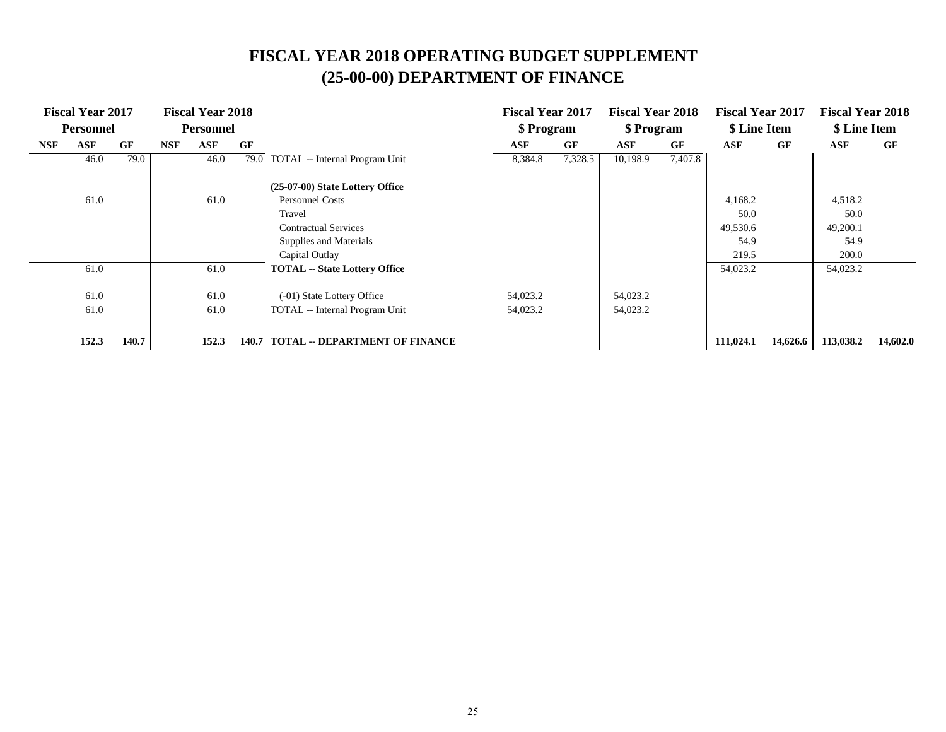|     | <b>Fiscal Year 2017</b> |       |            | <b>Fiscal Year 2018</b> |       |                                       | <b>Fiscal Year 2017</b> |         | <b>Fiscal Year 2018</b> |         | <b>Fiscal Year 2017</b> |          | <b>Fiscal Year 2018</b> |          |
|-----|-------------------------|-------|------------|-------------------------|-------|---------------------------------------|-------------------------|---------|-------------------------|---------|-------------------------|----------|-------------------------|----------|
|     | <b>Personnel</b>        |       |            | <b>Personnel</b>        |       |                                       | \$ Program              |         | \$ Program              |         | \$ Line Item            |          | \$ Line Item            |          |
| NSF | ASF                     | GF    | <b>NSF</b> | ASF                     | GF    |                                       | ASF                     | GF      | ASF                     | GF      | ASF                     | GF       | <b>ASF</b>              | GF       |
|     | 46.0                    | 79.0  |            | 46.0                    |       | 79.0 TOTAL -- Internal Program Unit   | 8,384.8                 | 7,328.5 | 10,198.9                | 7,407.8 |                         |          |                         |          |
|     |                         |       |            |                         |       | (25-07-00) State Lottery Office       |                         |         |                         |         |                         |          |                         |          |
|     | 61.0                    |       |            | 61.0                    |       | <b>Personnel Costs</b>                |                         |         |                         |         | 4,168.2                 |          | 4,518.2                 |          |
|     |                         |       |            |                         |       | Travel                                |                         |         |                         |         | 50.0                    |          | 50.0                    |          |
|     |                         |       |            |                         |       | <b>Contractual Services</b>           |                         |         |                         |         | 49,530.6                |          | 49,200.1                |          |
|     |                         |       |            |                         |       | Supplies and Materials                |                         |         |                         |         | 54.9                    |          | 54.9                    |          |
|     |                         |       |            |                         |       | Capital Outlay                        |                         |         |                         |         | 219.5                   |          | 200.0                   |          |
|     | 61.0                    |       |            | 61.0                    |       | <b>TOTAL</b> -- State Lottery Office  |                         |         |                         |         | 54,023.2                |          | 54,023.2                |          |
|     | 61.0                    |       |            | 61.0                    |       | (-01) State Lottery Office            | 54,023.2                |         | 54,023.2                |         |                         |          |                         |          |
|     | 61.0                    |       |            | 61.0                    |       | TOTAL -- Internal Program Unit        | 54,023.2                |         | 54,023.2                |         |                         |          |                         |          |
|     | 152.3                   | 140.7 |            | 152.3                   | 140.7 | <b>TOTAL -- DEPARTMENT OF FINANCE</b> |                         |         |                         |         | 111,024.1               | 14,626.6 | 113,038.2               | 14,602.0 |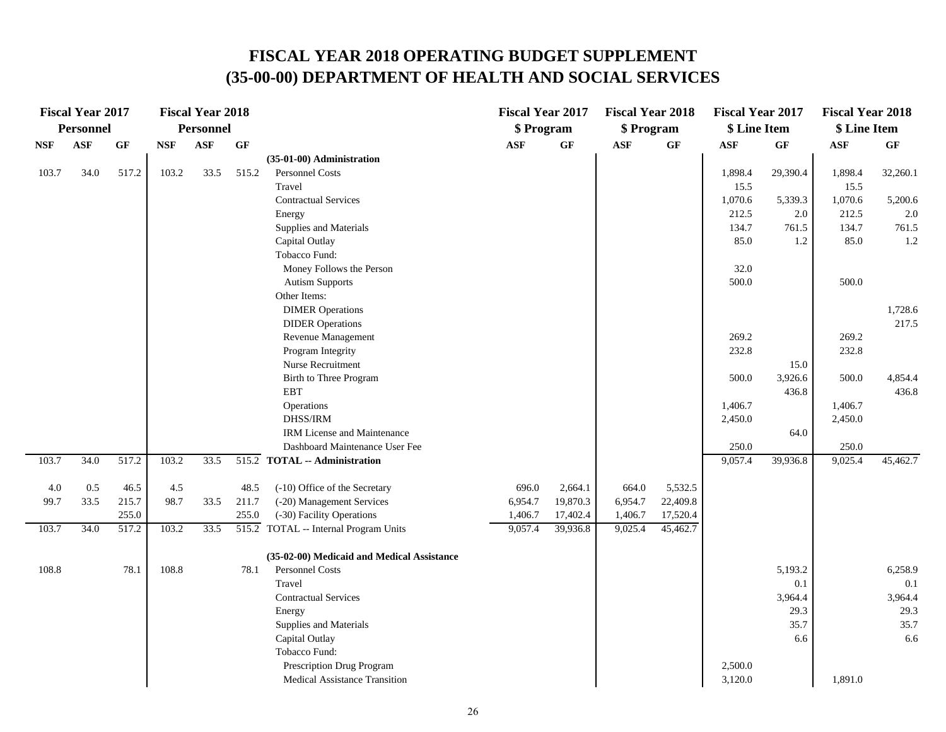|            | <b>Fiscal Year 2017</b> |       |            | <b>Fiscal Year 2018</b> |           |                                                               | <b>Fiscal Year 2017</b> |          | <b>Fiscal Year 2018</b> |          | <b>Fiscal Year 2017</b> |           | <b>Fiscal Year 2018</b> |          |
|------------|-------------------------|-------|------------|-------------------------|-----------|---------------------------------------------------------------|-------------------------|----------|-------------------------|----------|-------------------------|-----------|-------------------------|----------|
|            | <b>Personnel</b>        |       |            | <b>Personnel</b>        |           |                                                               | \$ Program              |          | \$ Program              |          | \$ Line Item            |           | \$ Line Item            |          |
| <b>NSF</b> | <b>ASF</b>              | GF    | <b>NSF</b> | <b>ASF</b>              | <b>GF</b> |                                                               | <b>ASF</b>              | GF       | <b>ASF</b>              | GF       | <b>ASF</b>              | <b>GF</b> | <b>ASF</b>              | GF       |
|            |                         |       |            |                         |           | (35-01-00) Administration                                     |                         |          |                         |          |                         |           |                         |          |
| 103.7      | 34.0                    | 517.2 | 103.2      | 33.5                    | 515.2     | Personnel Costs                                               |                         |          |                         |          | 1,898.4                 | 29,390.4  | 1,898.4                 | 32,260.1 |
|            |                         |       |            |                         |           | Travel                                                        |                         |          |                         |          | 15.5                    |           | 15.5                    |          |
|            |                         |       |            |                         |           | <b>Contractual Services</b>                                   |                         |          |                         |          | 1,070.6                 | 5,339.3   | 1,070.6                 | 5,200.6  |
|            |                         |       |            |                         |           | Energy                                                        |                         |          |                         |          | 212.5                   | $2.0\,$   | 212.5                   | 2.0      |
|            |                         |       |            |                         |           | Supplies and Materials                                        |                         |          |                         |          | 134.7                   | 761.5     | 134.7                   | 761.5    |
|            |                         |       |            |                         |           | Capital Outlay                                                |                         |          |                         |          | 85.0                    | 1.2       | 85.0                    | 1.2      |
|            |                         |       |            |                         |           | Tobacco Fund:                                                 |                         |          |                         |          |                         |           |                         |          |
|            |                         |       |            |                         |           | Money Follows the Person                                      |                         |          |                         |          | 32.0                    |           |                         |          |
|            |                         |       |            |                         |           | <b>Autism Supports</b>                                        |                         |          |                         |          | 500.0                   |           | 500.0                   |          |
|            |                         |       |            |                         |           | Other Items:                                                  |                         |          |                         |          |                         |           |                         |          |
|            |                         |       |            |                         |           | <b>DIMER Operations</b>                                       |                         |          |                         |          |                         |           |                         | 1,728.6  |
|            |                         |       |            |                         |           | <b>DIDER</b> Operations                                       |                         |          |                         |          |                         |           |                         | 217.5    |
|            |                         |       |            |                         |           | Revenue Management                                            |                         |          |                         |          | 269.2                   |           | 269.2                   |          |
|            |                         |       |            |                         |           | Program Integrity                                             |                         |          |                         |          | 232.8                   |           | 232.8                   |          |
|            |                         |       |            |                         |           | Nurse Recruitment                                             |                         |          |                         |          |                         | 15.0      |                         |          |
|            |                         |       |            |                         |           | Birth to Three Program                                        |                         |          |                         |          | 500.0                   | 3,926.6   | 500.0                   | 4,854.4  |
|            |                         |       |            |                         |           | <b>EBT</b>                                                    |                         |          |                         |          |                         | 436.8     |                         | 436.8    |
|            |                         |       |            |                         |           | Operations                                                    |                         |          |                         |          | 1,406.7                 |           | 1,406.7                 |          |
|            |                         |       |            |                         |           | DHSS/IRM                                                      |                         |          |                         |          | 2,450.0                 |           | 2,450.0                 |          |
|            |                         |       |            |                         |           | IRM License and Maintenance<br>Dashboard Maintenance User Fee |                         |          |                         |          | 250.0                   | 64.0      | 250.0                   |          |
| 103.7      | 34.0                    | 517.2 | 103.2      | 33.5                    |           | 515.2 TOTAL -- Administration                                 |                         |          |                         |          | 9,057.4                 | 39,936.8  | 9,025.4                 | 45,462.7 |
|            |                         |       |            |                         |           |                                                               |                         |          |                         |          |                         |           |                         |          |
| 4.0        | 0.5                     | 46.5  | 4.5        |                         | 48.5      | (-10) Office of the Secretary                                 | 696.0                   | 2,664.1  | 664.0                   | 5,532.5  |                         |           |                         |          |
| 99.7       | 33.5                    | 215.7 | 98.7       | 33.5                    | 211.7     | (-20) Management Services                                     | 6,954.7                 | 19,870.3 | 6,954.7                 | 22,409.8 |                         |           |                         |          |
|            |                         | 255.0 |            |                         | 255.0     | (-30) Facility Operations                                     | 1,406.7                 | 17,402.4 | 1,406.7                 | 17,520.4 |                         |           |                         |          |
| 103.7      | 34.0                    | 517.2 | 103.2      | 33.5                    |           | 515.2 TOTAL -- Internal Program Units                         | 9,057.4                 | 39,936.8 | 9,025.4                 | 45,462.7 |                         |           |                         |          |
|            |                         |       |            |                         |           | (35-02-00) Medicaid and Medical Assistance                    |                         |          |                         |          |                         |           |                         |          |
| 108.8      |                         | 78.1  | 108.8      |                         | 78.1      | Personnel Costs                                               |                         |          |                         |          |                         | 5,193.2   |                         | 6,258.9  |
|            |                         |       |            |                         |           | Travel                                                        |                         |          |                         |          |                         | 0.1       |                         | 0.1      |
|            |                         |       |            |                         |           | <b>Contractual Services</b>                                   |                         |          |                         |          |                         | 3,964.4   |                         | 3,964.4  |
|            |                         |       |            |                         |           | Energy                                                        |                         |          |                         |          |                         | 29.3      |                         | 29.3     |
|            |                         |       |            |                         |           | Supplies and Materials                                        |                         |          |                         |          |                         | 35.7      |                         | 35.7     |
|            |                         |       |            |                         |           | Capital Outlay                                                |                         |          |                         |          |                         | 6.6       |                         | 6.6      |
|            |                         |       |            |                         |           | Tobacco Fund:                                                 |                         |          |                         |          |                         |           |                         |          |
|            |                         |       |            |                         |           | Prescription Drug Program                                     |                         |          |                         |          | 2,500.0                 |           |                         |          |
|            |                         |       |            |                         |           | Medical Assistance Transition                                 |                         |          |                         |          | 3,120.0                 |           | 1,891.0                 |          |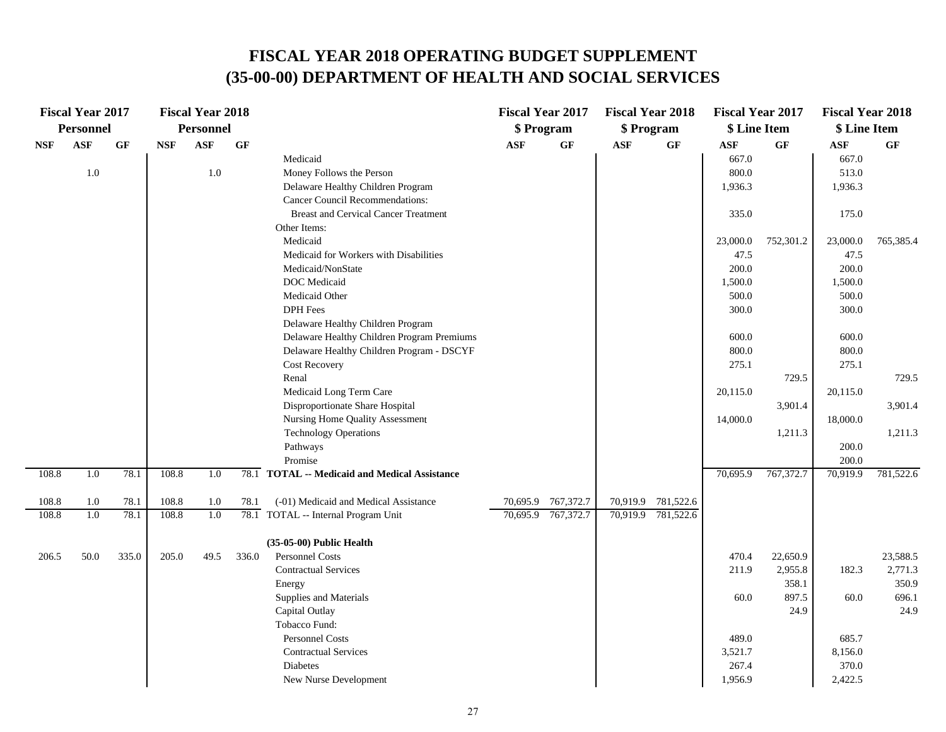| <b>Personnel</b><br>Personnel<br>\$ Program<br>\$ Program<br>\$ Line Item<br>\$ Line Item<br><b>ASF</b><br><b>ASF</b><br><b>GF</b><br><b>NSF</b><br>GF<br>ASF<br>$\bf{G} \bf{F}$<br>$\mathbf{ASF}$<br>GF<br>$\mathbf{ASF}$<br><b>GF</b><br>ASF<br><b>GF</b><br><b>NSF</b><br>667.0<br>667.0<br>Medicaid<br>1.0<br>513.0<br>1.0<br>Money Follows the Person<br>800.0<br>Delaware Healthy Children Program<br>1,936.3<br>1,936.3<br><b>Cancer Council Recommendations:</b><br><b>Breast and Cervical Cancer Treatment</b><br>335.0<br>175.0<br>Other Items:<br>Medicaid<br>23,000.0<br>752,301.2<br>23,000.0<br>47.5<br>Medicaid for Workers with Disabilities<br>47.5<br>200.0<br>200.0<br>Medicaid/NonState<br>DOC Medicaid<br>1,500.0<br>1,500.0<br>Medicaid Other<br>500.0<br>500.0 | <b>Fiscal Year 2017</b> |  | <b>Fiscal Year 2018</b> |  | <b>Fiscal Year 2017</b> | <b>Fiscal Year 2018</b> | <b>Fiscal Year 2017</b> | <b>Fiscal Year 2018</b> |           |
|---------------------------------------------------------------------------------------------------------------------------------------------------------------------------------------------------------------------------------------------------------------------------------------------------------------------------------------------------------------------------------------------------------------------------------------------------------------------------------------------------------------------------------------------------------------------------------------------------------------------------------------------------------------------------------------------------------------------------------------------------------------------------------------|-------------------------|--|-------------------------|--|-------------------------|-------------------------|-------------------------|-------------------------|-----------|
|                                                                                                                                                                                                                                                                                                                                                                                                                                                                                                                                                                                                                                                                                                                                                                                       |                         |  |                         |  |                         |                         |                         |                         |           |
|                                                                                                                                                                                                                                                                                                                                                                                                                                                                                                                                                                                                                                                                                                                                                                                       |                         |  |                         |  |                         |                         |                         |                         |           |
|                                                                                                                                                                                                                                                                                                                                                                                                                                                                                                                                                                                                                                                                                                                                                                                       |                         |  |                         |  |                         |                         |                         |                         |           |
|                                                                                                                                                                                                                                                                                                                                                                                                                                                                                                                                                                                                                                                                                                                                                                                       |                         |  |                         |  |                         |                         |                         |                         |           |
|                                                                                                                                                                                                                                                                                                                                                                                                                                                                                                                                                                                                                                                                                                                                                                                       |                         |  |                         |  |                         |                         |                         |                         |           |
|                                                                                                                                                                                                                                                                                                                                                                                                                                                                                                                                                                                                                                                                                                                                                                                       |                         |  |                         |  |                         |                         |                         |                         |           |
|                                                                                                                                                                                                                                                                                                                                                                                                                                                                                                                                                                                                                                                                                                                                                                                       |                         |  |                         |  |                         |                         |                         |                         |           |
|                                                                                                                                                                                                                                                                                                                                                                                                                                                                                                                                                                                                                                                                                                                                                                                       |                         |  |                         |  |                         |                         |                         |                         |           |
|                                                                                                                                                                                                                                                                                                                                                                                                                                                                                                                                                                                                                                                                                                                                                                                       |                         |  |                         |  |                         |                         |                         |                         | 765,385.4 |
|                                                                                                                                                                                                                                                                                                                                                                                                                                                                                                                                                                                                                                                                                                                                                                                       |                         |  |                         |  |                         |                         |                         |                         |           |
|                                                                                                                                                                                                                                                                                                                                                                                                                                                                                                                                                                                                                                                                                                                                                                                       |                         |  |                         |  |                         |                         |                         |                         |           |
|                                                                                                                                                                                                                                                                                                                                                                                                                                                                                                                                                                                                                                                                                                                                                                                       |                         |  |                         |  |                         |                         |                         |                         |           |
|                                                                                                                                                                                                                                                                                                                                                                                                                                                                                                                                                                                                                                                                                                                                                                                       |                         |  |                         |  |                         |                         |                         |                         |           |
| <b>DPH</b> Fees<br>300.0<br>300.0                                                                                                                                                                                                                                                                                                                                                                                                                                                                                                                                                                                                                                                                                                                                                     |                         |  |                         |  |                         |                         |                         |                         |           |
| Delaware Healthy Children Program                                                                                                                                                                                                                                                                                                                                                                                                                                                                                                                                                                                                                                                                                                                                                     |                         |  |                         |  |                         |                         |                         |                         |           |
| Delaware Healthy Children Program Premiums<br>600.0<br>600.0                                                                                                                                                                                                                                                                                                                                                                                                                                                                                                                                                                                                                                                                                                                          |                         |  |                         |  |                         |                         |                         |                         |           |
| 800.0<br>Delaware Healthy Children Program - DSCYF<br>800.0                                                                                                                                                                                                                                                                                                                                                                                                                                                                                                                                                                                                                                                                                                                           |                         |  |                         |  |                         |                         |                         |                         |           |
| 275.1<br>275.1<br><b>Cost Recovery</b>                                                                                                                                                                                                                                                                                                                                                                                                                                                                                                                                                                                                                                                                                                                                                |                         |  |                         |  |                         |                         |                         |                         |           |
| Renal<br>729.5                                                                                                                                                                                                                                                                                                                                                                                                                                                                                                                                                                                                                                                                                                                                                                        |                         |  |                         |  |                         |                         |                         |                         | 729.5     |
| Medicaid Long Term Care<br>20,115.0<br>20,115.0                                                                                                                                                                                                                                                                                                                                                                                                                                                                                                                                                                                                                                                                                                                                       |                         |  |                         |  |                         |                         |                         |                         |           |
| Disproportionate Share Hospital<br>3,901.4                                                                                                                                                                                                                                                                                                                                                                                                                                                                                                                                                                                                                                                                                                                                            |                         |  |                         |  |                         |                         |                         |                         | 3,901.4   |
| Nursing Home Quality Assessment<br>14,000.0<br>18,000.0                                                                                                                                                                                                                                                                                                                                                                                                                                                                                                                                                                                                                                                                                                                               |                         |  |                         |  |                         |                         |                         |                         |           |
| <b>Technology Operations</b><br>1,211.3<br>200.0<br>Pathways                                                                                                                                                                                                                                                                                                                                                                                                                                                                                                                                                                                                                                                                                                                          |                         |  |                         |  |                         |                         |                         |                         | 1,211.3   |
| Promise<br>200.0                                                                                                                                                                                                                                                                                                                                                                                                                                                                                                                                                                                                                                                                                                                                                                      |                         |  |                         |  |                         |                         |                         |                         |           |
| 108.8<br>78.1<br>108.8<br>78.1 TOTAL -- Medicaid and Medical Assistance<br>70,695.9<br>767,372.7<br>70,919.9<br>1.0<br>1.0                                                                                                                                                                                                                                                                                                                                                                                                                                                                                                                                                                                                                                                            |                         |  |                         |  |                         |                         |                         |                         | 781,522.6 |
|                                                                                                                                                                                                                                                                                                                                                                                                                                                                                                                                                                                                                                                                                                                                                                                       |                         |  |                         |  |                         |                         |                         |                         |           |
| 70,695.9 767,372.7<br>70,919.9 781,522.6<br>108.8<br>1.0<br>78.1<br>108.8<br>(-01) Medicaid and Medical Assistance<br>1.0<br>78.1                                                                                                                                                                                                                                                                                                                                                                                                                                                                                                                                                                                                                                                     |                         |  |                         |  |                         |                         |                         |                         |           |
| 108.8<br>78.1 TOTAL -- Internal Program Unit<br>70,695.9 767,372.7<br>108.8<br>1.0<br>78.1<br>1.0<br>70,919.9 781,522.6                                                                                                                                                                                                                                                                                                                                                                                                                                                                                                                                                                                                                                                               |                         |  |                         |  |                         |                         |                         |                         |           |
| (35-05-00) Public Health                                                                                                                                                                                                                                                                                                                                                                                                                                                                                                                                                                                                                                                                                                                                                              |                         |  |                         |  |                         |                         |                         |                         |           |
| <b>Personnel Costs</b><br>206.5<br>50.0<br>335.0<br>205.0<br>49.5<br>336.0<br>470.4<br>22,650.9                                                                                                                                                                                                                                                                                                                                                                                                                                                                                                                                                                                                                                                                                       |                         |  |                         |  |                         |                         |                         |                         | 23,588.5  |
| <b>Contractual Services</b><br>211.9<br>2,955.8<br>182.3                                                                                                                                                                                                                                                                                                                                                                                                                                                                                                                                                                                                                                                                                                                              |                         |  |                         |  |                         |                         |                         |                         | 2,771.3   |
| 358.1<br>Energy                                                                                                                                                                                                                                                                                                                                                                                                                                                                                                                                                                                                                                                                                                                                                                       |                         |  |                         |  |                         |                         |                         |                         | 350.9     |
| 897.5<br>60.0<br>Supplies and Materials<br>60.0                                                                                                                                                                                                                                                                                                                                                                                                                                                                                                                                                                                                                                                                                                                                       |                         |  |                         |  |                         |                         |                         |                         | 696.1     |
| 24.9<br>Capital Outlay                                                                                                                                                                                                                                                                                                                                                                                                                                                                                                                                                                                                                                                                                                                                                                |                         |  |                         |  |                         |                         |                         |                         | 24.9      |
| Tobacco Fund:                                                                                                                                                                                                                                                                                                                                                                                                                                                                                                                                                                                                                                                                                                                                                                         |                         |  |                         |  |                         |                         |                         |                         |           |
| <b>Personnel Costs</b><br>489.0<br>685.7                                                                                                                                                                                                                                                                                                                                                                                                                                                                                                                                                                                                                                                                                                                                              |                         |  |                         |  |                         |                         |                         |                         |           |
| <b>Contractual Services</b><br>3,521.7<br>8,156.0                                                                                                                                                                                                                                                                                                                                                                                                                                                                                                                                                                                                                                                                                                                                     |                         |  |                         |  |                         |                         |                         |                         |           |
| 370.0<br>Diabetes<br>267.4                                                                                                                                                                                                                                                                                                                                                                                                                                                                                                                                                                                                                                                                                                                                                            |                         |  |                         |  |                         |                         |                         |                         |           |
| 1,956.9<br>2,422.5<br>New Nurse Development                                                                                                                                                                                                                                                                                                                                                                                                                                                                                                                                                                                                                                                                                                                                           |                         |  |                         |  |                         |                         |                         |                         |           |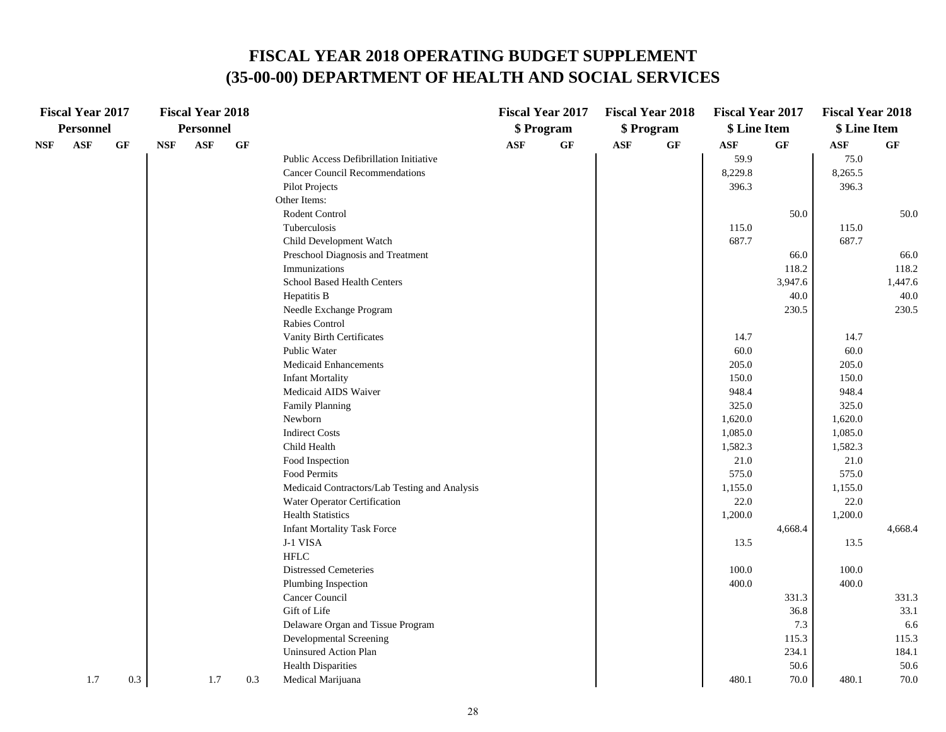|            | <b>Fiscal Year 2017</b> |           |            | <b>Fiscal Year 2018</b> |                 |                                               |                | <b>Fiscal Year 2017</b> |                | <b>Fiscal Year 2018</b> | <b>Fiscal Year 2017</b> |           | <b>Fiscal Year 2018</b> |           |
|------------|-------------------------|-----------|------------|-------------------------|-----------------|-----------------------------------------------|----------------|-------------------------|----------------|-------------------------|-------------------------|-----------|-------------------------|-----------|
|            | <b>Personnel</b>        |           |            | Personnel               |                 |                                               |                | \$ Program              |                | \$ Program              | \$ Line Item            |           | \$ Line Item            |           |
| <b>NSF</b> | $\mathbf{ASF}$          | <b>GF</b> | <b>NSF</b> | ASF                     | $\bf{G} \bf{F}$ |                                               | $\mathbf{ASF}$ | GF                      | $\mathbf{ASF}$ | GF                      | $\mathbf{ASF}$          | <b>GF</b> | $\mathbf{ASF}$          | <b>GF</b> |
|            |                         |           |            |                         |                 | Public Access Defibrillation Initiative       |                |                         |                |                         | 59.9                    |           | 75.0                    |           |
|            |                         |           |            |                         |                 | <b>Cancer Council Recommendations</b>         |                |                         |                |                         | 8,229.8                 |           | 8,265.5                 |           |
|            |                         |           |            |                         |                 | <b>Pilot Projects</b>                         |                |                         |                |                         | 396.3                   |           | 396.3                   |           |
|            |                         |           |            |                         |                 | Other Items:                                  |                |                         |                |                         |                         |           |                         |           |
|            |                         |           |            |                         |                 | Rodent Control                                |                |                         |                |                         |                         | 50.0      |                         | 50.0      |
|            |                         |           |            |                         |                 | Tuberculosis                                  |                |                         |                |                         | 115.0                   |           | 115.0                   |           |
|            |                         |           |            |                         |                 | Child Development Watch                       |                |                         |                |                         | 687.7                   |           | 687.7                   |           |
|            |                         |           |            |                         |                 | Preschool Diagnosis and Treatment             |                |                         |                |                         |                         | 66.0      |                         | 66.0      |
|            |                         |           |            |                         |                 | Immunizations                                 |                |                         |                |                         |                         | 118.2     |                         | 118.2     |
|            |                         |           |            |                         |                 | School Based Health Centers                   |                |                         |                |                         |                         | 3,947.6   |                         | 1,447.6   |
|            |                         |           |            |                         |                 | Hepatitis B                                   |                |                         |                |                         |                         | 40.0      |                         | 40.0      |
|            |                         |           |            |                         |                 | Needle Exchange Program                       |                |                         |                |                         |                         | 230.5     |                         | 230.5     |
|            |                         |           |            |                         |                 | Rabies Control                                |                |                         |                |                         |                         |           |                         |           |
|            |                         |           |            |                         |                 | Vanity Birth Certificates                     |                |                         |                |                         | 14.7                    |           | 14.7                    |           |
|            |                         |           |            |                         |                 | Public Water                                  |                |                         |                |                         | 60.0                    |           | 60.0                    |           |
|            |                         |           |            |                         |                 | Medicaid Enhancements                         |                |                         |                |                         | 205.0                   |           | 205.0                   |           |
|            |                         |           |            |                         |                 | <b>Infant Mortality</b>                       |                |                         |                |                         | 150.0                   |           | 150.0                   |           |
|            |                         |           |            |                         |                 | Medicaid AIDS Waiver                          |                |                         |                |                         | 948.4                   |           | 948.4                   |           |
|            |                         |           |            |                         |                 | <b>Family Planning</b>                        |                |                         |                |                         | 325.0                   |           | 325.0                   |           |
|            |                         |           |            |                         |                 | Newborn                                       |                |                         |                |                         | 1,620.0                 |           | 1,620.0                 |           |
|            |                         |           |            |                         |                 | <b>Indirect Costs</b>                         |                |                         |                |                         | 1,085.0                 |           | 1,085.0                 |           |
|            |                         |           |            |                         |                 | Child Health                                  |                |                         |                |                         | 1,582.3                 |           | 1,582.3                 |           |
|            |                         |           |            |                         |                 | Food Inspection                               |                |                         |                |                         | 21.0                    |           | 21.0                    |           |
|            |                         |           |            |                         |                 | Food Permits                                  |                |                         |                |                         | 575.0                   |           | 575.0                   |           |
|            |                         |           |            |                         |                 | Medicaid Contractors/Lab Testing and Analysis |                |                         |                |                         | 1,155.0                 |           | 1,155.0                 |           |
|            |                         |           |            |                         |                 | Water Operator Certification                  |                |                         |                |                         | 22.0                    |           | 22.0                    |           |
|            |                         |           |            |                         |                 | <b>Health Statistics</b>                      |                |                         |                |                         | 1,200.0                 |           | 1,200.0                 |           |
|            |                         |           |            |                         |                 | <b>Infant Mortality Task Force</b>            |                |                         |                |                         |                         | 4,668.4   |                         | 4,668.4   |
|            |                         |           |            |                         |                 | J-1 VISA                                      |                |                         |                |                         | 13.5                    |           | 13.5                    |           |
|            |                         |           |            |                         |                 | <b>HFLC</b>                                   |                |                         |                |                         |                         |           |                         |           |
|            |                         |           |            |                         |                 | <b>Distressed Cemeteries</b>                  |                |                         |                |                         | 100.0                   |           | 100.0                   |           |
|            |                         |           |            |                         |                 | Plumbing Inspection                           |                |                         |                |                         | 400.0                   |           | 400.0                   |           |
|            |                         |           |            |                         |                 | Cancer Council                                |                |                         |                |                         |                         | 331.3     |                         | 331.3     |
|            |                         |           |            |                         |                 | Gift of Life                                  |                |                         |                |                         |                         | 36.8      |                         | 33.1      |
|            |                         |           |            |                         |                 | Delaware Organ and Tissue Program             |                |                         |                |                         |                         | 7.3       |                         | 6.6       |
|            |                         |           |            |                         |                 | Developmental Screening                       |                |                         |                |                         |                         | 115.3     |                         | 115.3     |
|            |                         |           |            |                         |                 | Uninsured Action Plan                         |                |                         |                |                         |                         | 234.1     |                         | 184.1     |
|            |                         |           |            |                         |                 | <b>Health Disparities</b>                     |                |                         |                |                         |                         | 50.6      |                         | 50.6      |
|            | 1.7                     | 0.3       |            | 1.7                     | 0.3             | Medical Marijuana                             |                |                         |                |                         | 480.1                   | 70.0      | 480.1                   | 70.0      |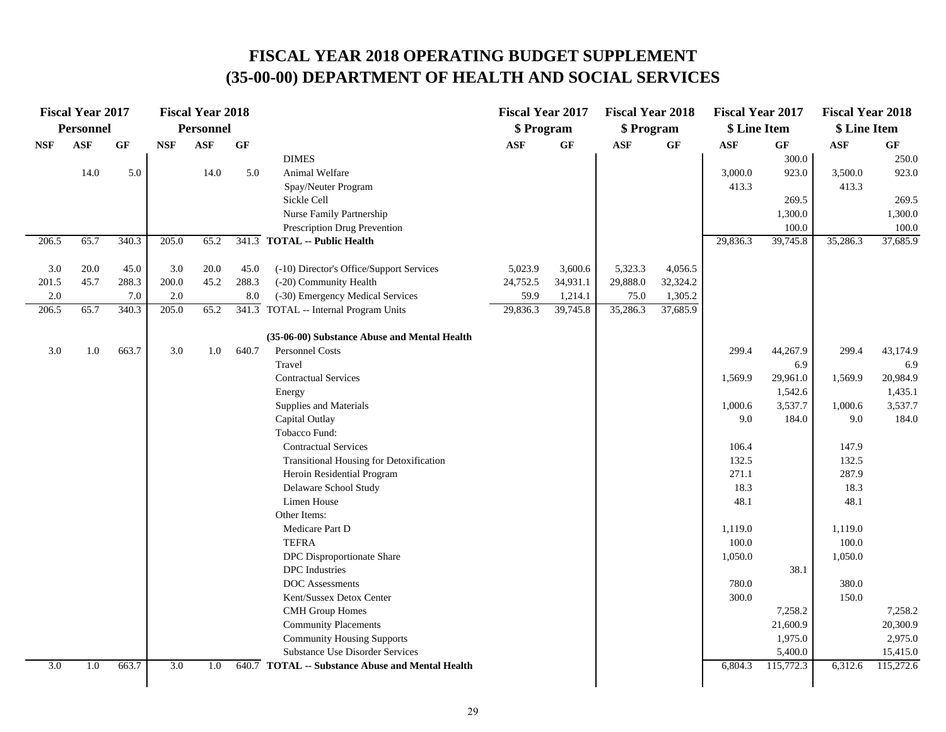|            | <b>Fiscal Year 2017</b> |                 |            | <b>Fiscal Year 2018</b> |                 |                                                  | <b>Fiscal Year 2017</b> |          | <b>Fiscal Year 2018</b> |          | <b>Fiscal Year 2017</b> |           | <b>Fiscal Year 2018</b> |                 |
|------------|-------------------------|-----------------|------------|-------------------------|-----------------|--------------------------------------------------|-------------------------|----------|-------------------------|----------|-------------------------|-----------|-------------------------|-----------------|
|            | <b>Personnel</b>        |                 |            | Personnel               |                 |                                                  | \$ Program              |          | \$ Program              |          | \$ Line Item            |           | \$ Line Item            |                 |
| <b>NSF</b> | <b>ASF</b>              | $\bf{G} \bf{F}$ | <b>NSF</b> | <b>ASF</b>              | $\bf{G} \bf{F}$ |                                                  | <b>ASF</b>              | GF       | <b>ASF</b>              | GF       | <b>ASF</b>              | GF        | $\mathbf{ASF}$          | $\bf{G} \bf{F}$ |
|            |                         |                 |            |                         |                 | <b>DIMES</b>                                     |                         |          |                         |          |                         | 300.0     |                         | 250.0           |
|            | 14.0                    | 5.0             |            | 14.0                    | 5.0             | Animal Welfare                                   |                         |          |                         |          | 3,000.0                 | 923.0     | 3,500.0                 | 923.0           |
|            |                         |                 |            |                         |                 | Spay/Neuter Program                              |                         |          |                         |          | 413.3                   |           | 413.3                   |                 |
|            |                         |                 |            |                         |                 | Sickle Cell                                      |                         |          |                         |          |                         | 269.5     |                         | 269.5           |
|            |                         |                 |            |                         |                 | Nurse Family Partnership                         |                         |          |                         |          |                         | 1,300.0   |                         | 1,300.0         |
|            |                         |                 |            |                         |                 | Prescription Drug Prevention                     |                         |          |                         |          |                         | 100.0     |                         | 100.0           |
| 206.5      | 65.7                    | 340.3           | 205.0      | 65.2                    |                 | 341.3 TOTAL -- Public Health                     |                         |          |                         |          | 29,836.3                | 39,745.8  | 35,286.3                | 37,685.9        |
| 3.0        | 20.0                    | 45.0            | 3.0        | 20.0                    | 45.0            | (-10) Director's Office/Support Services         | 5,023.9                 | 3,600.6  | 5,323.3                 | 4,056.5  |                         |           |                         |                 |
| 201.5      | 45.7                    | 288.3           | 200.0      | 45.2                    | 288.3           | (-20) Community Health                           | 24,752.5                | 34,931.1 | 29,888.0                | 32,324.2 |                         |           |                         |                 |
| 2.0        |                         | 7.0             | $2.0\,$    |                         | 8.0             | (-30) Emergency Medical Services                 | 59.9                    | 1,214.1  | 75.0                    | 1,305.2  |                         |           |                         |                 |
| 206.5      | 65.7                    | 340.3           | 205.0      | 65.2                    |                 | 341.3 TOTAL -- Internal Program Units            | 29,836.3                | 39,745.8 | 35,286.3                | 37,685.9 |                         |           |                         |                 |
|            |                         |                 |            |                         |                 | (35-06-00) Substance Abuse and Mental Health     |                         |          |                         |          |                         |           |                         |                 |
| 3.0        | 1.0                     | 663.7           | 3.0        | 1.0                     | 640.7           | <b>Personnel Costs</b>                           |                         |          |                         |          | 299.4                   | 44,267.9  | 299.4                   | 43,174.9        |
|            |                         |                 |            |                         |                 | Travel                                           |                         |          |                         |          |                         | 6.9       |                         | 6.9             |
|            |                         |                 |            |                         |                 | <b>Contractual Services</b>                      |                         |          |                         |          | 1,569.9                 | 29,961.0  | 1,569.9                 | 20,984.9        |
|            |                         |                 |            |                         |                 | Energy                                           |                         |          |                         |          |                         | 1,542.6   |                         | 1,435.1         |
|            |                         |                 |            |                         |                 | Supplies and Materials                           |                         |          |                         |          | 1,000.6                 | 3,537.7   | 1,000.6                 | 3,537.7         |
|            |                         |                 |            |                         |                 | Capital Outlay                                   |                         |          |                         |          | 9.0                     | 184.0     | 9.0                     | 184.0           |
|            |                         |                 |            |                         |                 | Tobacco Fund:                                    |                         |          |                         |          |                         |           |                         |                 |
|            |                         |                 |            |                         |                 | <b>Contractual Services</b>                      |                         |          |                         |          | 106.4                   |           | 147.9                   |                 |
|            |                         |                 |            |                         |                 | <b>Transitional Housing for Detoxification</b>   |                         |          |                         |          | 132.5                   |           | 132.5                   |                 |
|            |                         |                 |            |                         |                 | Heroin Residential Program                       |                         |          |                         |          | 271.1                   |           | 287.9                   |                 |
|            |                         |                 |            |                         |                 | Delaware School Study                            |                         |          |                         |          | 18.3                    |           | 18.3                    |                 |
|            |                         |                 |            |                         |                 | Limen House                                      |                         |          |                         |          | 48.1                    |           | 48.1                    |                 |
|            |                         |                 |            |                         |                 | Other Items:                                     |                         |          |                         |          |                         |           |                         |                 |
|            |                         |                 |            |                         |                 | Medicare Part D                                  |                         |          |                         |          | 1,119.0                 |           | 1,119.0                 |                 |
|            |                         |                 |            |                         |                 | <b>TEFRA</b>                                     |                         |          |                         |          | 100.0                   |           | 100.0                   |                 |
|            |                         |                 |            |                         |                 | DPC Disproportionate Share                       |                         |          |                         |          | 1,050.0                 |           | 1,050.0                 |                 |
|            |                         |                 |            |                         |                 | <b>DPC</b> Industries                            |                         |          |                         |          |                         | 38.1      |                         |                 |
|            |                         |                 |            |                         |                 | <b>DOC</b> Assessments                           |                         |          |                         |          | 780.0                   |           | 380.0                   |                 |
|            |                         |                 |            |                         |                 | Kent/Sussex Detox Center                         |                         |          |                         |          | 300.0                   |           | 150.0                   |                 |
|            |                         |                 |            |                         |                 | <b>CMH</b> Group Homes                           |                         |          |                         |          |                         | 7,258.2   |                         | 7,258.2         |
|            |                         |                 |            |                         |                 | <b>Community Placements</b>                      |                         |          |                         |          |                         | 21,600.9  |                         | 20,300.9        |
|            |                         |                 |            |                         |                 | <b>Community Housing Supports</b>                |                         |          |                         |          |                         | 1,975.0   |                         | 2,975.0         |
|            |                         |                 |            |                         |                 | <b>Substance Use Disorder Services</b>           |                         |          |                         |          |                         | 5,400.0   |                         | 15,415.0        |
| 3.0        | 1.0                     | 663.7           | 3.0        | 1.0                     |                 | 640.7 TOTAL -- Substance Abuse and Mental Health |                         |          |                         |          | 6,804.3                 | 115,772.3 | 6,312.6                 | 115,272.6       |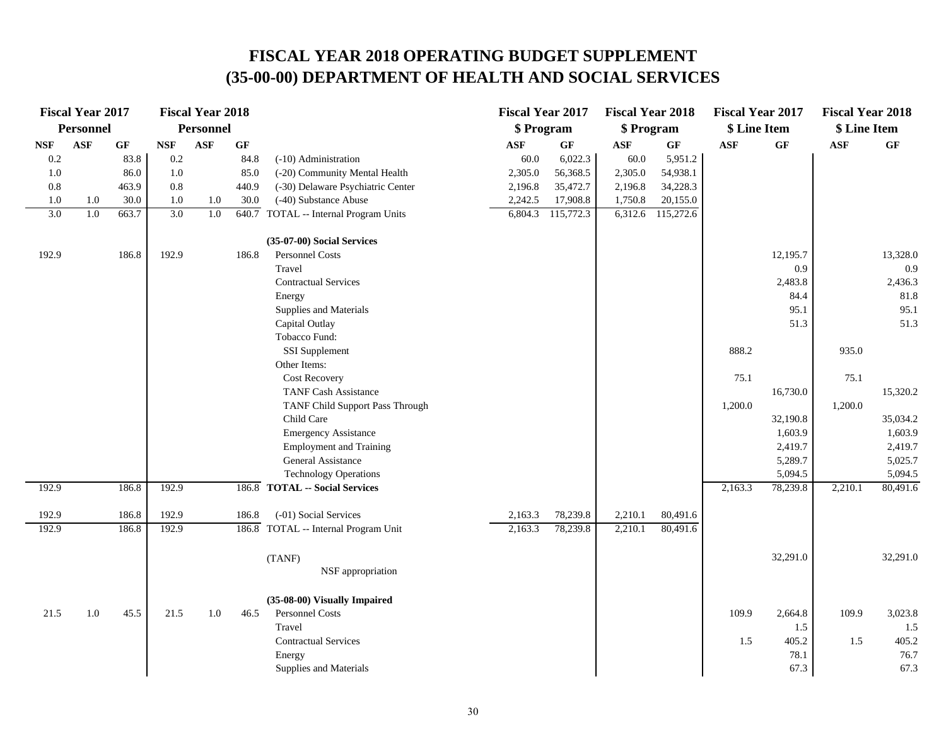|                             | <b>Fiscal Year 2017</b> |                 |            | <b>Fiscal Year 2018</b> |                 |                                       | <b>Fiscal Year 2017</b> |                 | <b>Fiscal Year 2018</b> |                 | <b>Fiscal Year 2017</b> |          | <b>Fiscal Year 2018</b> |                 |
|-----------------------------|-------------------------|-----------------|------------|-------------------------|-----------------|---------------------------------------|-------------------------|-----------------|-------------------------|-----------------|-------------------------|----------|-------------------------|-----------------|
|                             | Personnel               |                 |            | <b>Personnel</b>        |                 |                                       | \$ Program              |                 | \$ Program              |                 | \$ Line Item            |          | \$ Line Item            |                 |
| $\ensuremath{\mathbf{NSF}}$ | <b>ASF</b>              | $\bf{G} \bf{F}$ | <b>NSF</b> | <b>ASF</b>              | $\bf{G} \bf{F}$ |                                       | <b>ASF</b>              | $\bf{G} \bf{F}$ | $\mathbf{ASF}$          | $\bf{G} \bf{F}$ | <b>ASF</b>              | GF       | ASF                     | $\bf{G} \bf{F}$ |
| 0.2                         |                         | 83.8            | 0.2        |                         | 84.8            | (-10) Administration                  | 60.0                    | 6,022.3         | 60.0                    | 5,951.2         |                         |          |                         |                 |
| 1.0                         |                         | 86.0            | 1.0        |                         | 85.0            | (-20) Community Mental Health         | 2,305.0                 | 56,368.5        | 2,305.0                 | 54,938.1        |                         |          |                         |                 |
| $0.8\,$                     |                         | 463.9           | 0.8        |                         | 440.9           | (-30) Delaware Psychiatric Center     | 2,196.8                 | 35,472.7        | 2,196.8                 | 34,228.3        |                         |          |                         |                 |
| 1.0                         | 1.0                     | 30.0            | 1.0        | 1.0                     | 30.0            | (-40) Substance Abuse                 | 2,242.5                 | 17,908.8        | 1,750.8                 | 20,155.0        |                         |          |                         |                 |
| 3.0                         | 1.0                     | 663.7           | 3.0        | 1.0                     |                 | 640.7 TOTAL -- Internal Program Units | 6,804.3                 | 115,772.3       | 6,312.6                 | 115,272.6       |                         |          |                         |                 |
|                             |                         |                 |            |                         |                 | (35-07-00) Social Services            |                         |                 |                         |                 |                         |          |                         |                 |
| 192.9                       |                         | 186.8           | 192.9      |                         | 186.8           | Personnel Costs                       |                         |                 |                         |                 |                         | 12,195.7 |                         | 13,328.0        |
|                             |                         |                 |            |                         |                 | Travel                                |                         |                 |                         |                 |                         | 0.9      |                         | 0.9             |
|                             |                         |                 |            |                         |                 | <b>Contractual Services</b>           |                         |                 |                         |                 |                         | 2,483.8  |                         | 2,436.3         |
|                             |                         |                 |            |                         |                 | Energy                                |                         |                 |                         |                 |                         | 84.4     |                         | 81.8            |
|                             |                         |                 |            |                         |                 | Supplies and Materials                |                         |                 |                         |                 |                         | 95.1     |                         | 95.1            |
|                             |                         |                 |            |                         |                 | Capital Outlay                        |                         |                 |                         |                 |                         | 51.3     |                         | 51.3            |
|                             |                         |                 |            |                         |                 | Tobacco Fund:                         |                         |                 |                         |                 |                         |          |                         |                 |
|                             |                         |                 |            |                         |                 | SSI Supplement                        |                         |                 |                         |                 | 888.2                   |          | 935.0                   |                 |
|                             |                         |                 |            |                         |                 | Other Items:                          |                         |                 |                         |                 |                         |          |                         |                 |
|                             |                         |                 |            |                         |                 | <b>Cost Recovery</b>                  |                         |                 |                         |                 | 75.1                    |          | 75.1                    |                 |
|                             |                         |                 |            |                         |                 | <b>TANF Cash Assistance</b>           |                         |                 |                         |                 |                         | 16,730.0 |                         | 15,320.2        |
|                             |                         |                 |            |                         |                 | TANF Child Support Pass Through       |                         |                 |                         |                 | 1,200.0                 |          | 1,200.0                 |                 |
|                             |                         |                 |            |                         |                 | Child Care                            |                         |                 |                         |                 |                         | 32,190.8 |                         | 35,034.2        |
|                             |                         |                 |            |                         |                 | <b>Emergency Assistance</b>           |                         |                 |                         |                 |                         | 1,603.9  |                         | 1,603.9         |
|                             |                         |                 |            |                         |                 | <b>Employment and Training</b>        |                         |                 |                         |                 |                         | 2,419.7  |                         | 2,419.7         |
|                             |                         |                 |            |                         |                 | General Assistance                    |                         |                 |                         |                 |                         | 5,289.7  |                         | 5,025.7         |
|                             |                         |                 |            |                         |                 | <b>Technology Operations</b>          |                         |                 |                         |                 |                         | 5,094.5  |                         | 5,094.5         |
| 192.9                       |                         | 186.8           | 192.9      |                         |                 | 186.8 TOTAL -- Social Services        |                         |                 |                         |                 | 2,163.3                 | 78,239.8 | 2,210.1                 | 80,491.6        |
| 192.9                       |                         | 186.8           | 192.9      |                         | 186.8           | (-01) Social Services                 | 2,163.3                 | 78,239.8        | 2,210.1                 | 80,491.6        |                         |          |                         |                 |
| 192.9                       |                         | 186.8           | 192.9      |                         |                 | 186.8 TOTAL -- Internal Program Unit  | 2,163.3                 | 78,239.8        | 2,210.1                 | 80,491.6        |                         |          |                         |                 |
|                             |                         |                 |            |                         |                 | (TANF)                                |                         |                 |                         |                 |                         | 32,291.0 |                         | 32,291.0        |
|                             |                         |                 |            |                         |                 | NSF appropriation                     |                         |                 |                         |                 |                         |          |                         |                 |
|                             |                         |                 |            |                         |                 | (35-08-00) Visually Impaired          |                         |                 |                         |                 |                         |          |                         |                 |
| 21.5                        | 1.0                     | 45.5            | 21.5       | 1.0                     | 46.5            | Personnel Costs                       |                         |                 |                         |                 | 109.9                   | 2,664.8  | 109.9                   | 3,023.8         |
|                             |                         |                 |            |                         |                 | Travel                                |                         |                 |                         |                 |                         | 1.5      |                         | 1.5             |
|                             |                         |                 |            |                         |                 | <b>Contractual Services</b>           |                         |                 |                         |                 | 1.5                     | 405.2    | 1.5                     | 405.2           |
|                             |                         |                 |            |                         |                 | Energy                                |                         |                 |                         |                 |                         | 78.1     |                         | 76.7            |
|                             |                         |                 |            |                         |                 | Supplies and Materials                |                         |                 |                         |                 |                         | 67.3     |                         | 67.3            |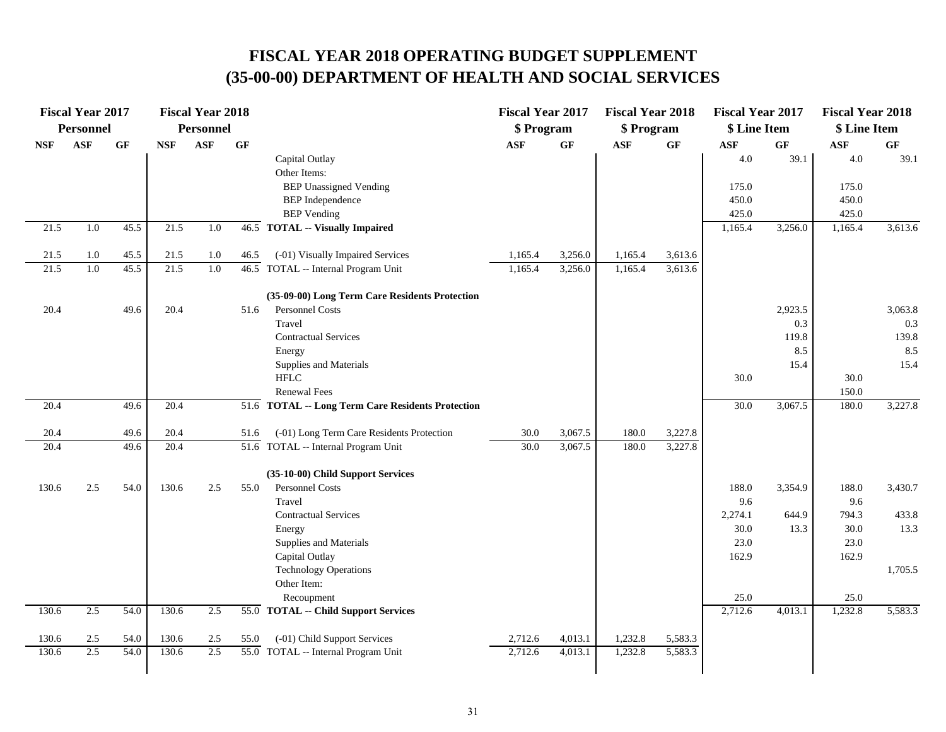|            | <b>Fiscal Year 2017</b><br>Personnel |                 |            | <b>Fiscal Year 2018</b><br>Personnel |                 |                                                   | <b>Fiscal Year 2017</b><br>\$ Program |                 | <b>Fiscal Year 2018</b><br>\$ Program |         | <b>Fiscal Year 2017</b><br>\$ Line Item |                 | <b>Fiscal Year 2018</b><br>\$ Line Item |                 |
|------------|--------------------------------------|-----------------|------------|--------------------------------------|-----------------|---------------------------------------------------|---------------------------------------|-----------------|---------------------------------------|---------|-----------------------------------------|-----------------|-----------------------------------------|-----------------|
| <b>NSF</b> | <b>ASF</b>                           | $\bf{G} \bf{F}$ | <b>NSF</b> | <b>ASF</b>                           | $\bf{G} \bf{F}$ |                                                   | <b>ASF</b>                            | $\bf{G} \bf{F}$ | <b>ASF</b>                            | GF      | $\mathbf{ASF}$                          | $\bf{G} \bf{F}$ | $\mathbf{ASF}$                          | $\bf{G} \bf{F}$ |
|            |                                      |                 |            |                                      |                 | Capital Outlay<br>Other Items:                    |                                       |                 |                                       |         | 4.0                                     | 39.1            | 4.0                                     | 39.1            |
|            |                                      |                 |            |                                      |                 | <b>BEP Unassigned Vending</b>                     |                                       |                 |                                       |         | 175.0                                   |                 | 175.0                                   |                 |
|            |                                      |                 |            |                                      |                 | <b>BEP</b> Independence                           |                                       |                 |                                       |         | 450.0                                   |                 | 450.0                                   |                 |
|            |                                      |                 |            |                                      |                 | <b>BEP</b> Vending                                |                                       |                 |                                       |         | 425.0                                   |                 | 425.0                                   |                 |
| 21.5       | 1.0                                  | 45.5            | 21.5       | 1.0                                  |                 | 46.5 TOTAL -- Visually Impaired                   |                                       |                 |                                       |         | 1,165.4                                 | 3,256.0         | 1,165.4                                 | 3,613.6         |
| 21.5       | 1.0                                  | 45.5            | 21.5       | 1.0                                  | 46.5            | (-01) Visually Impaired Services                  | 1,165.4                               | 3,256.0         | 1,165.4                               | 3,613.6 |                                         |                 |                                         |                 |
| 21.5       | 1.0                                  | 45.5            | 21.5       | 1.0                                  |                 | 46.5 TOTAL -- Internal Program Unit               | 1,165.4                               | 3,256.0         | 1,165.4                               | 3,613.6 |                                         |                 |                                         |                 |
|            |                                      |                 |            |                                      |                 | (35-09-00) Long Term Care Residents Protection    |                                       |                 |                                       |         |                                         |                 |                                         |                 |
| 20.4       |                                      | 49.6            | 20.4       |                                      | 51.6            | Personnel Costs                                   |                                       |                 |                                       |         |                                         | 2,923.5         |                                         | 3,063.8         |
|            |                                      |                 |            |                                      |                 | Travel                                            |                                       |                 |                                       |         |                                         | 0.3             |                                         | 0.3             |
|            |                                      |                 |            |                                      |                 | <b>Contractual Services</b>                       |                                       |                 |                                       |         |                                         | 119.8           |                                         | 139.8           |
|            |                                      |                 |            |                                      |                 | Energy                                            |                                       |                 |                                       |         |                                         | 8.5             |                                         | 8.5             |
|            |                                      |                 |            |                                      |                 | Supplies and Materials                            |                                       |                 |                                       |         |                                         | 15.4            |                                         | 15.4            |
|            |                                      |                 |            |                                      |                 | <b>HFLC</b>                                       |                                       |                 |                                       |         | 30.0                                    |                 | 30.0                                    |                 |
|            |                                      |                 |            |                                      |                 | <b>Renewal Fees</b>                               |                                       |                 |                                       |         |                                         |                 | 150.0                                   |                 |
| 20.4       |                                      | 49.6            | 20.4       |                                      |                 | 51.6 TOTAL -- Long Term Care Residents Protection |                                       |                 |                                       |         | 30.0                                    | 3,067.5         | 180.0                                   | 3,227.8         |
| 20.4       |                                      | 49.6            | 20.4       |                                      | 51.6            | (-01) Long Term Care Residents Protection         | 30.0                                  | 3,067.5         | 180.0                                 | 3,227.8 |                                         |                 |                                         |                 |
| 20.4       |                                      | 49.6            | 20.4       |                                      |                 | 51.6 TOTAL -- Internal Program Unit               | 30.0                                  | 3,067.5         | 180.0                                 | 3,227.8 |                                         |                 |                                         |                 |
|            |                                      |                 |            |                                      |                 | (35-10-00) Child Support Services                 |                                       |                 |                                       |         |                                         |                 |                                         |                 |
| 130.6      | 2.5                                  | 54.0            | 130.6      | 2.5                                  | 55.0            | Personnel Costs                                   |                                       |                 |                                       |         | 188.0                                   | 3,354.9         | 188.0                                   | 3,430.7         |
|            |                                      |                 |            |                                      |                 | Travel                                            |                                       |                 |                                       |         | 9.6                                     |                 | 9.6                                     |                 |
|            |                                      |                 |            |                                      |                 | <b>Contractual Services</b>                       |                                       |                 |                                       |         | 2,274.1                                 | 644.9           | 794.3                                   | 433.8           |
|            |                                      |                 |            |                                      |                 | Energy                                            |                                       |                 |                                       |         | 30.0                                    | 13.3            | 30.0                                    | 13.3            |
|            |                                      |                 |            |                                      |                 | Supplies and Materials                            |                                       |                 |                                       |         | 23.0                                    |                 | 23.0                                    |                 |
|            |                                      |                 |            |                                      |                 | Capital Outlay                                    |                                       |                 |                                       |         | 162.9                                   |                 | 162.9                                   |                 |
|            |                                      |                 |            |                                      |                 | <b>Technology Operations</b>                      |                                       |                 |                                       |         |                                         |                 |                                         | 1,705.5         |
|            |                                      |                 |            |                                      |                 | Other Item:                                       |                                       |                 |                                       |         |                                         |                 |                                         |                 |
|            |                                      |                 |            |                                      |                 | Recoupment                                        |                                       |                 |                                       |         | 25.0                                    |                 | 25.0                                    |                 |
| 130.6      | 2.5                                  | 54.0            | 130.6      | 2.5                                  |                 | 55.0 TOTAL -- Child Support Services              |                                       |                 |                                       |         | 2,712.6                                 | 4,013.1         | 1,232.8                                 | 5,583.3         |
| 130.6      | 2.5                                  | 54.0            | 130.6      | 2.5                                  | 55.0            | (-01) Child Support Services                      | 2,712.6                               | 4,013.1         | 1,232.8                               | 5,583.3 |                                         |                 |                                         |                 |
| 130.6      | 2.5                                  | 54.0            | 130.6      | 2.5                                  |                 | 55.0 TOTAL -- Internal Program Unit               | 2,712.6                               | 4,013.1         | 1,232.8                               | 5,583.3 |                                         |                 |                                         |                 |
|            |                                      |                 |            |                                      |                 |                                                   |                                       |                 |                                       |         |                                         |                 |                                         |                 |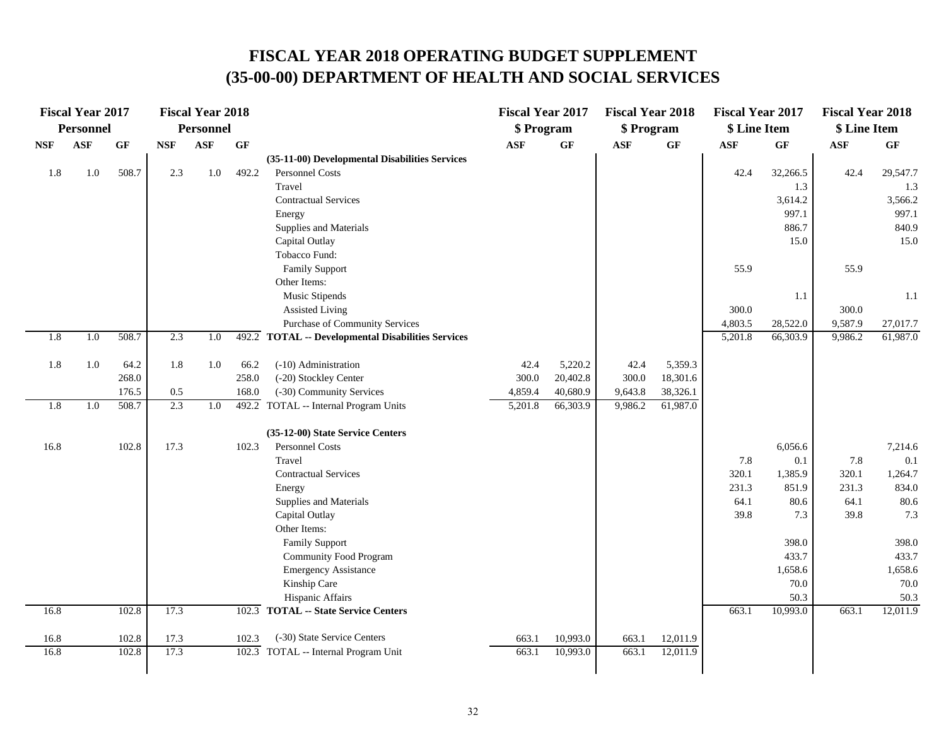|            | <b>Fiscal Year 2017</b> |           |            | <b>Fiscal Year 2018</b> |       |                                                                   | <b>Fiscal Year 2017</b> |                 | <b>Fiscal Year 2018</b> |          | <b>Fiscal Year 2017</b> |                  | <b>Fiscal Year 2018</b> |                  |
|------------|-------------------------|-----------|------------|-------------------------|-------|-------------------------------------------------------------------|-------------------------|-----------------|-------------------------|----------|-------------------------|------------------|-------------------------|------------------|
|            | <b>Personnel</b>        |           |            | <b>Personnel</b>        |       |                                                                   | \$ Program              |                 | \$ Program              |          | \$ Line Item            |                  | \$ Line Item            |                  |
| <b>NSF</b> | <b>ASF</b>              | <b>GF</b> | <b>NSF</b> | <b>ASF</b>              | GF    |                                                                   | <b>ASF</b>              | $\bf{G} \bf{F}$ | <b>ASF</b>              | GF       | <b>ASF</b>              | <b>GF</b>        | <b>ASF</b>              | GF               |
|            |                         |           | 2.3        |                         | 492.2 | (35-11-00) Developmental Disabilities Services<br>Personnel Costs |                         |                 |                         |          |                         |                  |                         |                  |
| 1.8        | 1.0                     | 508.7     |            | 1.0                     |       | Travel                                                            |                         |                 |                         |          | 42.4                    | 32,266.5         | 42.4                    | 29,547.7<br>1.3  |
|            |                         |           |            |                         |       | <b>Contractual Services</b>                                       |                         |                 |                         |          |                         | 1.3<br>3,614.2   |                         | 3,566.2          |
|            |                         |           |            |                         |       | Energy                                                            |                         |                 |                         |          |                         | 997.1            |                         | 997.1            |
|            |                         |           |            |                         |       | Supplies and Materials                                            |                         |                 |                         |          |                         | 886.7            |                         | 840.9            |
|            |                         |           |            |                         |       | Capital Outlay                                                    |                         |                 |                         |          |                         | 15.0             |                         | 15.0             |
|            |                         |           |            |                         |       | Tobacco Fund:                                                     |                         |                 |                         |          |                         |                  |                         |                  |
|            |                         |           |            |                         |       | <b>Family Support</b>                                             |                         |                 |                         |          | 55.9                    |                  | 55.9                    |                  |
|            |                         |           |            |                         |       | Other Items:                                                      |                         |                 |                         |          |                         |                  |                         |                  |
|            |                         |           |            |                         |       | Music Stipends                                                    |                         |                 |                         |          |                         | 1.1              |                         | 1.1              |
|            |                         |           |            |                         |       | <b>Assisted Living</b>                                            |                         |                 |                         |          | 300.0                   |                  | 300.0                   |                  |
|            |                         |           |            |                         |       | <b>Purchase of Community Services</b>                             |                         |                 |                         |          | 4,803.5                 | 28,522.0         | 9,587.9                 | 27,017.7         |
| 1.8        | 1.0                     | 508.7     | 2.3        | 1.0                     |       | 492.2 TOTAL -- Developmental Disabilities Services                |                         |                 |                         |          | 5,201.8                 | 66,303.9         | 9,986.2                 | 61,987.0         |
| 1.8        | 1.0                     | 64.2      | 1.8        | 1.0                     | 66.2  | (-10) Administration                                              | 42.4                    | 5,220.2         | 42.4                    | 5,359.3  |                         |                  |                         |                  |
|            |                         | 268.0     |            |                         | 258.0 | (-20) Stockley Center                                             | 300.0                   | 20,402.8        | 300.0                   | 18,301.6 |                         |                  |                         |                  |
|            |                         | 176.5     | 0.5        |                         | 168.0 | (-30) Community Services                                          | 4,859.4                 | 40,680.9        | 9,643.8                 | 38,326.1 |                         |                  |                         |                  |
| 1.8        | 1.0                     | 508.7     | 2.3        | 1.0                     |       | 492.2 TOTAL -- Internal Program Units                             | 5,201.8                 | 66,303.9        | 9,986.2                 | 61,987.0 |                         |                  |                         |                  |
|            |                         |           |            |                         |       | (35-12-00) State Service Centers                                  |                         |                 |                         |          |                         |                  |                         |                  |
| 16.8       |                         | 102.8     | 17.3       |                         | 102.3 | Personnel Costs                                                   |                         |                 |                         |          |                         | 6,056.6          |                         | 7,214.6          |
|            |                         |           |            |                         |       | Travel                                                            |                         |                 |                         |          | 7.8                     | 0.1              | 7.8                     | 0.1              |
|            |                         |           |            |                         |       | <b>Contractual Services</b>                                       |                         |                 |                         |          | 320.1                   | 1,385.9          | 320.1                   | 1,264.7          |
|            |                         |           |            |                         |       | Energy                                                            |                         |                 |                         |          | 231.3                   | 851.9            | 231.3                   | 834.0            |
|            |                         |           |            |                         |       | Supplies and Materials                                            |                         |                 |                         |          | 64.1                    | 80.6             | 64.1                    | 80.6             |
|            |                         |           |            |                         |       | Capital Outlay                                                    |                         |                 |                         |          | 39.8                    | 7.3              | 39.8                    | 7.3              |
|            |                         |           |            |                         |       | Other Items:                                                      |                         |                 |                         |          |                         |                  |                         |                  |
|            |                         |           |            |                         |       | <b>Family Support</b>                                             |                         |                 |                         |          |                         | 398.0            |                         | 398.0            |
|            |                         |           |            |                         |       | <b>Community Food Program</b>                                     |                         |                 |                         |          |                         | 433.7            |                         | 433.7            |
|            |                         |           |            |                         |       | <b>Emergency Assistance</b>                                       |                         |                 |                         |          |                         | 1,658.6<br>70.0  |                         | 1,658.6          |
|            |                         |           |            |                         |       | Kinship Care<br>Hispanic Affairs                                  |                         |                 |                         |          |                         |                  |                         | 70.0             |
| 16.8       |                         | 102.8     | 17.3       |                         |       | 102.3 TOTAL -- State Service Centers                              |                         |                 |                         |          | 663.1                   | 50.3<br>10,993.0 | 663.1                   | 50.3<br>12,011.9 |
|            |                         |           |            |                         |       |                                                                   |                         |                 |                         |          |                         |                  |                         |                  |
| 16.8       |                         | 102.8     | 17.3       |                         | 102.3 | (-30) State Service Centers                                       | 663.1                   | 10,993.0        | 663.1                   | 12,011.9 |                         |                  |                         |                  |
| 16.8       |                         | 102.8     | 17.3       |                         |       | 102.3 TOTAL -- Internal Program Unit                              | 663.1                   | 10,993.0        | 663.1                   | 12,011.9 |                         |                  |                         |                  |
|            |                         |           |            |                         |       |                                                                   |                         |                 |                         |          |                         |                  |                         |                  |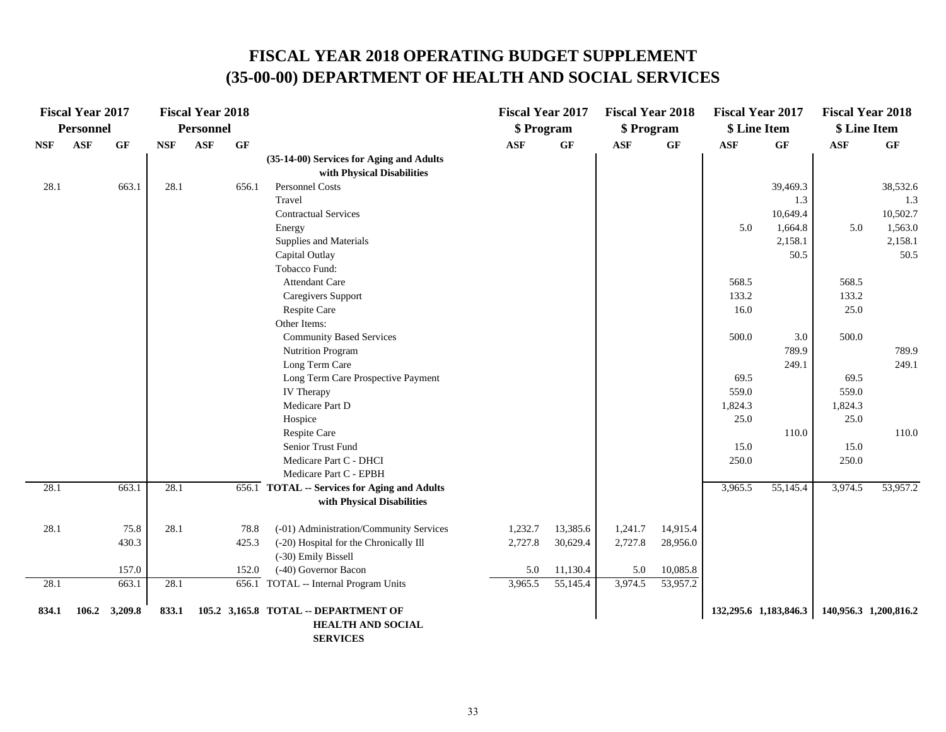|       | <b>Fiscal Year 2017</b> |         |            | <b>Fiscal Year 2018</b> |                 |                                                                                     | <b>Fiscal Year 2017</b> |          | <b>Fiscal Year 2018</b> |                 |            | <b>Fiscal Year 2017</b> | <b>Fiscal Year 2018</b> |                       |
|-------|-------------------------|---------|------------|-------------------------|-----------------|-------------------------------------------------------------------------------------|-------------------------|----------|-------------------------|-----------------|------------|-------------------------|-------------------------|-----------------------|
|       | <b>Personnel</b>        |         |            | <b>Personnel</b>        |                 |                                                                                     | \$ Program              |          | \$ Program              |                 |            | \$ Line Item            | \$ Line Item            |                       |
| NSF   | <b>ASF</b>              | GF      | <b>NSF</b> | <b>ASF</b>              | $\bf{G} \bf{F}$ |                                                                                     | <b>ASF</b>              | GF       | <b>ASF</b>              | $\bf{G} \bf{F}$ | <b>ASF</b> | GF                      | $\mathbf{ASF}$          | GF                    |
|       |                         |         |            |                         |                 | (35-14-00) Services for Aging and Adults                                            |                         |          |                         |                 |            |                         |                         |                       |
|       |                         |         |            |                         |                 | with Physical Disabilities                                                          |                         |          |                         |                 |            |                         |                         |                       |
| 28.1  |                         | 663.1   | 28.1       |                         | 656.1           | Personnel Costs                                                                     |                         |          |                         |                 |            | 39,469.3                |                         | 38,532.6              |
|       |                         |         |            |                         |                 | Travel                                                                              |                         |          |                         |                 |            | 1.3                     |                         | 1.3                   |
|       |                         |         |            |                         |                 | <b>Contractual Services</b>                                                         |                         |          |                         |                 |            | 10,649.4                |                         | 10,502.7              |
|       |                         |         |            |                         |                 | Energy                                                                              |                         |          |                         |                 | 5.0        | 1,664.8                 | 5.0                     | 1,563.0               |
|       |                         |         |            |                         |                 | Supplies and Materials                                                              |                         |          |                         |                 |            | 2,158.1                 |                         | 2,158.1               |
|       |                         |         |            |                         |                 | Capital Outlay                                                                      |                         |          |                         |                 |            | 50.5                    |                         | 50.5                  |
|       |                         |         |            |                         |                 | Tobacco Fund:                                                                       |                         |          |                         |                 |            |                         |                         |                       |
|       |                         |         |            |                         |                 | <b>Attendant Care</b>                                                               |                         |          |                         |                 | 568.5      |                         | 568.5                   |                       |
|       |                         |         |            |                         |                 | Caregivers Support                                                                  |                         |          |                         |                 | 133.2      |                         | 133.2                   |                       |
|       |                         |         |            |                         |                 | Respite Care                                                                        |                         |          |                         |                 | 16.0       |                         | 25.0                    |                       |
|       |                         |         |            |                         |                 | Other Items:                                                                        |                         |          |                         |                 |            |                         |                         |                       |
|       |                         |         |            |                         |                 | <b>Community Based Services</b>                                                     |                         |          |                         |                 | 500.0      | 3.0                     | 500.0                   |                       |
|       |                         |         |            |                         |                 | <b>Nutrition Program</b>                                                            |                         |          |                         |                 |            | 789.9                   |                         | 789.9                 |
|       |                         |         |            |                         |                 | Long Term Care                                                                      |                         |          |                         |                 |            | 249.1                   |                         | 249.1                 |
|       |                         |         |            |                         |                 | Long Term Care Prospective Payment                                                  |                         |          |                         |                 | 69.5       |                         | 69.5                    |                       |
|       |                         |         |            |                         |                 | <b>IV</b> Therapy                                                                   |                         |          |                         |                 | 559.0      |                         | 559.0                   |                       |
|       |                         |         |            |                         |                 | Medicare Part D                                                                     |                         |          |                         |                 | 1,824.3    |                         | 1,824.3                 |                       |
|       |                         |         |            |                         |                 | Hospice                                                                             |                         |          |                         |                 | 25.0       |                         | 25.0                    |                       |
|       |                         |         |            |                         |                 | Respite Care                                                                        |                         |          |                         |                 |            | 110.0                   |                         | 110.0                 |
|       |                         |         |            |                         |                 | Senior Trust Fund                                                                   |                         |          |                         |                 | 15.0       |                         | 15.0                    |                       |
|       |                         |         |            |                         |                 | Medicare Part C - DHCI                                                              |                         |          |                         |                 | 250.0      |                         | 250.0                   |                       |
|       |                         |         |            |                         |                 | Medicare Part C - EPBH                                                              |                         |          |                         |                 |            |                         |                         |                       |
| 28.1  |                         | 663.1   | 28.1       |                         |                 | 656.1 TOTAL -- Services for Aging and Adults<br>with Physical Disabilities          |                         |          |                         |                 | 3,965.5    | 55,145.4                | 3,974.5                 | 53,957.2              |
|       |                         |         |            |                         |                 |                                                                                     |                         |          |                         |                 |            |                         |                         |                       |
| 28.1  |                         | 75.8    | 28.1       |                         | 78.8            | (-01) Administration/Community Services                                             | 1,232.7                 | 13,385.6 | 1,241.7                 | 14,915.4        |            |                         |                         |                       |
|       |                         | 430.3   |            |                         | 425.3           | (-20) Hospital for the Chronically Ill<br>(-30) Emily Bissell                       | 2,727.8                 | 30,629.4 | 2,727.8                 | 28,956.0        |            |                         |                         |                       |
|       |                         | 157.0   |            |                         | 152.0           | (-40) Governor Bacon                                                                | 5.0                     | 11,130.4 | 5.0                     | 10,085.8        |            |                         |                         |                       |
| 28.1  |                         | 663.1   | 28.1       |                         |                 | 656.1 TOTAL -- Internal Program Units                                               | 3,965.5                 | 55,145.4 | 3,974.5                 | 53,957.2        |            |                         |                         |                       |
| 834.1 | 106.2                   | 3,209.8 | 833.1      |                         |                 | 105.2 3,165.8 TOTAL -- DEPARTMENT OF<br><b>HEALTH AND SOCIAL</b><br><b>SERVICES</b> |                         |          |                         |                 |            | 132,295.6 1,183,846.3   |                         | 140,956.3 1,200,816.2 |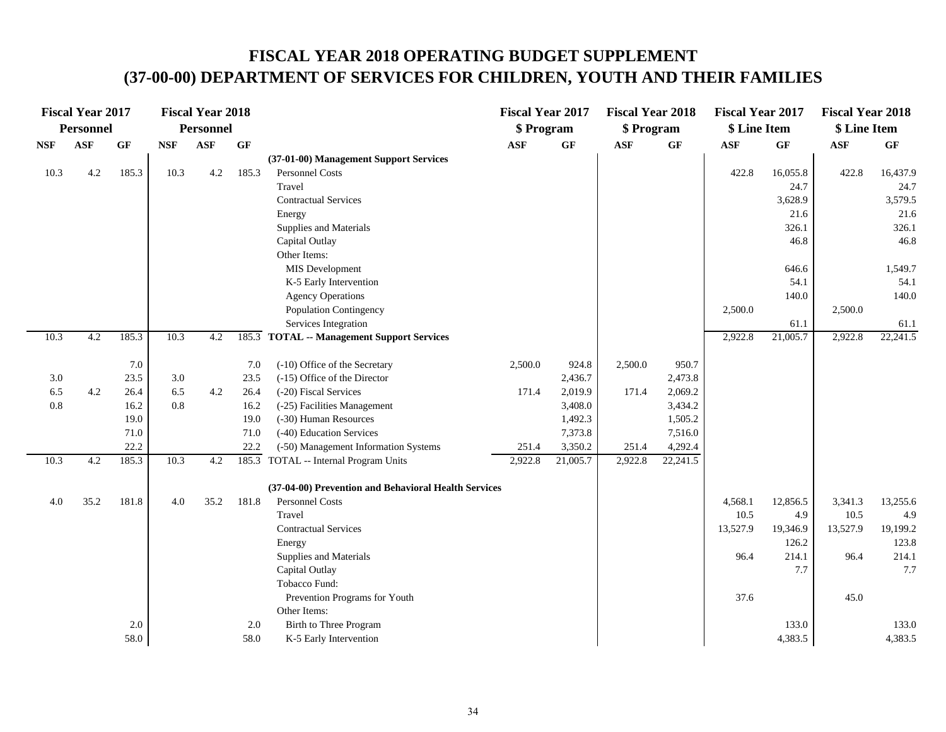### **FISCAL YEAR 2018 OPERATING BUDGET SUPPLEMENT (37-00-00) DEPARTMENT OF SERVICES FOR CHILDREN, YOUTH AND THEIR FAMILIES**

|            | <b>Fiscal Year 2017</b> |       |            | <b>Fiscal Year 2018</b> |       |                                                      | <b>Fiscal Year 2017</b> |          | <b>Fiscal Year 2018</b> |                 | <b>Fiscal Year 2017</b> |          | <b>Fiscal Year 2018</b> |           |
|------------|-------------------------|-------|------------|-------------------------|-------|------------------------------------------------------|-------------------------|----------|-------------------------|-----------------|-------------------------|----------|-------------------------|-----------|
|            | <b>Personnel</b>        |       |            | <b>Personnel</b>        |       |                                                      | \$ Program              |          | \$ Program              |                 | \$ Line Item            |          | \$ Line Item            |           |
| <b>NSF</b> | <b>ASF</b>              | GF    | <b>NSF</b> | <b>ASF</b>              | GF    |                                                      | <b>ASF</b>              | GF       | <b>ASF</b>              | $\bf{G} \bf{F}$ | <b>ASF</b>              | GF       | <b>ASF</b>              | <b>GF</b> |
|            |                         |       |            |                         |       | (37-01-00) Management Support Services               |                         |          |                         |                 |                         |          |                         |           |
| 10.3       | 4.2                     | 185.3 | 10.3       | 4.2                     | 185.3 | Personnel Costs                                      |                         |          |                         |                 | 422.8                   | 16,055.8 | 422.8                   | 16,437.9  |
|            |                         |       |            |                         |       | Travel                                               |                         |          |                         |                 |                         | 24.7     |                         | 24.7      |
|            |                         |       |            |                         |       | <b>Contractual Services</b>                          |                         |          |                         |                 |                         | 3,628.9  |                         | 3,579.5   |
|            |                         |       |            |                         |       | Energy                                               |                         |          |                         |                 |                         | 21.6     |                         | 21.6      |
|            |                         |       |            |                         |       | Supplies and Materials                               |                         |          |                         |                 |                         | 326.1    |                         | 326.1     |
|            |                         |       |            |                         |       | Capital Outlay                                       |                         |          |                         |                 |                         | 46.8     |                         | 46.8      |
|            |                         |       |            |                         |       | Other Items:                                         |                         |          |                         |                 |                         |          |                         |           |
|            |                         |       |            |                         |       | MIS Development                                      |                         |          |                         |                 |                         | 646.6    |                         | 1,549.7   |
|            |                         |       |            |                         |       | K-5 Early Intervention                               |                         |          |                         |                 |                         | 54.1     |                         | 54.1      |
|            |                         |       |            |                         |       | <b>Agency Operations</b>                             |                         |          |                         |                 |                         | 140.0    |                         | 140.0     |
|            |                         |       |            |                         |       | Population Contingency                               |                         |          |                         |                 | 2,500.0                 |          | 2,500.0                 |           |
|            |                         |       |            |                         |       | Services Integration                                 |                         |          |                         |                 |                         | 61.1     |                         | 61.1      |
| 10.3       | 4.2                     | 185.3 | 10.3       | 4.2                     |       | 185.3 TOTAL -- Management Support Services           |                         |          |                         |                 | 2,922.8                 | 21,005.7 | 2,922.8                 | 22,241.5  |
|            |                         | 7.0   |            |                         | 7.0   | (-10) Office of the Secretary                        | 2,500.0                 | 924.8    | 2,500.0                 | 950.7           |                         |          |                         |           |
| 3.0        |                         | 23.5  | 3.0        |                         | 23.5  | $(-15)$ Office of the Director                       |                         | 2,436.7  |                         | 2,473.8         |                         |          |                         |           |
| 6.5        | 4.2                     | 26.4  | 6.5        | $4.2\,$                 | 26.4  | (-20) Fiscal Services                                | 171.4                   | 2,019.9  | 171.4                   | 2,069.2         |                         |          |                         |           |
| $0.8\,$    |                         | 16.2  | 0.8        |                         | 16.2  | (-25) Facilities Management                          |                         | 3,408.0  |                         | 3,434.2         |                         |          |                         |           |
|            |                         | 19.0  |            |                         | 19.0  | (-30) Human Resources                                |                         | 1,492.3  |                         | 1,505.2         |                         |          |                         |           |
|            |                         | 71.0  |            |                         | 71.0  | (-40) Education Services                             |                         | 7,373.8  |                         | 7,516.0         |                         |          |                         |           |
|            |                         | 22.2  |            |                         | 22.2  | (-50) Management Information Systems                 | 251.4                   | 3,350.2  | 251.4                   | 4,292.4         |                         |          |                         |           |
| 10.3       | 4.2                     | 185.3 | 10.3       | 4.2                     |       | 185.3 TOTAL -- Internal Program Units                | 2,922.8                 | 21,005.7 | 2,922.8                 | 22,241.5        |                         |          |                         |           |
|            |                         |       |            |                         |       | (37-04-00) Prevention and Behavioral Health Services |                         |          |                         |                 |                         |          |                         |           |
| 4.0        | 35.2                    | 181.8 | 4.0        | 35.2                    | 181.8 | Personnel Costs                                      |                         |          |                         |                 | 4,568.1                 | 12,856.5 | 3,341.3                 | 13,255.6  |
|            |                         |       |            |                         |       | Travel                                               |                         |          |                         |                 | 10.5                    | 4.9      | 10.5                    | 4.9       |
|            |                         |       |            |                         |       | <b>Contractual Services</b>                          |                         |          |                         |                 | 13,527.9                | 19,346.9 | 13,527.9                | 19,199.2  |
|            |                         |       |            |                         |       | Energy                                               |                         |          |                         |                 |                         | 126.2    |                         | 123.8     |
|            |                         |       |            |                         |       | Supplies and Materials                               |                         |          |                         |                 | 96.4                    | 214.1    | 96.4                    | 214.1     |
|            |                         |       |            |                         |       | Capital Outlay                                       |                         |          |                         |                 |                         | 7.7      |                         | 7.7       |
|            |                         |       |            |                         |       | Tobacco Fund:                                        |                         |          |                         |                 |                         |          |                         |           |
|            |                         |       |            |                         |       | Prevention Programs for Youth                        |                         |          |                         |                 | 37.6                    |          | 45.0                    |           |
|            |                         |       |            |                         |       | Other Items:                                         |                         |          |                         |                 |                         |          |                         |           |
|            |                         | 2.0   |            |                         | 2.0   | Birth to Three Program                               |                         |          |                         |                 |                         | 133.0    |                         | 133.0     |
|            |                         | 58.0  |            |                         | 58.0  | K-5 Early Intervention                               |                         |          |                         |                 |                         | 4,383.5  |                         | 4,383.5   |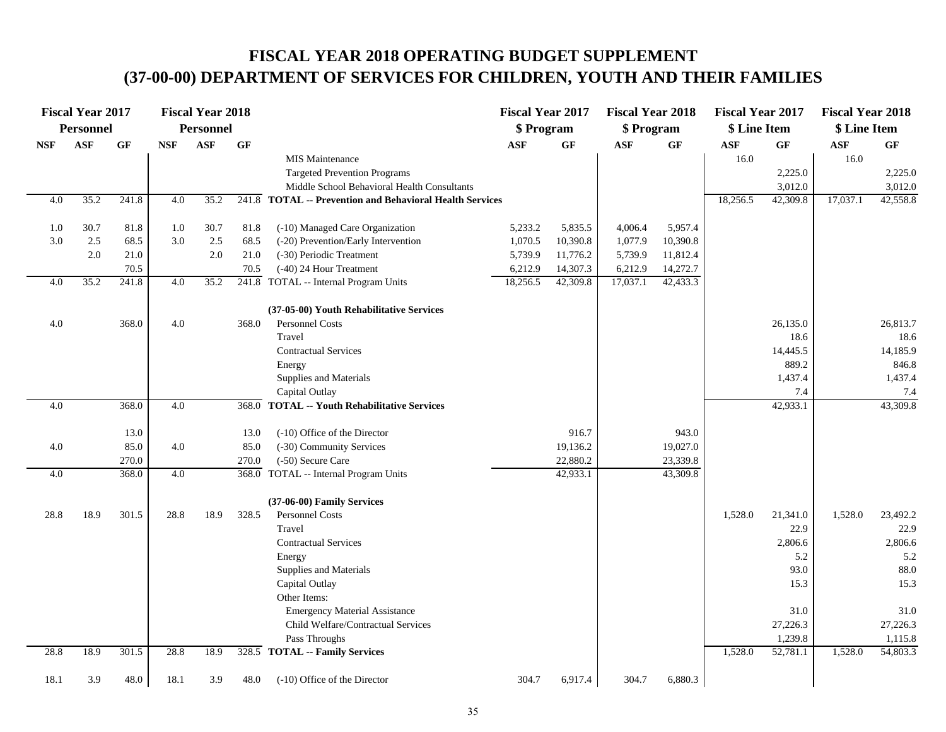## **FISCAL YEAR 2018 OPERATING BUDGET SUPPLEMENT (37-00-00) DEPARTMENT OF SERVICES FOR CHILDREN, YOUTH AND THEIR FAMILIES**

|            | <b>Fiscal Year 2017</b> |           |            | <b>Fiscal Year 2018</b> |                 |                                                          | <b>Fiscal Year 2017</b> |           | <b>Fiscal Year 2018</b> |          | <b>Fiscal Year 2017</b> |           | <b>Fiscal Year 2018</b> |          |
|------------|-------------------------|-----------|------------|-------------------------|-----------------|----------------------------------------------------------|-------------------------|-----------|-------------------------|----------|-------------------------|-----------|-------------------------|----------|
|            | Personnel               |           |            | <b>Personnel</b>        |                 |                                                          | \$ Program              |           | \$ Program              |          | \$ Line Item            |           | \$ Line Item            |          |
| <b>NSF</b> | <b>ASF</b>              | <b>GF</b> | <b>NSF</b> | <b>ASF</b>              | $\bf{G} \bf{F}$ |                                                          | <b>ASF</b>              | <b>GF</b> | <b>ASF</b>              | GF       | $\bf{ASF}$              | <b>GF</b> | <b>ASF</b>              | GF       |
|            |                         |           |            |                         |                 | <b>MIS Maintenance</b>                                   |                         |           |                         |          | 16.0                    |           | 16.0                    |          |
|            |                         |           |            |                         |                 | <b>Targeted Prevention Programs</b>                      |                         |           |                         |          |                         | 2,225.0   |                         | 2,225.0  |
|            |                         |           |            |                         |                 | Middle School Behavioral Health Consultants              |                         |           |                         |          |                         | 3,012.0   |                         | 3,012.0  |
| 4.0        | 35.2                    | 241.8     | 4.0        | 35.2                    |                 | 241.8 TOTAL -- Prevention and Behavioral Health Services |                         |           |                         |          | 18,256.5                | 42,309.8  | 17,037.1                | 42,558.8 |
|            |                         |           |            |                         |                 |                                                          |                         |           |                         |          |                         |           |                         |          |
| 1.0        | 30.7                    | 81.8      | 1.0        | 30.7                    | 81.8            | (-10) Managed Care Organization                          | 5,233.2                 | 5,835.5   | 4,006.4                 | 5,957.4  |                         |           |                         |          |
| 3.0        | 2.5                     | 68.5      | 3.0        | 2.5                     | 68.5            | (-20) Prevention/Early Intervention                      | 1,070.5                 | 10,390.8  | 1,077.9                 | 10,390.8 |                         |           |                         |          |
|            | 2.0                     | 21.0      |            | 2.0                     | 21.0            | (-30) Periodic Treatment                                 | 5,739.9                 | 11,776.2  | 5,739.9                 | 11,812.4 |                         |           |                         |          |
|            |                         | 70.5      |            |                         | 70.5            | (-40) 24 Hour Treatment                                  | 6,212.9                 | 14,307.3  | 6,212.9                 | 14,272.7 |                         |           |                         |          |
| 4.0        | 35.2                    | 241.8     | 4.0        | 35.2                    |                 | 241.8 TOTAL -- Internal Program Units                    | 18,256.5                | 42,309.8  | 17,037.1                | 42,433.3 |                         |           |                         |          |
|            |                         |           |            |                         |                 | (37-05-00) Youth Rehabilitative Services                 |                         |           |                         |          |                         |           |                         |          |
| 4.0        |                         | 368.0     | 4.0        |                         | 368.0           | Personnel Costs                                          |                         |           |                         |          |                         | 26,135.0  |                         | 26,813.7 |
|            |                         |           |            |                         |                 | Travel                                                   |                         |           |                         |          |                         | 18.6      |                         | 18.6     |
|            |                         |           |            |                         |                 | <b>Contractual Services</b>                              |                         |           |                         |          |                         | 14,445.5  |                         | 14,185.9 |
|            |                         |           |            |                         |                 | Energy                                                   |                         |           |                         |          |                         | 889.2     |                         | 846.8    |
|            |                         |           |            |                         |                 | Supplies and Materials                                   |                         |           |                         |          |                         | 1,437.4   |                         | 1,437.4  |
|            |                         |           |            |                         |                 | Capital Outlay                                           |                         |           |                         |          |                         | 7.4       |                         | 7.4      |
| 4.0        |                         | 368.0     | 4.0        |                         | 368.0           | <b>TOTAL -- Youth Rehabilitative Services</b>            |                         |           |                         |          |                         | 42,933.1  |                         | 43,309.8 |
|            |                         |           |            |                         |                 |                                                          |                         |           |                         |          |                         |           |                         |          |
|            |                         | 13.0      |            |                         | 13.0            | (-10) Office of the Director                             |                         | 916.7     |                         | 943.0    |                         |           |                         |          |
| $4.0\,$    |                         | 85.0      | 4.0        |                         | 85.0            | (-30) Community Services                                 |                         | 19,136.2  |                         | 19,027.0 |                         |           |                         |          |
|            |                         | 270.0     |            |                         | 270.0           | (-50) Secure Care                                        |                         | 22,880.2  |                         | 23,339.8 |                         |           |                         |          |
| 4.0        |                         | 368.0     | 4.0        |                         | 368.0           | TOTAL -- Internal Program Units                          |                         | 42,933.1  |                         | 43,309.8 |                         |           |                         |          |
|            |                         |           |            |                         |                 | (37-06-00) Family Services                               |                         |           |                         |          |                         |           |                         |          |
| 28.8       | 18.9                    | 301.5     | 28.8       | 18.9                    | 328.5           | Personnel Costs                                          |                         |           |                         |          | 1,528.0                 | 21,341.0  | 1,528.0                 | 23,492.2 |
|            |                         |           |            |                         |                 | Travel                                                   |                         |           |                         |          |                         | 22.9      |                         | 22.9     |
|            |                         |           |            |                         |                 | <b>Contractual Services</b>                              |                         |           |                         |          |                         | 2,806.6   |                         | 2,806.6  |
|            |                         |           |            |                         |                 | Energy                                                   |                         |           |                         |          |                         | 5.2       |                         | 5.2      |
|            |                         |           |            |                         |                 | Supplies and Materials                                   |                         |           |                         |          |                         | 93.0      |                         | 88.0     |
|            |                         |           |            |                         |                 | Capital Outlay                                           |                         |           |                         |          |                         | 15.3      |                         | 15.3     |
|            |                         |           |            |                         |                 | Other Items:                                             |                         |           |                         |          |                         |           |                         |          |
|            |                         |           |            |                         |                 | <b>Emergency Material Assistance</b>                     |                         |           |                         |          |                         | 31.0      |                         | 31.0     |
|            |                         |           |            |                         |                 | Child Welfare/Contractual Services                       |                         |           |                         |          |                         | 27,226.3  |                         | 27,226.3 |
|            |                         |           |            |                         |                 | Pass Throughs                                            |                         |           |                         |          |                         | 1,239.8   |                         | 1,115.8  |
| 28.8       | 18.9                    | 301.5     | 28.8       | 18.9                    |                 | 328.5 TOTAL -- Family Services                           |                         |           |                         |          | 1,528.0                 | 52,781.1  | 1,528.0                 | 54,803.3 |
|            |                         |           |            |                         |                 |                                                          |                         |           |                         |          |                         |           |                         |          |
| 18.1       | 3.9                     | 48.0      | 18.1       | 3.9                     | 48.0            | (-10) Office of the Director                             | 304.7                   | 6,917.4   | 304.7                   | 6,880.3  |                         |           |                         |          |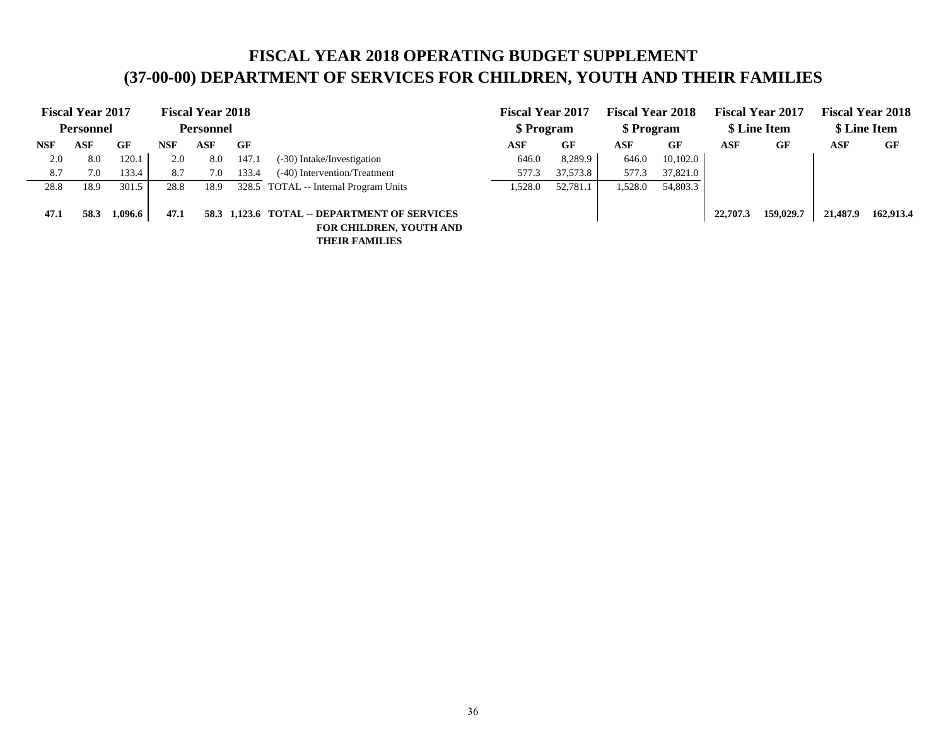## **FISCAL YEAR 2018 OPERATING BUDGET SUPPLEMENT (37-00-00) DEPARTMENT OF SERVICES FOR CHILDREN, YOUTH AND THEIR FAMILIES**

|            | <b>Fiscal Year 2017</b><br>Personnel |         |      | <b>Fiscal Year 2018</b><br><b>Personnel</b> |       |                                                                                                         | <b>Fiscal Year 2017</b><br>\$ Program |          | <b>Fiscal Year 2018</b><br>\$ Program |          |          | <b>Fiscal Year 2017</b><br>\$ Line Item |          | <b>Fiscal Year 2018</b><br>\$ Line Item |
|------------|--------------------------------------|---------|------|---------------------------------------------|-------|---------------------------------------------------------------------------------------------------------|---------------------------------------|----------|---------------------------------------|----------|----------|-----------------------------------------|----------|-----------------------------------------|
| <b>NSF</b> | ASF                                  | GF      | NSF  | ASF                                         | GF    |                                                                                                         | ASF                                   | GF       | ASF                                   | GF       | ASF      | GF                                      | ASF      | GF                                      |
| 2.0        | 8.0                                  | 120.1   | 2.0  | 8.0                                         | 147.1 | (-30) Intake/Investigation                                                                              | 646.0                                 | 8,289.9  | 646.0                                 | 10,102.0 |          |                                         |          |                                         |
| 8.7        | 7.0                                  | 133.4   | 8.7  | 7.0                                         | 133.4 | (-40) Intervention/Treatment                                                                            | 577.3                                 | 37,573.8 | 577.3                                 | 37,821.0 |          |                                         |          |                                         |
| 28.8       | 18.9                                 | 301.5   | 28.8 | 18.9                                        |       | 328.5 TOTAL -- Internal Program Units                                                                   | 1,528.0                               | 52,781.1 | 1,528.0                               | 54,803.3 |          |                                         |          |                                         |
| 47.1       | 58.3                                 | 1,096.6 | 47.1 |                                             |       | 58.3 1,123.6 TOTAL -- DEPARTMENT OF SERVICES<br><b>FOR CHILDREN, YOUTH AND</b><br><b>THEIR FAMILIES</b> |                                       |          |                                       |          | 22,707.3 | 159,029.7                               | 21,487.9 | 162,913.4                               |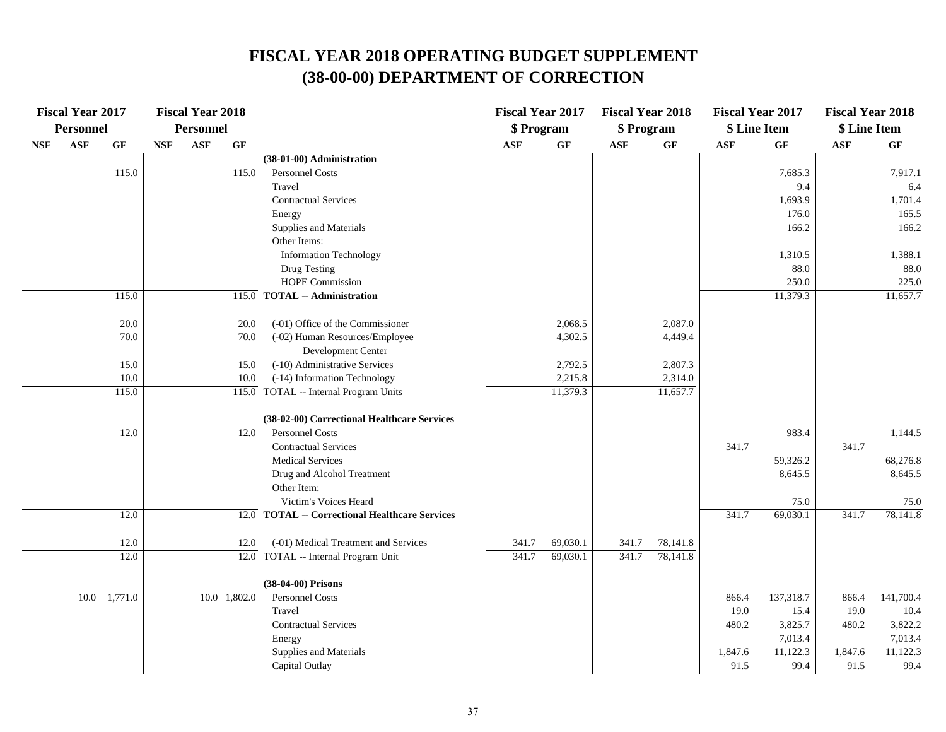|            | <b>Fiscal Year 2017</b><br><b>Personnel</b> |                      |            | <b>Fiscal Year 2018</b><br><b>Personnel</b> |                 |                                                | <b>Fiscal Year 2017</b><br>\$ Program |          | <b>Fiscal Year 2018</b><br>\$ Program |           | <b>Fiscal Year 2017</b><br>\$ Line Item |           | <b>Fiscal Year 2018</b><br>\$ Line Item |           |
|------------|---------------------------------------------|----------------------|------------|---------------------------------------------|-----------------|------------------------------------------------|---------------------------------------|----------|---------------------------------------|-----------|-----------------------------------------|-----------|-----------------------------------------|-----------|
| <b>NSF</b> | <b>ASF</b>                                  | GF                   | <b>NSF</b> | <b>ASF</b>                                  | $\bf{G} \bf{F}$ |                                                | <b>ASF</b>                            | GF       | <b>ASF</b>                            | <b>GF</b> | <b>ASF</b>                              | GF        | <b>ASF</b>                              | GF        |
|            |                                             |                      |            |                                             |                 | (38-01-00) Administration                      |                                       |          |                                       |           |                                         |           |                                         |           |
|            |                                             | 115.0                |            |                                             | 115.0           | Personnel Costs                                |                                       |          |                                       |           |                                         | 7,685.3   |                                         | 7,917.1   |
|            |                                             |                      |            |                                             |                 | Travel                                         |                                       |          |                                       |           |                                         | 9.4       |                                         | 6.4       |
|            |                                             |                      |            |                                             |                 | <b>Contractual Services</b>                    |                                       |          |                                       |           |                                         | 1,693.9   |                                         | 1,701.4   |
|            |                                             |                      |            |                                             |                 | Energy                                         |                                       |          |                                       |           |                                         | 176.0     |                                         | 165.5     |
|            |                                             |                      |            |                                             |                 | Supplies and Materials                         |                                       |          |                                       |           |                                         | 166.2     |                                         | 166.2     |
|            |                                             |                      |            |                                             |                 | Other Items:                                   |                                       |          |                                       |           |                                         |           |                                         |           |
|            |                                             |                      |            |                                             |                 | <b>Information Technology</b>                  |                                       |          |                                       |           |                                         | 1,310.5   |                                         | 1,388.1   |
|            |                                             |                      |            |                                             |                 | Drug Testing                                   |                                       |          |                                       |           |                                         | 88.0      |                                         | 88.0      |
|            |                                             |                      |            |                                             |                 | <b>HOPE Commission</b>                         |                                       |          |                                       |           |                                         | 250.0     |                                         | 225.0     |
|            |                                             | 115.0                |            |                                             |                 | 115.0 TOTAL -- Administration                  |                                       |          |                                       |           |                                         | 11,379.3  |                                         | 11,657.7  |
|            |                                             | 20.0                 |            |                                             | 20.0            | (-01) Office of the Commissioner               |                                       | 2,068.5  |                                       | 2,087.0   |                                         |           |                                         |           |
|            |                                             | 70.0                 |            |                                             | 70.0            | (-02) Human Resources/Employee                 |                                       | 4,302.5  |                                       | 4,449.4   |                                         |           |                                         |           |
|            |                                             |                      |            |                                             |                 | Development Center                             |                                       |          |                                       |           |                                         |           |                                         |           |
|            |                                             | 15.0                 |            |                                             | 15.0            | (-10) Administrative Services                  |                                       | 2,792.5  |                                       | 2,807.3   |                                         |           |                                         |           |
|            |                                             | 10.0                 |            |                                             | 10.0            | (-14) Information Technology                   |                                       | 2,215.8  |                                       | 2,314.0   |                                         |           |                                         |           |
|            |                                             | 115.0                |            |                                             |                 | 115.0 TOTAL -- Internal Program Units          |                                       | 11,379.3 |                                       | 11,657.7  |                                         |           |                                         |           |
|            |                                             |                      |            |                                             |                 | (38-02-00) Correctional Healthcare Services    |                                       |          |                                       |           |                                         |           |                                         |           |
|            |                                             | 12.0                 |            |                                             | 12.0            | Personnel Costs                                |                                       |          |                                       |           |                                         | 983.4     |                                         | 1,144.5   |
|            |                                             |                      |            |                                             |                 | <b>Contractual Services</b>                    |                                       |          |                                       |           | 341.7                                   |           | 341.7                                   |           |
|            |                                             |                      |            |                                             |                 | <b>Medical Services</b>                        |                                       |          |                                       |           |                                         | 59,326.2  |                                         | 68,276.8  |
|            |                                             |                      |            |                                             |                 | Drug and Alcohol Treatment                     |                                       |          |                                       |           |                                         | 8,645.5   |                                         | 8,645.5   |
|            |                                             |                      |            |                                             |                 | Other Item:                                    |                                       |          |                                       |           |                                         |           |                                         |           |
|            |                                             |                      |            |                                             |                 | Victim's Voices Heard                          |                                       |          |                                       |           |                                         | 75.0      |                                         | 75.0      |
|            |                                             | 12.0                 |            |                                             |                 | 12.0 TOTAL -- Correctional Healthcare Services |                                       |          |                                       |           | 341.7                                   | 69,030.1  | 341.7                                   | 78,141.8  |
|            |                                             | 12.0                 |            |                                             | 12.0            | (-01) Medical Treatment and Services           | 341.7                                 | 69,030.1 | 341.7                                 | 78,141.8  |                                         |           |                                         |           |
|            |                                             | 12.0                 |            |                                             |                 | 12.0 TOTAL -- Internal Program Unit            | 341.7                                 | 69,030.1 | 341.7                                 | 78,141.8  |                                         |           |                                         |           |
|            |                                             |                      |            |                                             |                 | (38-04-00) Prisons                             |                                       |          |                                       |           |                                         |           |                                         |           |
|            |                                             | $10.0 \quad 1,771.0$ |            |                                             | 10.0 1,802.0    | Personnel Costs                                |                                       |          |                                       |           | 866.4                                   | 137,318.7 | 866.4                                   | 141,700.4 |
|            |                                             |                      |            |                                             |                 | Travel                                         |                                       |          |                                       |           | 19.0                                    | 15.4      | 19.0                                    | 10.4      |
|            |                                             |                      |            |                                             |                 | <b>Contractual Services</b>                    |                                       |          |                                       |           | 480.2                                   | 3,825.7   | 480.2                                   | 3,822.2   |
|            |                                             |                      |            |                                             |                 | Energy                                         |                                       |          |                                       |           |                                         | 7,013.4   |                                         | 7,013.4   |
|            |                                             |                      |            |                                             |                 | Supplies and Materials                         |                                       |          |                                       |           | 1,847.6                                 | 11,122.3  | 1,847.6                                 | 11,122.3  |
|            |                                             |                      |            |                                             |                 | Capital Outlay                                 |                                       |          |                                       |           | 91.5                                    | 99.4      | 91.5                                    | 99.4      |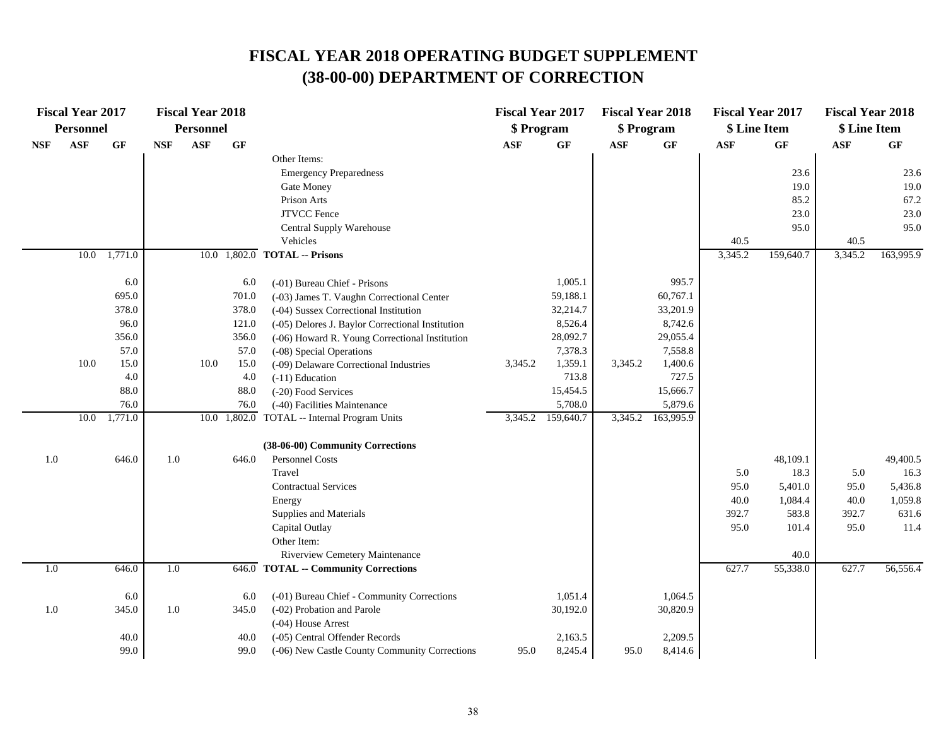|            | <b>Fiscal Year 2017</b><br><b>Personnel</b> |                 |            | <b>Fiscal Year 2018</b><br><b>Personnel</b> |                                      |                                                  | <b>Fiscal Year 2017</b><br>\$ Program |                 | <b>Fiscal Year 2018</b><br>\$ Program |           | <b>Fiscal Year 2017</b><br>\$ Line Item |           | <b>Fiscal Year 2018</b><br>\$ Line Item |                 |
|------------|---------------------------------------------|-----------------|------------|---------------------------------------------|--------------------------------------|--------------------------------------------------|---------------------------------------|-----------------|---------------------------------------|-----------|-----------------------------------------|-----------|-----------------------------------------|-----------------|
| <b>NSF</b> | <b>ASF</b>                                  | $\bf{G} \bf{F}$ | <b>NSF</b> | $\mathbf{ASF}$                              | GF                                   |                                                  | $\mathbf{ASF}$                        | $\bf{G} \bf{F}$ | $\bf{ASF}$                            | GF        | <b>ASF</b>                              | GF        | $\mathbf{ASF}$                          | $\bf{G} \bf{F}$ |
|            |                                             |                 |            |                                             |                                      | Other Items:                                     |                                       |                 |                                       |           |                                         |           |                                         |                 |
|            |                                             |                 |            |                                             |                                      | <b>Emergency Preparedness</b>                    |                                       |                 |                                       |           |                                         | 23.6      |                                         | 23.6            |
|            |                                             |                 |            |                                             |                                      | Gate Money                                       |                                       |                 |                                       |           |                                         | 19.0      |                                         | 19.0            |
|            |                                             |                 |            |                                             |                                      | Prison Arts                                      |                                       |                 |                                       |           |                                         | 85.2      |                                         | 67.2            |
|            |                                             |                 |            |                                             |                                      | <b>JTVCC</b> Fence                               |                                       |                 |                                       |           |                                         | 23.0      |                                         | 23.0            |
|            |                                             |                 |            |                                             |                                      | Central Supply Warehouse                         |                                       |                 |                                       |           |                                         | 95.0      |                                         | 95.0            |
|            |                                             |                 |            |                                             |                                      | Vehicles                                         |                                       |                 |                                       |           | 40.5                                    |           | 40.5                                    |                 |
|            |                                             | 10.0 1,771.0    |            |                                             |                                      | $10.0$ $1,802.0$ TOTAL -- Prisons                |                                       |                 |                                       |           | 3,345.2                                 | 159,640.7 | 3,345.2                                 | 163,995.9       |
|            |                                             | 6.0             |            |                                             | 6.0                                  | (-01) Bureau Chief - Prisons                     |                                       | 1,005.1         |                                       | 995.7     |                                         |           |                                         |                 |
|            |                                             | 695.0           |            |                                             | 701.0                                | (-03) James T. Vaughn Correctional Center        |                                       | 59,188.1        |                                       | 60,767.1  |                                         |           |                                         |                 |
|            |                                             | 378.0           |            |                                             | 378.0                                | (-04) Sussex Correctional Institution            |                                       | 32,214.7        |                                       | 33,201.9  |                                         |           |                                         |                 |
|            |                                             | 96.0            |            |                                             | 121.0                                | (-05) Delores J. Baylor Correctional Institution |                                       | 8,526.4         |                                       | 8,742.6   |                                         |           |                                         |                 |
|            |                                             | 356.0           |            |                                             | 356.0                                | (-06) Howard R. Young Correctional Institution   |                                       | 28,092.7        |                                       | 29,055.4  |                                         |           |                                         |                 |
|            |                                             | 57.0            |            |                                             | 57.0                                 | (-08) Special Operations                         |                                       | 7,378.3         |                                       | 7,558.8   |                                         |           |                                         |                 |
|            | 10.0                                        | 15.0            |            | 10.0                                        | 15.0                                 | (-09) Delaware Correctional Industries           | 3,345.2                               | 1,359.1         | 3,345.2                               | 1,400.6   |                                         |           |                                         |                 |
|            |                                             | 4.0             |            |                                             | 4.0                                  | $(-11)$ Education                                |                                       | 713.8           |                                       | 727.5     |                                         |           |                                         |                 |
|            |                                             | 88.0            |            |                                             | 88.0                                 | (-20) Food Services                              |                                       | 15,454.5        |                                       | 15,666.7  |                                         |           |                                         |                 |
|            |                                             | 76.0            |            |                                             | 76.0<br>(-40) Facilities Maintenance |                                                  |                                       | 5,708.0         |                                       | 5,879.6   |                                         |           |                                         |                 |
|            | 10.0                                        | 1,771.0         |            |                                             |                                      | 10.0 1,802.0 TOTAL -- Internal Program Units     | 3,345.2                               | 159,640.7       | 3,345.2                               | 163,995.9 |                                         |           |                                         |                 |
|            |                                             |                 |            |                                             |                                      | (38-06-00) Community Corrections                 |                                       |                 |                                       |           |                                         |           |                                         |                 |
| 1.0        |                                             | 646.0           | 1.0        |                                             | 646.0                                | Personnel Costs                                  |                                       |                 |                                       |           |                                         | 48,109.1  |                                         | 49,400.5        |
|            |                                             |                 |            |                                             |                                      | Travel                                           |                                       |                 |                                       |           | 5.0                                     | 18.3      | 5.0                                     | 16.3            |
|            |                                             |                 |            |                                             |                                      | <b>Contractual Services</b>                      |                                       |                 |                                       |           | 95.0                                    | 5,401.0   | 95.0                                    | 5,436.8         |
|            |                                             |                 |            |                                             |                                      | Energy                                           |                                       |                 |                                       |           | 40.0                                    | 1,084.4   | 40.0                                    | 1,059.8         |
|            |                                             |                 |            |                                             |                                      | Supplies and Materials                           |                                       |                 |                                       |           | 392.7                                   | 583.8     | 392.7                                   | 631.6           |
|            |                                             |                 |            |                                             |                                      | Capital Outlay                                   |                                       |                 |                                       |           | 95.0                                    | 101.4     | 95.0                                    | 11.4            |
|            |                                             |                 |            |                                             |                                      | Other Item:                                      |                                       |                 |                                       |           |                                         |           |                                         |                 |
|            |                                             |                 |            |                                             |                                      | Riverview Cemetery Maintenance                   |                                       |                 |                                       |           |                                         | 40.0      |                                         |                 |
| 1.0        |                                             | 646.0           | 1.0        |                                             | 646.0                                | <b>TOTAL -- Community Corrections</b>            |                                       |                 |                                       |           | 627.7                                   | 55,338.0  | 627.7                                   | 56,556.4        |
|            |                                             | 6.0             |            |                                             | 6.0                                  | (-01) Bureau Chief - Community Corrections       |                                       | 1,051.4         |                                       | 1,064.5   |                                         |           |                                         |                 |
| 1.0        |                                             | 345.0           | 1.0        |                                             | 345.0                                | (-02) Probation and Parole                       |                                       | 30,192.0        |                                       | 30,820.9  |                                         |           |                                         |                 |
|            |                                             |                 |            |                                             |                                      | (-04) House Arrest                               |                                       |                 |                                       |           |                                         |           |                                         |                 |
|            |                                             | 40.0            |            |                                             | 40.0                                 | (-05) Central Offender Records                   |                                       | 2,163.5         |                                       | 2,209.5   |                                         |           |                                         |                 |
|            |                                             | 99.0            |            |                                             | 99.0                                 | (-06) New Castle County Community Corrections    | 95.0                                  | 8,245.4         | 95.0                                  | 8,414.6   |                                         |           |                                         |                 |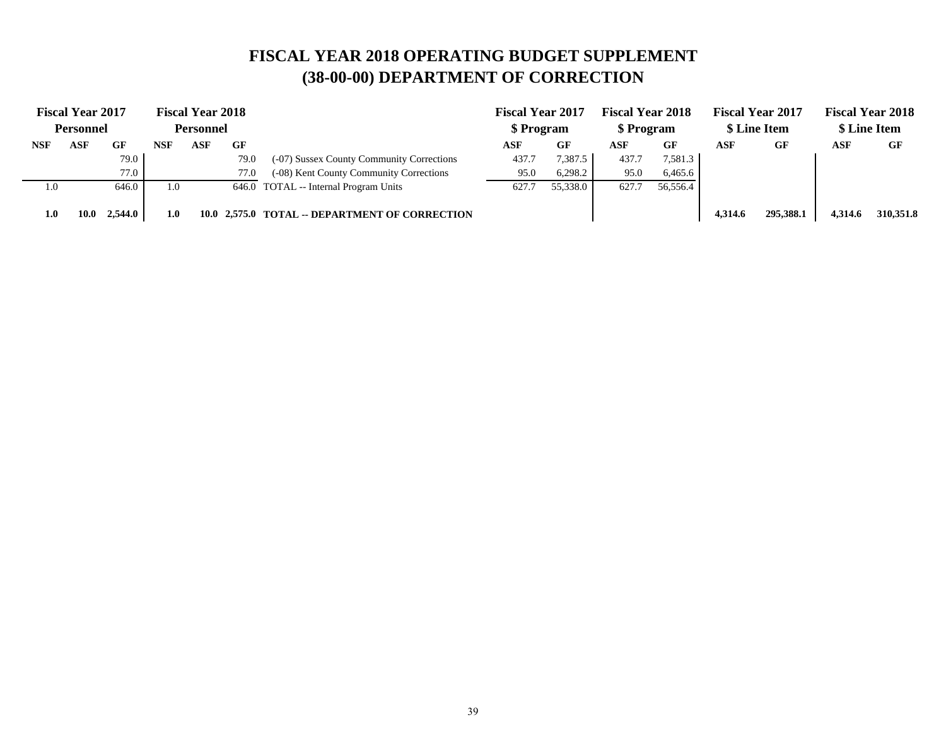|            | <b>Fiscal Year 2017</b> |         |     | <b>Fiscal Year 2018</b> |      |                                                | <b>Fiscal Year 2017</b> |           | <b>Fiscal Year 2018</b> |          |         | <b>Fiscal Year 2017</b> |         | <b>Fiscal Year 2018</b> |
|------------|-------------------------|---------|-----|-------------------------|------|------------------------------------------------|-------------------------|-----------|-------------------------|----------|---------|-------------------------|---------|-------------------------|
|            | <b>Personnel</b>        |         |     | <b>Personnel</b>        |      |                                                | \$ Program              |           | \$ Program              |          |         | \$ Line Item            |         | \$ Line Item            |
| <b>NSF</b> | ASF                     | GF      | NSF | ASF                     | GF   |                                                | ASF                     | <b>GF</b> | ASF                     | GF       | ASF     | GF                      | ASF     | GF                      |
|            |                         | 79.0    |     |                         | 79.0 | (-07) Sussex County Community Corrections      | 437.7                   | 7,387.5   | 437.7                   | 7,581.3  |         |                         |         |                         |
|            |                         | 77.0    |     |                         | 77.0 | (-08) Kent County Community Corrections        | 95.0                    | 6,298.2   | 95.0                    | 6,465.6  |         |                         |         |                         |
| 1.0        |                         | 646.0   | 1.0 |                         |      | 646.0 TOTAL -- Internal Program Units          | 627.7                   | 55,338.0  | 627.7                   | 56,556.4 |         |                         |         |                         |
| 1.0        | 10.0                    | 2,544.0 | 1.0 |                         |      | 10.0 2,575.0 TOTAL -- DEPARTMENT OF CORRECTION |                         |           |                         |          | 4.314.6 | 295,388.1               | 4,314.6 | 310,351.8               |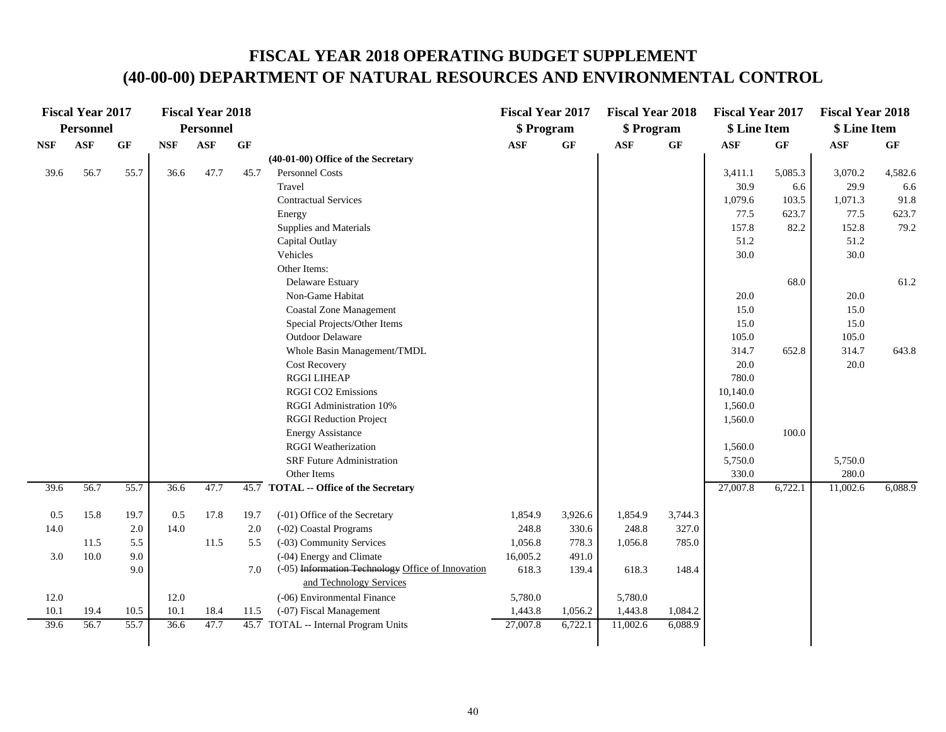|            | <b>Fiscal Year 2017</b> |           |            | <b>Fiscal Year 2018</b> |      |                                                   | <b>Fiscal Year 2017</b> |         | <b>Fiscal Year 2018</b> |         | <b>Fiscal Year 2017</b> |         | <b>Fiscal Year 2018</b> |           |
|------------|-------------------------|-----------|------------|-------------------------|------|---------------------------------------------------|-------------------------|---------|-------------------------|---------|-------------------------|---------|-------------------------|-----------|
|            | <b>Personnel</b>        |           |            | <b>Personnel</b>        |      |                                                   | \$ Program              |         | \$ Program              |         | \$ Line Item            |         | \$ Line Item            |           |
| <b>NSF</b> | <b>ASF</b>              | <b>GF</b> | <b>NSF</b> | <b>ASF</b>              | GF   |                                                   | <b>ASF</b>              | GF      | <b>ASF</b>              | GF      | <b>ASF</b>              | GF      | $\mathbf{ASF}$          | <b>GF</b> |
|            |                         |           |            |                         |      | (40-01-00) Office of the Secretary                |                         |         |                         |         |                         |         |                         |           |
| 39.6       | 56.7                    | 55.7      | 36.6       | 47.7                    | 45.7 | <b>Personnel Costs</b>                            |                         |         |                         |         | 3,411.1                 | 5,085.3 | 3,070.2                 | 4,582.6   |
|            |                         |           |            |                         |      | Travel                                            |                         |         |                         |         | 30.9                    | 6.6     | 29.9                    | 6.6       |
|            |                         |           |            |                         |      | <b>Contractual Services</b>                       |                         |         |                         |         | 1,079.6                 | 103.5   | 1,071.3                 | 91.8      |
|            |                         |           |            |                         |      | Energy                                            |                         |         |                         |         | 77.5                    | 623.7   | 77.5                    | 623.7     |
|            |                         |           |            |                         |      | Supplies and Materials                            |                         |         |                         |         | 157.8                   | 82.2    | 152.8                   | 79.2      |
|            |                         |           |            |                         |      | Capital Outlay                                    |                         |         |                         |         | 51.2                    |         | 51.2                    |           |
|            |                         |           |            |                         |      | Vehicles                                          |                         |         |                         |         | 30.0                    |         | 30.0                    |           |
|            |                         |           |            |                         |      | Other Items:                                      |                         |         |                         |         |                         |         |                         |           |
|            |                         |           |            |                         |      | Delaware Estuary                                  |                         |         |                         |         |                         | 68.0    |                         | 61.2      |
|            |                         |           |            |                         |      | Non-Game Habitat                                  |                         |         |                         |         | 20.0                    |         | 20.0                    |           |
|            |                         |           |            |                         |      | <b>Coastal Zone Management</b>                    |                         |         |                         |         | 15.0                    |         | 15.0                    |           |
|            |                         |           |            |                         |      | Special Projects/Other Items                      |                         |         |                         |         | 15.0                    |         | 15.0                    |           |
|            |                         |           |            |                         |      | Outdoor Delaware                                  |                         |         |                         |         | 105.0                   |         | 105.0                   |           |
|            |                         |           |            |                         |      | Whole Basin Management/TMDL                       |                         |         |                         |         | 314.7                   | 652.8   | 314.7                   | 643.8     |
|            |                         |           |            |                         |      | <b>Cost Recovery</b>                              |                         |         |                         |         | 20.0                    |         | 20.0                    |           |
|            |                         |           |            |                         |      | <b>RGGI LIHEAP</b>                                |                         |         |                         |         | 780.0                   |         |                         |           |
|            |                         |           |            |                         |      | <b>RGGI CO2 Emissions</b>                         |                         |         |                         |         | 10,140.0                |         |                         |           |
|            |                         |           |            |                         |      | RGGI Administration 10%                           |                         |         |                         |         | 1,560.0                 |         |                         |           |
|            |                         |           |            |                         |      | <b>RGGI Reduction Project</b>                     |                         |         |                         |         | 1,560.0                 |         |                         |           |
|            |                         |           |            |                         |      | <b>Energy Assistance</b>                          |                         |         |                         |         |                         | 100.0   |                         |           |
|            |                         |           |            |                         |      | <b>RGGI</b> Weatherization                        |                         |         |                         |         | 1,560.0                 |         |                         |           |
|            |                         |           |            |                         |      | <b>SRF</b> Future Administration                  |                         |         |                         |         | 5,750.0                 |         | 5,750.0                 |           |
|            |                         |           |            |                         |      | Other Items                                       |                         |         |                         |         | 330.0                   |         | 280.0                   |           |
| 39.6       | 56.7                    | 55.7      | 36.6       | 47.7                    |      | 45.7 TOTAL -- Office of the Secretary             |                         |         |                         |         | 27,007.8                | 6,722.1 | 11,002.6                | 6,088.9   |
| 0.5        | 15.8                    | 19.7      | 0.5        | 17.8                    | 19.7 | (-01) Office of the Secretary                     | 1,854.9                 | 3,926.6 | 1,854.9                 | 3,744.3 |                         |         |                         |           |
| 14.0       |                         | 2.0       | 14.0       |                         | 2.0  | (-02) Coastal Programs                            | 248.8                   | 330.6   | 248.8                   | 327.0   |                         |         |                         |           |
|            | 11.5                    | 5.5       |            | 11.5                    | 5.5  | (-03) Community Services                          | 1,056.8                 | 778.3   | 1,056.8                 | 785.0   |                         |         |                         |           |
| 3.0        | 10.0                    | 9.0       |            |                         |      | (-04) Energy and Climate                          | 16,005.2                | 491.0   |                         |         |                         |         |                         |           |
|            |                         | 9.0       |            |                         | 7.0  | (-05) Information Technology Office of Innovation | 618.3                   | 139.4   | 618.3                   | 148.4   |                         |         |                         |           |
|            |                         |           |            |                         |      | and Technology Services                           |                         |         |                         |         |                         |         |                         |           |
| 12.0       |                         |           | 12.0       |                         |      | (-06) Environmental Finance                       | 5,780.0                 |         | 5,780.0                 |         |                         |         |                         |           |
| 10.1       | 19.4                    | 10.5      | 10.1       | 18.4                    | 11.5 | (-07) Fiscal Management                           | 1,443.8                 | 1,056.2 | 1,443.8                 | 1,084.2 |                         |         |                         |           |
| 39.6       | 56.7                    | 55.7      | 36.6       | 47.7                    |      | 45.7 TOTAL -- Internal Program Units              | 27,007.8                | 6,722.1 | 11,002.6                | 6,088.9 |                         |         |                         |           |
|            |                         |           |            |                         |      |                                                   |                         |         |                         |         |                         |         |                         |           |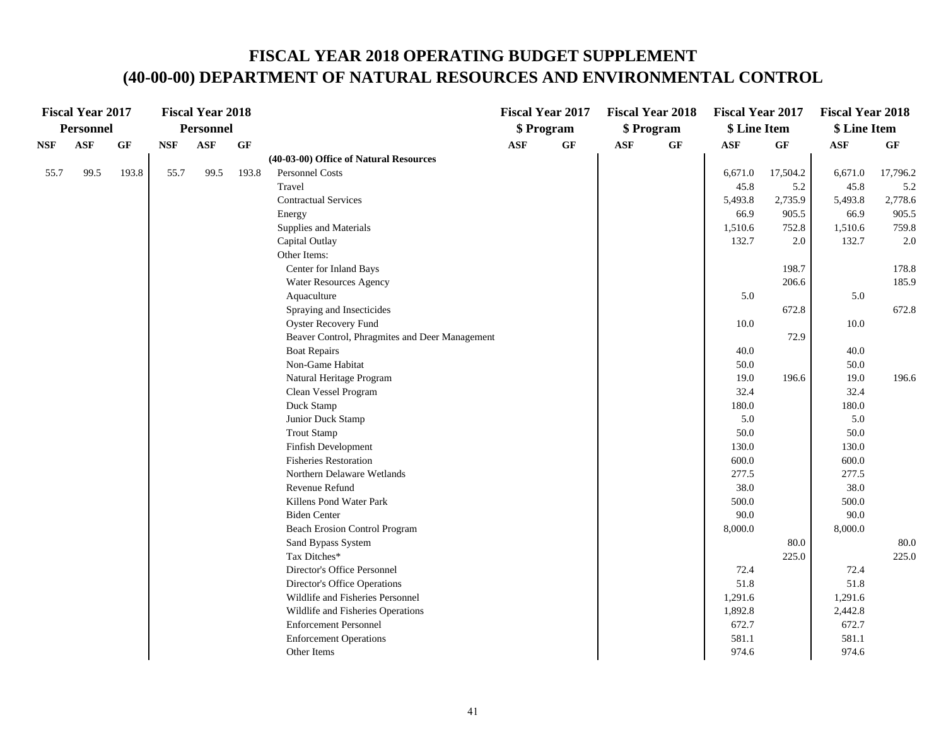|            | <b>Fiscal Year 2017</b> |       |            | <b>Fiscal Year 2018</b> |       |                                                |            | <b>Fiscal Year 2017</b> |            | <b>Fiscal Year 2018</b> | <b>Fiscal Year 2017</b> |          | <b>Fiscal Year 2018</b> |          |
|------------|-------------------------|-------|------------|-------------------------|-------|------------------------------------------------|------------|-------------------------|------------|-------------------------|-------------------------|----------|-------------------------|----------|
|            | <b>Personnel</b>        |       |            | <b>Personnel</b>        |       |                                                |            | \$ Program              |            | \$ Program              | \$ Line Item            |          | \$ Line Item            |          |
| <b>NSF</b> | ASF                     | GF    | <b>NSF</b> | <b>ASF</b>              | GF    |                                                | <b>ASF</b> | GF                      | <b>ASF</b> | $\bf{G} \bf{F}$         | <b>ASF</b>              | GF       | <b>ASF</b>              | GF       |
|            |                         |       |            |                         |       | (40-03-00) Office of Natural Resources         |            |                         |            |                         |                         |          |                         |          |
| 55.7       | 99.5                    | 193.8 | 55.7       | 99.5                    | 193.8 | Personnel Costs                                |            |                         |            |                         | 6,671.0                 | 17,504.2 | 6,671.0                 | 17,796.2 |
|            |                         |       |            |                         |       | Travel                                         |            |                         |            |                         | 45.8                    | 5.2      | 45.8                    | 5.2      |
|            |                         |       |            |                         |       | <b>Contractual Services</b>                    |            |                         |            |                         | 5,493.8                 | 2,735.9  | 5,493.8                 | 2,778.6  |
|            |                         |       |            |                         |       | Energy                                         |            |                         |            |                         | 66.9                    | 905.5    | 66.9                    | 905.5    |
|            |                         |       |            |                         |       | Supplies and Materials                         |            |                         |            |                         | 1,510.6                 | 752.8    | 1,510.6                 | 759.8    |
|            |                         |       |            |                         |       | Capital Outlay                                 |            |                         |            |                         | 132.7                   | 2.0      | 132.7                   | 2.0      |
|            |                         |       |            |                         |       | Other Items:                                   |            |                         |            |                         |                         |          |                         |          |
|            |                         |       |            |                         |       | Center for Inland Bays                         |            |                         |            |                         |                         | 198.7    |                         | 178.8    |
|            |                         |       |            |                         |       | <b>Water Resources Agency</b>                  |            |                         |            |                         |                         | 206.6    |                         | 185.9    |
|            |                         |       |            |                         |       | Aquaculture                                    |            |                         |            |                         | 5.0                     |          | 5.0                     |          |
|            |                         |       |            |                         |       | Spraying and Insecticides                      |            |                         |            |                         |                         | 672.8    |                         | 672.8    |
|            |                         |       |            |                         |       | <b>Oyster Recovery Fund</b>                    |            |                         |            |                         | 10.0                    |          | 10.0                    |          |
|            |                         |       |            |                         |       | Beaver Control, Phragmites and Deer Management |            |                         |            |                         |                         | 72.9     |                         |          |
|            |                         |       |            |                         |       | <b>Boat Repairs</b>                            |            |                         |            |                         | 40.0                    |          | 40.0                    |          |
|            |                         |       |            |                         |       | Non-Game Habitat                               |            |                         |            |                         | 50.0                    |          | 50.0                    |          |
|            |                         |       |            |                         |       | Natural Heritage Program                       |            |                         |            |                         | 19.0                    | 196.6    | 19.0                    | 196.6    |
|            |                         |       |            |                         |       | Clean Vessel Program                           |            |                         |            |                         | 32.4                    |          | 32.4                    |          |
|            |                         |       |            |                         |       | Duck Stamp                                     |            |                         |            |                         | 180.0                   |          | 180.0                   |          |
|            |                         |       |            |                         |       | Junior Duck Stamp                              |            |                         |            |                         | 5.0                     |          | 5.0                     |          |
|            |                         |       |            |                         |       | <b>Trout Stamp</b>                             |            |                         |            |                         | 50.0                    |          | 50.0                    |          |
|            |                         |       |            |                         |       | Finfish Development                            |            |                         |            |                         | 130.0                   |          | 130.0                   |          |
|            |                         |       |            |                         |       | <b>Fisheries Restoration</b>                   |            |                         |            |                         | 600.0                   |          | 600.0                   |          |
|            |                         |       |            |                         |       | Northern Delaware Wetlands                     |            |                         |            |                         | 277.5                   |          | 277.5                   |          |
|            |                         |       |            |                         |       | Revenue Refund                                 |            |                         |            |                         | 38.0                    |          | 38.0                    |          |
|            |                         |       |            |                         |       | Killens Pond Water Park                        |            |                         |            |                         | 500.0                   |          | 500.0                   |          |
|            |                         |       |            |                         |       | <b>Biden Center</b>                            |            |                         |            |                         | 90.0                    |          | 90.0                    |          |
|            |                         |       |            |                         |       | <b>Beach Erosion Control Program</b>           |            |                         |            |                         | 8,000.0                 |          | 8,000.0                 |          |
|            |                         |       |            |                         |       | Sand Bypass System                             |            |                         |            |                         |                         | 80.0     |                         | 80.0     |
|            |                         |       |            |                         |       | Tax Ditches*                                   |            |                         |            |                         |                         | 225.0    |                         | 225.0    |
|            |                         |       |            |                         |       | Director's Office Personnel                    |            |                         |            |                         | 72.4                    |          | 72.4                    |          |
|            |                         |       |            |                         |       | Director's Office Operations                   |            |                         |            |                         | 51.8                    |          | 51.8                    |          |
|            |                         |       |            |                         |       | Wildlife and Fisheries Personnel               |            |                         |            |                         | 1,291.6                 |          | 1,291.6                 |          |
|            |                         |       |            |                         |       | Wildlife and Fisheries Operations              |            |                         |            |                         | 1,892.8                 |          | 2,442.8                 |          |
|            |                         |       |            |                         |       | <b>Enforcement Personnel</b>                   |            |                         |            |                         | 672.7                   |          | 672.7                   |          |
|            |                         |       |            |                         |       | <b>Enforcement Operations</b>                  |            |                         |            |                         | 581.1                   |          | 581.1                   |          |
|            |                         |       |            |                         |       | Other Items                                    |            |                         |            |                         | 974.6                   |          | 974.6                   |          |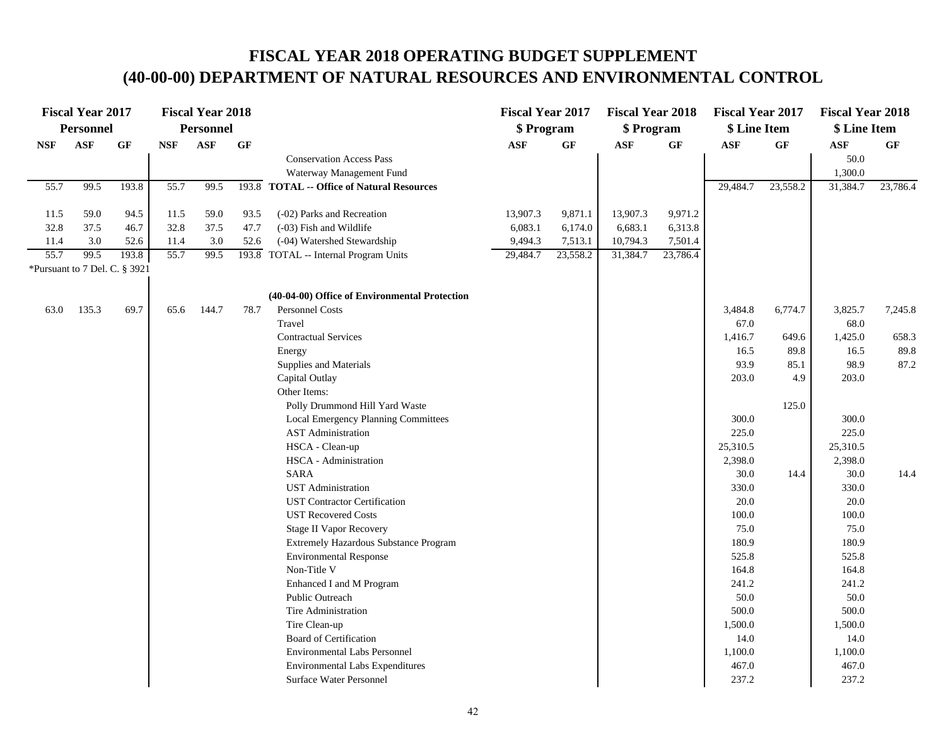| <b>Personnel</b><br><b>Personnel</b><br>\$ Program<br>\$ Program<br>\$ Line Item<br>\$ Line Item<br><b>ASF</b><br><b>ASF</b><br>GF<br>$\bf{G} \bf{F}$<br>GF<br>GF<br><b>NSF</b><br><b>GF</b><br><b>NSF</b><br>$\mathbf{ASF}$<br><b>ASF</b><br><b>ASF</b><br>$\mathbf{ASF}$<br>GF<br>50.0<br><b>Conservation Access Pass</b><br>Waterway Management Fund<br>1,300.0<br>55.7<br>55.7<br>99.5<br>193.8<br>99.5<br>193.8 TOTAL -- Office of Natural Resources<br>29,484.7<br>23,558.2<br>31,384.7<br>23,786.4<br>59.0<br>94.5<br>11.5<br>59.0<br>(-02) Parks and Recreation<br>13,907.3<br>9,871.1<br>13,907.3<br>9,971.2<br>11.5<br>93.5<br>37.5<br>32.8<br>37.5<br>32.8<br>47.7<br>(-03) Fish and Wildlife<br>6,083.1<br>6,174.0<br>6,683.1<br>6,313.8<br>46.7<br>11.4<br>3.0<br>11.4<br>3.0<br>52.6<br>(-04) Watershed Stewardship<br>9,494.3<br>7,513.1<br>10,794.3<br>7,501.4<br>52.6<br>55.7<br>99.5<br>55.7<br>99.5<br>193.8<br>193.8 TOTAL -- Internal Program Units<br>29,484.7<br>23,558.2<br>31,384.7<br>23,786.4<br>*Pursuant to 7 Del. C. § 3921<br>(40-04-00) Office of Environmental Protection<br>135.3<br>69.7<br>144.7<br>Personnel Costs<br>63.0<br>65.6<br>78.7<br>3,484.8<br>6,774.7<br>3,825.7<br>7,245.8<br>Travel<br>67.0<br>68.0<br>1,425.0<br>658.3<br><b>Contractual Services</b><br>1,416.7<br>649.6<br>16.5<br>89.8<br>16.5<br>89.8<br>Energy<br>Supplies and Materials<br>93.9<br>98.9<br>87.2<br>85.1<br>Capital Outlay<br>203.0<br>4.9<br>203.0<br>Other Items:<br>Polly Drummond Hill Yard Waste<br>125.0<br>300.0<br>300.0<br>Local Emergency Planning Committees<br><b>AST</b> Administration<br>225.0<br>225.0<br>HSCA - Clean-up<br>25,310.5<br>25,310.5<br>HSCA - Administration<br>2,398.0<br>2,398.0<br><b>SARA</b><br>30.0<br>30.0<br>14.4<br>14.4<br><b>UST</b> Administration<br>330.0<br>330.0<br>20.0<br><b>UST Contractor Certification</b><br>20.0<br>100.0<br>100.0<br><b>UST Recovered Costs</b> |
|-----------------------------------------------------------------------------------------------------------------------------------------------------------------------------------------------------------------------------------------------------------------------------------------------------------------------------------------------------------------------------------------------------------------------------------------------------------------------------------------------------------------------------------------------------------------------------------------------------------------------------------------------------------------------------------------------------------------------------------------------------------------------------------------------------------------------------------------------------------------------------------------------------------------------------------------------------------------------------------------------------------------------------------------------------------------------------------------------------------------------------------------------------------------------------------------------------------------------------------------------------------------------------------------------------------------------------------------------------------------------------------------------------------------------------------------------------------------------------------------------------------------------------------------------------------------------------------------------------------------------------------------------------------------------------------------------------------------------------------------------------------------------------------------------------------------------------------------------------------------------------------------------------------------------------------------------|
|                                                                                                                                                                                                                                                                                                                                                                                                                                                                                                                                                                                                                                                                                                                                                                                                                                                                                                                                                                                                                                                                                                                                                                                                                                                                                                                                                                                                                                                                                                                                                                                                                                                                                                                                                                                                                                                                                                                                               |
|                                                                                                                                                                                                                                                                                                                                                                                                                                                                                                                                                                                                                                                                                                                                                                                                                                                                                                                                                                                                                                                                                                                                                                                                                                                                                                                                                                                                                                                                                                                                                                                                                                                                                                                                                                                                                                                                                                                                               |
|                                                                                                                                                                                                                                                                                                                                                                                                                                                                                                                                                                                                                                                                                                                                                                                                                                                                                                                                                                                                                                                                                                                                                                                                                                                                                                                                                                                                                                                                                                                                                                                                                                                                                                                                                                                                                                                                                                                                               |
|                                                                                                                                                                                                                                                                                                                                                                                                                                                                                                                                                                                                                                                                                                                                                                                                                                                                                                                                                                                                                                                                                                                                                                                                                                                                                                                                                                                                                                                                                                                                                                                                                                                                                                                                                                                                                                                                                                                                               |
|                                                                                                                                                                                                                                                                                                                                                                                                                                                                                                                                                                                                                                                                                                                                                                                                                                                                                                                                                                                                                                                                                                                                                                                                                                                                                                                                                                                                                                                                                                                                                                                                                                                                                                                                                                                                                                                                                                                                               |
|                                                                                                                                                                                                                                                                                                                                                                                                                                                                                                                                                                                                                                                                                                                                                                                                                                                                                                                                                                                                                                                                                                                                                                                                                                                                                                                                                                                                                                                                                                                                                                                                                                                                                                                                                                                                                                                                                                                                               |
|                                                                                                                                                                                                                                                                                                                                                                                                                                                                                                                                                                                                                                                                                                                                                                                                                                                                                                                                                                                                                                                                                                                                                                                                                                                                                                                                                                                                                                                                                                                                                                                                                                                                                                                                                                                                                                                                                                                                               |
|                                                                                                                                                                                                                                                                                                                                                                                                                                                                                                                                                                                                                                                                                                                                                                                                                                                                                                                                                                                                                                                                                                                                                                                                                                                                                                                                                                                                                                                                                                                                                                                                                                                                                                                                                                                                                                                                                                                                               |
|                                                                                                                                                                                                                                                                                                                                                                                                                                                                                                                                                                                                                                                                                                                                                                                                                                                                                                                                                                                                                                                                                                                                                                                                                                                                                                                                                                                                                                                                                                                                                                                                                                                                                                                                                                                                                                                                                                                                               |
|                                                                                                                                                                                                                                                                                                                                                                                                                                                                                                                                                                                                                                                                                                                                                                                                                                                                                                                                                                                                                                                                                                                                                                                                                                                                                                                                                                                                                                                                                                                                                                                                                                                                                                                                                                                                                                                                                                                                               |
|                                                                                                                                                                                                                                                                                                                                                                                                                                                                                                                                                                                                                                                                                                                                                                                                                                                                                                                                                                                                                                                                                                                                                                                                                                                                                                                                                                                                                                                                                                                                                                                                                                                                                                                                                                                                                                                                                                                                               |
|                                                                                                                                                                                                                                                                                                                                                                                                                                                                                                                                                                                                                                                                                                                                                                                                                                                                                                                                                                                                                                                                                                                                                                                                                                                                                                                                                                                                                                                                                                                                                                                                                                                                                                                                                                                                                                                                                                                                               |
|                                                                                                                                                                                                                                                                                                                                                                                                                                                                                                                                                                                                                                                                                                                                                                                                                                                                                                                                                                                                                                                                                                                                                                                                                                                                                                                                                                                                                                                                                                                                                                                                                                                                                                                                                                                                                                                                                                                                               |
|                                                                                                                                                                                                                                                                                                                                                                                                                                                                                                                                                                                                                                                                                                                                                                                                                                                                                                                                                                                                                                                                                                                                                                                                                                                                                                                                                                                                                                                                                                                                                                                                                                                                                                                                                                                                                                                                                                                                               |
|                                                                                                                                                                                                                                                                                                                                                                                                                                                                                                                                                                                                                                                                                                                                                                                                                                                                                                                                                                                                                                                                                                                                                                                                                                                                                                                                                                                                                                                                                                                                                                                                                                                                                                                                                                                                                                                                                                                                               |
|                                                                                                                                                                                                                                                                                                                                                                                                                                                                                                                                                                                                                                                                                                                                                                                                                                                                                                                                                                                                                                                                                                                                                                                                                                                                                                                                                                                                                                                                                                                                                                                                                                                                                                                                                                                                                                                                                                                                               |
|                                                                                                                                                                                                                                                                                                                                                                                                                                                                                                                                                                                                                                                                                                                                                                                                                                                                                                                                                                                                                                                                                                                                                                                                                                                                                                                                                                                                                                                                                                                                                                                                                                                                                                                                                                                                                                                                                                                                               |
|                                                                                                                                                                                                                                                                                                                                                                                                                                                                                                                                                                                                                                                                                                                                                                                                                                                                                                                                                                                                                                                                                                                                                                                                                                                                                                                                                                                                                                                                                                                                                                                                                                                                                                                                                                                                                                                                                                                                               |
|                                                                                                                                                                                                                                                                                                                                                                                                                                                                                                                                                                                                                                                                                                                                                                                                                                                                                                                                                                                                                                                                                                                                                                                                                                                                                                                                                                                                                                                                                                                                                                                                                                                                                                                                                                                                                                                                                                                                               |
|                                                                                                                                                                                                                                                                                                                                                                                                                                                                                                                                                                                                                                                                                                                                                                                                                                                                                                                                                                                                                                                                                                                                                                                                                                                                                                                                                                                                                                                                                                                                                                                                                                                                                                                                                                                                                                                                                                                                               |
|                                                                                                                                                                                                                                                                                                                                                                                                                                                                                                                                                                                                                                                                                                                                                                                                                                                                                                                                                                                                                                                                                                                                                                                                                                                                                                                                                                                                                                                                                                                                                                                                                                                                                                                                                                                                                                                                                                                                               |
|                                                                                                                                                                                                                                                                                                                                                                                                                                                                                                                                                                                                                                                                                                                                                                                                                                                                                                                                                                                                                                                                                                                                                                                                                                                                                                                                                                                                                                                                                                                                                                                                                                                                                                                                                                                                                                                                                                                                               |
|                                                                                                                                                                                                                                                                                                                                                                                                                                                                                                                                                                                                                                                                                                                                                                                                                                                                                                                                                                                                                                                                                                                                                                                                                                                                                                                                                                                                                                                                                                                                                                                                                                                                                                                                                                                                                                                                                                                                               |
|                                                                                                                                                                                                                                                                                                                                                                                                                                                                                                                                                                                                                                                                                                                                                                                                                                                                                                                                                                                                                                                                                                                                                                                                                                                                                                                                                                                                                                                                                                                                                                                                                                                                                                                                                                                                                                                                                                                                               |
|                                                                                                                                                                                                                                                                                                                                                                                                                                                                                                                                                                                                                                                                                                                                                                                                                                                                                                                                                                                                                                                                                                                                                                                                                                                                                                                                                                                                                                                                                                                                                                                                                                                                                                                                                                                                                                                                                                                                               |
|                                                                                                                                                                                                                                                                                                                                                                                                                                                                                                                                                                                                                                                                                                                                                                                                                                                                                                                                                                                                                                                                                                                                                                                                                                                                                                                                                                                                                                                                                                                                                                                                                                                                                                                                                                                                                                                                                                                                               |
|                                                                                                                                                                                                                                                                                                                                                                                                                                                                                                                                                                                                                                                                                                                                                                                                                                                                                                                                                                                                                                                                                                                                                                                                                                                                                                                                                                                                                                                                                                                                                                                                                                                                                                                                                                                                                                                                                                                                               |
| 75.0<br>75.0<br><b>Stage II Vapor Recovery</b><br>180.9<br>180.9                                                                                                                                                                                                                                                                                                                                                                                                                                                                                                                                                                                                                                                                                                                                                                                                                                                                                                                                                                                                                                                                                                                                                                                                                                                                                                                                                                                                                                                                                                                                                                                                                                                                                                                                                                                                                                                                              |
| Extremely Hazardous Substance Program<br>525.8<br>525.8<br><b>Environmental Response</b>                                                                                                                                                                                                                                                                                                                                                                                                                                                                                                                                                                                                                                                                                                                                                                                                                                                                                                                                                                                                                                                                                                                                                                                                                                                                                                                                                                                                                                                                                                                                                                                                                                                                                                                                                                                                                                                      |
| Non-Title V<br>164.8<br>164.8                                                                                                                                                                                                                                                                                                                                                                                                                                                                                                                                                                                                                                                                                                                                                                                                                                                                                                                                                                                                                                                                                                                                                                                                                                                                                                                                                                                                                                                                                                                                                                                                                                                                                                                                                                                                                                                                                                                 |
| Enhanced I and M Program<br>241.2<br>241.2                                                                                                                                                                                                                                                                                                                                                                                                                                                                                                                                                                                                                                                                                                                                                                                                                                                                                                                                                                                                                                                                                                                                                                                                                                                                                                                                                                                                                                                                                                                                                                                                                                                                                                                                                                                                                                                                                                    |
| 50.0<br>50.0<br>Public Outreach                                                                                                                                                                                                                                                                                                                                                                                                                                                                                                                                                                                                                                                                                                                                                                                                                                                                                                                                                                                                                                                                                                                                                                                                                                                                                                                                                                                                                                                                                                                                                                                                                                                                                                                                                                                                                                                                                                               |
| 500.0<br>500.0<br>Tire Administration                                                                                                                                                                                                                                                                                                                                                                                                                                                                                                                                                                                                                                                                                                                                                                                                                                                                                                                                                                                                                                                                                                                                                                                                                                                                                                                                                                                                                                                                                                                                                                                                                                                                                                                                                                                                                                                                                                         |
| 1,500.0<br>1,500.0<br>Tire Clean-up                                                                                                                                                                                                                                                                                                                                                                                                                                                                                                                                                                                                                                                                                                                                                                                                                                                                                                                                                                                                                                                                                                                                                                                                                                                                                                                                                                                                                                                                                                                                                                                                                                                                                                                                                                                                                                                                                                           |
| Board of Certification<br>14.0<br>14.0                                                                                                                                                                                                                                                                                                                                                                                                                                                                                                                                                                                                                                                                                                                                                                                                                                                                                                                                                                                                                                                                                                                                                                                                                                                                                                                                                                                                                                                                                                                                                                                                                                                                                                                                                                                                                                                                                                        |
| 1,100.0<br>1,100.0<br><b>Environmental Labs Personnel</b>                                                                                                                                                                                                                                                                                                                                                                                                                                                                                                                                                                                                                                                                                                                                                                                                                                                                                                                                                                                                                                                                                                                                                                                                                                                                                                                                                                                                                                                                                                                                                                                                                                                                                                                                                                                                                                                                                     |
| <b>Environmental Labs Expenditures</b><br>467.0<br>467.0                                                                                                                                                                                                                                                                                                                                                                                                                                                                                                                                                                                                                                                                                                                                                                                                                                                                                                                                                                                                                                                                                                                                                                                                                                                                                                                                                                                                                                                                                                                                                                                                                                                                                                                                                                                                                                                                                      |
| 237.2<br>237.2<br>Surface Water Personnel                                                                                                                                                                                                                                                                                                                                                                                                                                                                                                                                                                                                                                                                                                                                                                                                                                                                                                                                                                                                                                                                                                                                                                                                                                                                                                                                                                                                                                                                                                                                                                                                                                                                                                                                                                                                                                                                                                     |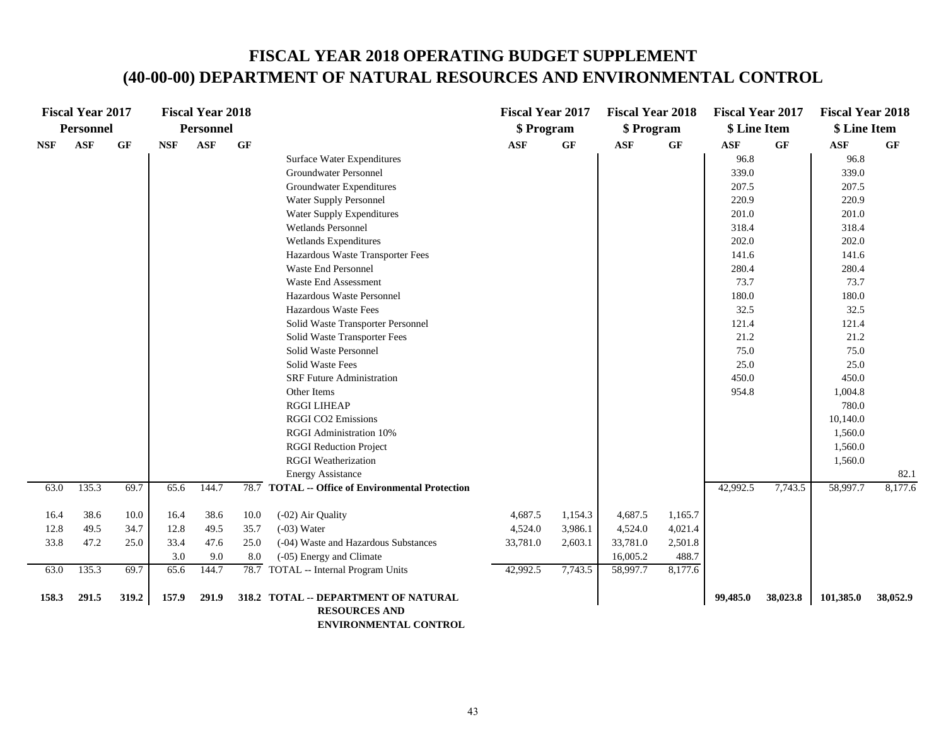|            | <b>Fiscal Year 2017</b> |       |            | <b>Fiscal Year 2018</b> |      |                                                  | <b>Fiscal Year 2017</b> |           | <b>Fiscal Year 2018</b> |         | <b>Fiscal Year 2017</b> |          | <b>Fiscal Year 2018</b> |           |
|------------|-------------------------|-------|------------|-------------------------|------|--------------------------------------------------|-------------------------|-----------|-------------------------|---------|-------------------------|----------|-------------------------|-----------|
|            | <b>Personnel</b>        |       |            | <b>Personnel</b>        |      |                                                  | \$ Program              |           | \$ Program              |         | \$ Line Item            |          | \$ Line Item            |           |
| <b>NSF</b> | <b>ASF</b>              | GF    | <b>NSF</b> | <b>ASF</b>              | GF   |                                                  | <b>ASF</b>              | <b>GF</b> | <b>ASF</b>              | GF      | <b>ASF</b>              | GF       | ASF                     | <b>GF</b> |
|            |                         |       |            |                         |      | Surface Water Expenditures                       |                         |           |                         |         | 96.8                    |          | 96.8                    |           |
|            |                         |       |            |                         |      | Groundwater Personnel                            |                         |           |                         |         | 339.0                   |          | 339.0                   |           |
|            |                         |       |            |                         |      | Groundwater Expenditures                         |                         |           |                         |         | 207.5                   |          | 207.5                   |           |
|            |                         |       |            |                         |      | Water Supply Personnel                           |                         |           |                         |         | 220.9                   |          | 220.9                   |           |
|            |                         |       |            |                         |      | Water Supply Expenditures                        |                         |           |                         |         | 201.0                   |          | 201.0                   |           |
|            |                         |       |            |                         |      | <b>Wetlands Personnel</b>                        |                         |           |                         |         | 318.4                   |          | 318.4                   |           |
|            |                         |       |            |                         |      | Wetlands Expenditures                            |                         |           |                         |         | 202.0                   |          | 202.0                   |           |
|            |                         |       |            |                         |      | Hazardous Waste Transporter Fees                 |                         |           |                         |         | 141.6                   |          | 141.6                   |           |
|            |                         |       |            |                         |      | Waste End Personnel                              |                         |           |                         |         | 280.4                   |          | 280.4                   |           |
|            |                         |       |            |                         |      | Waste End Assessment                             |                         |           |                         |         | 73.7                    |          | 73.7                    |           |
|            |                         |       |            |                         |      | Hazardous Waste Personnel                        |                         |           |                         |         | 180.0                   |          | 180.0                   |           |
|            |                         |       |            |                         |      | <b>Hazardous Waste Fees</b>                      |                         |           |                         |         | 32.5                    |          | 32.5                    |           |
|            |                         |       |            |                         |      | Solid Waste Transporter Personnel                |                         |           |                         |         | 121.4                   |          | 121.4                   |           |
|            |                         |       |            |                         |      | Solid Waste Transporter Fees                     |                         |           |                         |         | 21.2                    |          | 21.2                    |           |
|            |                         |       |            |                         |      | Solid Waste Personnel                            |                         |           |                         |         | 75.0                    |          | 75.0                    |           |
|            |                         |       |            |                         |      | Solid Waste Fees                                 |                         |           |                         |         | 25.0                    |          | 25.0                    |           |
|            |                         |       |            |                         |      | <b>SRF</b> Future Administration                 |                         |           |                         |         | 450.0                   |          | 450.0                   |           |
|            |                         |       |            |                         |      | Other Items                                      |                         |           |                         |         | 954.8                   |          | 1,004.8                 |           |
|            |                         |       |            |                         |      | <b>RGGI LIHEAP</b>                               |                         |           |                         |         |                         |          | 780.0                   |           |
|            |                         |       |            |                         |      | RGGI CO2 Emissions                               |                         |           |                         |         |                         |          | 10,140.0                |           |
|            |                         |       |            |                         |      | RGGI Administration 10%                          |                         |           |                         |         |                         |          | 1,560.0                 |           |
|            |                         |       |            |                         |      | <b>RGGI Reduction Project</b>                    |                         |           |                         |         |                         |          | 1,560.0                 |           |
|            |                         |       |            |                         |      | <b>RGGI</b> Weatherization                       |                         |           |                         |         |                         |          | 1,560.0                 |           |
|            |                         |       |            |                         |      | <b>Energy Assistance</b>                         |                         |           |                         |         |                         |          |                         | 82.1      |
| 63.0       | 135.3                   | 69.7  | 65.6       | 144.7                   |      | 78.7 TOTAL -- Office of Environmental Protection |                         |           |                         |         | 42,992.5                | 7,743.5  | 58,997.7                | 8,177.6   |
| 16.4       | 38.6                    | 10.0  | 16.4       | 38.6                    | 10.0 | (-02) Air Quality                                | 4,687.5                 | 1,154.3   | 4,687.5                 | 1,165.7 |                         |          |                         |           |
| 12.8       | 49.5                    | 34.7  | 12.8       | 49.5                    | 35.7 | $(-03)$ Water                                    | 4,524.0                 | 3,986.1   | 4,524.0                 | 4,021.4 |                         |          |                         |           |
| 33.8       | 47.2                    | 25.0  | 33.4       | 47.6                    | 25.0 | (-04) Waste and Hazardous Substances             | 33,781.0                | 2,603.1   | 33,781.0                | 2,501.8 |                         |          |                         |           |
|            |                         |       | 3.0        | 9.0                     | 8.0  | (-05) Energy and Climate                         |                         |           | 16,005.2                | 488.7   |                         |          |                         |           |
| 63.0       | 135.3                   | 69.7  | 65.6       | 144.7                   |      | 78.7 TOTAL -- Internal Program Units             | 42,992.5                | 7,743.5   | 58,997.7                | 8,177.6 |                         |          |                         |           |
| 158.3      | 291.5                   | 319.2 | 157.9      | 291.9                   |      | 318.2 TOTAL -- DEPARTMENT OF NATURAL             |                         |           |                         |         | 99,485.0                | 38,023.8 | 101,385.0               | 38,052.9  |
|            |                         |       |            |                         |      | <b>RESOURCES AND</b>                             |                         |           |                         |         |                         |          |                         |           |

 **ENVIRONMENTAL CONTROL**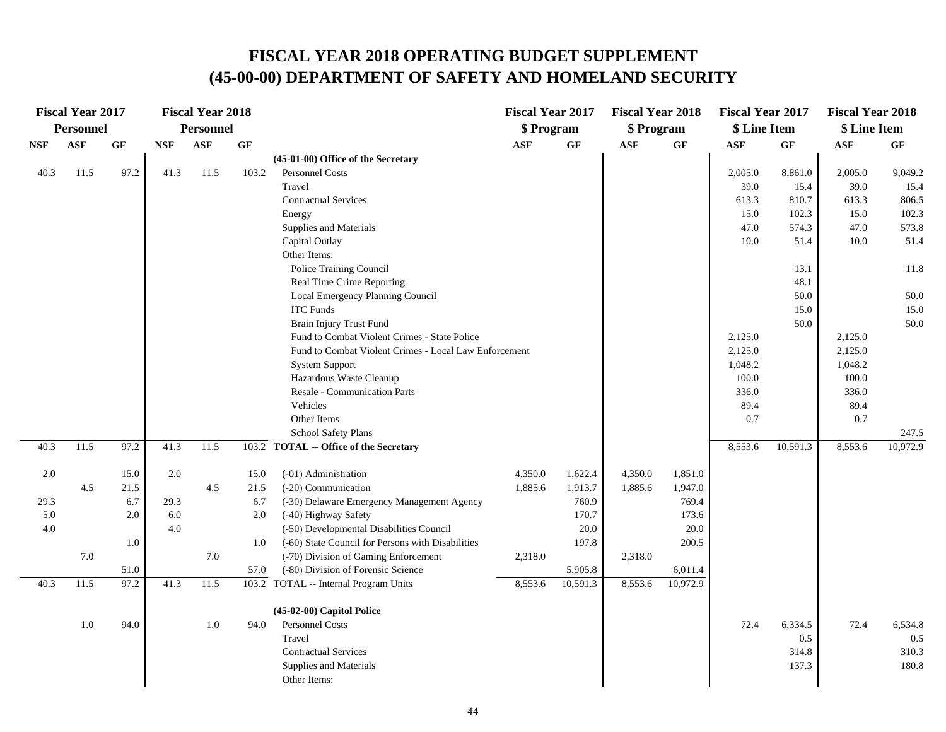#### **FISCAL YEAR 2018 OPERATING BUDGET SUPPLEMENT (45-00-00) DEPARTMENT OF SAFETY AND HOMELAND SECURITY**

|            | <b>Fiscal Year 2017</b> |      |            | <b>Fiscal Year 2018</b> |       |                                                       | <b>Fiscal Year 2017</b> |          | <b>Fiscal Year 2018</b> |          | <b>Fiscal Year 2017</b> |          | <b>Fiscal Year 2018</b> |           |
|------------|-------------------------|------|------------|-------------------------|-------|-------------------------------------------------------|-------------------------|----------|-------------------------|----------|-------------------------|----------|-------------------------|-----------|
|            | Personnel               |      |            | <b>Personnel</b>        |       |                                                       | \$ Program              |          | \$ Program              |          | \$ Line Item            |          | \$ Line Item            |           |
| <b>NSF</b> | <b>ASF</b>              | GF   | <b>NSF</b> | <b>ASF</b>              | GF    |                                                       | <b>ASF</b>              | GF       | <b>ASF</b>              | GF       | <b>ASF</b>              | GF       | <b>ASF</b>              | <b>GF</b> |
|            |                         |      |            |                         |       | (45-01-00) Office of the Secretary                    |                         |          |                         |          |                         |          |                         |           |
| 40.3       | 11.5                    | 97.2 | 41.3       | 11.5                    | 103.2 | Personnel Costs                                       |                         |          |                         |          | 2,005.0                 | 8,861.0  | 2,005.0                 | 9,049.2   |
|            |                         |      |            |                         |       | Travel                                                |                         |          |                         |          | 39.0                    | 15.4     | 39.0                    | 15.4      |
|            |                         |      |            |                         |       | <b>Contractual Services</b>                           |                         |          |                         |          | 613.3                   | 810.7    | 613.3                   | 806.5     |
|            |                         |      |            |                         |       | Energy                                                |                         |          |                         |          | 15.0                    | 102.3    | 15.0                    | 102.3     |
|            |                         |      |            |                         |       | Supplies and Materials                                |                         |          |                         |          | 47.0                    | 574.3    | 47.0                    | 573.8     |
|            |                         |      |            |                         |       | Capital Outlay                                        |                         |          |                         |          | 10.0                    | 51.4     | 10.0                    | 51.4      |
|            |                         |      |            |                         |       | Other Items:                                          |                         |          |                         |          |                         |          |                         |           |
|            |                         |      |            |                         |       | Police Training Council                               |                         |          |                         |          |                         | 13.1     |                         | 11.8      |
|            |                         |      |            |                         |       | Real Time Crime Reporting                             |                         |          |                         |          |                         | 48.1     |                         |           |
|            |                         |      |            |                         |       | Local Emergency Planning Council                      |                         |          |                         |          |                         | 50.0     |                         | 50.0      |
|            |                         |      |            |                         |       | <b>ITC</b> Funds                                      |                         |          |                         |          |                         | 15.0     |                         | 15.0      |
|            |                         |      |            |                         |       | Brain Injury Trust Fund                               |                         |          |                         |          |                         | 50.0     |                         | 50.0      |
|            |                         |      |            |                         |       | Fund to Combat Violent Crimes - State Police          |                         |          |                         |          | 2,125.0                 |          | 2,125.0                 |           |
|            |                         |      |            |                         |       | Fund to Combat Violent Crimes - Local Law Enforcement |                         |          |                         |          | 2,125.0                 |          | 2,125.0                 |           |
|            |                         |      |            |                         |       | <b>System Support</b>                                 |                         |          |                         |          | 1,048.2                 |          | 1,048.2                 |           |
|            |                         |      |            |                         |       | Hazardous Waste Cleanup                               |                         |          |                         |          | 100.0                   |          | 100.0                   |           |
|            |                         |      |            |                         |       | <b>Resale - Communication Parts</b>                   |                         |          |                         |          | 336.0                   |          | 336.0                   |           |
|            |                         |      |            |                         |       | Vehicles                                              |                         |          |                         |          | 89.4                    |          | 89.4                    |           |
|            |                         |      |            |                         |       | Other Items                                           |                         |          |                         |          | 0.7                     |          | 0.7                     |           |
|            |                         |      |            |                         |       | School Safety Plans                                   |                         |          |                         |          |                         |          |                         | 247.5     |
| 40.3       | 11.5                    | 97.2 | 41.3       | 11.5                    |       | 103.2 TOTAL -- Office of the Secretary                |                         |          |                         |          | 8,553.6                 | 10,591.3 | 8,553.6                 | 10,972.9  |
| 2.0        |                         | 15.0 | 2.0        |                         | 15.0  | (-01) Administration                                  | 4,350.0                 | 1,622.4  | 4,350.0                 | 1,851.0  |                         |          |                         |           |
|            | 4.5                     | 21.5 |            | 4.5                     | 21.5  | (-20) Communication                                   | 1,885.6                 | 1,913.7  | 1,885.6                 | 1,947.0  |                         |          |                         |           |
| 29.3       |                         | 6.7  | 29.3       |                         | 6.7   | (-30) Delaware Emergency Management Agency            |                         | 760.9    |                         | 769.4    |                         |          |                         |           |
| 5.0        |                         | 2.0  | 6.0        |                         | 2.0   | (-40) Highway Safety                                  |                         | 170.7    |                         | 173.6    |                         |          |                         |           |
| $4.0\,$    |                         |      | 4.0        |                         |       | (-50) Developmental Disabilities Council              |                         | 20.0     |                         | 20.0     |                         |          |                         |           |
|            |                         | 1.0  |            |                         | 1.0   | (-60) State Council for Persons with Disabilities     |                         | 197.8    |                         | 200.5    |                         |          |                         |           |
|            | 7.0                     |      |            | 7.0                     |       | (-70) Division of Gaming Enforcement                  | 2,318.0                 |          | 2,318.0                 |          |                         |          |                         |           |
|            |                         | 51.0 |            |                         | 57.0  | (-80) Division of Forensic Science                    |                         | 5,905.8  |                         | 6,011.4  |                         |          |                         |           |
| 40.3       | 11.5                    | 97.2 | 41.3       | 11.5                    |       | 103.2 TOTAL -- Internal Program Units                 | 8,553.6                 | 10,591.3 | 8,553.6                 | 10,972.9 |                         |          |                         |           |
|            |                         |      |            |                         |       | (45-02-00) Capitol Police                             |                         |          |                         |          |                         |          |                         |           |
|            | 1.0                     | 94.0 |            | 1.0                     | 94.0  | Personnel Costs                                       |                         |          |                         |          | 72.4                    | 6,334.5  | 72.4                    | 6,534.8   |
|            |                         |      |            |                         |       | Travel                                                |                         |          |                         |          |                         | 0.5      |                         | 0.5       |
|            |                         |      |            |                         |       | <b>Contractual Services</b>                           |                         |          |                         |          |                         | 314.8    |                         | 310.3     |
|            |                         |      |            |                         |       | Supplies and Materials                                |                         |          |                         |          |                         | 137.3    |                         | 180.8     |
|            |                         |      |            |                         |       | Other Items:                                          |                         |          |                         |          |                         |          |                         |           |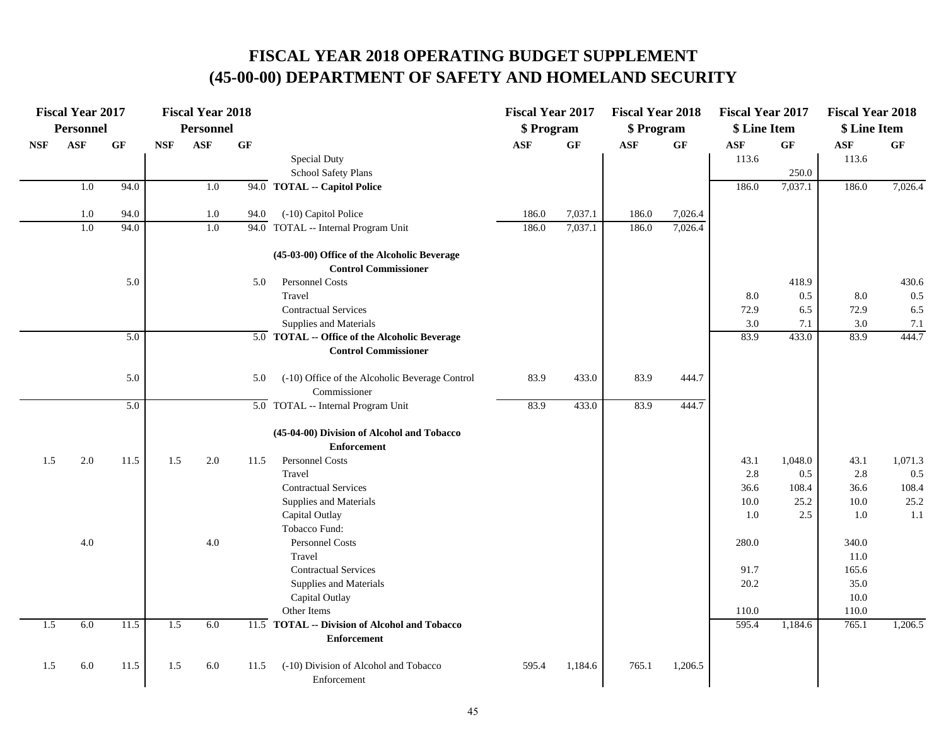#### **FISCAL YEAR 2018 OPERATING BUDGET SUPPLEMENT (45-00-00) DEPARTMENT OF SAFETY AND HOMELAND SECURITY**

|            | <b>Fiscal Year 2017</b> |      |            | <b>Fiscal Year 2018</b> |      |                                                                              | <b>Fiscal Year 2017</b> |           | <b>Fiscal Year 2018</b> |         | <b>Fiscal Year 2017</b> |         | <b>Fiscal Year 2018</b> |         |
|------------|-------------------------|------|------------|-------------------------|------|------------------------------------------------------------------------------|-------------------------|-----------|-------------------------|---------|-------------------------|---------|-------------------------|---------|
|            | <b>Personnel</b>        |      |            | <b>Personnel</b>        |      |                                                                              | \$ Program              |           | \$ Program              |         | \$ Line Item            |         | \$ Line Item            |         |
| <b>NSF</b> | <b>ASF</b>              | GF   | <b>NSF</b> | <b>ASF</b>              | GF   |                                                                              | $\mathbf{ASF}$          | <b>GF</b> | <b>ASF</b>              | GF      | <b>ASF</b>              | GF      | <b>ASF</b>              | GF      |
|            |                         |      |            |                         |      | Special Duty                                                                 |                         |           |                         |         | 113.6                   |         | 113.6                   |         |
|            |                         |      |            |                         |      | School Safety Plans                                                          |                         |           |                         |         |                         | 250.0   |                         |         |
|            | 1.0                     | 94.0 |            | 1.0                     |      | 94.0 TOTAL -- Capitol Police                                                 |                         |           |                         |         | 186.0                   | 7,037.1 | 186.0                   | 7,026.4 |
|            | 1.0                     | 94.0 |            | 1.0                     | 94.0 | (-10) Capitol Police                                                         | 186.0                   | 7,037.1   | 186.0                   | 7,026.4 |                         |         |                         |         |
|            | 1.0                     | 94.0 |            | 1.0                     |      | 94.0 TOTAL -- Internal Program Unit                                          | 186.0                   | 7,037.1   | 186.0                   | 7,026.4 |                         |         |                         |         |
|            |                         |      |            |                         |      | (45-03-00) Office of the Alcoholic Beverage<br><b>Control Commissioner</b>   |                         |           |                         |         |                         |         |                         |         |
|            |                         | 5.0  |            |                         | 5.0  | Personnel Costs                                                              |                         |           |                         |         |                         | 418.9   |                         | 430.6   |
|            |                         |      |            |                         |      | Travel                                                                       |                         |           |                         |         | 8.0                     | 0.5     | 8.0                     | 0.5     |
|            |                         |      |            |                         |      | <b>Contractual Services</b>                                                  |                         |           |                         |         | 72.9                    | 6.5     | 72.9                    | 6.5     |
|            |                         |      |            |                         |      | Supplies and Materials                                                       |                         |           |                         |         | 3.0                     | 7.1     | 3.0                     | 7.1     |
|            |                         | 5.0  |            |                         |      | 5.0 TOTAL -- Office of the Alcoholic Beverage<br><b>Control Commissioner</b> |                         |           |                         |         | 83.9                    | 433.0   | 83.9                    | 444.7   |
|            |                         | 5.0  |            |                         | 5.0  | (-10) Office of the Alcoholic Beverage Control<br>Commissioner               | 83.9                    | 433.0     | 83.9                    | 444.7   |                         |         |                         |         |
|            |                         | 5.0  |            |                         |      | 5.0 TOTAL -- Internal Program Unit                                           | 83.9                    | 433.0     | 83.9                    | 444.7   |                         |         |                         |         |
|            |                         |      |            |                         |      | (45-04-00) Division of Alcohol and Tobacco<br><b>Enforcement</b>             |                         |           |                         |         |                         |         |                         |         |
| 1.5        | 2.0                     | 11.5 | 1.5        | 2.0                     | 11.5 | Personnel Costs                                                              |                         |           |                         |         | 43.1                    | 1,048.0 | 43.1                    | 1,071.3 |
|            |                         |      |            |                         |      | Travel                                                                       |                         |           |                         |         | 2.8                     | 0.5     | 2.8                     | 0.5     |
|            |                         |      |            |                         |      | <b>Contractual Services</b>                                                  |                         |           |                         |         | 36.6                    | 108.4   | 36.6                    | 108.4   |
|            |                         |      |            |                         |      | Supplies and Materials                                                       |                         |           |                         |         | $10.0\,$                | 25.2    | $10.0\,$                | 25.2    |
|            |                         |      |            |                         |      | Capital Outlay                                                               |                         |           |                         |         | 1.0                     | 2.5     | 1.0                     | 1.1     |
|            |                         |      |            |                         |      | Tobacco Fund:                                                                |                         |           |                         |         |                         |         |                         |         |
|            | 4.0                     |      |            | 4.0                     |      | <b>Personnel Costs</b>                                                       |                         |           |                         |         | 280.0                   |         | 340.0                   |         |
|            |                         |      |            |                         |      | Travel                                                                       |                         |           |                         |         |                         |         | 11.0                    |         |
|            |                         |      |            |                         |      | <b>Contractual Services</b>                                                  |                         |           |                         |         | 91.7                    |         | 165.6                   |         |
|            |                         |      |            |                         |      | Supplies and Materials                                                       |                         |           |                         |         | 20.2                    |         | 35.0                    |         |
|            |                         |      |            |                         |      | Capital Outlay                                                               |                         |           |                         |         |                         |         | 10.0                    |         |
|            |                         |      |            |                         |      | Other Items                                                                  |                         |           |                         |         | 110.0                   |         | 110.0                   |         |
| 1.5        | 6.0                     | 11.5 | 1.5        | 6.0                     |      | 11.5 TOTAL -- Division of Alcohol and Tobacco<br><b>Enforcement</b>          |                         |           |                         |         | 595.4                   | 1,184.6 | 765.1                   | 1,206.5 |
| 1.5        | 6.0                     | 11.5 | 1.5        | 6.0                     | 11.5 | (-10) Division of Alcohol and Tobacco<br>Enforcement                         | 595.4                   | 1,184.6   | 765.1                   | 1,206.5 |                         |         |                         |         |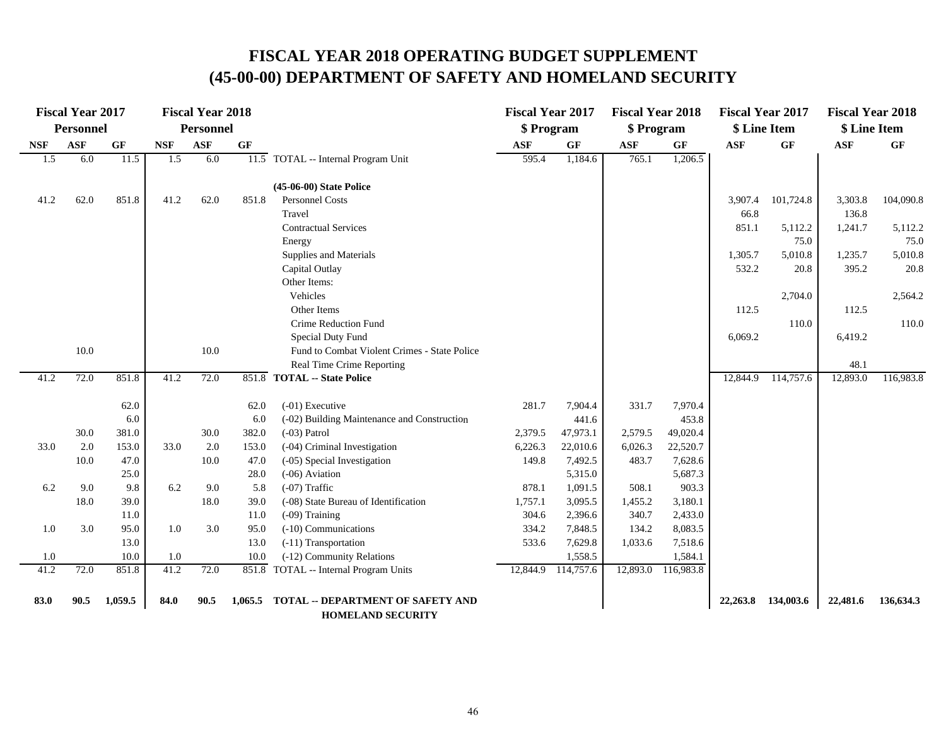## **FISCAL YEAR 2018 OPERATING BUDGET SUPPLEMENT (45-00-00) DEPARTMENT OF SAFETY AND HOMELAND SECURITY**

|            | <b>Fiscal Year 2017</b> |         |            | <b>Fiscal Year 2018</b> |                 |                                              | <b>Fiscal Year 2017</b> |           | <b>Fiscal Year 2018</b> |           | <b>Fiscal Year 2017</b> |              | <b>Fiscal Year 2018</b> |           |
|------------|-------------------------|---------|------------|-------------------------|-----------------|----------------------------------------------|-------------------------|-----------|-------------------------|-----------|-------------------------|--------------|-------------------------|-----------|
|            | <b>Personnel</b>        |         |            | <b>Personnel</b>        |                 |                                              | \$ Program              |           | \$Program               |           |                         | \$ Line Item | \$ Line Item            |           |
| <b>NSF</b> | ASF                     | GF      | <b>NSF</b> | <b>ASF</b>              | $\bf{G} \bf{F}$ |                                              | $\bf{ASF}$              | <b>GF</b> | <b>ASF</b>              | GF        | <b>ASF</b>              | GF           | <b>ASF</b>              | GF        |
| 1.5        | 6.0                     | 11.5    | 1.5        | 6.0                     |                 | 11.5 TOTAL -- Internal Program Unit          | 595.4                   | 1,184.6   | 765.1                   | 1,206.5   |                         |              |                         |           |
|            |                         |         |            |                         |                 | (45-06-00) State Police                      |                         |           |                         |           |                         |              |                         |           |
| 41.2       | 62.0                    | 851.8   | 41.2       | 62.0                    | 851.8           | Personnel Costs                              |                         |           |                         |           | 3,907.4                 | 101,724.8    | 3,303.8                 | 104,090.8 |
|            |                         |         |            |                         |                 | Travel                                       |                         |           |                         |           | 66.8                    |              | 136.8                   |           |
|            |                         |         |            |                         |                 | <b>Contractual Services</b>                  |                         |           |                         |           | 851.1                   | 5,112.2      | 1,241.7                 | 5,112.2   |
|            |                         |         |            |                         |                 | Energy                                       |                         |           |                         |           |                         | 75.0         |                         | 75.0      |
|            |                         |         |            |                         |                 | Supplies and Materials                       |                         |           |                         |           | 1,305.7                 | 5,010.8      | 1,235.7                 | 5,010.8   |
|            |                         |         |            |                         |                 | Capital Outlay                               |                         |           |                         |           | 532.2                   | 20.8         | 395.2                   | 20.8      |
|            |                         |         |            |                         |                 | Other Items:                                 |                         |           |                         |           |                         |              |                         |           |
|            |                         |         |            |                         |                 | Vehicles                                     |                         |           |                         |           |                         | 2,704.0      |                         | 2,564.2   |
|            |                         |         |            |                         |                 | Other Items                                  |                         |           |                         |           | 112.5                   |              | 112.5                   |           |
|            |                         |         |            |                         |                 | Crime Reduction Fund                         |                         |           |                         |           |                         | 110.0        |                         | 110.0     |
|            |                         |         |            |                         |                 | <b>Special Duty Fund</b>                     |                         |           |                         |           | 6,069.2                 |              | 6,419.2                 |           |
|            | 10.0                    |         |            | 10.0                    |                 | Fund to Combat Violent Crimes - State Police |                         |           |                         |           |                         |              |                         |           |
|            |                         |         |            |                         |                 | Real Time Crime Reporting                    |                         |           |                         |           |                         |              | 48.1                    |           |
| 41.2       | 72.0                    | 851.8   | 41.2       | 72.0                    |                 | 851.8 TOTAL -- State Police                  |                         |           |                         |           | 12,844.9                | 114,757.6    | 12,893.0                | 116,983.8 |
|            |                         | 62.0    |            |                         | 62.0            | $(-01)$ Executive                            | 281.7                   | 7,904.4   | 331.7                   | 7,970.4   |                         |              |                         |           |
|            |                         | 6.0     |            |                         | 6.0             | (-02) Building Maintenance and Construction  |                         | 441.6     |                         | 453.8     |                         |              |                         |           |
|            | 30.0                    | 381.0   |            | 30.0                    | 382.0           | $(-03)$ Patrol                               | 2,379.5                 | 47,973.1  | 2,579.5                 | 49,020.4  |                         |              |                         |           |
| 33.0       | 2.0                     | 153.0   | 33.0       | 2.0                     | 153.0           | (-04) Criminal Investigation                 | 6,226.3                 | 22,010.6  | 6,026.3                 | 22,520.7  |                         |              |                         |           |
|            | 10.0                    | 47.0    |            | 10.0                    | 47.0            | (-05) Special Investigation                  | 149.8                   | 7,492.5   | 483.7                   | 7,628.6   |                         |              |                         |           |
|            |                         | 25.0    |            |                         | 28.0            | $(-06)$ Aviation                             |                         | 5,315.0   |                         | 5,687.3   |                         |              |                         |           |
| 6.2        | 9.0                     | 9.8     | 6.2        | 9.0                     | 5.8             | $(-07)$ Traffic                              | 878.1                   | 1,091.5   | 508.1                   | 903.3     |                         |              |                         |           |
|            | 18.0                    | 39.0    |            | 18.0                    | 39.0            | (-08) State Bureau of Identification         | 1,757.1                 | 3,095.5   | 1,455.2                 | 3,180.1   |                         |              |                         |           |
|            |                         | 11.0    |            |                         | 11.0            | $(-09)$ Training                             | 304.6                   | 2,396.6   | 340.7                   | 2,433.0   |                         |              |                         |           |
| 1.0        | 3.0                     | 95.0    | 1.0        | 3.0                     | 95.0            | (-10) Communications                         | 334.2                   | 7,848.5   | 134.2                   | 8,083.5   |                         |              |                         |           |
|            |                         | 13.0    |            |                         | 13.0            | (-11) Transportation                         | 533.6                   | 7,629.8   | 1,033.6                 | 7,518.6   |                         |              |                         |           |
| 1.0        |                         | 10.0    | 1.0        |                         | 10.0            | (-12) Community Relations                    |                         | 1,558.5   |                         | 1,584.1   |                         |              |                         |           |
| 41.2       | 72.0                    | 851.8   | 41.2       | 72.0                    |                 | 851.8 TOTAL -- Internal Program Units        | 12,844.9                | 114,757.6 | 12,893.0                | 116,983.8 |                         |              |                         |           |
| 83.0       | 90.5                    | 1,059.5 | 84.0       | 90.5                    | 1,065.5         | <b>TOTAL -- DEPARTMENT OF SAFETY AND</b>     |                         |           |                         |           | 22,263.8                | 134,003.6    | 22,481.6                | 136,634.3 |
|            |                         |         |            |                         |                 | <b>HOMEL AND CECHDITY</b>                    |                         |           |                         |           |                         |              |                         |           |

 **HOMELAND SECURITY**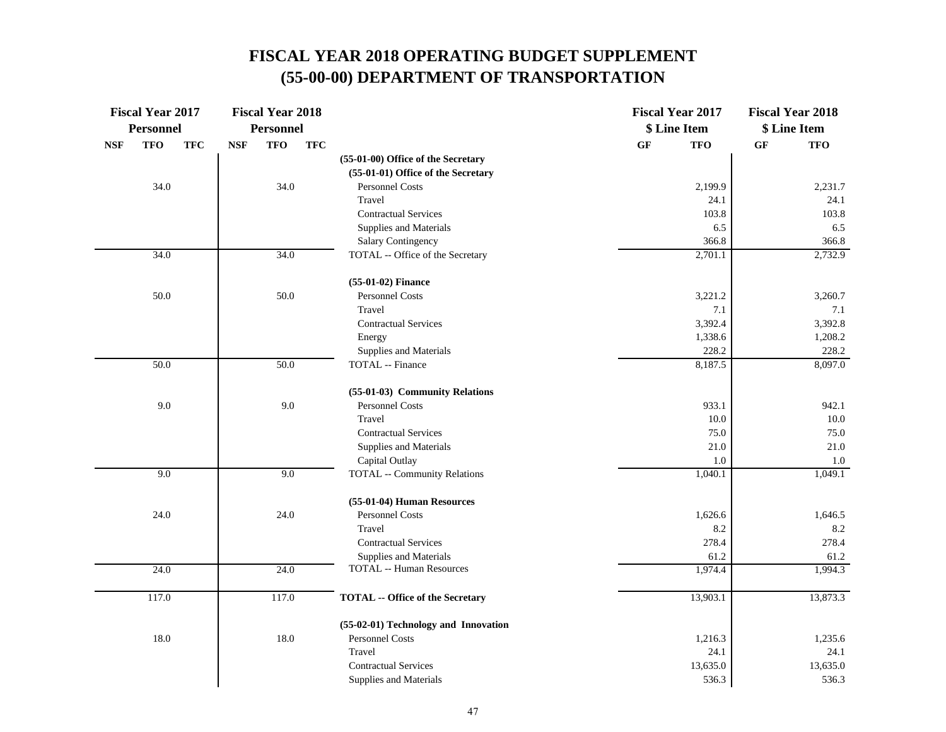| Personnel<br><b>Personnel</b><br>\$ Line Item<br>\$ Line Item<br><b>TFO</b><br><b>TFO</b><br><b>TFC</b><br><b>TFC</b><br><b>GF</b><br><b>TFO</b><br><b>GF</b><br><b>NSF</b><br><b>NSF</b><br><b>TFO</b><br>(55-01-00) Office of the Secretary<br>(55-01-01) Office of the Secretary<br>34.0<br>34.0<br>2,231.7<br><b>Personnel Costs</b><br>2,199.9<br>Travel<br>24.1<br>24.1<br><b>Contractual Services</b><br>103.8<br>103.8<br>6.5<br>Supplies and Materials<br>6.5<br>Salary Contingency<br>366.8<br>366.8<br>34.0<br>34.0<br>TOTAL -- Office of the Secretary<br>2,701.1<br>2,732.9<br>(55-01-02) Finance<br>50.0<br><b>Personnel Costs</b><br>50.0<br>3,221.2<br>3,260.7<br>Travel<br>7.1<br>7.1<br>3,392.8<br><b>Contractual Services</b><br>3,392.4<br>1,338.6<br>1,208.2<br>Energy<br>Supplies and Materials<br>228.2<br>228.2<br>50.0<br>50.0<br>8,097.0<br><b>TOTAL</b> -- Finance<br>8,187.5<br>(55-01-03) Community Relations<br>9.0<br>9.0<br>Personnel Costs<br>933.1<br>942.1<br>Travel<br>10.0<br>10.0<br>75.0<br><b>Contractual Services</b><br>75.0 | <b>Fiscal Year 2017</b> | <b>Fiscal Year 2018</b> |                        | <b>Fiscal Year 2017</b> | <b>Fiscal Year 2018</b> |
|------------------------------------------------------------------------------------------------------------------------------------------------------------------------------------------------------------------------------------------------------------------------------------------------------------------------------------------------------------------------------------------------------------------------------------------------------------------------------------------------------------------------------------------------------------------------------------------------------------------------------------------------------------------------------------------------------------------------------------------------------------------------------------------------------------------------------------------------------------------------------------------------------------------------------------------------------------------------------------------------------------------------------------------------------------------------|-------------------------|-------------------------|------------------------|-------------------------|-------------------------|
|                                                                                                                                                                                                                                                                                                                                                                                                                                                                                                                                                                                                                                                                                                                                                                                                                                                                                                                                                                                                                                                                        |                         |                         |                        |                         |                         |
|                                                                                                                                                                                                                                                                                                                                                                                                                                                                                                                                                                                                                                                                                                                                                                                                                                                                                                                                                                                                                                                                        |                         |                         |                        |                         |                         |
|                                                                                                                                                                                                                                                                                                                                                                                                                                                                                                                                                                                                                                                                                                                                                                                                                                                                                                                                                                                                                                                                        |                         |                         |                        |                         |                         |
|                                                                                                                                                                                                                                                                                                                                                                                                                                                                                                                                                                                                                                                                                                                                                                                                                                                                                                                                                                                                                                                                        |                         |                         |                        |                         |                         |
|                                                                                                                                                                                                                                                                                                                                                                                                                                                                                                                                                                                                                                                                                                                                                                                                                                                                                                                                                                                                                                                                        |                         |                         |                        |                         |                         |
|                                                                                                                                                                                                                                                                                                                                                                                                                                                                                                                                                                                                                                                                                                                                                                                                                                                                                                                                                                                                                                                                        |                         |                         |                        |                         |                         |
|                                                                                                                                                                                                                                                                                                                                                                                                                                                                                                                                                                                                                                                                                                                                                                                                                                                                                                                                                                                                                                                                        |                         |                         |                        |                         |                         |
|                                                                                                                                                                                                                                                                                                                                                                                                                                                                                                                                                                                                                                                                                                                                                                                                                                                                                                                                                                                                                                                                        |                         |                         |                        |                         |                         |
|                                                                                                                                                                                                                                                                                                                                                                                                                                                                                                                                                                                                                                                                                                                                                                                                                                                                                                                                                                                                                                                                        |                         |                         |                        |                         |                         |
|                                                                                                                                                                                                                                                                                                                                                                                                                                                                                                                                                                                                                                                                                                                                                                                                                                                                                                                                                                                                                                                                        |                         |                         |                        |                         |                         |
|                                                                                                                                                                                                                                                                                                                                                                                                                                                                                                                                                                                                                                                                                                                                                                                                                                                                                                                                                                                                                                                                        |                         |                         |                        |                         |                         |
|                                                                                                                                                                                                                                                                                                                                                                                                                                                                                                                                                                                                                                                                                                                                                                                                                                                                                                                                                                                                                                                                        |                         |                         |                        |                         |                         |
|                                                                                                                                                                                                                                                                                                                                                                                                                                                                                                                                                                                                                                                                                                                                                                                                                                                                                                                                                                                                                                                                        |                         |                         |                        |                         |                         |
|                                                                                                                                                                                                                                                                                                                                                                                                                                                                                                                                                                                                                                                                                                                                                                                                                                                                                                                                                                                                                                                                        |                         |                         |                        |                         |                         |
|                                                                                                                                                                                                                                                                                                                                                                                                                                                                                                                                                                                                                                                                                                                                                                                                                                                                                                                                                                                                                                                                        |                         |                         |                        |                         |                         |
|                                                                                                                                                                                                                                                                                                                                                                                                                                                                                                                                                                                                                                                                                                                                                                                                                                                                                                                                                                                                                                                                        |                         |                         |                        |                         |                         |
|                                                                                                                                                                                                                                                                                                                                                                                                                                                                                                                                                                                                                                                                                                                                                                                                                                                                                                                                                                                                                                                                        |                         |                         |                        |                         |                         |
|                                                                                                                                                                                                                                                                                                                                                                                                                                                                                                                                                                                                                                                                                                                                                                                                                                                                                                                                                                                                                                                                        |                         |                         |                        |                         |                         |
|                                                                                                                                                                                                                                                                                                                                                                                                                                                                                                                                                                                                                                                                                                                                                                                                                                                                                                                                                                                                                                                                        |                         |                         |                        |                         |                         |
|                                                                                                                                                                                                                                                                                                                                                                                                                                                                                                                                                                                                                                                                                                                                                                                                                                                                                                                                                                                                                                                                        |                         |                         |                        |                         |                         |
|                                                                                                                                                                                                                                                                                                                                                                                                                                                                                                                                                                                                                                                                                                                                                                                                                                                                                                                                                                                                                                                                        |                         |                         |                        |                         |                         |
| 21.0                                                                                                                                                                                                                                                                                                                                                                                                                                                                                                                                                                                                                                                                                                                                                                                                                                                                                                                                                                                                                                                                   |                         |                         | Supplies and Materials |                         | 21.0                    |
| 1.0<br>Capital Outlay<br>1.0                                                                                                                                                                                                                                                                                                                                                                                                                                                                                                                                                                                                                                                                                                                                                                                                                                                                                                                                                                                                                                           |                         |                         |                        |                         |                         |
| 9.0<br>9.0<br>TOTAL -- Community Relations<br>1,040.1<br>1,049.1                                                                                                                                                                                                                                                                                                                                                                                                                                                                                                                                                                                                                                                                                                                                                                                                                                                                                                                                                                                                       |                         |                         |                        |                         |                         |
| (55-01-04) Human Resources                                                                                                                                                                                                                                                                                                                                                                                                                                                                                                                                                                                                                                                                                                                                                                                                                                                                                                                                                                                                                                             |                         |                         |                        |                         |                         |
| 24.0<br><b>Personnel Costs</b><br>24.0<br>1,626.6<br>1,646.5                                                                                                                                                                                                                                                                                                                                                                                                                                                                                                                                                                                                                                                                                                                                                                                                                                                                                                                                                                                                           |                         |                         |                        |                         |                         |
| Travel<br>8.2<br>8.2                                                                                                                                                                                                                                                                                                                                                                                                                                                                                                                                                                                                                                                                                                                                                                                                                                                                                                                                                                                                                                                   |                         |                         |                        |                         |                         |
| 278.4<br>278.4<br><b>Contractual Services</b>                                                                                                                                                                                                                                                                                                                                                                                                                                                                                                                                                                                                                                                                                                                                                                                                                                                                                                                                                                                                                          |                         |                         |                        |                         |                         |
| Supplies and Materials<br>61.2<br>61.2                                                                                                                                                                                                                                                                                                                                                                                                                                                                                                                                                                                                                                                                                                                                                                                                                                                                                                                                                                                                                                 |                         |                         |                        |                         |                         |
| 24.0<br>24.0<br><b>TOTAL -- Human Resources</b><br>1,974.4<br>1,994.3                                                                                                                                                                                                                                                                                                                                                                                                                                                                                                                                                                                                                                                                                                                                                                                                                                                                                                                                                                                                  |                         |                         |                        |                         |                         |
| 13,873.3<br>117.0<br>117.0<br><b>TOTAL -- Office of the Secretary</b><br>13,903.1                                                                                                                                                                                                                                                                                                                                                                                                                                                                                                                                                                                                                                                                                                                                                                                                                                                                                                                                                                                      |                         |                         |                        |                         |                         |
| (55-02-01) Technology and Innovation                                                                                                                                                                                                                                                                                                                                                                                                                                                                                                                                                                                                                                                                                                                                                                                                                                                                                                                                                                                                                                   |                         |                         |                        |                         |                         |
| 18.0<br>18.0<br><b>Personnel Costs</b><br>1,216.3<br>1,235.6                                                                                                                                                                                                                                                                                                                                                                                                                                                                                                                                                                                                                                                                                                                                                                                                                                                                                                                                                                                                           |                         |                         |                        |                         |                         |
| Travel<br>24.1<br>24.1                                                                                                                                                                                                                                                                                                                                                                                                                                                                                                                                                                                                                                                                                                                                                                                                                                                                                                                                                                                                                                                 |                         |                         |                        |                         |                         |
| <b>Contractual Services</b><br>13,635.0<br>13,635.0                                                                                                                                                                                                                                                                                                                                                                                                                                                                                                                                                                                                                                                                                                                                                                                                                                                                                                                                                                                                                    |                         |                         |                        |                         |                         |
| 536.3<br>536.3<br>Supplies and Materials                                                                                                                                                                                                                                                                                                                                                                                                                                                                                                                                                                                                                                                                                                                                                                                                                                                                                                                                                                                                                               |                         |                         |                        |                         |                         |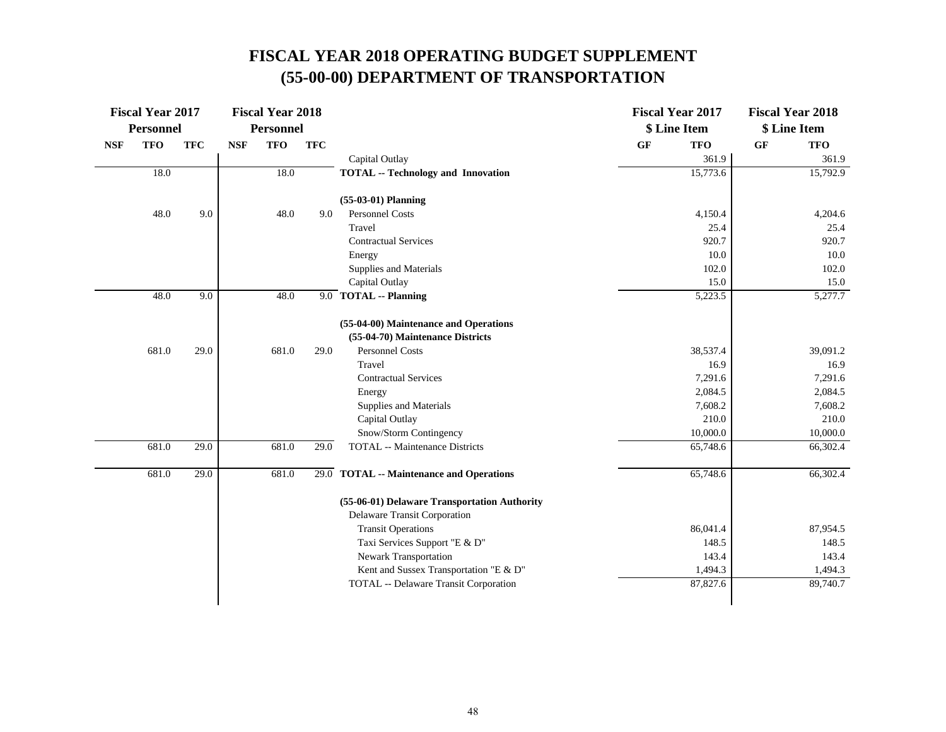|            | <b>Fiscal Year 2017</b> |            |            | <b>Fiscal Year 2018</b> |            |                                                           |    | <b>Fiscal Year 2017</b> |    | <b>Fiscal Year 2018</b> |
|------------|-------------------------|------------|------------|-------------------------|------------|-----------------------------------------------------------|----|-------------------------|----|-------------------------|
|            | <b>Personnel</b>        |            |            | <b>Personnel</b>        |            |                                                           |    | \$ Line Item            |    | \$ Line Item            |
| <b>NSF</b> | <b>TFO</b>              | <b>TFC</b> | <b>NSF</b> | <b>TFO</b>              | <b>TFC</b> |                                                           | GF | <b>TFO</b>              | GF | <b>TFO</b>              |
|            |                         |            |            |                         |            | Capital Outlay                                            |    | 361.9                   |    | 361.9                   |
|            | 18.0                    |            |            | 18.0                    |            | <b>TOTAL -- Technology and Innovation</b>                 |    | 15,773.6                |    | 15,792.9                |
|            |                         |            |            |                         |            | $(55-03-01)$ Planning                                     |    |                         |    |                         |
|            | 48.0                    | 9.0        |            | 48.0                    | 9.0        | Personnel Costs                                           |    | 4,150.4                 |    | 4,204.6                 |
|            |                         |            |            |                         |            | Travel                                                    |    | 25.4                    |    | 25.4                    |
|            |                         |            |            |                         |            | <b>Contractual Services</b>                               |    | 920.7                   |    | 920.7                   |
|            |                         |            |            |                         |            | Energy                                                    |    | 10.0                    |    | 10.0                    |
|            |                         |            |            |                         |            | Supplies and Materials                                    |    | 102.0                   |    | 102.0                   |
|            |                         |            |            |                         |            | Capital Outlay                                            |    | 15.0                    |    | 15.0                    |
|            | 48.0                    | 9.0        |            | 48.0                    |            | 9.0 TOTAL -- Planning                                     |    | 5,223.5                 |    | 5,277.7                 |
|            |                         |            |            |                         |            | (55-04-00) Maintenance and Operations                     |    |                         |    |                         |
|            |                         |            |            |                         |            | (55-04-70) Maintenance Districts                          |    |                         |    |                         |
|            | 681.0                   | 29.0       |            | 681.0                   | 29.0       | <b>Personnel Costs</b>                                    |    | 38,537.4                |    | 39,091.2                |
|            |                         |            |            |                         |            | Travel                                                    |    | 16.9                    |    | 16.9                    |
|            |                         |            |            |                         |            | <b>Contractual Services</b>                               |    | 7,291.6                 |    | 7,291.6                 |
|            |                         |            |            |                         |            | Energy                                                    |    | 2,084.5                 |    | 2,084.5                 |
|            |                         |            |            |                         |            | Supplies and Materials                                    |    | 7,608.2                 |    | 7,608.2                 |
|            |                         |            |            |                         |            | Capital Outlay                                            |    | 210.0                   |    | 210.0                   |
|            |                         |            |            |                         |            | Snow/Storm Contingency                                    |    | 10,000.0                |    | 10,000.0                |
|            | 681.0                   | 29.0       |            | 681.0                   | 29.0       | <b>TOTAL</b> -- Maintenance Districts                     |    | 65,748.6                |    | 66,302.4                |
|            | 681.0                   | 29.0       |            | 681.0                   |            | 29.0 TOTAL -- Maintenance and Operations                  |    | 65,748.6                |    | 66,302.4                |
|            |                         |            |            |                         |            |                                                           |    |                         |    |                         |
|            |                         |            |            |                         |            | (55-06-01) Delaware Transportation Authority              |    |                         |    |                         |
|            |                         |            |            |                         |            | Delaware Transit Corporation<br><b>Transit Operations</b> |    | 86,041.4                |    | 87,954.5                |
|            |                         |            |            |                         |            | Taxi Services Support "E & D"                             |    | 148.5                   |    | 148.5                   |
|            |                         |            |            |                         |            | Newark Transportation                                     |    | 143.4                   |    | 143.4                   |
|            |                         |            |            |                         |            | Kent and Sussex Transportation "E & D"                    |    | 1,494.3                 |    | 1,494.3                 |
|            |                         |            |            |                         |            | TOTAL -- Delaware Transit Corporation                     |    | 87,827.6                |    | 89,740.7                |
|            |                         |            |            |                         |            |                                                           |    |                         |    |                         |
|            |                         |            |            |                         |            |                                                           |    |                         |    |                         |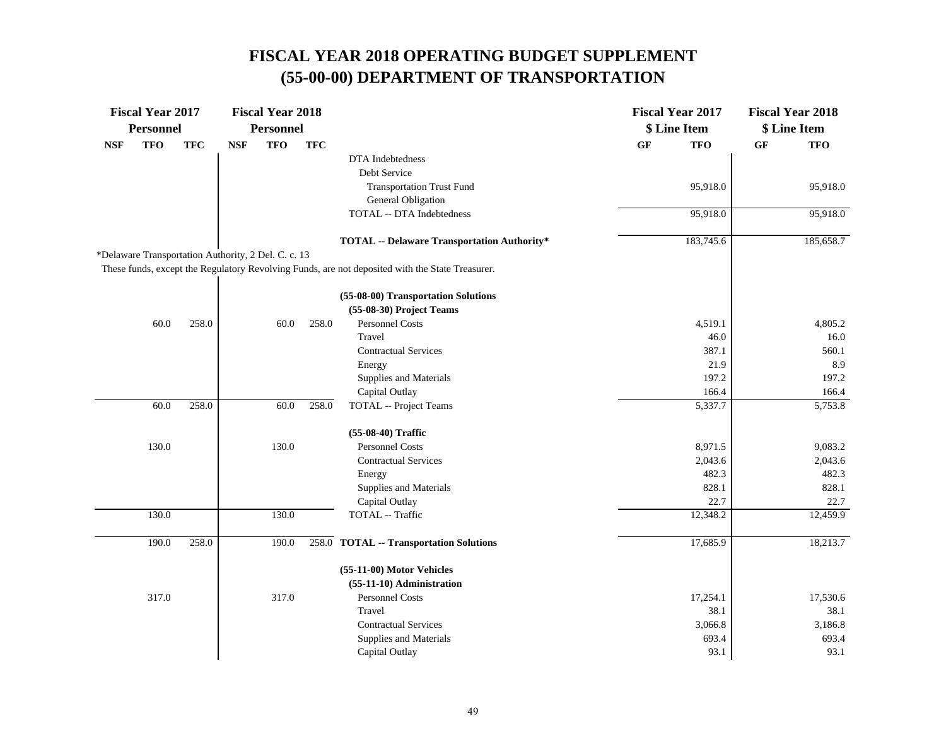|                                                     | <b>Fiscal Year 2017</b> |            |            | <b>Fiscal Year 2018</b> |            |                                                                                                 |           | <b>Fiscal Year 2017</b> |           | <b>Fiscal Year 2018</b> |
|-----------------------------------------------------|-------------------------|------------|------------|-------------------------|------------|-------------------------------------------------------------------------------------------------|-----------|-------------------------|-----------|-------------------------|
|                                                     | <b>Personnel</b>        |            |            | <b>Personnel</b>        |            |                                                                                                 |           | \$ Line Item            |           | \$ Line Item            |
| <b>NSF</b>                                          | <b>TFO</b>              | <b>TFC</b> | <b>NSF</b> | <b>TFO</b>              | <b>TFC</b> |                                                                                                 | <b>GF</b> | <b>TFO</b>              | <b>GF</b> | <b>TFO</b>              |
|                                                     |                         |            |            |                         |            | DTA Indebtedness                                                                                |           |                         |           |                         |
|                                                     |                         |            |            |                         |            | Debt Service                                                                                    |           |                         |           |                         |
|                                                     |                         |            |            |                         |            | <b>Transportation Trust Fund</b>                                                                |           | 95,918.0                |           | 95,918.0                |
|                                                     |                         |            |            |                         |            | General Obligation                                                                              |           |                         |           |                         |
|                                                     |                         |            |            |                         |            | TOTAL -- DTA Indebtedness                                                                       |           | 95,918.0                |           | 95,918.0                |
|                                                     |                         |            |            |                         |            | <b>TOTAL -- Delaware Transportation Authority*</b>                                              |           | 183,745.6               |           | 185,658.7               |
| *Delaware Transportation Authority, 2 Del. C. c. 13 |                         |            |            |                         |            |                                                                                                 |           |                         |           |                         |
|                                                     |                         |            |            |                         |            | These funds, except the Regulatory Revolving Funds, are not deposited with the State Treasurer. |           |                         |           |                         |
|                                                     |                         |            |            |                         |            | (55-08-00) Transportation Solutions                                                             |           |                         |           |                         |
|                                                     |                         |            |            |                         |            | (55-08-30) Project Teams                                                                        |           |                         |           |                         |
|                                                     | 60.0                    | 258.0      |            | 60.0                    | 258.0      | <b>Personnel Costs</b>                                                                          |           | 4,519.1                 |           | 4,805.2                 |
|                                                     |                         |            |            |                         |            | Travel                                                                                          |           | 46.0                    |           | 16.0                    |
|                                                     |                         |            |            |                         |            | <b>Contractual Services</b>                                                                     |           | 387.1                   |           | 560.1                   |
|                                                     |                         |            |            |                         |            | Energy                                                                                          |           | 21.9                    |           | 8.9                     |
|                                                     |                         |            |            |                         |            | Supplies and Materials                                                                          |           | 197.2                   |           | 197.2                   |
|                                                     |                         |            |            |                         |            | Capital Outlay                                                                                  |           | 166.4                   |           | 166.4                   |
|                                                     | 60.0                    | 258.0      |            | 60.0                    | 258.0      | <b>TOTAL</b> -- Project Teams                                                                   |           | 5,337.7                 |           | 5,753.8                 |
|                                                     |                         |            |            |                         |            | (55-08-40) Traffic                                                                              |           |                         |           |                         |
|                                                     | 130.0                   |            |            | 130.0                   |            | <b>Personnel Costs</b>                                                                          |           | 8,971.5                 |           | 9,083.2                 |
|                                                     |                         |            |            |                         |            | <b>Contractual Services</b>                                                                     |           | 2,043.6                 |           | 2,043.6                 |
|                                                     |                         |            |            |                         |            | Energy                                                                                          |           | 482.3                   |           | 482.3                   |
|                                                     |                         |            |            |                         |            | Supplies and Materials                                                                          |           | 828.1                   |           | 828.1                   |
|                                                     |                         |            |            |                         |            | Capital Outlay                                                                                  |           | 22.7                    |           | 22.7                    |
|                                                     | 130.0                   |            |            | 130.0                   |            | TOTAL -- Traffic                                                                                |           | 12,348.2                |           | 12,459.9                |
|                                                     | 190.0                   | 258.0      |            | 190.0                   |            | 258.0 TOTAL -- Transportation Solutions                                                         |           | 17,685.9                |           | 18,213.7                |
|                                                     |                         |            |            |                         |            | (55-11-00) Motor Vehicles                                                                       |           |                         |           |                         |
|                                                     |                         |            |            |                         |            | (55-11-10) Administration                                                                       |           |                         |           |                         |
|                                                     | 317.0                   |            |            | 317.0                   |            | Personnel Costs                                                                                 |           | 17,254.1                |           | 17,530.6                |
|                                                     |                         |            |            |                         |            | Travel                                                                                          |           | 38.1                    |           | 38.1                    |
|                                                     |                         |            |            |                         |            | <b>Contractual Services</b>                                                                     |           | 3,066.8                 |           | 3,186.8                 |
|                                                     |                         |            |            |                         |            | Supplies and Materials                                                                          |           | 693.4                   |           | 693.4                   |
|                                                     |                         |            |            |                         |            | Capital Outlay                                                                                  |           | 93.1                    |           | 93.1                    |
|                                                     |                         |            |            |                         |            |                                                                                                 |           |                         |           |                         |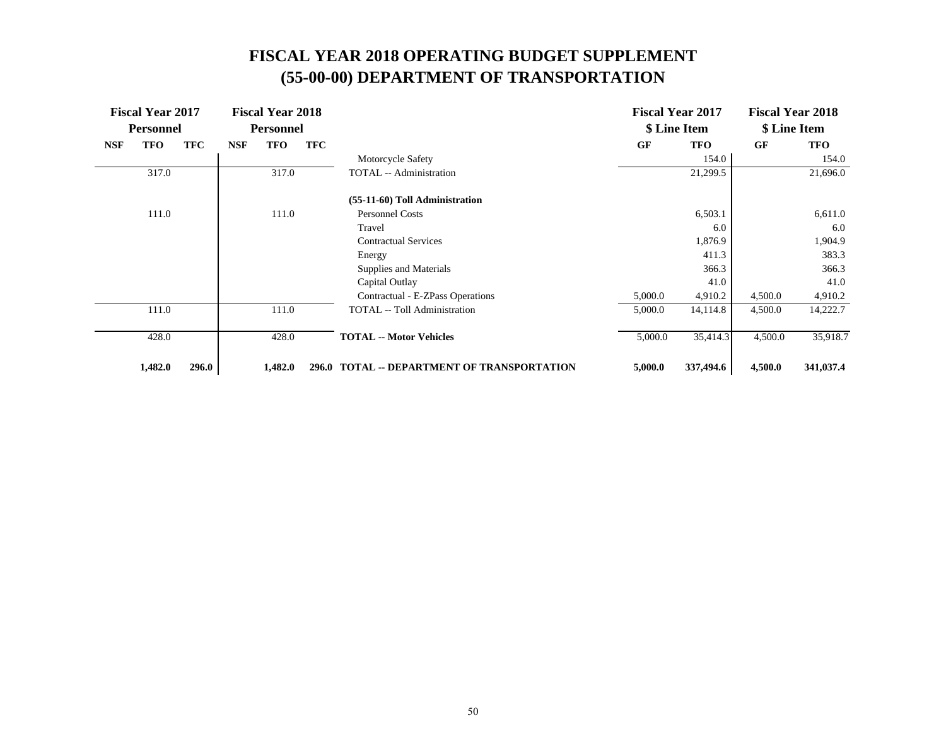|            | <b>Fiscal Year 2017</b><br><b>Personnel</b> |            |            | <b>Fiscal Year 2018</b><br><b>Personnel</b> |            |                                             |           | <b>Fiscal Year 2017</b><br>\$ Line Item |           | <b>Fiscal Year 2018</b><br>\$ Line Item |
|------------|---------------------------------------------|------------|------------|---------------------------------------------|------------|---------------------------------------------|-----------|-----------------------------------------|-----------|-----------------------------------------|
| <b>NSF</b> | <b>TFO</b>                                  | <b>TFC</b> | <b>NSF</b> | <b>TFO</b>                                  | <b>TFC</b> |                                             | <b>GF</b> | <b>TFO</b>                              | <b>GF</b> | <b>TFO</b>                              |
|            |                                             |            |            |                                             |            | Motorcycle Safety                           |           | 154.0                                   |           | 154.0                                   |
|            | 317.0                                       |            |            | 317.0                                       |            | TOTAL -- Administration                     |           | 21,299.5                                |           | 21,696.0                                |
|            |                                             |            |            |                                             |            | (55-11-60) Toll Administration              |           |                                         |           |                                         |
|            | 111.0                                       |            |            | 111.0                                       |            | <b>Personnel Costs</b>                      |           | 6,503.1                                 |           | 6,611.0                                 |
|            |                                             |            |            |                                             |            | Travel                                      |           | 6.0                                     |           | 6.0                                     |
|            |                                             |            |            |                                             |            | <b>Contractual Services</b>                 |           | 1,876.9                                 |           | 1,904.9                                 |
|            |                                             |            |            |                                             |            | Energy                                      |           | 411.3                                   |           | 383.3                                   |
|            |                                             |            |            |                                             |            | Supplies and Materials                      |           | 366.3                                   |           | 366.3                                   |
|            |                                             |            |            |                                             |            | Capital Outlay                              |           | 41.0                                    |           | 41.0                                    |
|            |                                             |            |            |                                             |            | Contractual - E-ZPass Operations            | 5,000.0   | 4,910.2                                 | 4,500.0   | 4,910.2                                 |
|            | 111.0                                       |            |            | 111.0                                       |            | <b>TOTAL</b> -- Toll Administration         | 5,000.0   | 14,114.8                                | 4,500.0   | 14,222.7                                |
|            | 428.0                                       |            |            | 428.0                                       |            | <b>TOTAL -- Motor Vehicles</b>              | 5,000.0   | 35,414.3                                | 4,500.0   | 35,918.7                                |
|            | 1,482.0                                     | 296.0      |            | 1,482.0                                     |            | 296.0 TOTAL -- DEPARTMENT OF TRANSPORTATION | 5,000.0   | 337,494.6                               | 4,500.0   | 341,037.4                               |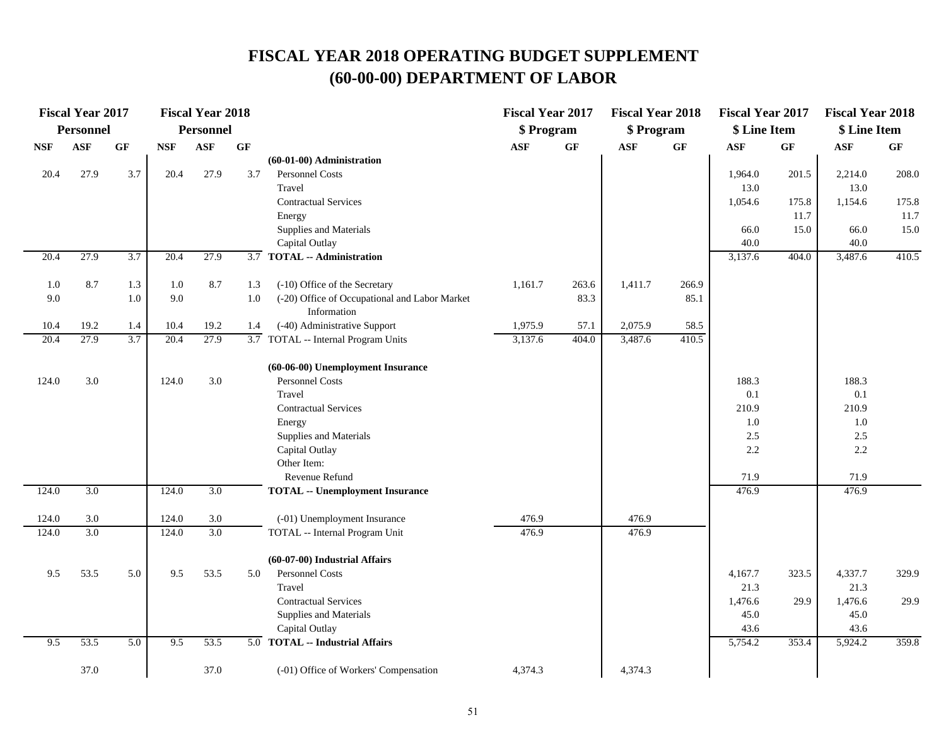|                             | <b>Fiscal Year 2017</b> |                 |            | <b>Fiscal Year 2018</b> |                 |                                               | <b>Fiscal Year 2017</b> |                 | <b>Fiscal Year 2018</b> |       | <b>Fiscal Year 2017</b> |                 | <b>Fiscal Year 2018</b> |       |
|-----------------------------|-------------------------|-----------------|------------|-------------------------|-----------------|-----------------------------------------------|-------------------------|-----------------|-------------------------|-------|-------------------------|-----------------|-------------------------|-------|
|                             | <b>Personnel</b>        |                 |            | <b>Personnel</b>        |                 |                                               | \$ Program              |                 | \$ Program              |       | \$ Line Item            |                 | \$ Line Item            |       |
| $\ensuremath{\mathbf{NSF}}$ | <b>ASF</b>              | $\bf{G} \bf{F}$ | <b>NSF</b> | $\mathbf{ASF}$          | $\bf{G} \bf{F}$ |                                               | <b>ASF</b>              | $\bf{G} \bf{F}$ | <b>ASF</b>              | GF    | $\mathbf{ASF}$          | $\bf{G} \bf{F}$ | $\mathbf{ASF}$          | GF    |
|                             |                         |                 |            |                         |                 | $(60-01-00)$ Administration                   |                         |                 |                         |       |                         |                 |                         |       |
| 20.4                        | 27.9                    | 3.7             | 20.4       | 27.9                    | 3.7             | Personnel Costs                               |                         |                 |                         |       | 1,964.0                 | 201.5           | 2,214.0                 | 208.0 |
|                             |                         |                 |            |                         |                 | Travel                                        |                         |                 |                         |       | 13.0                    |                 | 13.0                    |       |
|                             |                         |                 |            |                         |                 | <b>Contractual Services</b>                   |                         |                 |                         |       | 1,054.6                 | 175.8           | 1,154.6                 | 175.8 |
|                             |                         |                 |            |                         |                 | Energy                                        |                         |                 |                         |       |                         | 11.7            |                         | 11.7  |
|                             |                         |                 |            |                         |                 | Supplies and Materials                        |                         |                 |                         |       | 66.0                    | 15.0            | 66.0                    | 15.0  |
|                             |                         |                 |            |                         |                 | Capital Outlay                                |                         |                 |                         |       | 40.0                    |                 | 40.0                    |       |
| 20.4                        | 27.9                    | 3.7             | 20.4       | 27.9                    | 3.7             | <b>TOTAL -- Administration</b>                |                         |                 |                         |       | 3,137.6                 | 404.0           | 3,487.6                 | 410.5 |
| 1.0                         | 8.7                     | 1.3             | 1.0        | 8.7                     | 1.3             | (-10) Office of the Secretary                 | 1,161.7                 | 263.6           | 1,411.7                 | 266.9 |                         |                 |                         |       |
| 9.0                         |                         | 1.0             | 9.0        |                         | 1.0             | (-20) Office of Occupational and Labor Market |                         | 83.3            |                         | 85.1  |                         |                 |                         |       |
|                             |                         |                 |            |                         |                 | Information                                   |                         |                 |                         |       |                         |                 |                         |       |
| 10.4                        | 19.2                    | 1.4             | 10.4       | 19.2                    | 1.4             | (-40) Administrative Support                  | 1,975.9                 | 57.1            | 2,075.9                 | 58.5  |                         |                 |                         |       |
| 20.4                        | 27.9                    | 3.7             | 20.4       | 27.9                    |                 | 3.7 TOTAL -- Internal Program Units           | 3,137.6                 | 404.0           | 3,487.6                 | 410.5 |                         |                 |                         |       |
|                             |                         |                 |            |                         |                 | (60-06-00) Unemployment Insurance             |                         |                 |                         |       |                         |                 |                         |       |
| 124.0                       | 3.0                     |                 | 124.0      | 3.0                     |                 | Personnel Costs                               |                         |                 |                         |       | 188.3                   |                 | 188.3                   |       |
|                             |                         |                 |            |                         |                 | Travel                                        |                         |                 |                         |       | 0.1                     |                 | 0.1                     |       |
|                             |                         |                 |            |                         |                 | <b>Contractual Services</b>                   |                         |                 |                         |       | 210.9                   |                 | 210.9                   |       |
|                             |                         |                 |            |                         |                 | Energy                                        |                         |                 |                         |       | 1.0                     |                 | 1.0                     |       |
|                             |                         |                 |            |                         |                 | Supplies and Materials                        |                         |                 |                         |       | 2.5                     |                 | 2.5                     |       |
|                             |                         |                 |            |                         |                 | Capital Outlay                                |                         |                 |                         |       | 2.2                     |                 | 2.2                     |       |
|                             |                         |                 |            |                         |                 | Other Item:                                   |                         |                 |                         |       |                         |                 |                         |       |
|                             |                         |                 |            |                         |                 | Revenue Refund                                |                         |                 |                         |       | 71.9                    |                 | 71.9                    |       |
| 124.0                       | 3.0                     |                 | 124.0      | 3.0                     |                 | <b>TOTAL -- Unemployment Insurance</b>        |                         |                 |                         |       | 476.9                   |                 | 476.9                   |       |
| 124.0                       | 3.0                     |                 | 124.0      | $3.0\,$                 |                 | (-01) Unemployment Insurance                  | 476.9                   |                 | 476.9                   |       |                         |                 |                         |       |
| 124.0                       | 3.0                     |                 | 124.0      | 3.0                     |                 | TOTAL -- Internal Program Unit                | 476.9                   |                 | 476.9                   |       |                         |                 |                         |       |
|                             |                         |                 |            |                         |                 | (60-07-00) Industrial Affairs                 |                         |                 |                         |       |                         |                 |                         |       |
| 9.5                         | 53.5                    | 5.0             | 9.5        | 53.5                    | 5.0             | Personnel Costs                               |                         |                 |                         |       | 4,167.7                 | 323.5           | 4,337.7                 | 329.9 |
|                             |                         |                 |            |                         |                 | Travel                                        |                         |                 |                         |       | 21.3                    |                 | 21.3                    |       |
|                             |                         |                 |            |                         |                 | <b>Contractual Services</b>                   |                         |                 |                         |       | 1,476.6                 | 29.9            | 1,476.6                 | 29.9  |
|                             |                         |                 |            |                         |                 | Supplies and Materials                        |                         |                 |                         |       | 45.0                    |                 | 45.0                    |       |
|                             |                         |                 |            |                         |                 | Capital Outlay                                |                         |                 |                         |       | 43.6                    |                 | 43.6                    |       |
| 9.5                         | 53.5                    | 5.0             | 9.5        | 53.5                    |                 | 5.0 TOTAL -- Industrial Affairs               |                         |                 |                         |       | 5,754.2                 | 353.4           | 5,924.2                 | 359.8 |
|                             | 37.0                    |                 |            | 37.0                    |                 | (-01) Office of Workers' Compensation         | 4,374.3                 |                 | 4,374.3                 |       |                         |                 |                         |       |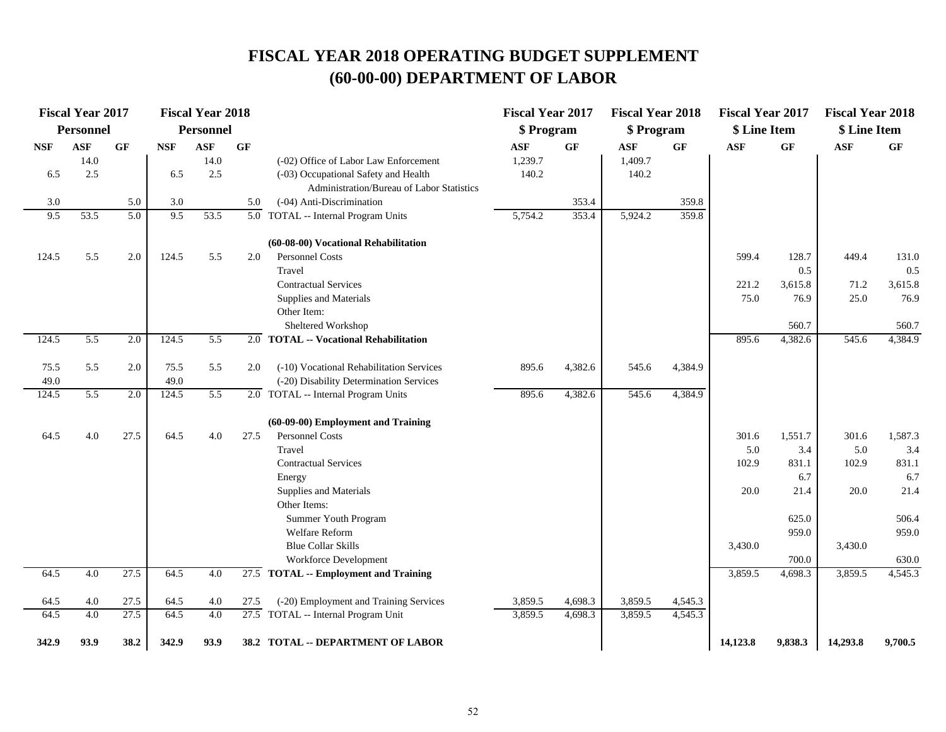|            | <b>Fiscal Year 2017</b> |      |            | <b>Fiscal Year 2018</b> |           |                                                    | <b>Fiscal Year 2017</b> |         | <b>Fiscal Year 2018</b> |         | <b>Fiscal Year 2017</b> |         | <b>Fiscal Year 2018</b> |         |
|------------|-------------------------|------|------------|-------------------------|-----------|----------------------------------------------------|-------------------------|---------|-------------------------|---------|-------------------------|---------|-------------------------|---------|
|            | <b>Personnel</b>        |      |            | <b>Personnel</b>        |           |                                                    | \$ Program              |         | \$ Program              |         | \$ Line Item            |         | \$ Line Item            |         |
| <b>NSF</b> | <b>ASF</b>              | GF   | <b>NSF</b> | <b>ASF</b>              | <b>GF</b> |                                                    | <b>ASF</b>              | GF      | <b>ASF</b>              | GF      | <b>ASF</b>              | GF      | <b>ASF</b>              | GF      |
|            | 14.0                    |      |            | 14.0                    |           | (-02) Office of Labor Law Enforcement              | 1,239.7                 |         | 1,409.7                 |         |                         |         |                         |         |
| 6.5        | 2.5                     |      | 6.5        | 2.5                     |           | (-03) Occupational Safety and Health               | 140.2                   |         | 140.2                   |         |                         |         |                         |         |
|            |                         |      |            |                         |           | Administration/Bureau of Labor Statistics          |                         |         |                         |         |                         |         |                         |         |
| 3.0        |                         | 5.0  | 3.0        |                         | 5.0       | (-04) Anti-Discrimination                          |                         | 353.4   |                         | 359.8   |                         |         |                         |         |
| 9.5        | 53.5                    | 5.0  | 9.5        | 53.5                    |           | $\overline{5.0}$ TOTAL -- Internal Program Units   | 5,754.2                 | 353.4   | 5,924.2                 | 359.8   |                         |         |                         |         |
|            |                         |      |            |                         |           | (60-08-00) Vocational Rehabilitation               |                         |         |                         |         |                         |         |                         |         |
| 124.5      | 5.5                     | 2.0  | 124.5      | 5.5                     | 2.0       | Personnel Costs                                    |                         |         |                         |         | 599.4                   | 128.7   | 449.4                   | 131.0   |
|            |                         |      |            |                         |           | Travel                                             |                         |         |                         |         |                         | 0.5     |                         | 0.5     |
|            |                         |      |            |                         |           | <b>Contractual Services</b>                        |                         |         |                         |         | 221.2                   | 3,615.8 | 71.2                    | 3,615.8 |
|            |                         |      |            |                         |           | Supplies and Materials                             |                         |         |                         |         | 75.0                    | 76.9    | 25.0                    | 76.9    |
|            |                         |      |            |                         |           | Other Item:                                        |                         |         |                         |         |                         |         |                         |         |
|            |                         |      |            |                         |           | Sheltered Workshop                                 |                         |         |                         |         |                         | 560.7   |                         | 560.7   |
| 124.5      | 5.5                     | 2.0  | 124.5      | 5.5                     |           | 2.0 TOTAL -- Vocational Rehabilitation             |                         |         |                         |         | 895.6                   | 4,382.6 | 545.6                   | 4,384.9 |
|            |                         |      |            |                         |           |                                                    |                         |         |                         |         |                         |         |                         |         |
| 75.5       | 5.5                     | 2.0  | 75.5       | 5.5                     | 2.0       | (-10) Vocational Rehabilitation Services           | 895.6                   | 4,382.6 | 545.6                   | 4,384.9 |                         |         |                         |         |
| 49.0       |                         |      | 49.0       |                         |           | (-20) Disability Determination Services            |                         |         |                         |         |                         |         |                         |         |
| 124.5      | 5.5                     | 2.0  | 124.5      | 5.5                     |           | 2.0 TOTAL -- Internal Program Units                | 895.6                   | 4,382.6 | 545.6                   | 4,384.9 |                         |         |                         |         |
|            |                         |      |            |                         |           | (60-09-00) Employment and Training                 |                         |         |                         |         |                         |         |                         |         |
| 64.5       | 4.0                     | 27.5 | 64.5       | 4.0                     | 27.5      | Personnel Costs                                    |                         |         |                         |         | 301.6                   | 1,551.7 | 301.6                   | 1,587.3 |
|            |                         |      |            |                         |           | Travel                                             |                         |         |                         |         | 5.0                     | 3.4     | 5.0                     | 3.4     |
|            |                         |      |            |                         |           | <b>Contractual Services</b>                        |                         |         |                         |         | 102.9                   | 831.1   | 102.9                   | 831.1   |
|            |                         |      |            |                         |           | Energy                                             |                         |         |                         |         |                         | 6.7     |                         | 6.7     |
|            |                         |      |            |                         |           | Supplies and Materials                             |                         |         |                         |         | 20.0                    | 21.4    | 20.0                    | 21.4    |
|            |                         |      |            |                         |           | Other Items:                                       |                         |         |                         |         |                         |         |                         |         |
|            |                         |      |            |                         |           | Summer Youth Program                               |                         |         |                         |         |                         | 625.0   |                         | 506.4   |
|            |                         |      |            |                         |           | Welfare Reform                                     |                         |         |                         |         |                         | 959.0   |                         | 959.0   |
|            |                         |      |            |                         |           | <b>Blue Collar Skills</b>                          |                         |         |                         |         | 3,430.0                 |         | 3,430.0                 |         |
|            |                         |      |            |                         |           | Workforce Development                              |                         |         |                         |         |                         | 700.0   |                         | 630.0   |
| 64.5       | 4.0                     | 27.5 | 64.5       | 4.0                     |           | $\overline{27.5}$ TOTAL -- Employment and Training |                         |         |                         |         | 3,859.5                 | 4,698.3 | 3,859.5                 | 4,545.3 |
| 64.5       | 4.0                     | 27.5 | 64.5       | 4.0                     | 27.5      | (-20) Employment and Training Services             | 3,859.5                 | 4,698.3 | 3,859.5                 | 4,545.3 |                         |         |                         |         |
| 64.5       | 4.0                     | 27.5 | 64.5       | 4.0                     |           | $27.5$ TOTAL -- Internal Program Unit              | 3,859.5                 | 4,698.3 | 3,859.5                 | 4,545.3 |                         |         |                         |         |
| 342.9      | 93.9                    | 38.2 | 342.9      | 93.9                    |           | 38.2 TOTAL -- DEPARTMENT OF LABOR                  |                         |         |                         |         | 14,123.8                | 9,838.3 | 14,293.8                | 9,700.5 |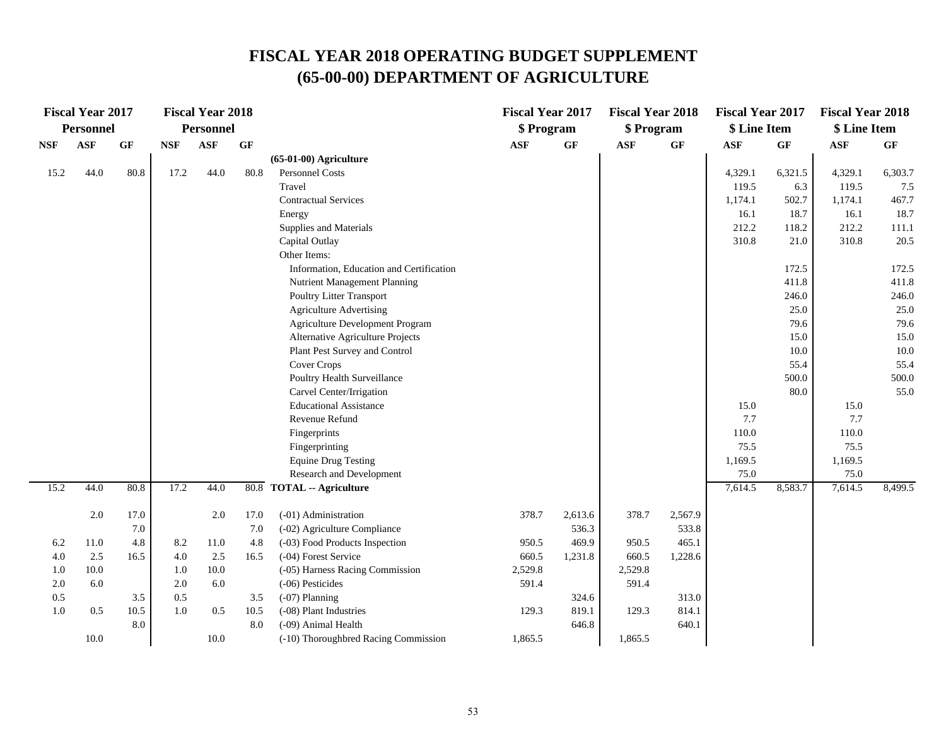|            | <b>Fiscal Year 2017</b> |       |            | <b>Fiscal Year 2018</b> |         |                                          | <b>Fiscal Year 2017</b> |         | <b>Fiscal Year 2018</b> |                 | <b>Fiscal Year 2017</b> |         | <b>Fiscal Year 2018</b> |         |
|------------|-------------------------|-------|------------|-------------------------|---------|------------------------------------------|-------------------------|---------|-------------------------|-----------------|-------------------------|---------|-------------------------|---------|
|            | <b>Personnel</b>        |       |            | <b>Personnel</b>        |         |                                          | \$ Program              |         | \$ Program              |                 | \$ Line Item            |         | \$ Line Item            |         |
| <b>NSF</b> | <b>ASF</b>              | GF    | <b>NSF</b> | <b>ASF</b>              | GF      |                                          | <b>ASF</b>              | GF      | <b>ASF</b>              | $\bf{G} \bf{F}$ | <b>ASF</b>              | GF      | $\mathbf{ASF}$          | GF      |
|            |                         |       |            |                         |         | $(65-01-00)$ Agriculture                 |                         |         |                         |                 |                         |         |                         |         |
| 15.2       | 44.0                    | 80.8  | 17.2       | 44.0                    | 80.8    | <b>Personnel Costs</b>                   |                         |         |                         |                 | 4,329.1                 | 6,321.5 | 4,329.1                 | 6,303.7 |
|            |                         |       |            |                         |         | Travel                                   |                         |         |                         |                 | 119.5                   | 6.3     | 119.5                   | 7.5     |
|            |                         |       |            |                         |         | <b>Contractual Services</b>              |                         |         |                         |                 | 1,174.1                 | 502.7   | 1,174.1                 | 467.7   |
|            |                         |       |            |                         |         | Energy                                   |                         |         |                         |                 | 16.1                    | 18.7    | 16.1                    | 18.7    |
|            |                         |       |            |                         |         | Supplies and Materials                   |                         |         |                         |                 | 212.2                   | 118.2   | 212.2                   | 111.1   |
|            |                         |       |            |                         |         | Capital Outlay                           |                         |         |                         |                 | 310.8                   | 21.0    | 310.8                   | 20.5    |
|            |                         |       |            |                         |         | Other Items:                             |                         |         |                         |                 |                         |         |                         |         |
|            |                         |       |            |                         |         | Information, Education and Certification |                         |         |                         |                 |                         | 172.5   |                         | 172.5   |
|            |                         |       |            |                         |         | Nutrient Management Planning             |                         |         |                         |                 |                         | 411.8   |                         | 411.8   |
|            |                         |       |            |                         |         | Poultry Litter Transport                 |                         |         |                         |                 |                         | 246.0   |                         | 246.0   |
|            |                         |       |            |                         |         | <b>Agriculture Advertising</b>           |                         |         |                         |                 |                         | 25.0    |                         | 25.0    |
|            |                         |       |            |                         |         | Agriculture Development Program          |                         |         |                         |                 |                         | 79.6    |                         | 79.6    |
|            |                         |       |            |                         |         | Alternative Agriculture Projects         |                         |         |                         |                 |                         | 15.0    |                         | 15.0    |
|            |                         |       |            |                         |         | Plant Pest Survey and Control            |                         |         |                         |                 |                         | 10.0    |                         | 10.0    |
|            |                         |       |            |                         |         | Cover Crops                              |                         |         |                         |                 |                         | 55.4    |                         | 55.4    |
|            |                         |       |            |                         |         | Poultry Health Surveillance              |                         |         |                         |                 |                         | 500.0   |                         | 500.0   |
|            |                         |       |            |                         |         | Carvel Center/Irrigation                 |                         |         |                         |                 |                         | 80.0    |                         | 55.0    |
|            |                         |       |            |                         |         | <b>Educational Assistance</b>            |                         |         |                         |                 | 15.0                    |         | 15.0                    |         |
|            |                         |       |            |                         |         | Revenue Refund                           |                         |         |                         |                 | 7.7                     |         | 7.7                     |         |
|            |                         |       |            |                         |         | Fingerprints                             |                         |         |                         |                 | 110.0                   |         | 110.0                   |         |
|            |                         |       |            |                         |         | Fingerprinting                           |                         |         |                         |                 | 75.5                    |         | 75.5                    |         |
|            |                         |       |            |                         |         | <b>Equine Drug Testing</b>               |                         |         |                         |                 | 1,169.5                 |         | 1,169.5                 |         |
|            |                         |       |            |                         |         | Research and Development                 |                         |         |                         |                 | $75.0\,$                |         | 75.0                    |         |
| 15.2       | 44.0                    | 80.8  | 17.2       | 44.0                    |         | 80.8 TOTAL -- Agriculture                |                         |         |                         |                 | 7,614.5                 | 8,583.7 | 7,614.5                 | 8,499.5 |
|            | 2.0                     | 17.0  |            | 2.0                     | 17.0    | (-01) Administration                     | 378.7                   | 2,613.6 | 378.7                   | 2,567.9         |                         |         |                         |         |
|            |                         | 7.0   |            |                         | $7.0\,$ | (-02) Agriculture Compliance             |                         | 536.3   |                         | 533.8           |                         |         |                         |         |
| 6.2        | 11.0                    | 4.8   | 8.2        | 11.0                    | 4.8     | (-03) Food Products Inspection           | 950.5                   | 469.9   | 950.5                   | 465.1           |                         |         |                         |         |
| 4.0        | 2.5                     | 16.5  | 4.0        | 2.5                     | 16.5    | (-04) Forest Service                     | 660.5                   | 1,231.8 | 660.5                   | 1,228.6         |                         |         |                         |         |
| 1.0        | 10.0                    |       | 1.0        | 10.0                    |         | (-05) Harness Racing Commission          | 2,529.8                 |         | 2,529.8                 |                 |                         |         |                         |         |
| 2.0        | 6.0                     |       | 2.0        | 6.0                     |         | (-06) Pesticides                         | 591.4                   |         | 591.4                   |                 |                         |         |                         |         |
| 0.5        |                         | $3.5$ | 0.5        |                         | 3.5     | $(-07)$ Planning                         |                         | 324.6   |                         | 313.0           |                         |         |                         |         |
| 1.0        | 0.5                     | 10.5  | 1.0        | 0.5                     | 10.5    | (-08) Plant Industries                   | 129.3                   | 819.1   | 129.3                   | 814.1           |                         |         |                         |         |
|            |                         | 8.0   |            |                         | 8.0     | (-09) Animal Health                      |                         | 646.8   |                         | 640.1           |                         |         |                         |         |
|            | 10.0                    |       |            | 10.0                    |         | (-10) Thoroughbred Racing Commission     | 1,865.5                 |         | 1,865.5                 |                 |                         |         |                         |         |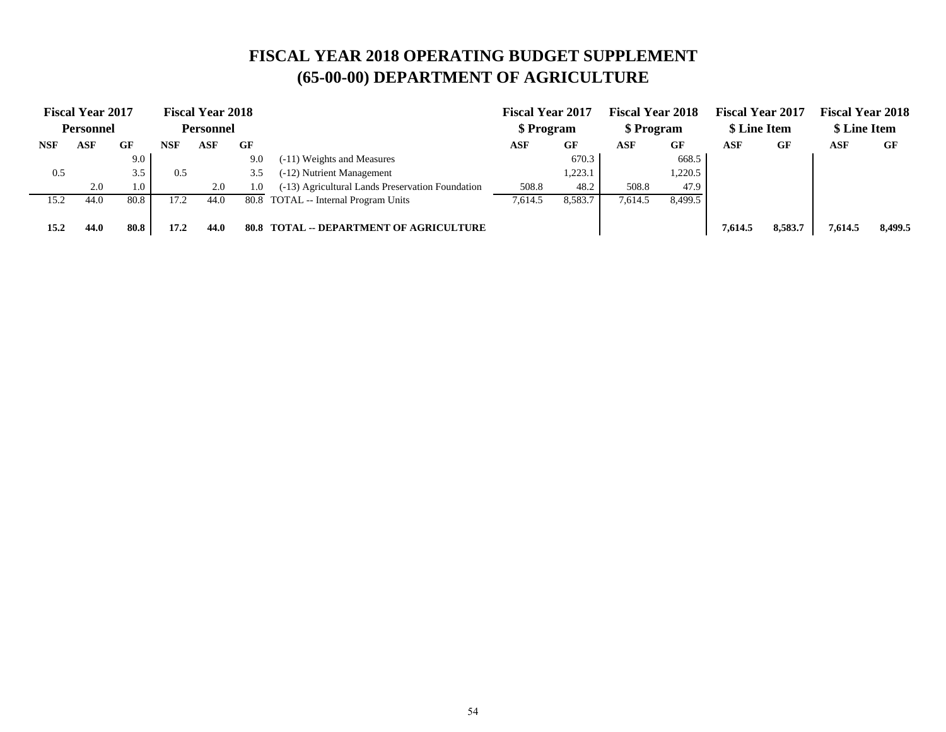|      | <b>Fiscal Year 2017</b> |      |            | <b>Fiscal Year 2018</b> |      |                                                  | <b>Fiscal Year 2017</b> |         | <b>Fiscal Year 2018</b> |         | <b>Fiscal Year 2017</b> |         | <b>Fiscal Year 2018</b> |         |
|------|-------------------------|------|------------|-------------------------|------|--------------------------------------------------|-------------------------|---------|-------------------------|---------|-------------------------|---------|-------------------------|---------|
|      | <b>Personnel</b>        |      |            | <b>Personnel</b>        |      |                                                  | \$ Program              |         | \$ Program              |         | \$ Line Item            |         | \$ Line Item            |         |
| NSF  | ASF                     | GF   | <b>NSF</b> | ASF                     | GF   |                                                  | ASF                     | GF      | ASF                     | GF      | ASF                     | GF      | ASF                     | GF      |
|      |                         | 9.0  |            |                         | 9.0  | (-11) Weights and Measures                       |                         | 670.3   |                         | 668.5   |                         |         |                         |         |
| 0.5  |                         | 3.5  | 0.5        |                         | 3.5  | (-12) Nutrient Management                        |                         | 1,223.1 |                         | ,220.5  |                         |         |                         |         |
|      | 2.0                     | 1.0  |            | 2.0                     | 1.0  | (-13) Agricultural Lands Preservation Foundation | 508.8                   | 48.2    | 508.8                   | 47.9    |                         |         |                         |         |
| 15.2 | 44.0                    | 80.8 | 17.2       | 44.0                    | 80.8 | TOTAL -- Internal Program Units                  | 7.614.5                 | 8,583.7 | 7.614.5                 | 8.499.5 |                         |         |                         |         |
|      |                         |      |            |                         |      |                                                  |                         |         |                         |         |                         |         |                         |         |
| 15.2 | 44.0                    | 80.8 | 17.2       | 44.0                    | 80.8 | <b>TOTAL -- DEPARTMENT OF AGRICULTURE</b>        |                         |         |                         |         | 7.614.5                 | 8,583.7 | 7,614.5                 | 8,499.5 |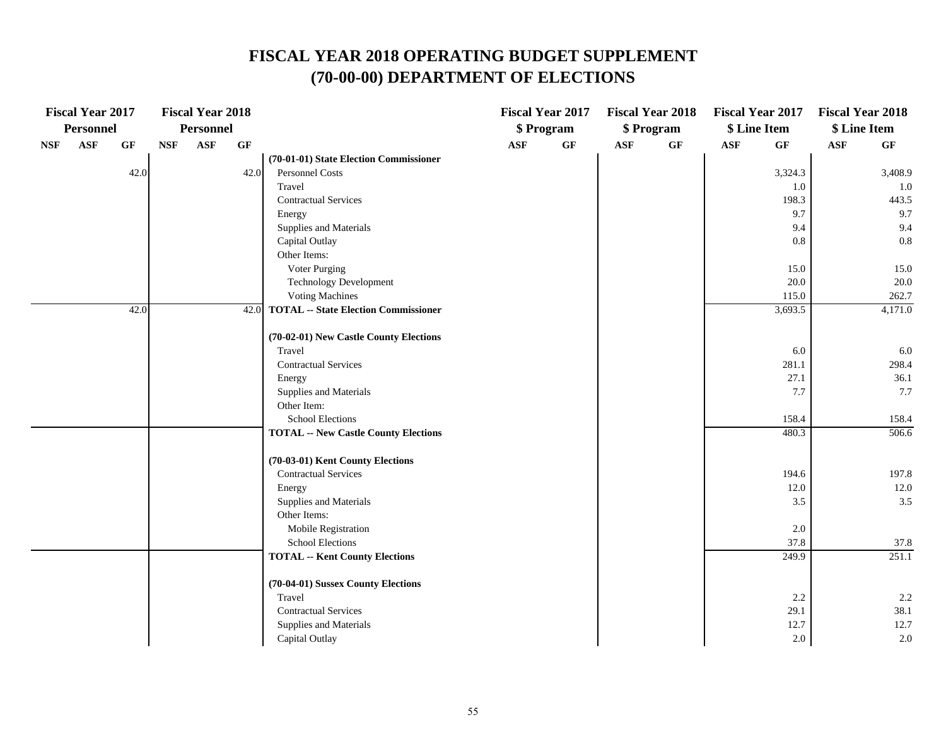|            | <b>Fiscal Year 2017</b> |                 |            | <b>Fiscal Year 2018</b> |                 |                                             |                | <b>Fiscal Year 2017</b> |                | <b>Fiscal Year 2018</b> |     | <b>Fiscal Year 2017</b> | <b>Fiscal Year 2018</b> |                 |
|------------|-------------------------|-----------------|------------|-------------------------|-----------------|---------------------------------------------|----------------|-------------------------|----------------|-------------------------|-----|-------------------------|-------------------------|-----------------|
|            | <b>Personnel</b>        |                 |            | Personnel               |                 |                                             |                | \$ Program              |                | \$ Program              |     | \$ Line Item            | \$ Line Item            |                 |
| <b>NSF</b> | ASF                     | $\bf{G} \bf{F}$ | $\bf{NSF}$ | $\mathbf{ASF}$          | $\bf{G} \bf{F}$ |                                             | $\mathbf{ASF}$ | $\bf{G} \bf{F}$         | $\mathbf{ASF}$ | $\bf{G} \bf{F}$         | ASF | $\bf{G} \bf{F}$         | $\mathbf{ASF}$          | $\bf{G} \bf{F}$ |
|            |                         |                 |            |                         |                 | (70-01-01) State Election Commissioner      |                |                         |                |                         |     |                         |                         |                 |
|            |                         | 42.0            |            |                         | 42.0            | Personnel Costs                             |                |                         |                |                         |     | 3,324.3                 |                         | 3,408.9         |
|            |                         |                 |            |                         |                 | Travel                                      |                |                         |                |                         |     | 1.0                     |                         | $1.0\,$         |
|            |                         |                 |            |                         |                 | <b>Contractual Services</b>                 |                |                         |                |                         |     | 198.3                   |                         | 443.5           |
|            |                         |                 |            |                         |                 | Energy                                      |                |                         |                |                         |     | 9.7                     |                         | 9.7             |
|            |                         |                 |            |                         |                 | Supplies and Materials                      |                |                         |                |                         |     | 9.4                     |                         | 9.4             |
|            |                         |                 |            |                         |                 | Capital Outlay                              |                |                         |                |                         |     | 0.8                     |                         | $0.8\,$         |
|            |                         |                 |            |                         |                 | Other Items:                                |                |                         |                |                         |     |                         |                         |                 |
|            |                         |                 |            |                         |                 | Voter Purging                               |                |                         |                |                         |     | 15.0                    |                         | 15.0            |
|            |                         |                 |            |                         |                 | <b>Technology Development</b>               |                |                         |                |                         |     | 20.0                    |                         | 20.0            |
|            |                         |                 |            |                         |                 | <b>Voting Machines</b>                      |                |                         |                |                         |     | 115.0                   |                         | 262.7           |
|            |                         | 42.0            |            |                         |                 | 42.0 TOTAL -- State Election Commissioner   |                |                         |                |                         |     | 3,693.5                 |                         | 4,171.0         |
|            |                         |                 |            |                         |                 | (70-02-01) New Castle County Elections      |                |                         |                |                         |     |                         |                         |                 |
|            |                         |                 |            |                         |                 | Travel                                      |                |                         |                |                         |     | 6.0                     |                         | 6.0             |
|            |                         |                 |            |                         |                 | <b>Contractual Services</b>                 |                |                         |                |                         |     | 281.1                   |                         | 298.4           |
|            |                         |                 |            |                         |                 | Energy                                      |                |                         |                |                         |     | 27.1                    |                         | 36.1            |
|            |                         |                 |            |                         |                 | Supplies and Materials                      |                |                         |                |                         |     | 7.7                     |                         | 7.7             |
|            |                         |                 |            |                         |                 | Other Item:                                 |                |                         |                |                         |     |                         |                         |                 |
|            |                         |                 |            |                         |                 | School Elections                            |                |                         |                |                         |     | 158.4                   |                         | 158.4           |
|            |                         |                 |            |                         |                 | <b>TOTAL -- New Castle County Elections</b> |                |                         |                |                         |     | 480.3                   |                         | 506.6           |
|            |                         |                 |            |                         |                 | (70-03-01) Kent County Elections            |                |                         |                |                         |     |                         |                         |                 |
|            |                         |                 |            |                         |                 | <b>Contractual Services</b>                 |                |                         |                |                         |     | 194.6                   |                         | 197.8           |
|            |                         |                 |            |                         |                 | Energy                                      |                |                         |                |                         |     | 12.0                    |                         | 12.0            |
|            |                         |                 |            |                         |                 | Supplies and Materials                      |                |                         |                |                         |     | 3.5                     |                         | 3.5             |
|            |                         |                 |            |                         |                 | Other Items:                                |                |                         |                |                         |     |                         |                         |                 |
|            |                         |                 |            |                         |                 | Mobile Registration                         |                |                         |                |                         |     | 2.0                     |                         |                 |
|            |                         |                 |            |                         |                 | <b>School Elections</b>                     |                |                         |                |                         |     | 37.8                    |                         | 37.8            |
|            |                         |                 |            |                         |                 | <b>TOTAL -- Kent County Elections</b>       |                |                         |                |                         |     | 249.9                   |                         | 251.1           |
|            |                         |                 |            |                         |                 | (70-04-01) Sussex County Elections          |                |                         |                |                         |     |                         |                         |                 |
|            |                         |                 |            |                         |                 | Travel                                      |                |                         |                |                         |     | 2.2                     |                         | 2.2             |
|            |                         |                 |            |                         |                 | <b>Contractual Services</b>                 |                |                         |                |                         |     | 29.1                    |                         | 38.1            |
|            |                         |                 |            |                         |                 | Supplies and Materials                      |                |                         |                |                         |     | 12.7                    |                         | 12.7            |
|            |                         |                 |            |                         |                 | Capital Outlay                              |                |                         |                |                         |     | $2.0\,$                 |                         | $2.0\,$         |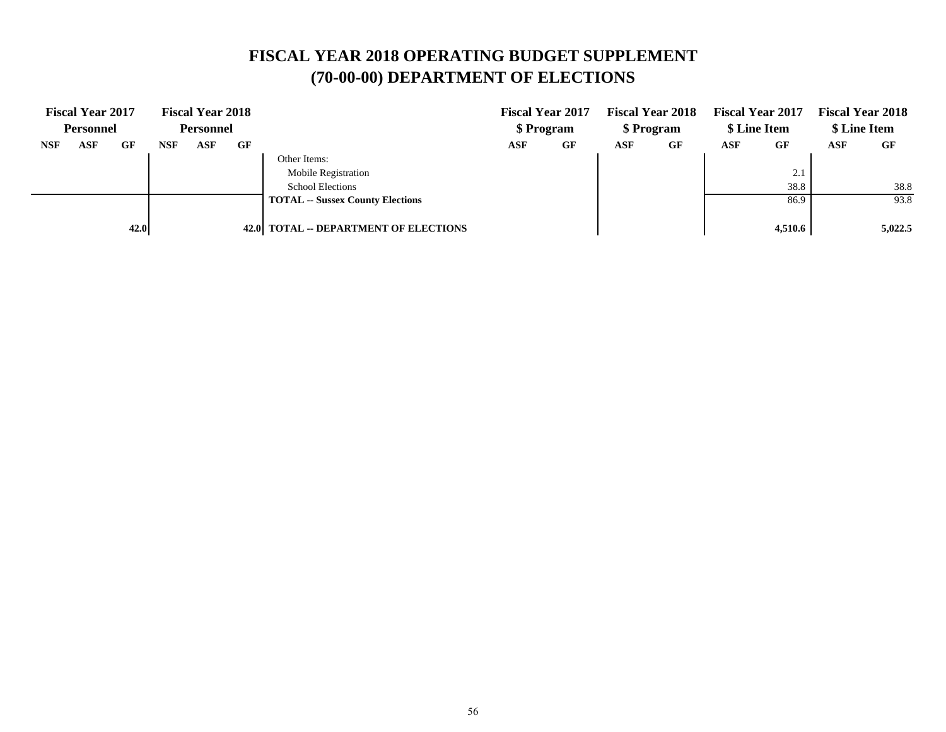|            | <b>Fiscal Year 2017</b> |      |            | <b>Fiscal Year 2018</b> |    |                                         |     | <b>Fiscal Year 2017</b> |     | <b>Fiscal Year 2018</b> |     | <b>Fiscal Year 2017</b>    |            | <b>Fiscal Year 2018</b> |
|------------|-------------------------|------|------------|-------------------------|----|-----------------------------------------|-----|-------------------------|-----|-------------------------|-----|----------------------------|------------|-------------------------|
|            | <b>Personnel</b>        |      |            | <b>Personnel</b>        |    |                                         |     | \$ Program              |     | \$ Program              |     | \$ Line Item               |            | \$ Line Item            |
| <b>NSF</b> | ASF                     | GF   | <b>NSF</b> | ASF                     | GF |                                         | ASF | GF                      | ASF | GF                      | ASF | <b>GF</b>                  | <b>ASF</b> | GF                      |
|            |                         |      |            |                         |    | Other Items:                            |     |                         |     |                         |     |                            |            |                         |
|            |                         |      |            |                         |    | <b>Mobile Registration</b>              |     |                         |     |                         |     | $\bigcap$ 1<br>$\angle .1$ |            |                         |
|            |                         |      |            |                         |    | <b>School Elections</b>                 |     |                         |     |                         |     | 38.8                       |            | 38.8                    |
|            |                         |      |            |                         |    | <b>TOTAL -- Sussex County Elections</b> |     |                         |     |                         |     | 86.9                       |            | 93.8                    |
|            |                         |      |            |                         |    |                                         |     |                         |     |                         |     |                            |            |                         |
|            |                         | 42.0 |            |                         |    | 42.0 TOTAL -- DEPARTMENT OF ELECTIONS   |     |                         |     |                         |     | 4,510.6                    |            | 5,022.5                 |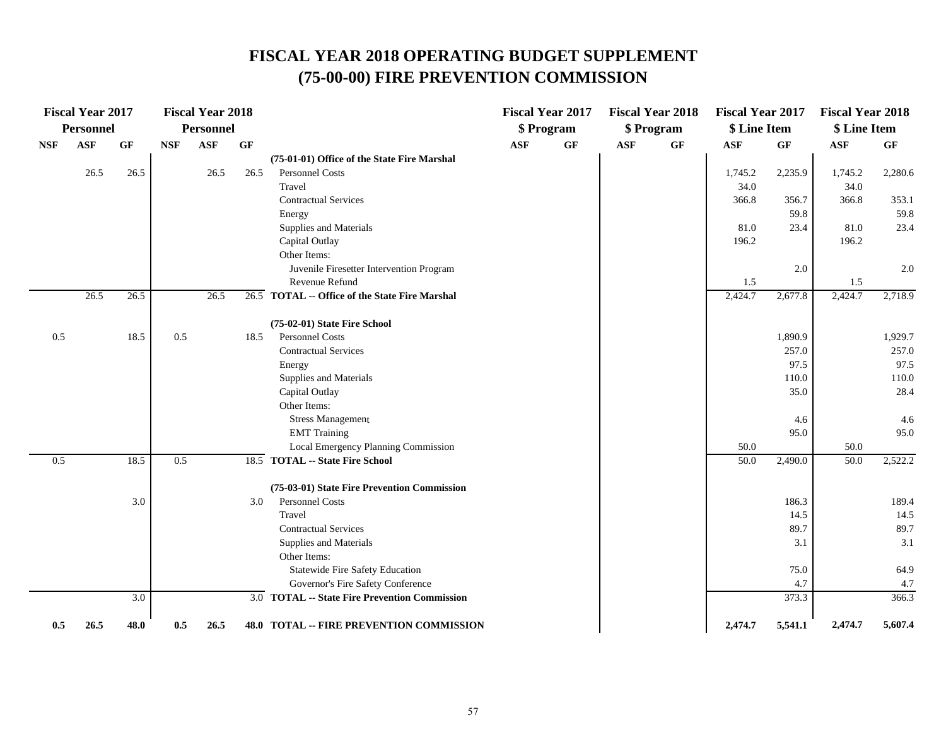### **FISCAL YEAR 2018 OPERATING BUDGET SUPPLEMENT (75-00-00) FIRE PREVENTION COMMISSION**

|            | <b>Fiscal Year 2017</b> |      |            | <b>Fiscal Year 2018</b> |      |                                                |     | <b>Fiscal Year 2017</b> |            | <b>Fiscal Year 2018</b> | <b>Fiscal Year 2017</b> |                 | <b>Fiscal Year 2018</b> |         |
|------------|-------------------------|------|------------|-------------------------|------|------------------------------------------------|-----|-------------------------|------------|-------------------------|-------------------------|-----------------|-------------------------|---------|
|            | <b>Personnel</b>        |      |            | <b>Personnel</b>        |      |                                                |     | \$ Program              |            | \$ Program              | \$ Line Item            |                 | \$ Line Item            |         |
| <b>NSF</b> | <b>ASF</b>              | GF   | <b>NSF</b> | <b>ASF</b>              | GF   |                                                | ASF | GF                      | <b>ASF</b> | $\bf{G} \bf{F}$         | <b>ASF</b>              | $\bf{G} \bf{F}$ | <b>ASF</b>              | GF      |
|            |                         |      |            |                         |      | (75-01-01) Office of the State Fire Marshal    |     |                         |            |                         |                         |                 |                         |         |
|            | 26.5                    | 26.5 |            | 26.5                    | 26.5 | <b>Personnel Costs</b>                         |     |                         |            |                         | 1,745.2                 | 2,235.9         | 1,745.2                 | 2,280.6 |
|            |                         |      |            |                         |      | Travel                                         |     |                         |            |                         | 34.0                    |                 | 34.0                    |         |
|            |                         |      |            |                         |      | <b>Contractual Services</b>                    |     |                         |            |                         | 366.8                   | 356.7           | 366.8                   | 353.1   |
|            |                         |      |            |                         |      | Energy                                         |     |                         |            |                         |                         | 59.8            |                         | 59.8    |
|            |                         |      |            |                         |      | Supplies and Materials                         |     |                         |            |                         | 81.0                    | 23.4            | 81.0                    | 23.4    |
|            |                         |      |            |                         |      | Capital Outlay                                 |     |                         |            |                         | 196.2                   |                 | 196.2                   |         |
|            |                         |      |            |                         |      | Other Items:                                   |     |                         |            |                         |                         |                 |                         |         |
|            |                         |      |            |                         |      | Juvenile Firesetter Intervention Program       |     |                         |            |                         |                         | 2.0             |                         | 2.0     |
|            |                         |      |            |                         |      | Revenue Refund                                 |     |                         |            |                         | 1.5                     |                 | 1.5                     |         |
|            | 26.5                    | 26.5 |            | 26.5                    |      | 26.5 TOTAL -- Office of the State Fire Marshal |     |                         |            |                         | 2,424.7                 | 2,677.8         | 2,424.7                 | 2,718.9 |
|            |                         |      |            |                         |      | (75-02-01) State Fire School                   |     |                         |            |                         |                         |                 |                         |         |
| 0.5        |                         | 18.5 | 0.5        |                         | 18.5 | Personnel Costs                                |     |                         |            |                         |                         | 1,890.9         |                         | 1,929.7 |
|            |                         |      |            |                         |      | <b>Contractual Services</b>                    |     |                         |            |                         |                         | 257.0           |                         | 257.0   |
|            |                         |      |            |                         |      | Energy                                         |     |                         |            |                         |                         | 97.5            |                         | 97.5    |
|            |                         |      |            |                         |      | Supplies and Materials                         |     |                         |            |                         |                         | 110.0           |                         | 110.0   |
|            |                         |      |            |                         |      | Capital Outlay                                 |     |                         |            |                         |                         | 35.0            |                         | 28.4    |
|            |                         |      |            |                         |      | Other Items:                                   |     |                         |            |                         |                         |                 |                         |         |
|            |                         |      |            |                         |      | <b>Stress Management</b>                       |     |                         |            |                         |                         | 4.6             |                         | 4.6     |
|            |                         |      |            |                         |      | <b>EMT</b> Training                            |     |                         |            |                         |                         | 95.0            |                         | 95.0    |
|            |                         |      |            |                         |      | Local Emergency Planning Commission            |     |                         |            |                         | 50.0                    |                 | 50.0                    |         |
| 0.5        |                         | 18.5 | 0.5        |                         |      | 18.5 TOTAL -- State Fire School                |     |                         |            |                         | 50.0                    | 2,490.0         | 50.0                    | 2,522.2 |
|            |                         |      |            |                         |      | (75-03-01) State Fire Prevention Commission    |     |                         |            |                         |                         |                 |                         |         |
|            |                         | 3.0  |            |                         | 3.0  | Personnel Costs                                |     |                         |            |                         |                         | 186.3           |                         | 189.4   |
|            |                         |      |            |                         |      | Travel                                         |     |                         |            |                         |                         | 14.5            |                         | 14.5    |
|            |                         |      |            |                         |      | <b>Contractual Services</b>                    |     |                         |            |                         |                         | 89.7            |                         | 89.7    |
|            |                         |      |            |                         |      | Supplies and Materials                         |     |                         |            |                         |                         | 3.1             |                         | 3.1     |
|            |                         |      |            |                         |      | Other Items:                                   |     |                         |            |                         |                         |                 |                         |         |
|            |                         |      |            |                         |      | Statewide Fire Safety Education                |     |                         |            |                         |                         | 75.0            |                         | 64.9    |
|            |                         |      |            |                         |      | Governor's Fire Safety Conference              |     |                         |            |                         |                         | 4.7             |                         | 4.7     |
|            |                         | 3.0  |            |                         |      | 3.0 TOTAL -- State Fire Prevention Commission  |     |                         |            |                         |                         | 373.3           |                         | 366.3   |
| 0.5        | 26.5                    | 48.0 | 0.5        | 26.5                    |      | 48.0 TOTAL -- FIRE PREVENTION COMMISSION       |     |                         |            |                         | 2,474.7                 | 5,541.1         | 2,474.7                 | 5,607.4 |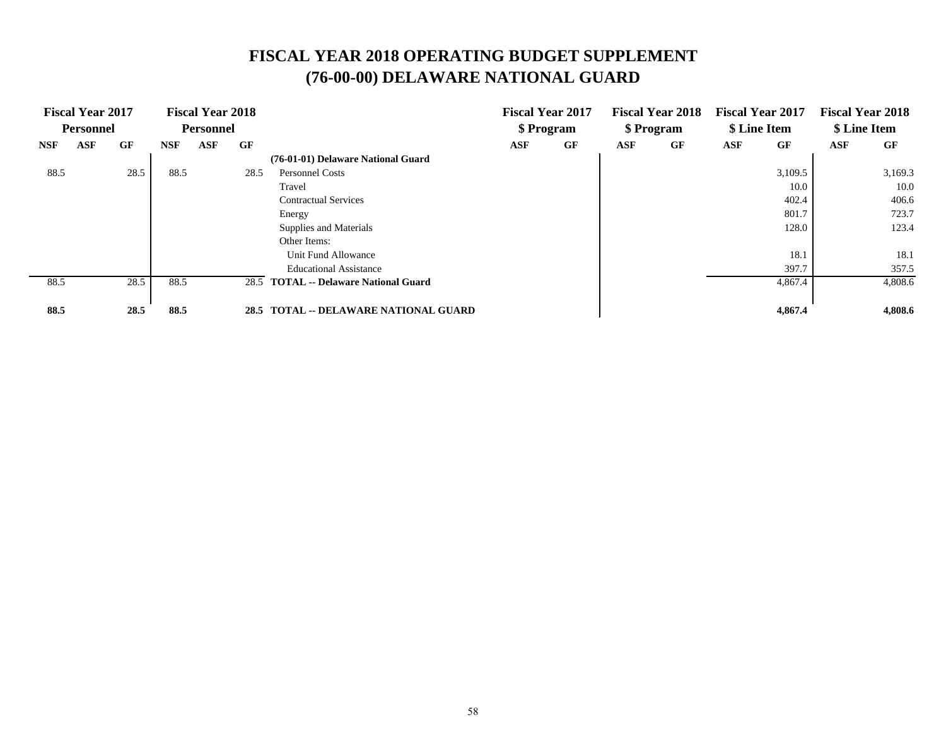## **(76-00-00) DELAWARE NATIONAL GUARD FISCAL YEAR 2018 OPERATING BUDGET SUPPLEMENT**

|            | <b>Fiscal Year 2017</b> |      |            | <b>Fiscal Year 2018</b> |      |                                         |     | <b>Fiscal Year 2017</b> |            | <b>Fiscal Year 2018</b> | <b>Fiscal Year 2017</b> |              |     | <b>Fiscal Year 2018</b> |
|------------|-------------------------|------|------------|-------------------------|------|-----------------------------------------|-----|-------------------------|------------|-------------------------|-------------------------|--------------|-----|-------------------------|
|            | <b>Personnel</b>        |      |            | <b>Personnel</b>        |      |                                         |     | \$ Program              |            | \$ Program              |                         | \$ Line Item |     | \$ Line Item            |
| <b>NSF</b> | ASF                     | GF   | <b>NSF</b> | <b>ASF</b>              | GF   |                                         | ASF | GF                      | <b>ASF</b> | GF                      | ASF                     | GF           | ASF | GF                      |
|            |                         |      |            |                         |      | (76-01-01) Delaware National Guard      |     |                         |            |                         |                         |              |     |                         |
| 88.5       |                         | 28.5 | 88.5       |                         | 28.5 | <b>Personnel Costs</b>                  |     |                         |            |                         |                         | 3,109.5      |     | 3,169.3                 |
|            |                         |      |            |                         |      | Travel                                  |     |                         |            |                         |                         | 10.0         |     | 10.0                    |
|            |                         |      |            |                         |      | <b>Contractual Services</b>             |     |                         |            |                         |                         | 402.4        |     | 406.6                   |
|            |                         |      |            |                         |      | Energy                                  |     |                         |            |                         |                         | 801.7        |     | 723.7                   |
|            |                         |      |            |                         |      | Supplies and Materials                  |     |                         |            |                         |                         | 128.0        |     | 123.4                   |
|            |                         |      |            |                         |      | Other Items:                            |     |                         |            |                         |                         |              |     |                         |
|            |                         |      |            |                         |      | Unit Fund Allowance                     |     |                         |            |                         |                         | 18.1         |     | 18.1                    |
|            |                         |      |            |                         |      | <b>Educational Assistance</b>           |     |                         |            |                         |                         | 397.7        |     | 357.5                   |
| 88.5       |                         | 28.5 | 88.5       |                         | 28.5 | <b>TOTAL</b> -- Delaware National Guard |     |                         |            |                         |                         | 4,867.4      |     | 4,808.6                 |
|            |                         |      |            |                         |      |                                         |     |                         |            |                         |                         |              |     |                         |
| 88.5       |                         | 28.5 | 88.5       |                         |      | 28.5 TOTAL -- DELAWARE NATIONAL GUARD   |     |                         |            |                         |                         | 4,867.4      |     | 4,808.6                 |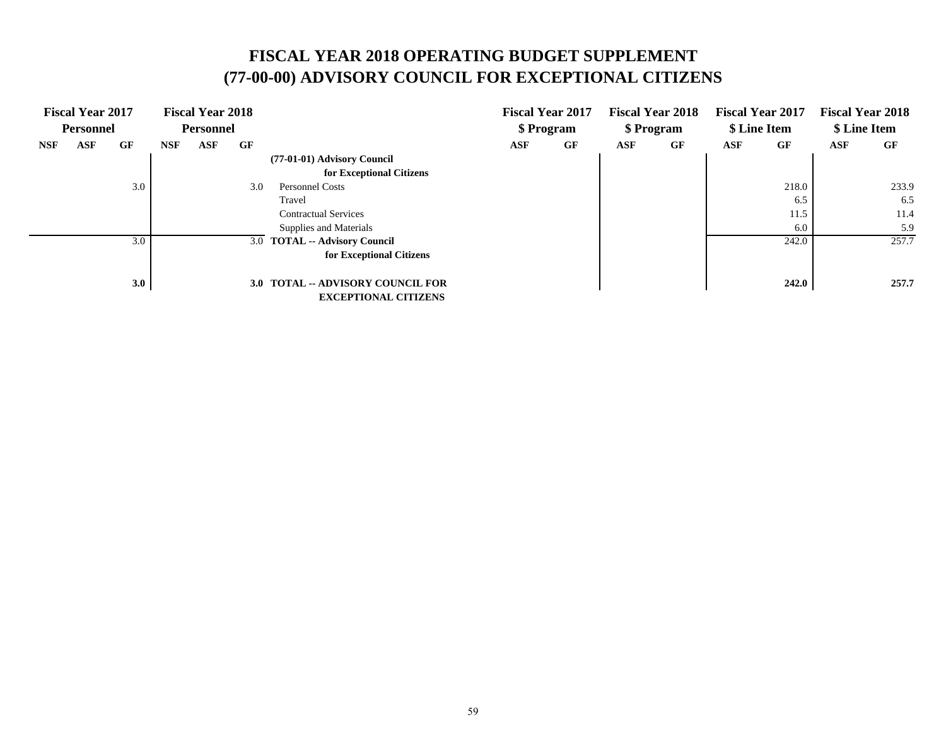#### **FISCAL YEAR 2018 OPERATING BUDGET SUPPLEMENT (77-00-00) ADVISORY COUNCIL FOR EXCEPTIONAL CITIZENS**

|            | <b>Fiscal Year 2017</b><br><b>Personnel</b> |     |            | <b>Fiscal Year 2018</b><br><b>Personnel</b> |     |                                                                         |     | <b>Fiscal Year 2017</b><br>\$ Program |            | <b>Fiscal Year 2018</b><br>\$ Program |     | <b>Fiscal Year 2017</b><br>\$ Line Item |     | <b>Fiscal Year 2018</b><br>\$ Line Item |
|------------|---------------------------------------------|-----|------------|---------------------------------------------|-----|-------------------------------------------------------------------------|-----|---------------------------------------|------------|---------------------------------------|-----|-----------------------------------------|-----|-----------------------------------------|
| <b>NSF</b> | <b>ASF</b>                                  | GF  | <b>NSF</b> | ASF                                         | GF  |                                                                         | ASF | GF                                    | <b>ASF</b> | GF                                    | ASF | GF                                      | ASF | GF                                      |
|            |                                             |     |            |                                             |     | (77-01-01) Advisory Council<br>for Exceptional Citizens                 |     |                                       |            |                                       |     |                                         |     |                                         |
|            |                                             | 3.0 |            |                                             | 3.0 | <b>Personnel Costs</b>                                                  |     |                                       |            |                                       |     | 218.0                                   |     | 233.9                                   |
|            |                                             |     |            |                                             |     | Travel                                                                  |     |                                       |            |                                       |     | 6.5                                     |     | 6.5                                     |
|            |                                             |     |            |                                             |     | <b>Contractual Services</b>                                             |     |                                       |            |                                       |     | 11.5                                    |     | 11.4                                    |
|            |                                             |     |            |                                             |     | Supplies and Materials                                                  |     |                                       |            |                                       |     | 6.0                                     |     | 5.9                                     |
|            |                                             | 3.0 |            |                                             |     | 3.0 TOTAL -- Advisory Council                                           |     |                                       |            |                                       |     | 242.0                                   |     | 257.7                                   |
|            |                                             |     |            |                                             |     | for Exceptional Citizens                                                |     |                                       |            |                                       |     |                                         |     |                                         |
|            |                                             | 3.0 |            |                                             |     | <b>3.0 TOTAL -- ADVISORY COUNCIL FOR</b><br><b>EXCEPTIONAL CITIZENS</b> |     |                                       |            |                                       |     | 242.0                                   |     | 257.7                                   |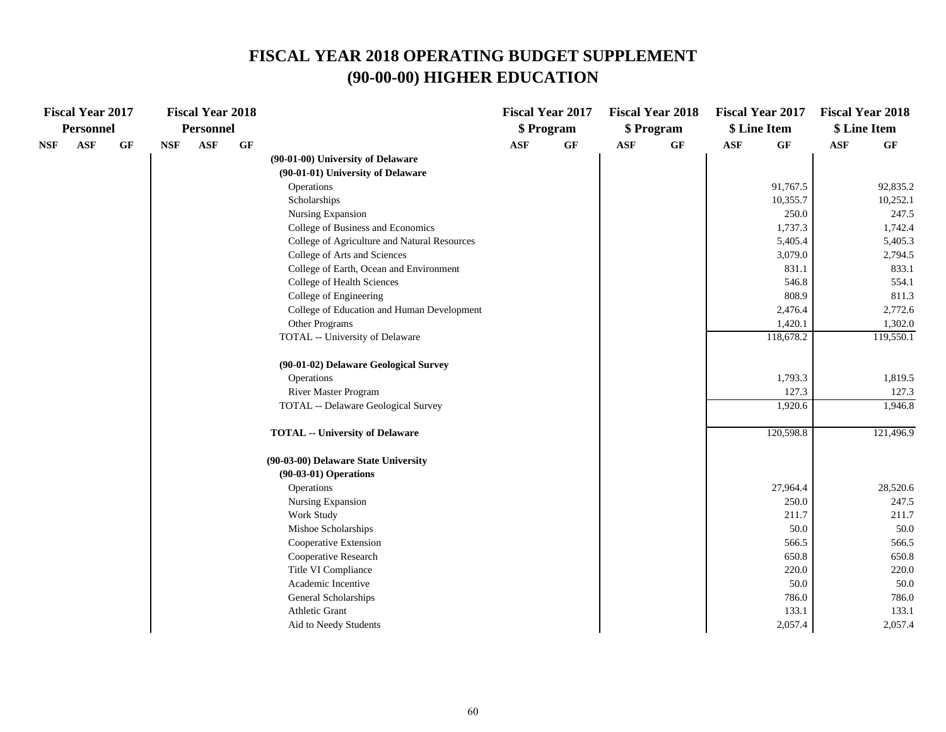#### **FISCAL YEAR 2018 OPERATING BUDGET SUPPLEMENT (90-00-00) HIGHER EDUCATION**

|     | <b>Fiscal Year 2017</b> |    |            | <b>Fiscal Year 2018</b> |    |                                              |                | <b>Fiscal Year 2017</b> |                | <b>Fiscal Year 2018</b> | <b>Fiscal Year 2017</b> |                 | <b>Fiscal Year 2018</b> |           |
|-----|-------------------------|----|------------|-------------------------|----|----------------------------------------------|----------------|-------------------------|----------------|-------------------------|-------------------------|-----------------|-------------------------|-----------|
|     | <b>Personnel</b>        |    |            | <b>Personnel</b>        |    |                                              |                | \$ Program              |                | \$ Program              |                         | \$ Line Item    | \$ Line Item            |           |
| NSF | $\mathbf{ASF}$          | GF | <b>NSF</b> | <b>ASF</b>              | GF |                                              | $\mathbf{ASF}$ | GF                      | $\mathbf{ASF}$ | $\bf{G} \bf{F}$         | <b>ASF</b>              | $\bf{G} \bf{F}$ | $\mathbf{ASF}$          | GF        |
|     |                         |    |            |                         |    | (90-01-00) University of Delaware            |                |                         |                |                         |                         |                 |                         |           |
|     |                         |    |            |                         |    | (90-01-01) University of Delaware            |                |                         |                |                         |                         |                 |                         |           |
|     |                         |    |            |                         |    | Operations                                   |                |                         |                |                         |                         | 91,767.5        |                         | 92,835.2  |
|     |                         |    |            |                         |    | Scholarships                                 |                |                         |                |                         |                         | 10,355.7        |                         | 10,252.1  |
|     |                         |    |            |                         |    | <b>Nursing Expansion</b>                     |                |                         |                |                         |                         | 250.0           |                         | 247.5     |
|     |                         |    |            |                         |    | College of Business and Economics            |                |                         |                |                         |                         | 1,737.3         |                         | 1,742.4   |
|     |                         |    |            |                         |    | College of Agriculture and Natural Resources |                |                         |                |                         |                         | 5,405.4         |                         | 5,405.3   |
|     |                         |    |            |                         |    | College of Arts and Sciences                 |                |                         |                |                         |                         | 3,079.0         |                         | 2,794.5   |
|     |                         |    |            |                         |    | College of Earth, Ocean and Environment      |                |                         |                |                         |                         | 831.1           |                         | 833.1     |
|     |                         |    |            |                         |    | College of Health Sciences                   |                |                         |                |                         |                         | 546.8           |                         | 554.1     |
|     |                         |    |            |                         |    | College of Engineering                       |                |                         |                |                         |                         | 808.9           |                         | 811.3     |
|     |                         |    |            |                         |    | College of Education and Human Development   |                |                         |                |                         |                         | 2,476.4         |                         | 2,772.6   |
|     |                         |    |            |                         |    | Other Programs                               |                |                         |                |                         |                         | 1,420.1         |                         | 1,302.0   |
|     |                         |    |            |                         |    | TOTAL -- University of Delaware              |                |                         |                |                         |                         | 118,678.2       |                         | 119,550.1 |
|     |                         |    |            |                         |    | (90-01-02) Delaware Geological Survey        |                |                         |                |                         |                         |                 |                         |           |
|     |                         |    |            |                         |    | Operations                                   |                |                         |                |                         |                         | 1,793.3         |                         | 1,819.5   |
|     |                         |    |            |                         |    | River Master Program                         |                |                         |                |                         |                         | 127.3           |                         | 127.3     |
|     |                         |    |            |                         |    | TOTAL -- Delaware Geological Survey          |                |                         |                |                         |                         | 1,920.6         |                         | 1,946.8   |
|     |                         |    |            |                         |    | <b>TOTAL -- University of Delaware</b>       |                |                         |                |                         |                         | 120,598.8       |                         | 121,496.9 |
|     |                         |    |            |                         |    | (90-03-00) Delaware State University         |                |                         |                |                         |                         |                 |                         |           |
|     |                         |    |            |                         |    | $(90-03-01)$ Operations                      |                |                         |                |                         |                         |                 |                         |           |
|     |                         |    |            |                         |    | Operations                                   |                |                         |                |                         |                         | 27,964.4        |                         | 28,520.6  |
|     |                         |    |            |                         |    | Nursing Expansion                            |                |                         |                |                         |                         | 250.0           |                         | 247.5     |
|     |                         |    |            |                         |    | Work Study                                   |                |                         |                |                         |                         | 211.7           |                         | 211.7     |
|     |                         |    |            |                         |    | Mishoe Scholarships                          |                |                         |                |                         |                         | 50.0            |                         | 50.0      |
|     |                         |    |            |                         |    | Cooperative Extension                        |                |                         |                |                         |                         | 566.5           |                         | 566.5     |
|     |                         |    |            |                         |    | Cooperative Research                         |                |                         |                |                         |                         | 650.8           |                         | 650.8     |
|     |                         |    |            |                         |    | Title VI Compliance                          |                |                         |                |                         |                         | 220.0           |                         | 220.0     |
|     |                         |    |            |                         |    | Academic Incentive                           |                |                         |                |                         |                         | 50.0            |                         | 50.0      |
|     |                         |    |            |                         |    | General Scholarships                         |                |                         |                |                         |                         | 786.0           |                         | 786.0     |
|     |                         |    |            |                         |    | Athletic Grant                               |                |                         |                |                         |                         | 133.1           |                         | 133.1     |
|     |                         |    |            |                         |    | Aid to Needy Students                        |                |                         |                |                         |                         | 2,057.4         |                         | 2,057.4   |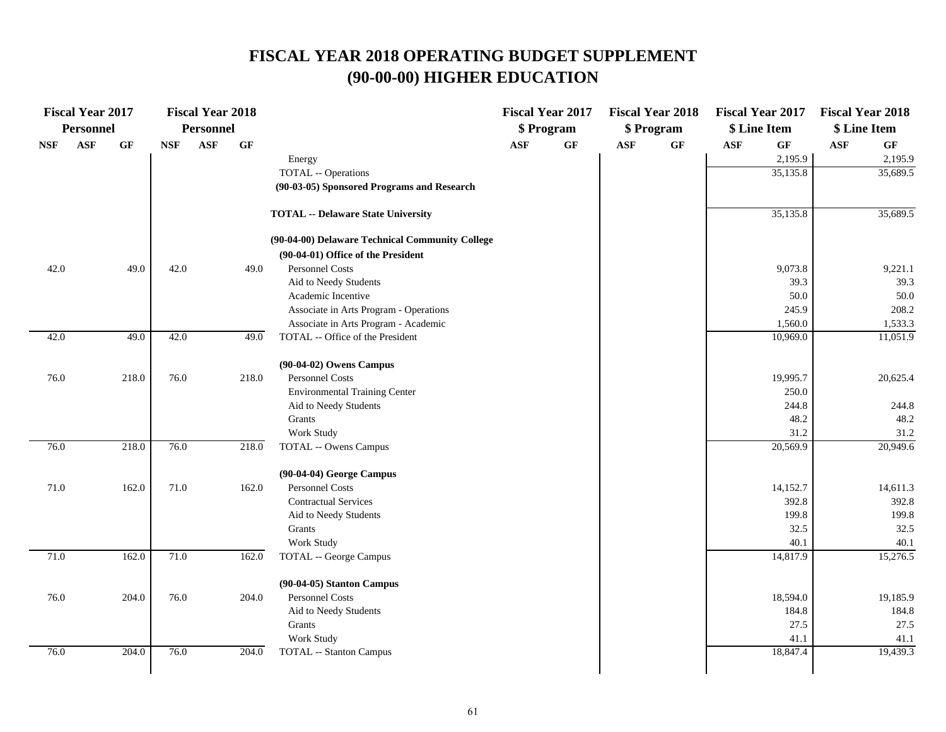## **FISCAL YEAR 2018 OPERATING BUDGET SUPPLEMENT (90-00-00) HIGHER EDUCATION**

| <b>Fiscal Year 2017</b><br><b>Personnel</b> |                | <b>Fiscal Year 2018</b><br>Personnel |            |            |       | <b>Fiscal Year 2017</b><br>\$ Program           |     |                 | <b>Fiscal Year 2018</b><br>\$ Program | <b>Fiscal Year 2017</b><br>\$ Line Item |            | <b>Fiscal Year 2018</b><br>\$ Line Item |                |                 |
|---------------------------------------------|----------------|--------------------------------------|------------|------------|-------|-------------------------------------------------|-----|-----------------|---------------------------------------|-----------------------------------------|------------|-----------------------------------------|----------------|-----------------|
| <b>NSF</b>                                  | $\mathbf{ASF}$ | $\bf{G} \bf{F}$                      | <b>NSF</b> | <b>ASF</b> | GF    |                                                 | ASF | $\bf{G} \bf{F}$ | <b>ASF</b>                            | $\bf{G} \bf{F}$                         | <b>ASF</b> | $\bf{G} \bf{F}$                         | $\mathbf{ASF}$ | $\bf{G} \bf{F}$ |
|                                             |                |                                      |            |            |       | Energy                                          |     |                 |                                       |                                         |            | 2,195.9                                 |                | 2,195.9         |
|                                             |                |                                      |            |            |       | TOTAL -- Operations                             |     |                 |                                       |                                         |            | 35,135.8                                |                | 35,689.5        |
|                                             |                |                                      |            |            |       | (90-03-05) Sponsored Programs and Research      |     |                 |                                       |                                         |            |                                         |                |                 |
|                                             |                |                                      |            |            |       | <b>TOTAL -- Delaware State University</b>       |     |                 |                                       |                                         |            | 35,135.8                                |                | 35,689.5        |
|                                             |                |                                      |            |            |       | (90-04-00) Delaware Technical Community College |     |                 |                                       |                                         |            |                                         |                |                 |
|                                             |                |                                      |            |            |       | (90-04-01) Office of the President              |     |                 |                                       |                                         |            |                                         |                |                 |
| 42.0                                        |                | 49.0                                 | 42.0       |            | 49.0  | Personnel Costs                                 |     |                 |                                       |                                         |            | 9,073.8                                 |                | 9,221.1         |
|                                             |                |                                      |            |            |       | Aid to Needy Students                           |     |                 |                                       |                                         |            | 39.3                                    |                | 39.3            |
|                                             |                |                                      |            |            |       | Academic Incentive                              |     |                 |                                       |                                         |            | 50.0                                    |                | $50.0\,$        |
|                                             |                |                                      |            |            |       | Associate in Arts Program - Operations          |     |                 |                                       |                                         |            | 245.9                                   |                | 208.2           |
|                                             |                |                                      |            |            |       | Associate in Arts Program - Academic            |     |                 |                                       |                                         |            | 1,560.0                                 |                | 1,533.3         |
| 42.0                                        |                | 49.0                                 | 42.0       |            | 49.0  | TOTAL -- Office of the President                |     |                 |                                       |                                         |            | 10,969.0                                |                | 11,051.9        |
|                                             |                |                                      |            |            |       | (90-04-02) Owens Campus                         |     |                 |                                       |                                         |            |                                         |                |                 |
| 76.0                                        |                | 218.0                                | 76.0       |            | 218.0 | <b>Personnel Costs</b>                          |     |                 |                                       |                                         |            | 19,995.7                                |                | 20,625.4        |
|                                             |                |                                      |            |            |       | <b>Environmental Training Center</b>            |     |                 |                                       |                                         |            | 250.0                                   |                |                 |
|                                             |                |                                      |            |            |       | Aid to Needy Students                           |     |                 |                                       |                                         |            | 244.8                                   |                | 244.8           |
|                                             |                |                                      |            |            |       | Grants                                          |     |                 |                                       |                                         |            | 48.2                                    |                | 48.2            |
|                                             |                |                                      |            |            |       | Work Study                                      |     |                 |                                       |                                         |            | 31.2                                    |                | 31.2            |
| 76.0                                        |                | 218.0                                | 76.0       |            | 218.0 | TOTAL -- Owens Campus                           |     |                 |                                       |                                         |            | 20,569.9                                |                | 20,949.6        |
|                                             |                |                                      |            |            |       | (90-04-04) George Campus                        |     |                 |                                       |                                         |            |                                         |                |                 |
| 71.0                                        |                | 162.0                                | 71.0       |            | 162.0 | Personnel Costs                                 |     |                 |                                       |                                         |            | 14,152.7                                |                | 14,611.3        |
|                                             |                |                                      |            |            |       | <b>Contractual Services</b>                     |     |                 |                                       |                                         |            | 392.8                                   |                | 392.8           |
|                                             |                |                                      |            |            |       | Aid to Needy Students                           |     |                 |                                       |                                         |            | 199.8                                   |                | 199.8           |
|                                             |                |                                      |            |            |       | Grants                                          |     |                 |                                       |                                         |            | 32.5                                    |                | 32.5            |
|                                             |                |                                      |            |            |       | Work Study                                      |     |                 |                                       |                                         |            | 40.1                                    |                | 40.1            |
| 71.0                                        |                | 162.0                                | 71.0       |            | 162.0 | TOTAL -- George Campus                          |     |                 |                                       |                                         |            | 14,817.9                                |                | 15,276.5        |
|                                             |                |                                      |            |            |       | $(90-04-05)$ Stanton Campus                     |     |                 |                                       |                                         |            |                                         |                |                 |
| 76.0                                        |                | 204.0                                | 76.0       |            | 204.0 | Personnel Costs                                 |     |                 |                                       |                                         |            | 18,594.0                                |                | 19,185.9        |
|                                             |                |                                      |            |            |       | Aid to Needy Students                           |     |                 |                                       |                                         |            | 184.8                                   |                | 184.8           |
|                                             |                |                                      |            |            |       | Grants                                          |     |                 |                                       |                                         |            | 27.5                                    |                | 27.5            |
|                                             |                |                                      |            |            |       | Work Study                                      |     |                 |                                       |                                         |            | 41.1                                    |                | 41.1            |
| 76.0                                        |                | 204.0                                | 76.0       |            | 204.0 | <b>TOTAL</b> -- Stanton Campus                  |     |                 |                                       |                                         |            | 18,847.4                                |                | 19,439.3        |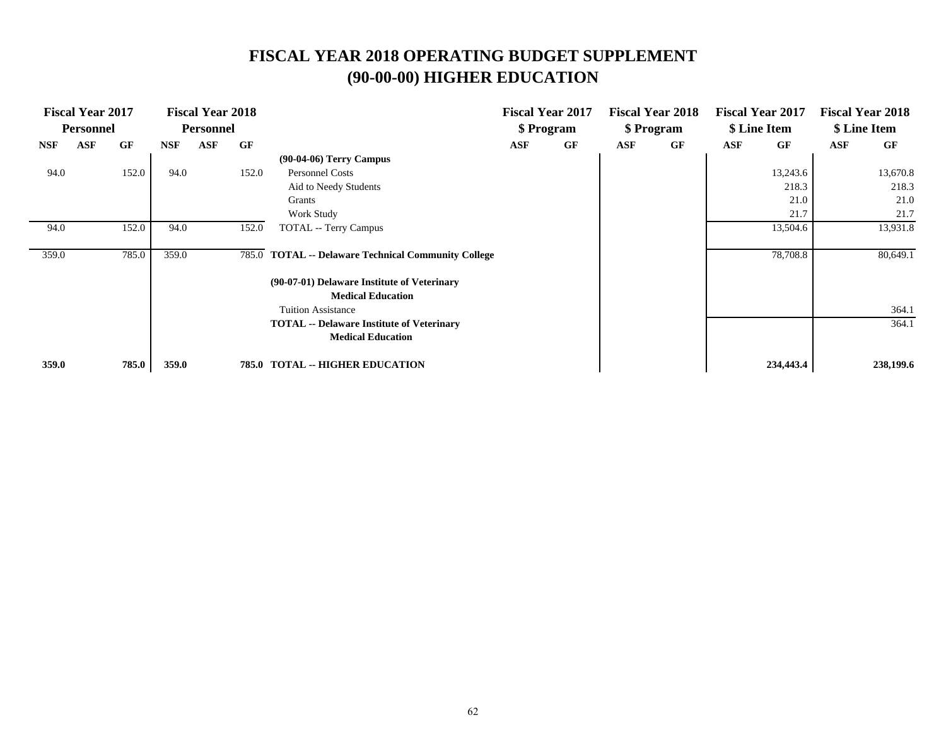## **FISCAL YEAR 2018 OPERATING BUDGET SUPPLEMENT (90-00-00) HIGHER EDUCATION**

| <b>Fiscal Year 2017</b><br><b>Personnel</b> |            | <b>Fiscal Year 2018</b> |                  |            |       |                                                     | <b>Fiscal Year 2017</b> |    | <b>Fiscal Year 2018</b> |    | <b>Fiscal Year 2017</b> |           | <b>Fiscal Year 2018</b> |           |
|---------------------------------------------|------------|-------------------------|------------------|------------|-------|-----------------------------------------------------|-------------------------|----|-------------------------|----|-------------------------|-----------|-------------------------|-----------|
|                                             |            |                         | <b>Personnel</b> |            |       |                                                     | \$ Program              |    | \$ Program              |    | \$ Line Item            |           | \$ Line Item            |           |
| <b>NSF</b>                                  | <b>ASF</b> | GF                      | <b>NSF</b>       | <b>ASF</b> | GF    |                                                     | ASF                     | GF | ASF                     | GF | ASF                     | GF        | ASF                     | GF        |
|                                             |            |                         |                  |            |       | $(90-04-06)$ Terry Campus                           |                         |    |                         |    |                         |           |                         |           |
| 94.0                                        |            | 152.0                   | 94.0             |            | 152.0 | Personnel Costs                                     |                         |    |                         |    |                         | 13,243.6  |                         | 13,670.8  |
|                                             |            |                         |                  |            |       | Aid to Needy Students                               |                         |    |                         |    |                         | 218.3     |                         | 218.3     |
|                                             |            |                         |                  |            |       | Grants                                              |                         |    |                         |    |                         | 21.0      |                         | 21.0      |
|                                             |            |                         |                  |            |       | Work Study                                          |                         |    |                         |    |                         | 21.7      |                         | 21.7      |
| 94.0                                        |            | 152.0                   | 94.0             |            | 152.0 | <b>TOTAL</b> -- Terry Campus                        |                         |    |                         |    |                         | 13,504.6  |                         | 13,931.8  |
|                                             |            |                         |                  |            |       |                                                     |                         |    |                         |    |                         |           |                         |           |
| 359.0                                       |            | 785.0                   | 359.0            |            |       | 785.0 TOTAL -- Delaware Technical Community College |                         |    |                         |    |                         | 78,708.8  |                         | 80,649.1  |
|                                             |            |                         |                  |            |       | (90-07-01) Delaware Institute of Veterinary         |                         |    |                         |    |                         |           |                         |           |
|                                             |            |                         |                  |            |       | <b>Medical Education</b>                            |                         |    |                         |    |                         |           |                         |           |
|                                             |            |                         |                  |            |       | <b>Tuition Assistance</b>                           |                         |    |                         |    |                         |           |                         | 364.1     |
|                                             |            |                         |                  |            |       | <b>TOTAL</b> -- Delaware Institute of Veterinary    |                         |    |                         |    |                         |           |                         | 364.1     |
|                                             |            |                         |                  |            |       | <b>Medical Education</b>                            |                         |    |                         |    |                         |           |                         |           |
| 359.0                                       |            | 785.0                   | 359.0            |            |       | <b>785.0 TOTAL -- HIGHER EDUCATION</b>              |                         |    |                         |    |                         | 234,443.4 |                         | 238,199.6 |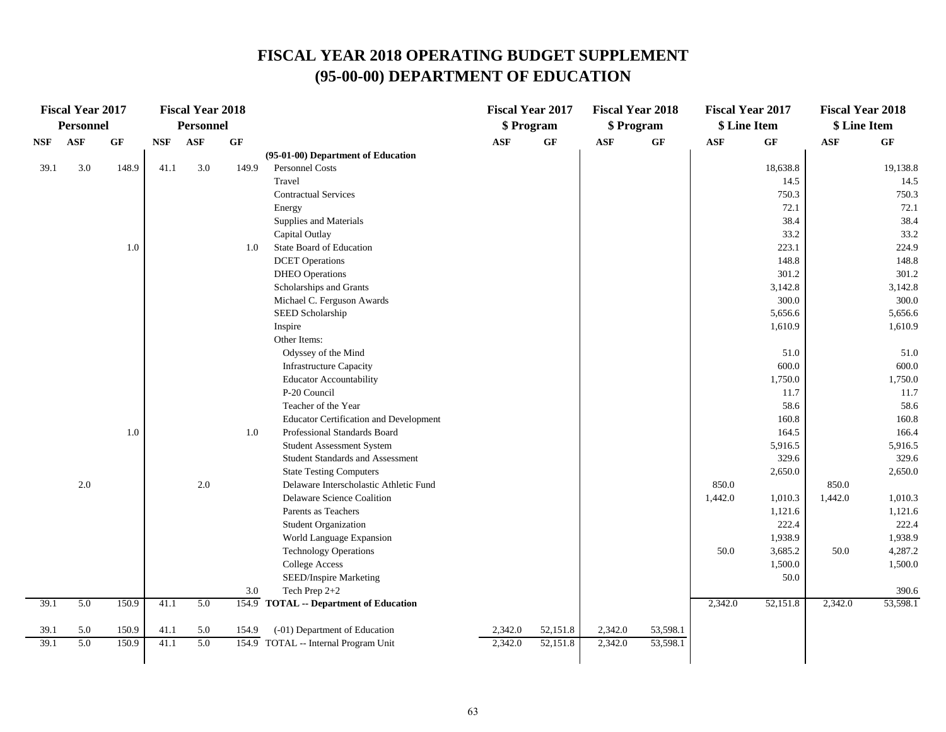| <b>Fiscal Year 2017</b> |                  | <b>Fiscal Year 2018</b> |                  |            |       |                                               | <b>Fiscal Year 2017</b> | <b>Fiscal Year 2018</b> |            | <b>Fiscal Year 2017</b> |              | <b>Fiscal Year 2018</b> |              |                    |
|-------------------------|------------------|-------------------------|------------------|------------|-------|-----------------------------------------------|-------------------------|-------------------------|------------|-------------------------|--------------|-------------------------|--------------|--------------------|
|                         | <b>Personnel</b> |                         | <b>Personnel</b> |            |       |                                               |                         | \$ Program              | \$ Program |                         | \$ Line Item |                         | \$ Line Item |                    |
| <b>NSF</b>              | <b>ASF</b>       | GF                      | <b>NSF</b>       | <b>ASF</b> | GF    |                                               | <b>ASF</b>              | GF                      | <b>ASF</b> | GF                      | <b>ASF</b>   | GF                      | <b>ASF</b>   | GF                 |
|                         |                  |                         |                  |            |       | (95-01-00) Department of Education            |                         |                         |            |                         |              |                         |              |                    |
| 39.1                    | 3.0              | 148.9                   | 41.1             | 3.0        | 149.9 | Personnel Costs                               |                         |                         |            |                         |              | 18,638.8                |              | 19,138.8           |
|                         |                  |                         |                  |            |       | Travel                                        |                         |                         |            |                         |              | 14.5                    |              | 14.5               |
|                         |                  |                         |                  |            |       | <b>Contractual Services</b>                   |                         |                         |            |                         |              | 750.3                   |              | 750.3              |
|                         |                  |                         |                  |            |       | Energy                                        |                         |                         |            |                         |              | 72.1                    |              | 72.1               |
|                         |                  |                         |                  |            |       | Supplies and Materials                        |                         |                         |            |                         |              | 38.4                    |              | 38.4               |
|                         |                  |                         |                  |            |       | Capital Outlay                                |                         |                         |            |                         |              | 33.2                    |              | 33.2               |
|                         |                  | 1.0                     |                  |            | 1.0   | State Board of Education                      |                         |                         |            |                         |              | 223.1                   |              | 224.9              |
|                         |                  |                         |                  |            |       | <b>DCET</b> Operations                        |                         |                         |            |                         |              | 148.8                   |              | 148.8              |
|                         |                  |                         |                  |            |       | <b>DHEO</b> Operations                        |                         |                         |            |                         |              | 301.2                   |              | 301.2              |
|                         |                  |                         |                  |            |       | Scholarships and Grants                       |                         |                         |            |                         |              | 3,142.8                 |              | 3,142.8            |
|                         |                  |                         |                  |            |       | Michael C. Ferguson Awards                    |                         |                         |            |                         |              | 300.0                   |              | 300.0              |
|                         |                  |                         |                  |            |       | SEED Scholarship                              |                         |                         |            |                         |              | 5,656.6                 |              | 5,656.6            |
|                         |                  |                         |                  |            |       | Inspire                                       |                         |                         |            |                         |              | 1,610.9                 |              | 1,610.9            |
|                         |                  |                         |                  |            |       | Other Items:                                  |                         |                         |            |                         |              |                         |              |                    |
|                         |                  |                         |                  |            |       | Odyssey of the Mind                           |                         |                         |            |                         |              | 51.0                    |              | 51.0               |
|                         |                  |                         |                  |            |       | <b>Infrastructure Capacity</b>                |                         |                         |            |                         |              | 600.0                   |              | 600.0              |
|                         |                  |                         |                  |            |       | <b>Educator Accountability</b>                |                         |                         |            |                         |              | 1,750.0                 |              | 1,750.0            |
|                         |                  |                         |                  |            |       | P-20 Council                                  |                         |                         |            |                         |              | 11.7                    |              | 11.7               |
|                         |                  |                         |                  |            |       | Teacher of the Year                           |                         |                         |            |                         |              | 58.6                    |              | 58.6               |
|                         |                  |                         |                  |            |       | <b>Educator Certification and Development</b> |                         |                         |            |                         |              | 160.8                   |              | 160.8              |
|                         |                  | 1.0                     |                  |            | 1.0   | Professional Standards Board                  |                         |                         |            |                         |              | 164.5                   |              | 166.4              |
|                         |                  |                         |                  |            |       | Student Assessment System                     |                         |                         |            |                         |              | 5,916.5                 |              | 5,916.5            |
|                         |                  |                         |                  |            |       | Student Standards and Assessment              |                         |                         |            |                         |              | 329.6                   |              | 329.6              |
|                         |                  |                         |                  |            |       | <b>State Testing Computers</b>                |                         |                         |            |                         |              | 2,650.0                 |              | 2,650.0            |
|                         | 2.0              |                         |                  | 2.0        |       | Delaware Interscholastic Athletic Fund        |                         |                         |            |                         | 850.0        |                         | 850.0        |                    |
|                         |                  |                         |                  |            |       | Delaware Science Coalition                    |                         |                         |            |                         | 1,442.0      | 1,010.3                 | 1,442.0      | 1,010.3            |
|                         |                  |                         |                  |            |       | Parents as Teachers                           |                         |                         |            |                         |              | 1,121.6                 |              | 1,121.6            |
|                         |                  |                         |                  |            |       | <b>Student Organization</b>                   |                         |                         |            |                         |              | 222.4                   |              | 222.4              |
|                         |                  |                         |                  |            |       | World Language Expansion                      |                         |                         |            |                         |              | 1,938.9<br>3,685.2      |              | 1,938.9            |
|                         |                  |                         |                  |            |       | <b>Technology Operations</b>                  |                         |                         |            |                         | 50.0         | 1,500.0                 | 50.0         | 4,287.2<br>1,500.0 |
|                         |                  |                         |                  |            |       | <b>College Access</b>                         |                         |                         |            |                         |              |                         |              |                    |
|                         |                  |                         |                  |            | 3.0   | SEED/Inspire Marketing<br>Tech Prep 2+2       |                         |                         |            |                         |              | 50.0                    |              | 390.6              |
| 39.1                    | 5.0              | 150.9                   | 41.1             | 5.0        |       | 154.9 TOTAL -- Department of Education        |                         |                         |            |                         | 2,342.0      | 52,151.8                | 2,342.0      | 53,598.1           |
|                         |                  |                         |                  |            |       |                                               |                         |                         |            |                         |              |                         |              |                    |
| 39.1                    | 5.0              | 150.9                   | 41.1             | 5.0        | 154.9 | (-01) Department of Education                 | 2,342.0                 | 52,151.8                | 2,342.0    | 53,598.1                |              |                         |              |                    |
| 39.1                    | 5.0              | 150.9                   | 41.1             | 5.0        | 154.9 | TOTAL -- Internal Program Unit                | 2,342.0                 | 52,151.8                | 2,342.0    | 53,598.1                |              |                         |              |                    |
|                         |                  |                         |                  |            |       |                                               |                         |                         |            |                         |              |                         |              |                    |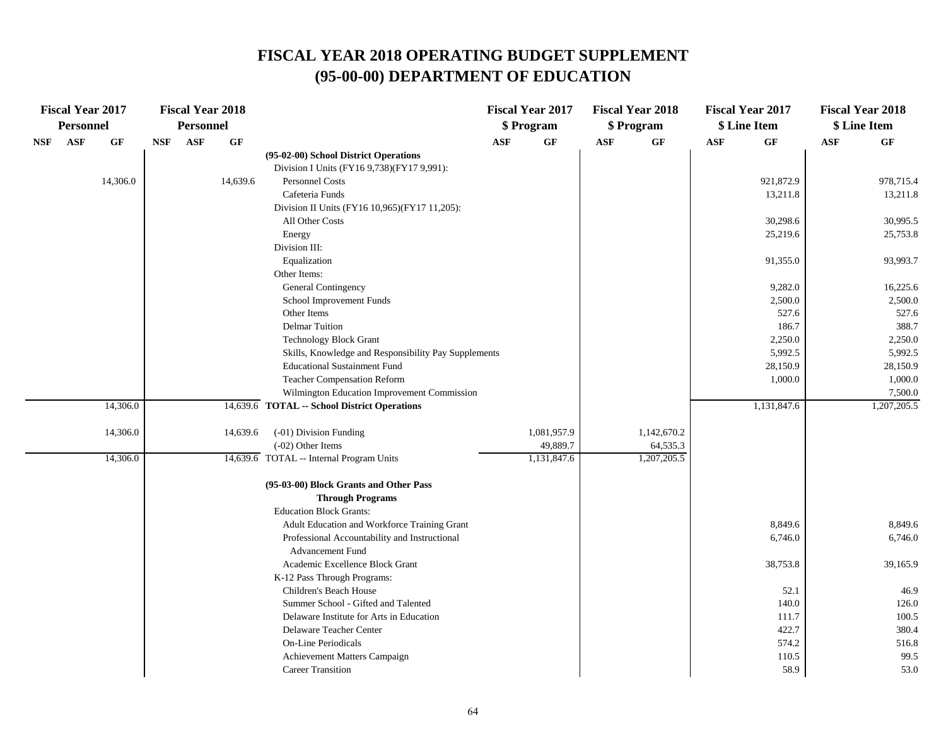| <b>Fiscal Year 2017</b><br><b>Personnel</b> |     | <b>Fiscal Year 2018</b><br>Personnel |            |            |                 | <b>Fiscal Year 2017</b><br>\$ Program                    |            |             | <b>Fiscal Year 2018</b><br>\$ Program | <b>Fiscal Year 2017</b><br>\$ Line Item |            | <b>Fiscal Year 2018</b><br>\$ Line Item |            |               |
|---------------------------------------------|-----|--------------------------------------|------------|------------|-----------------|----------------------------------------------------------|------------|-------------|---------------------------------------|-----------------------------------------|------------|-----------------------------------------|------------|---------------|
| <b>NSF</b>                                  | ASF | GF                                   | <b>NSF</b> | <b>ASF</b> | $\bf{G} \bf{F}$ |                                                          | <b>ASF</b> | GF          | <b>ASF</b>                            | GF                                      | <b>ASF</b> | GF                                      | <b>ASF</b> | GF            |
|                                             |     |                                      |            |            |                 | (95-02-00) School District Operations                    |            |             |                                       |                                         |            |                                         |            |               |
|                                             |     |                                      |            |            |                 | Division I Units (FY16 9,738)(FY17 9,991):               |            |             |                                       |                                         |            |                                         |            |               |
|                                             |     | 14,306.0                             |            |            | 14,639.6        | <b>Personnel Costs</b>                                   |            |             |                                       |                                         |            | 921,872.9                               |            | 978,715.4     |
|                                             |     |                                      |            |            |                 | Cafeteria Funds                                          |            |             |                                       |                                         |            | 13,211.8                                |            | 13,211.8      |
|                                             |     |                                      |            |            |                 | Division II Units (FY16 10,965)(FY17 11,205):            |            |             |                                       |                                         |            |                                         |            |               |
|                                             |     |                                      |            |            |                 | All Other Costs                                          |            |             |                                       |                                         |            | 30,298.6                                |            | 30,995.5      |
|                                             |     |                                      |            |            |                 | Energy                                                   |            |             |                                       |                                         |            | 25,219.6                                |            | 25,753.8      |
|                                             |     |                                      |            |            |                 | Division III:                                            |            |             |                                       |                                         |            |                                         |            |               |
|                                             |     |                                      |            |            |                 | Equalization                                             |            |             |                                       |                                         |            | 91,355.0                                |            | 93,993.7      |
|                                             |     |                                      |            |            |                 | Other Items:                                             |            |             |                                       |                                         |            |                                         |            |               |
|                                             |     |                                      |            |            |                 | General Contingency                                      |            |             |                                       |                                         |            | 9,282.0                                 |            | 16,225.6      |
|                                             |     |                                      |            |            |                 | School Improvement Funds                                 |            |             |                                       |                                         |            | 2,500.0                                 |            | 2,500.0       |
|                                             |     |                                      |            |            |                 | Other Items                                              |            |             |                                       |                                         |            | 527.6                                   |            | 527.6         |
|                                             |     |                                      |            |            |                 | <b>Delmar Tuition</b>                                    |            |             |                                       |                                         |            | 186.7                                   |            | 388.7         |
|                                             |     |                                      |            |            |                 | <b>Technology Block Grant</b>                            |            |             |                                       |                                         |            | 2,250.0                                 |            | 2,250.0       |
|                                             |     |                                      |            |            |                 | Skills, Knowledge and Responsibility Pay Supplements     |            |             |                                       |                                         |            | 5,992.5                                 |            | 5,992.5       |
|                                             |     |                                      |            |            |                 | <b>Educational Sustainment Fund</b>                      |            |             |                                       |                                         |            | 28,150.9                                |            | 28,150.9      |
|                                             |     |                                      |            |            |                 | <b>Teacher Compensation Reform</b>                       |            |             |                                       |                                         |            | 1,000.0                                 |            | 1,000.0       |
|                                             |     |                                      |            |            |                 | Wilmington Education Improvement Commission              |            |             |                                       |                                         |            |                                         |            | 7,500.0       |
|                                             |     | 14,306.0                             |            |            |                 | 14,639.6 TOTAL -- School District Operations             |            |             |                                       |                                         |            | 1,131,847.6                             |            | 1,207,205.5   |
|                                             |     | 14,306.0                             |            |            | 14,639.6        | (-01) Division Funding                                   |            | 1,081,957.9 |                                       | 1,142,670.2                             |            |                                         |            |               |
|                                             |     |                                      |            |            |                 | $(-02)$ Other Items                                      |            | 49,889.7    |                                       | 64,535.3                                |            |                                         |            |               |
|                                             |     | 14,306.0                             |            |            |                 | 14,639.6 TOTAL -- Internal Program Units                 |            | 1,131,847.6 |                                       | 1,207,205.5                             |            |                                         |            |               |
|                                             |     |                                      |            |            |                 | (95-03-00) Block Grants and Other Pass                   |            |             |                                       |                                         |            |                                         |            |               |
|                                             |     |                                      |            |            |                 | <b>Through Programs</b>                                  |            |             |                                       |                                         |            |                                         |            |               |
|                                             |     |                                      |            |            |                 | <b>Education Block Grants:</b>                           |            |             |                                       |                                         |            |                                         |            |               |
|                                             |     |                                      |            |            |                 | Adult Education and Workforce Training Grant             |            |             |                                       |                                         |            | 8,849.6                                 |            | 8,849.6       |
|                                             |     |                                      |            |            |                 | Professional Accountability and Instructional            |            |             |                                       |                                         |            | 6,746.0                                 |            | 6,746.0       |
|                                             |     |                                      |            |            |                 | <b>Advancement Fund</b>                                  |            |             |                                       |                                         |            |                                         |            |               |
|                                             |     |                                      |            |            |                 | Academic Excellence Block Grant                          |            |             |                                       |                                         |            | 38,753.8                                |            | 39,165.9      |
|                                             |     |                                      |            |            |                 | K-12 Pass Through Programs:                              |            |             |                                       |                                         |            |                                         |            |               |
|                                             |     |                                      |            |            |                 | Children's Beach House                                   |            |             |                                       |                                         |            | 52.1                                    |            | 46.9          |
|                                             |     |                                      |            |            |                 | Summer School - Gifted and Talented                      |            |             |                                       |                                         |            | 140.0                                   |            | 126.0         |
|                                             |     |                                      |            |            |                 | Delaware Institute for Arts in Education                 |            |             |                                       |                                         |            | 111.7                                   |            | 100.5         |
|                                             |     |                                      |            |            |                 | Delaware Teacher Center                                  |            |             |                                       |                                         |            | 422.7                                   |            | 380.4         |
|                                             |     |                                      |            |            |                 | <b>On-Line Periodicals</b>                               |            |             |                                       |                                         |            | 574.2                                   |            | 516.8<br>99.5 |
|                                             |     |                                      |            |            |                 | Achievement Matters Campaign<br><b>Career Transition</b> |            |             |                                       |                                         |            | 110.5                                   |            |               |
|                                             |     |                                      |            |            |                 |                                                          |            |             |                                       |                                         |            | 58.9                                    |            | 53.0          |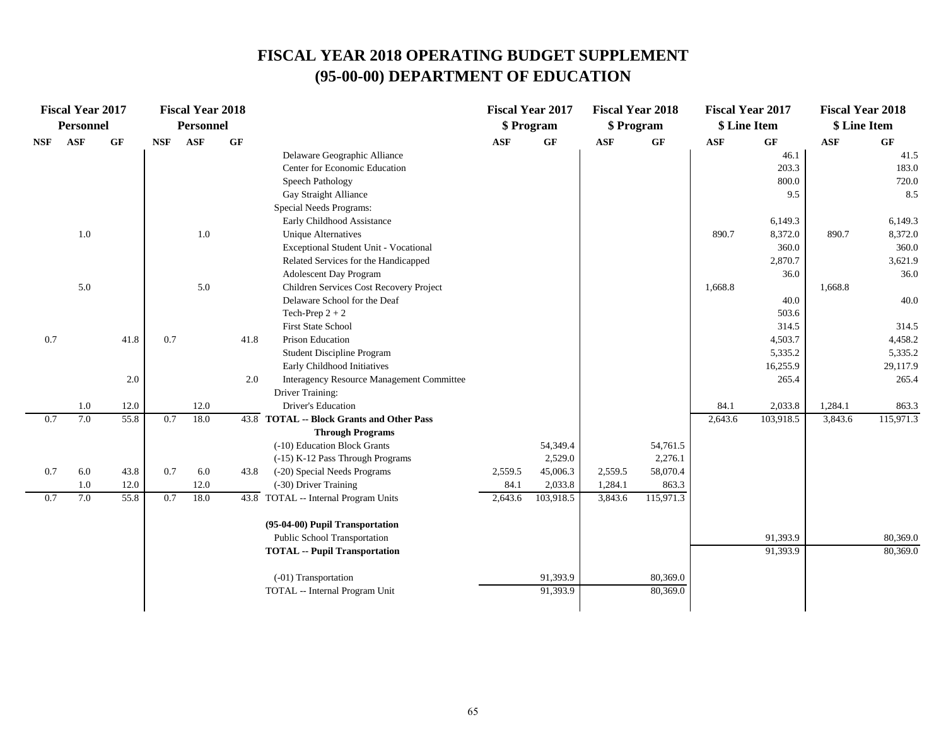| <b>Fiscal Year 2017</b> |           | <b>Fiscal Year 2018</b> |            |                  |      |                                                         | <b>Fiscal Year 2017</b> |            | <b>Fiscal Year 2018</b> | <b>Fiscal Year 2017</b> |                | <b>Fiscal Year 2018</b> |              |           |
|-------------------------|-----------|-------------------------|------------|------------------|------|---------------------------------------------------------|-------------------------|------------|-------------------------|-------------------------|----------------|-------------------------|--------------|-----------|
|                         | Personnel |                         |            | <b>Personnel</b> |      |                                                         |                         | \$ Program | \$ Program              |                         | \$ Line Item   |                         | \$ Line Item |           |
| <b>NSF</b>              | ASF       | $\bf{G} \bf{F}$         | <b>NSF</b> | <b>ASF</b>       | GF   |                                                         | ASF                     | GF         | <b>ASF</b>              | GF                      | $\mathbf{ASF}$ | GF                      | <b>ASF</b>   | GF        |
|                         |           |                         |            |                  |      | Delaware Geographic Alliance                            |                         |            |                         |                         |                | 46.1                    |              | 41.5      |
|                         |           |                         |            |                  |      | Center for Economic Education                           |                         |            |                         |                         |                | 203.3                   |              | 183.0     |
|                         |           |                         |            |                  |      | Speech Pathology                                        |                         |            |                         |                         |                | 800.0                   |              | 720.0     |
|                         |           |                         |            |                  |      | Gay Straight Alliance                                   |                         |            |                         |                         |                | 9.5                     |              | 8.5       |
|                         |           |                         |            |                  |      | Special Needs Programs:                                 |                         |            |                         |                         |                |                         |              |           |
|                         |           |                         |            |                  |      | Early Childhood Assistance                              |                         |            |                         |                         |                | 6,149.3                 |              | 6,149.3   |
|                         | 1.0       |                         |            | $1.0\,$          |      | <b>Unique Alternatives</b>                              |                         |            |                         |                         | 890.7          | 8,372.0                 | 890.7        | 8,372.0   |
|                         |           |                         |            |                  |      | Exceptional Student Unit - Vocational                   |                         |            |                         |                         |                | 360.0                   |              | 360.0     |
|                         |           |                         |            |                  |      | Related Services for the Handicapped                    |                         |            |                         |                         |                | 2,870.7                 |              | 3,621.9   |
|                         |           |                         |            |                  |      | Adolescent Day Program                                  |                         |            |                         |                         |                | 36.0                    |              | 36.0      |
|                         | 5.0       |                         |            | 5.0              |      | Children Services Cost Recovery Project                 |                         |            |                         |                         | 1,668.8        |                         | 1,668.8      |           |
|                         |           |                         |            |                  |      | Delaware School for the Deaf                            |                         |            |                         |                         |                | 40.0                    |              | 40.0      |
|                         |           |                         |            |                  |      | Tech-Prep $2 + 2$                                       |                         |            |                         |                         |                | 503.6                   |              |           |
|                         |           |                         |            |                  |      | <b>First State School</b>                               |                         |            |                         |                         |                | 314.5                   |              | 314.5     |
| 0.7                     |           | 41.8                    | 0.7        |                  | 41.8 | Prison Education                                        |                         |            |                         |                         |                | 4,503.7                 |              | 4,458.2   |
|                         |           |                         |            |                  |      | Student Discipline Program                              |                         |            |                         |                         |                | 5,335.2                 |              | 5,335.2   |
|                         |           |                         |            |                  |      | Early Childhood Initiatives                             |                         |            |                         |                         |                | 16,255.9                |              | 29,117.9  |
|                         |           | 2.0                     |            |                  | 2.0  | Interagency Resource Management Committee               |                         |            |                         |                         |                | 265.4                   |              | 265.4     |
|                         |           |                         |            |                  |      | Driver Training:                                        |                         |            |                         |                         |                |                         |              |           |
|                         | 1.0       | 12.0                    |            | 12.0             |      | <b>Driver's Education</b>                               |                         |            |                         |                         | 84.1           | 2,033.8                 | 1,284.1      | 863.3     |
| 0.7                     | 7.0       | 55.8                    | 0.7        | 18.0             |      | 43.8 TOTAL -- Block Grants and Other Pass               |                         |            |                         |                         | 2,643.6        | 103,918.5               | 3,843.6      | 115,971.3 |
|                         |           |                         |            |                  |      | <b>Through Programs</b><br>(-10) Education Block Grants |                         | 54,349.4   |                         |                         |                |                         |              |           |
|                         |           |                         |            |                  |      | (-15) K-12 Pass Through Programs                        |                         | 2,529.0    |                         | 54,761.5<br>2,276.1     |                |                         |              |           |
| 0.7                     | 6.0       | 43.8                    | 0.7        | 6.0              | 43.8 | (-20) Special Needs Programs                            | 2,559.5                 | 45,006.3   | 2,559.5                 | 58,070.4                |                |                         |              |           |
|                         | $1.0\,$   | 12.0                    |            | 12.0             |      | (-30) Driver Training                                   | 84.1                    | 2,033.8    | 1,284.1                 | 863.3                   |                |                         |              |           |
| 0.7                     | 7.0       | 55.8                    | 0.7        | 18.0             |      | 43.8 TOTAL -- Internal Program Units                    | 2,643.6                 | 103,918.5  | 3,843.6                 | 115,971.3               |                |                         |              |           |
|                         |           |                         |            |                  |      |                                                         |                         |            |                         |                         |                |                         |              |           |
|                         |           |                         |            |                  |      | (95-04-00) Pupil Transportation                         |                         |            |                         |                         |                |                         |              |           |
|                         |           |                         |            |                  |      | Public School Transportation                            |                         |            |                         |                         |                | 91,393.9                |              | 80,369.0  |
|                         |           |                         |            |                  |      | <b>TOTAL -- Pupil Transportation</b>                    |                         |            |                         |                         |                | 91,393.9                |              | 80,369.0  |
|                         |           |                         |            |                  |      | (-01) Transportation                                    |                         | 91,393.9   |                         | 80,369.0                |                |                         |              |           |
|                         |           |                         |            |                  |      | TOTAL -- Internal Program Unit                          |                         | 91,393.9   |                         | 80,369.0                |                |                         |              |           |
|                         |           |                         |            |                  |      |                                                         |                         |            |                         |                         |                |                         |              |           |